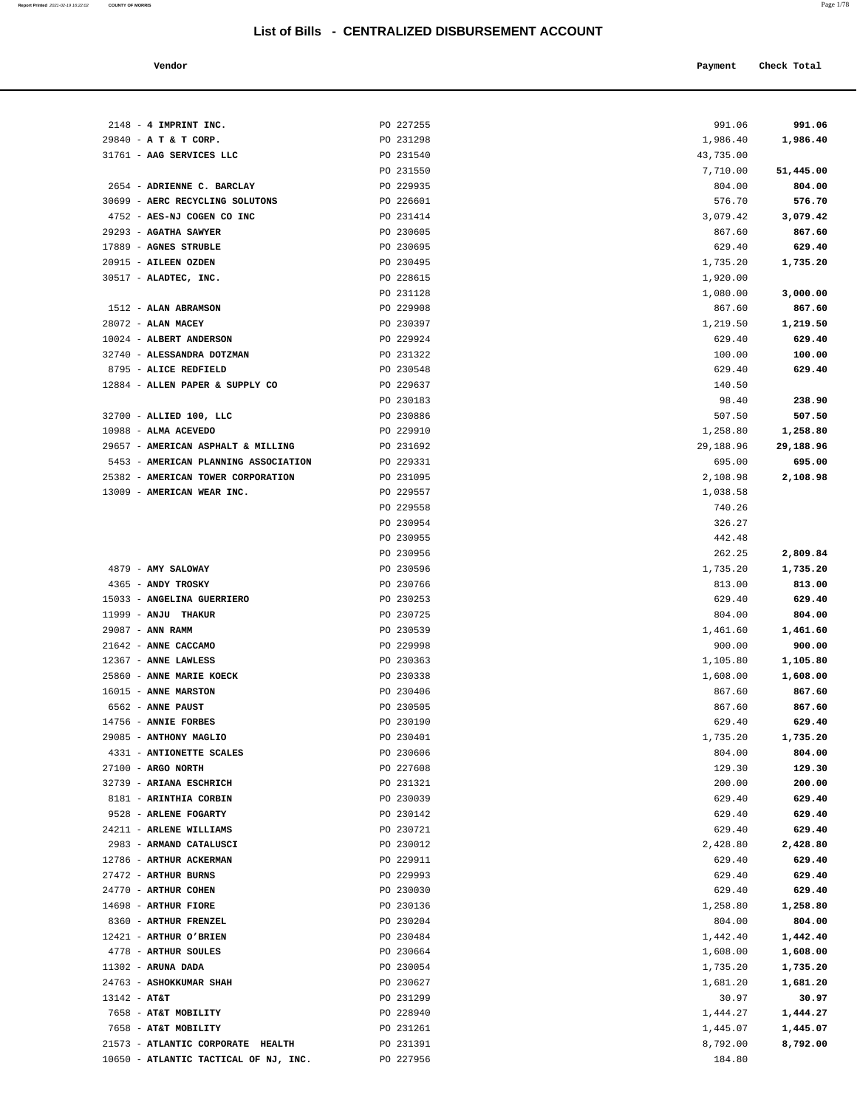**Report Printed** 2021-02-19 16:22:02 **COUNTY OF MORRIS** Page 1/78

| Vendor                                          |                        | Payment            | Check Total        |
|-------------------------------------------------|------------------------|--------------------|--------------------|
|                                                 |                        |                    |                    |
| $2148 - 4$ IMPRINT INC.                         | PO 227255              | 991.06             | 991.06             |
| 29840 - A T & T CORP.                           | PO 231298              | 1,986.40           | 1,986.40           |
| 31761 - AAG SERVICES LLC                        | PO 231540              | 43,735.00          |                    |
|                                                 | PO 231550              | 7,710.00           | 51,445.00          |
| 2654 - ADRIENNE C. BARCLAY                      | PO 229935              | 804.00             | 804.00             |
| 30699 - AERC RECYCLING SOLUTONS                 | PO 226601              | 576.70             | 576.70             |
| 4752 - AES-NJ COGEN CO INC                      | PO 231414              | 3,079.42           | 3,079.42           |
| 29293 - AGATHA SAWYER                           | PO 230605              | 867.60             | 867.60             |
| 17889 - AGNES STRUBLE                           | PO 230695              | 629.40             | 629.40             |
| 20915 - AILEEN OZDEN                            | PO 230495              | 1,735.20           | 1,735.20           |
| 30517 - ALADTEC, INC.                           | PO 228615              | 1,920.00           |                    |
|                                                 | PO 231128              | 1,080.00           | 3,000.00           |
| 1512 - ALAN ABRAMSON                            | PO 229908              | 867.60             | 867.60             |
| $28072$ - ALAN MACEY<br>10024 - ALBERT ANDERSON | PO 230397<br>PO 229924 | 1,219.50<br>629.40 | 1,219.50<br>629.40 |
| 32740 - ALESSANDRA DOTZMAN                      | PO 231322              | 100.00             | 100.00             |
| 8795 - ALICE REDFIELD                           | PO 230548              | 629.40             | 629.40             |
| 12884 - ALLEN PAPER & SUPPLY CO                 | PO 229637              | 140.50             |                    |
|                                                 | PO 230183              | 98.40              | 238.90             |
| 32700 - ALLIED 100, LLC                         | PO 230886              | 507.50             | 507.50             |
| 10988 - ALMA ACEVEDO                            | PO 229910              | 1,258.80           | 1,258.80           |
| 29657 - AMERICAN ASPHALT & MILLING              | PO 231692              | 29,188.96          | 29,188.96          |
| 5453 - AMERICAN PLANNING ASSOCIATION            | PO 229331              | 695.00             | 695.00             |
| 25382 - AMERICAN TOWER CORPORATION              | PO 231095              | 2,108.98           | 2,108.98           |
| 13009 - AMERICAN WEAR INC.                      | PO 229557              | 1,038.58           |                    |
|                                                 | PO 229558              | 740.26             |                    |
|                                                 | PO 230954              | 326.27             |                    |
|                                                 | PO 230955              | 442.48             |                    |
|                                                 | PO 230956              | 262.25             | 2,809.84           |
| 4879 - AMY SALOWAY                              | PO 230596              | 1,735.20           | 1,735.20           |
| 4365 - ANDY TROSKY                              | PO 230766              | 813.00             | 813.00             |
| 15033 - ANGELINA GUERRIERO                      | PO 230253              | 629.40             | 629.40             |
| 11999 - ANJU THAKUR                             | PO 230725              | 804.00             | 804.00             |
| 29087 - ANN RAMM                                | PO 230539              | 1,461.60           | 1,461.60           |
| 21642 - ANNE CACCAMO                            | PO 229998              | 900.00             | 900.00             |
| 12367 - ANNE LAWLESS                            | PO 230363              | 1,105.80           | 1,105.80           |
| 25860 - ANNE MARIE KOECK                        | PO 230338              | 1,608.00           | 1,608.00           |
| 16015 - ANNE MARSTON                            | PO 230406              | 867.60             | 867.60             |
| 6562 - ANNE PAUST                               | PO 230505              | 867.60             | 867.60             |
| 14756 - ANNIE FORBES                            | PO 230190              | 629.40             | 629.40             |
| 29085 - ANTHONY MAGLIO                          | PO 230401              | 1,735.20           | 1,735.20           |
| 4331 - ANTIONETTE SCALES                        | PO 230606              | 804.00             | 804.00             |
| $27100$ - ARGO NORTH                            | PO 227608              | 129.30             | 129.30             |
| 32739 - ARIANA ESCHRICH                         | PO 231321              | 200.00             | 200.00             |
| 8181 - ARINTHIA CORBIN                          | PO 230039              | 629.40             | 629.40             |
| 9528 - ARLENE FOGARTY                           | PO 230142              | 629.40             | 629.40             |
| 24211 - ARLENE WILLIAMS                         | PO 230721              | 629.40             | 629.40             |
| 2983 - ARMAND CATALUSCI                         | PO 230012              | 2,428.80           | 2,428.80           |
| 12786 - ARTHUR ACKERMAN                         | PO 229911              | 629.40             | 629.40             |
| 27472 - ARTHUR BURNS                            | PO 229993              | 629.40             | 629.40             |
| 24770 - ARTHUR COHEN                            | PO 230030              | 629.40             | 629.40             |
| 14698 - ARTHUR FIORE                            | PO 230136              | 1,258.80           | 1,258.80           |
| 8360 - ARTHUR FRENZEL                           | PO 230204              | 804.00             | 804.00             |
| 12421 - ARTHUR O'BRIEN                          | PO 230484              | 1,442.40           | 1,442.40           |
| 4778 - ARTHUR SOULES                            | PO 230664              | 1,608.00           | 1,608.00           |

 11302 - **ARUNA DADA** PO 230054 1,735.20 **1,735.20** 24763 - **ASHOKKUMAR SHAH** PO 230627 1,681.20 **1,681.20** 13142 - **AT&T** PO 231299 30.97 **30.97** 7658 - **AT&T MOBILITY** PO 228940 1,444.27 **1,444.27** 7658 - **AT&T MOBILITY** PO 231261 1,445.07 **1,445.07** 21573 - **ATLANTIC CORPORATE HEALTH** PO 231391 8,792.00 **8,792.00**

10650 - **ATLANTIC TACTICAL OF NJ, INC.** <br>PO 227956 **184.80**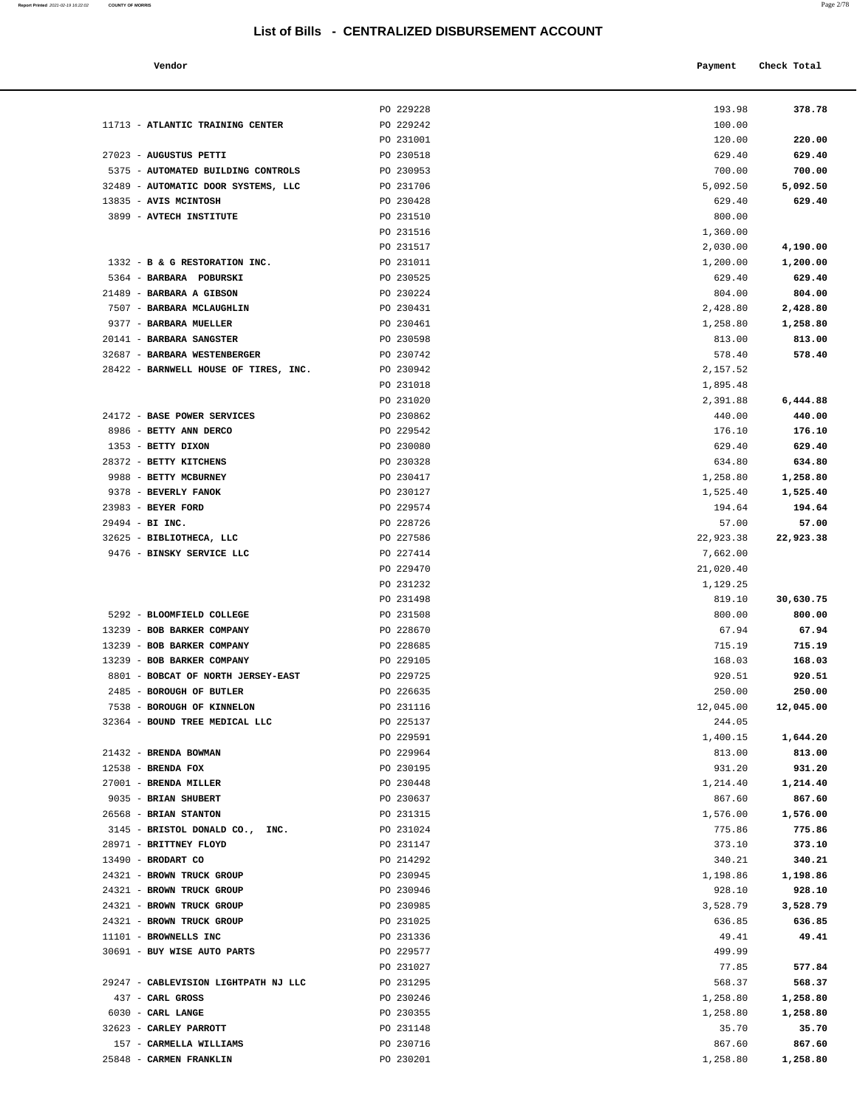#### **Vendor Check Total Payment** Check Total **Payment Check Total Payment**

| Report Printed 2021-02-19 16:22:02 | <b>COUNTY OF MORRIS</b> | Page 2/78 |
|------------------------------------|-------------------------|-----------|
|                                    |                         |           |

| 11713 - ATLANTIC TRAINING CENTER                             | PO 229228<br>PO 229242 | 193.98<br>100.00    | 378.78             |
|--------------------------------------------------------------|------------------------|---------------------|--------------------|
|                                                              | PO 231001              | 120.00              | 220.00             |
| 27023 - AUGUSTUS PETTI                                       | PO 230518              | 629.40              | 629.40             |
| 5375 - AUTOMATED BUILDING CONTROLS                           | PO 230953              | 700.00              | 700.00             |
| 32489 - AUTOMATIC DOOR SYSTEMS, LLC                          | PO 231706              | 5,092.50            | 5,092.50           |
| 13835 - AVIS MCINTOSH                                        | PO 230428              | 629.40              | 629.40             |
| 3899 - AVTECH INSTITUTE                                      | PO 231510              | 800.00              |                    |
|                                                              | PO 231516              | 1,360.00            |                    |
|                                                              | PO 231517              | 2,030.00            | 4,190.00           |
| 1332 - B & G RESTORATION INC.                                | PO 231011              | 1,200.00            | 1,200.00           |
| 5364 - BARBARA POBURSKI                                      | PO 230525              | 629.40              | 629.40             |
| 21489 - BARBARA A GIBSON                                     | PO 230224              | 804.00              | 804.00             |
| 7507 - BARBARA MCLAUGHLIN                                    | PO 230431              | 2,428.80            | 2,428.80           |
| 9377 - BARBARA MUELLER<br>20141 - BARBARA SANGSTER           | PO 230461<br>PO 230598 | 1,258.80<br>813.00  | 1,258.80<br>813.00 |
| 32687 - BARBARA WESTENBERGER                                 | PO 230742              | 578.40              | 578.40             |
| 28422 - BARNWELL HOUSE OF TIRES, INC.                        | PO 230942              | 2,157.52            |                    |
|                                                              | PO 231018              | 1,895.48            |                    |
|                                                              | PO 231020              | 2,391.88            | 6,444.88           |
| 24172 - BASE POWER SERVICES                                  | PO 230862              | 440.00              | 440.00             |
| 8986 - BETTY ANN DERCO                                       | PO 229542              | 176.10              | 176.10             |
| 1353 - BETTY DIXON                                           | PO 230080              | 629.40              | 629.40             |
| 28372 - BETTY KITCHENS                                       | PO 230328              | 634.80              | 634.80             |
| 9988 - BETTY MCBURNEY                                        | PO 230417              | 1,258.80            | 1,258.80           |
| 9378 - BEVERLY FANOK                                         | PO 230127              | 1,525.40            | 1,525.40           |
| 23983 - BEYER FORD                                           | PO 229574              | 194.64              | 194.64             |
| 29494 - BI INC.<br>32625 - BIBLIOTHECA, LLC                  | PO 228726<br>PO 227586 | 57.00<br>22,923.38  | 57.00<br>22,923.38 |
| 9476 - BINSKY SERVICE LLC                                    | PO 227414              | 7,662.00            |                    |
|                                                              | PO 229470              | 21,020.40           |                    |
|                                                              | PO 231232              | 1,129.25            |                    |
|                                                              | PO 231498              | 819.10              | 30,630.75          |
| 5292 - BLOOMFIELD COLLEGE                                    | PO 231508              | 800.00              | 800.00             |
| 13239 - BOB BARKER COMPANY                                   | PO 228670              | 67.94               | 67.94              |
| 13239 - BOB BARKER COMPANY                                   | PO 228685              | 715.19              | 715.19             |
| 13239 - BOB BARKER COMPANY                                   | PO 229105              | 168.03              | 168.03             |
| 8801 - BOBCAT OF NORTH JERSEY-EAST                           | PO 229725              | 920.51              | 920.51             |
| 2485 - BOROUGH OF BUTLER                                     | PO 226635              | 250.00              | 250.00             |
| 7538 - BOROUGH OF KINNELON<br>32364 - BOUND TREE MEDICAL LLC | PO 231116<br>PO 225137 | 12,045.00<br>244.05 | 12,045.00          |
|                                                              | PO 229591              | 1,400.15            | 1,644.20           |
| 21432 - BRENDA BOWMAN                                        | PO 229964              | 813.00              | 813.00             |
| $12538$ - BRENDA FOX                                         | PO 230195              | 931.20              | 931.20             |
| 27001 - BRENDA MILLER                                        | PO 230448              | 1,214.40            | 1,214.40           |
| 9035 - BRIAN SHUBERT                                         | PO 230637              | 867.60              | 867.60             |
| 26568 - BRIAN STANTON                                        | PO 231315              | 1,576.00            | 1,576.00           |
| 3145 - BRISTOL DONALD CO., INC.                              | PO 231024              | 775.86              | 775.86             |
| 28971 - BRITTNEY FLOYD                                       | PO 231147              | 373.10              | 373.10             |
| 13490 - BRODART CO                                           | PO 214292              | 340.21              | 340.21             |
| 24321 - BROWN TRUCK GROUP                                    | PO 230945              | 1,198.86            | 1,198.86           |
| 24321 - BROWN TRUCK GROUP<br>24321 - BROWN TRUCK GROUP       | PO 230946<br>PO 230985 | 928.10<br>3,528.79  | 928.10<br>3,528.79 |
| 24321 - BROWN TRUCK GROUP                                    | PO 231025              | 636.85              | 636.85             |
| 11101 - BROWNELLS INC                                        | PO 231336              | 49.41               | 49.41              |
| 30691 - BUY WISE AUTO PARTS                                  | PO 229577              | 499.99              |                    |
|                                                              | PO 231027              | 77.85               | 577.84             |
| 29247 - CABLEVISION LIGHTPATH NJ LLC                         | PO 231295              | 568.37              | 568.37             |
| 437 - CARL GROSS                                             | PO 230246              | 1,258.80            | 1,258.80           |
| 6030 - CARL LANGE                                            | PO 230355              | 1,258.80            | 1,258.80           |
| 32623 - CARLEY PARROTT                                       | PO 231148              | 35.70               | 35.70              |
| 157 - CARMELLA WILLIAMS                                      | PO 230716              | 867.60              | 867.60             |
| 25848 - CARMEN FRANKLIN                                      | PO 230201              | 1,258.80            | 1,258.80           |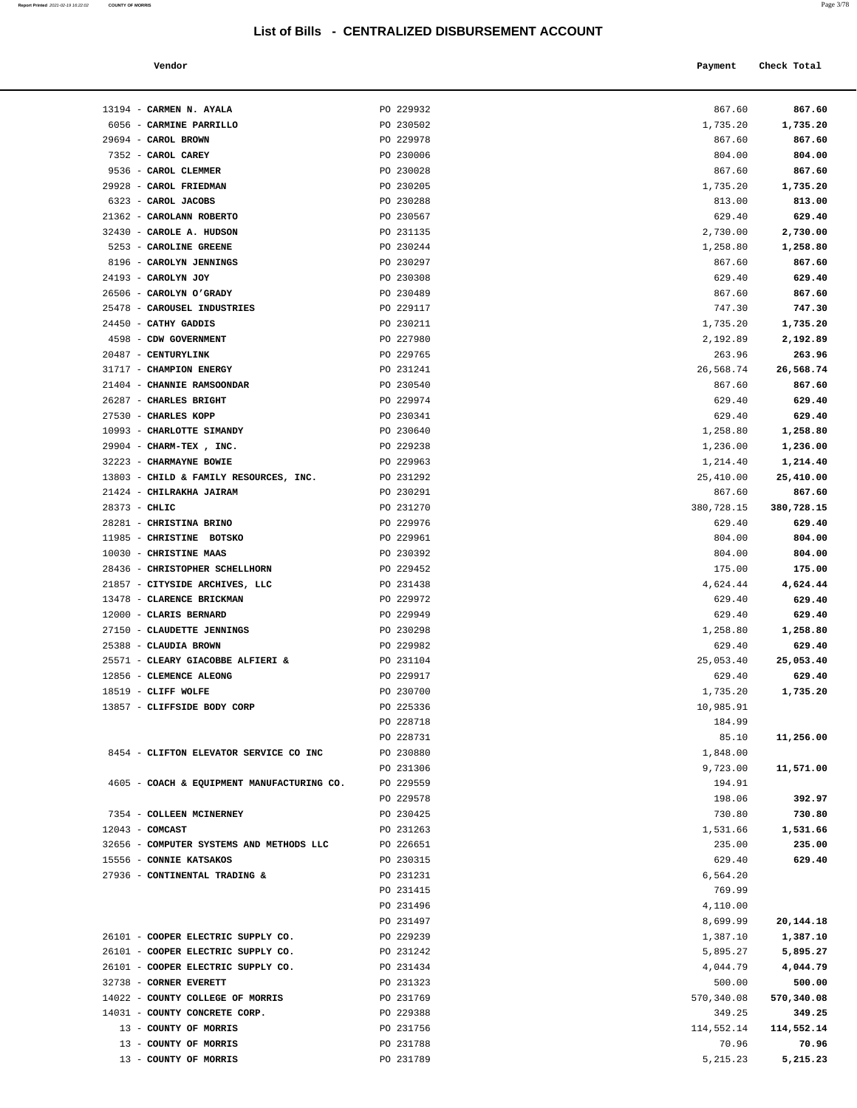| Report Printed 2021-02-19 16:22:02 | <b>COUNTY OF MORRIS</b> | Page 3/78 |
|------------------------------------|-------------------------|-----------|
|                                    |                         |           |

| Vendor |  | Payment Check Total |
|--------|--|---------------------|
|--------|--|---------------------|

| 13194 - CARMEN N. AYALA                                           | PO 229932              | 867.60                | 867.60               |
|-------------------------------------------------------------------|------------------------|-----------------------|----------------------|
| 6056 - CARMINE PARRILLO                                           | PO 230502              | 1,735.20              | 1,735.20             |
| 29694 - CAROL BROWN                                               | PO 229978              | 867.60                | 867.60               |
| 7352 - CAROL CAREY                                                | PO 230006              | 804.00                | 804.00               |
| 9536 - CAROL CLEMMER                                              | PO 230028              | 867.60                | 867.60               |
| 29928 - CAROL FRIEDMAN                                            | PO 230205              | 1,735.20              | 1,735.20             |
| 6323 - CAROL JACOBS                                               | PO 230288              | 813.00                | 813.00               |
| 21362 - CAROLANN ROBERTO                                          | PO 230567              | 629.40                | 629.40               |
| 32430 - CAROLE A. HUDSON                                          | PO 231135              | 2,730.00              | 2,730.00             |
| 5253 - CAROLINE GREENE                                            | PO 230244              | 1,258.80              | 1,258.80             |
| 8196 - CAROLYN JENNINGS                                           | PO 230297              | 867.60                | 867.60               |
| 24193 - CAROLYN JOY                                               | PO 230308              | 629.40                | 629.40               |
| 26506 - CAROLYN O'GRADY                                           | PO 230489              | 867.60                | 867.60               |
| 25478 - CAROUSEL INDUSTRIES                                       | PO 229117              | 747.30                | 747.30               |
| 24450 - CATHY GADDIS                                              | PO 230211              | 1,735.20              | 1,735.20             |
| 4598 - CDW GOVERNMENT                                             | PO 227980              | 2,192.89              | 2,192.89             |
| 20487 - CENTURYLINK                                               | PO 229765              | 263.96                | 263.96               |
| 31717 - CHAMPION ENERGY                                           | PO 231241              | 26,568.74             | 26,568.74            |
| 21404 - CHANNIE RAMSOONDAR<br>26287 - CHARLES BRIGHT              | PO 230540<br>PO 229974 | 867.60<br>629.40      | 867.60<br>629.40     |
| 27530 - CHARLES KOPP                                              | PO 230341              | 629.40                | 629.40               |
| 10993 - CHARLOTTE SIMANDY                                         | PO 230640              | 1,258.80              | 1,258.80             |
| 29904 - CHARM-TEX, INC.                                           | PO 229238              | 1,236.00              | 1,236.00             |
| 32223 - CHARMAYNE BOWIE                                           | PO 229963              | 1,214.40              | 1,214.40             |
| 13803 - CHILD & FAMILY RESOURCES, INC.                            | PO 231292              | 25,410.00             | 25,410.00            |
| 21424 - CHILRAKHA JAIRAM                                          | PO 230291              | 867.60                | 867.60               |
| $28373 - CHLIC$                                                   | PO 231270              | 380,728.15            | 380,728.15           |
| 28281 - CHRISTINA BRINO                                           | PO 229976              | 629.40                | 629.40               |
| 11985 - CHRISTINE BOTSKO                                          | PO 229961              | 804.00                | 804.00               |
| 10030 - CHRISTINE MAAS                                            | PO 230392              | 804.00                | 804.00               |
| 28436 - CHRISTOPHER SCHELLHORN                                    | PO 229452              | 175.00                | 175.00               |
| 21857 - CITYSIDE ARCHIVES, LLC                                    | PO 231438              | 4,624.44              | 4,624.44             |
| 13478 - CLARENCE BRICKMAN                                         | PO 229972              | 629.40                | 629.40               |
| 12000 - CLARIS BERNARD                                            | PO 229949              | 629.40                | 629.40               |
| 27150 - CLAUDETTE JENNINGS                                        | PO 230298              | 1,258.80              | 1,258.80             |
| 25388 - CLAUDIA BROWN                                             | PO 229982              | 629.40                | 629.40               |
| 25571 - CLEARY GIACOBBE ALFIERI &                                 | PO 231104              | 25,053.40             | 25,053.40            |
| 12856 - CLEMENCE ALEONG                                           | PO 229917              | 629.40                | 629.40               |
| 18519 - CLIFF WOLFE<br>13857 - CLIFFSIDE BODY CORP                | PO 230700<br>PO 225336 | 1,735.20<br>10,985.91 | 1,735.20             |
|                                                                   | PO 228718              | 184.99                |                      |
|                                                                   | PO 228731              | 85.10                 | 11,256.00            |
| 8454 - CLIFTON ELEVATOR SERVICE CO INC                            | PO 230880              | 1,848.00              |                      |
|                                                                   | PO 231306              | 9,723.00              | 11,571.00            |
| 4605 - COACH & EQUIPMENT MANUFACTURING CO.                        | PO 229559              | 194.91                |                      |
|                                                                   | PO 229578              | 198.06                | 392.97               |
| 7354 - COLLEEN MCINERNEY                                          | PO 230425              | 730.80                | 730.80               |
| $12043$ - COMCAST                                                 | PO 231263              | 1,531.66              | 1,531.66             |
| 32656 - COMPUTER SYSTEMS AND METHODS LLC                          | PO 226651              | 235.00                | 235.00               |
| 15556 - CONNIE KATSAKOS                                           | PO 230315              | 629.40                | 629.40               |
| 27936 - CONTINENTAL TRADING &                                     | PO 231231              | 6,564.20              |                      |
|                                                                   | PO 231415              | 769.99                |                      |
|                                                                   | PO 231496              | 4,110.00              |                      |
|                                                                   | PO 231497              | 8,699.99              | 20,144.18            |
| 26101 - COOPER ELECTRIC SUPPLY CO.                                | PO 229239              | 1,387.10              | 1,387.10             |
| 26101 - COOPER ELECTRIC SUPPLY CO.                                | PO 231242              | 5,895.27              | 5,895.27             |
| 26101 - COOPER ELECTRIC SUPPLY CO.                                | PO 231434              | 4,044.79              | 4,044.79             |
| 32738 - CORNER EVERETT                                            | PO 231323              | 500.00                | 500.00<br>570,340.08 |
| 14022 - COUNTY COLLEGE OF MORRIS<br>14031 - COUNTY CONCRETE CORP. | PO 231769<br>PO 229388 | 570,340.08<br>349.25  | 349.25               |
| 13 - COUNTY OF MORRIS                                             | PO 231756              | 114,552.14            | 114,552.14           |
|                                                                   |                        |                       |                      |
| 13 - COUNTY OF MORRIS                                             | PO 231788              | 70.96                 | 70.96                |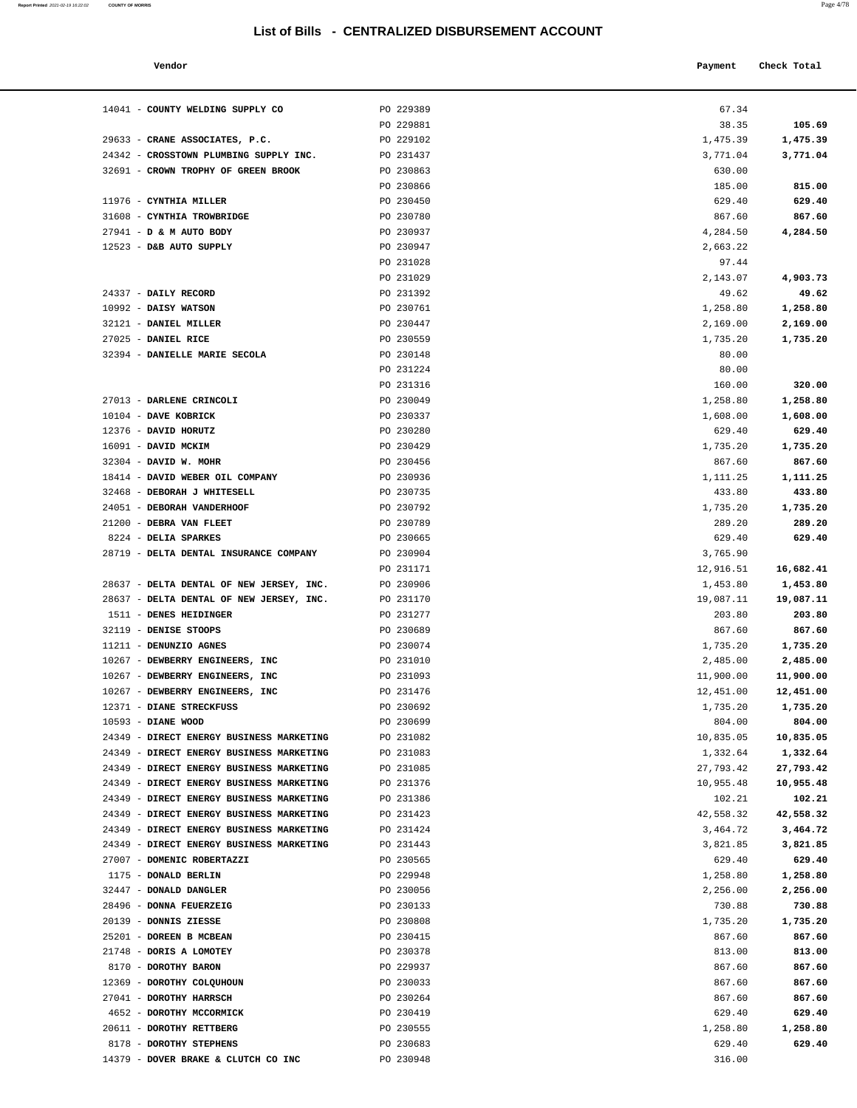#### **Vendor Check Total**   $\blacksquare$  **Payment** Check Total **Payment** Check Total **Payment**

| Report Printed 2021-02-19 16:22:02 | <b>COUNTY OF MORRIS</b> | Page 4/78 |
|------------------------------------|-------------------------|-----------|
|                                    |                         |           |

| 67.34     |           |
|-----------|-----------|
| 38.35     | 105.69    |
| 1,475.39  | 1,475.39  |
| 3,771.04  | 3,771.04  |
| 630.00    |           |
| 185.00    | 815.00    |
| 629.40    | 629.40    |
| 867.60    | 867.60    |
|           | 4,284.50  |
| 4,284.50  |           |
| 2,663.22  |           |
| 97.44     |           |
| 2,143.07  | 4,903.73  |
| 49.62     | 49.62     |
| 1,258.80  | 1,258.80  |
| 2,169.00  | 2,169.00  |
| 1,735.20  | 1,735.20  |
| 80.00     |           |
| 80.00     |           |
| 160.00    | 320.00    |
| 1,258.80  | 1,258.80  |
|           |           |
| 1,608.00  | 1,608.00  |
| 629.40    | 629.40    |
| 1,735.20  | 1,735.20  |
| 867.60    | 867.60    |
| 1,111.25  | 1,111.25  |
| 433.80    | 433.80    |
| 1,735.20  | 1,735.20  |
| 289.20    | 289.20    |
| 629.40    | 629.40    |
| 3,765.90  |           |
| 12,916.51 | 16,682.41 |
| 1,453.80  | 1,453.80  |
| 19,087.11 | 19,087.11 |
| 203.80    | 203.80    |
|           |           |
| 867.60    | 867.60    |
| 1,735.20  | 1,735.20  |
| 2,485.00  | 2,485.00  |
| 11,900.00 | 11,900.00 |
| 12,451.00 | 12,451.00 |
| 1,735.20  | 1,735.20  |
| 804.00    | 804.00    |
| 10,835.05 | 10,835.05 |
| 1,332.64  | 1,332.64  |
| 27,793.42 | 27,793.42 |
| 10,955.48 | 10,955.48 |
| 102.21    | 102.21    |
| 42,558.32 | 42,558.32 |
| 3,464.72  | 3,464.72  |
| 3,821.85  | 3,821.85  |
| 629.40    | 629.40    |
|           |           |
| 1,258.80  | 1,258.80  |
| 2,256.00  | 2,256.00  |
| 730.88    | 730.88    |
| 1,735.20  | 1,735.20  |
| 867.60    | 867.60    |
| 813.00    | 813.00    |
| 867.60    | 867.60    |
| 867.60    | 867.60    |
| 867.60    | 867.60    |
| 629.40    | 629.40    |

| 14041 - COUNTY WELDING SUPPLY CO                                                     | PO 229389              | 67.34                  |                     |
|--------------------------------------------------------------------------------------|------------------------|------------------------|---------------------|
|                                                                                      | PO 229881              | 38.35                  | 105.69              |
| 29633 - CRANE ASSOCIATES, P.C.                                                       | PO 229102              | 1,475.39               | 1,475.39            |
| 24342 - CROSSTOWN PLUMBING SUPPLY INC.                                               | PO 231437              | 3,771.04               | 3,771.04            |
| 32691 - CROWN TROPHY OF GREEN BROOK                                                  | PO 230863              | 630.00                 |                     |
|                                                                                      | PO 230866              | 185.00                 | 815.00              |
| 11976 - CYNTHIA MILLER                                                               | PO 230450              | 629.40                 | 629.40              |
| 31608 - CYNTHIA TROWBRIDGE<br>27941 - D & M AUTO BODY                                | PO 230780<br>PO 230937 | 867.60                 | 867.60<br>4,284.50  |
| 12523 - D&B AUTO SUPPLY                                                              | PO 230947              | 4,284.50<br>2,663.22   |                     |
|                                                                                      | PO 231028              | 97.44                  |                     |
|                                                                                      | PO 231029              | 2,143.07               | 4,903.73            |
| 24337 - DAILY RECORD                                                                 | PO 231392              | 49.62                  | 49.62               |
| $10992$ - DAISY WATSON                                                               | PO 230761              | 1,258.80               | 1,258.80            |
| 32121 - DANIEL MILLER                                                                | PO 230447              | 2,169.00               | 2,169.00            |
| 27025 - DANIEL RICE                                                                  | PO 230559              | 1,735.20               | 1,735.20            |
| 32394 - DANIELLE MARIE SECOLA                                                        | PO 230148              | 80.00                  |                     |
|                                                                                      | PO 231224              | 80.00                  |                     |
|                                                                                      | PO 231316              | 160.00                 | 320.00              |
| 27013 - DARLENE CRINCOLI                                                             | PO 230049              | 1,258.80               | 1,258.80            |
| $10104$ - DAVE KOBRICK                                                               | PO 230337              | 1,608.00               | 1,608.00            |
| 12376 - DAVID HORUTZ                                                                 | PO 230280              | 629.40                 | 629.40              |
| 16091 - DAVID MCKIM                                                                  | PO 230429              | 1,735.20               | 1,735.20            |
| 32304 - DAVID W. MOHR                                                                | PO 230456              | 867.60                 | 867.60              |
| 18414 - DAVID WEBER OIL COMPANY                                                      | PO 230936              | 1,111.25               | 1,111.25            |
| 32468 - DEBORAH J WHITESELL                                                          | PO 230735              | 433.80                 | 433.80              |
| 24051 - DEBORAH VANDERHOOF<br>21200 - DEBRA VAN FLEET                                | PO 230792<br>PO 230789 | 1,735.20<br>289.20     | 1,735.20<br>289.20  |
| 8224 - DELIA SPARKES                                                                 | PO 230665              | 629.40                 | 629.40              |
| 28719 - DELTA DENTAL INSURANCE COMPANY                                               | PO 230904              | 3,765.90               |                     |
|                                                                                      | PO 231171              | 12,916.51              | 16,682.41           |
| 28637 - DELTA DENTAL OF NEW JERSEY, INC.                                             | PO 230906              | 1,453.80               | 1,453.80            |
| 28637 - DELTA DENTAL OF NEW JERSEY, INC.                                             | PO 231170              | 19,087.11              | 19,087.11           |
| 1511 - DENES HEIDINGER                                                               | PO 231277              | 203.80                 | 203.80              |
| 32119 - DENISE STOOPS                                                                | PO 230689              | 867.60                 | 867.60              |
| 11211 - DENUNZIO AGNES                                                               | PO 230074              | 1,735.20               | 1,735.20            |
| 10267 - DEWBERRY ENGINEERS, INC                                                      | PO 231010              | 2,485.00               | 2,485.00            |
| 10267 - DEWBERRY ENGINEERS, INC                                                      | PO 231093              | 11,900.00              | 11,900.00           |
| 10267 - DEWBERRY ENGINEERS, INC                                                      | PO 231476              | 12,451.00              | 12,451.00           |
| 12371 - DIANE STRECKFUSS                                                             | PO 230692              | 1,735.20               | 1,735.20            |
| 10593 - DIANE WOOD                                                                   | PO 230699              | 804.00                 | 804.00              |
| 24349 - DIRECT ENERGY BUSINESS MARKETING                                             | PO 231082              | 10,835.05              | 10,835.05           |
| 24349 - DIRECT ENERGY BUSINESS MARKETING                                             | PO 231083              | 1,332.64               | 1,332.64            |
| 24349 - DIRECT ENERGY BUSINESS MARKETING                                             | PO 231085              | 27,793.42<br>10,955.48 | 27,793.42           |
| 24349 - DIRECT ENERGY BUSINESS MARKETING<br>24349 - DIRECT ENERGY BUSINESS MARKETING | PO 231376<br>PO 231386 | 102.21                 | 10,955.48<br>102.21 |
| 24349 - DIRECT ENERGY BUSINESS MARKETING                                             | PO 231423              | 42,558.32              | 42,558.32           |
| 24349 - DIRECT ENERGY BUSINESS MARKETING                                             | PO 231424              | 3,464.72               | 3,464.72            |
| 24349 - DIRECT ENERGY BUSINESS MARKETING                                             | PO 231443              | 3,821.85               | 3,821.85            |
| 27007 - DOMENIC ROBERTAZZI                                                           | PO 230565              | 629.40                 | 629.40              |
| 1175 - DONALD BERLIN                                                                 | PO 229948              | 1,258.80               | 1,258.80            |
| 32447 - DONALD DANGLER                                                               | PO 230056              | 2,256.00               | 2,256.00            |
| 28496 - DONNA FEUERZEIG                                                              | PO 230133              | 730.88                 | 730.88              |
| 20139 - DONNIS ZIESSE                                                                | PO 230808              | 1,735.20               | 1,735.20            |
| 25201 - DOREEN B MCBEAN                                                              | PO 230415              | 867.60                 | 867.60              |
| 21748 - DORIS A LOMOTEY                                                              | PO 230378              | 813.00                 | 813.00              |
| 8170 - DOROTHY BARON                                                                 | PO 229937              | 867.60                 | 867.60              |
| 12369 - DOROTHY COLQUHOUN                                                            | PO 230033              | 867.60                 | 867.60              |
| 27041 - DOROTHY HARRSCH                                                              | PO 230264              | 867.60                 | 867.60              |
| 4652 - DOROTHY MCCORMICK                                                             | PO 230419              | 629.40                 | 629.40              |
| 20611 - DOROTHY RETTBERG                                                             | PO 230555              | 1,258.80               | 1,258.80            |
| 8178 - DOROTHY STEPHENS                                                              | PO 230683              | 629.40                 | 629.40              |
| 14379 - DOVER BRAKE & CLUTCH CO INC                                                  | PO 230948              | 316.00                 |                     |
|                                                                                      |                        |                        |                     |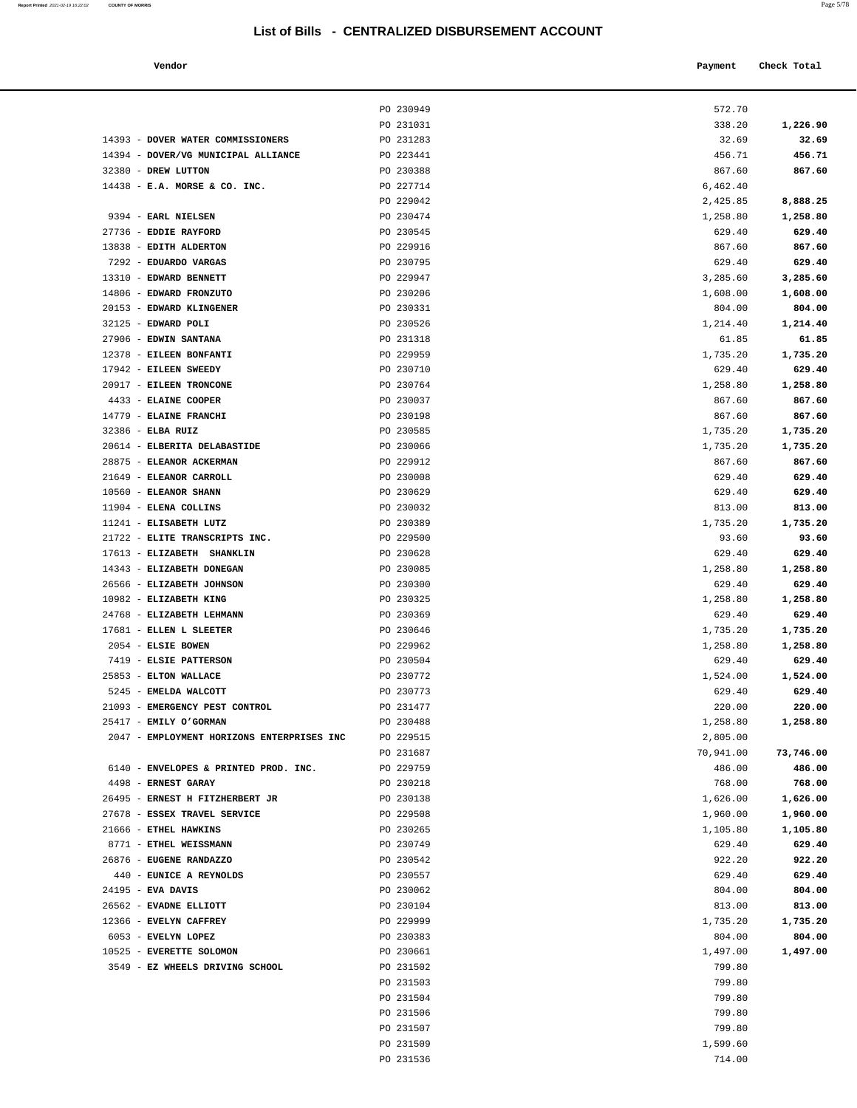**Report Printed** 2021-02-19 16:22:02 **COUNTY OF MORRIS** Page 5/78

| Vendor                                                     |                        | Payment            | Check Total        |
|------------------------------------------------------------|------------------------|--------------------|--------------------|
|                                                            |                        |                    |                    |
|                                                            |                        |                    |                    |
|                                                            | PO 230949              | 572.70             |                    |
|                                                            | PO 231031              | 338.20             | 1,226.90           |
| 14393 - DOVER WATER COMMISSIONERS                          | PO 231283<br>PO 223441 | 32.69              | 32.69<br>456.71    |
| 14394 - DOVER/VG MUNICIPAL ALLIANCE<br>32380 - DREW LUTTON | PO 230388              | 456.71<br>867.60   | 867.60             |
| $14438$ - E.A. MORSE & CO. INC.                            | PO 227714              | 6,462.40           |                    |
|                                                            | PO 229042              | 2,425.85           | 8,888.25           |
| 9394 - EARL NIELSEN                                        | PO 230474              | 1,258.80           | 1,258.80           |
| 27736 - EDDIE RAYFORD                                      | PO 230545              | 629.40             | 629.40             |
| 13838 - EDITH ALDERTON                                     | PO 229916              | 867.60             | 867.60             |
| 7292 - EDUARDO VARGAS                                      | PO 230795              | 629.40             | 629.40             |
| 13310 - EDWARD BENNETT                                     | PO 229947              | 3,285.60           | 3,285.60           |
| 14806 - EDWARD FRONZUTO                                    | PO 230206              | 1,608.00           | 1,608.00           |
| 20153 - EDWARD KLINGENER                                   | PO 230331              | 804.00             | 804.00             |
| 32125 - EDWARD POLI                                        | PO 230526              | 1,214.40           | 1,214.40           |
| 27906 - EDWIN SANTANA                                      | PO 231318              | 61.85              | 61.85              |
| 12378 - EILEEN BONFANTI                                    | PO 229959              | 1,735.20           | 1,735.20           |
| 17942 - EILEEN SWEEDY                                      | PO 230710              | 629.40             | 629.40             |
| 20917 - EILEEN TRONCONE                                    | PO 230764              | 1,258.80           | 1,258.80           |
| 4433 - ELAINE COOPER                                       | PO 230037              | 867.60             | 867.60             |
| 14779 - ELAINE FRANCHI                                     | PO 230198              | 867.60             | 867.60             |
| 32386 - ELBA RUIZ                                          | PO 230585              | 1,735.20           | 1,735.20           |
| 20614 - ELBERITA DELABASTIDE                               | PO 230066              | 1,735.20           | 1,735.20           |
| 28875 - ELEANOR ACKERMAN                                   | PO 229912              | 867.60             | 867.60             |
| 21649 - ELEANOR CARROLL                                    | PO 230008              | 629.40             | 629.40             |
| 10560 - ELEANOR SHANN                                      | PO 230629              | 629.40             | 629.40             |
| 11904 - ELENA COLLINS                                      | PO 230032              | 813.00             | 813.00             |
| 11241 - ELISABETH LUTZ                                     | PO 230389              | 1,735.20           | 1,735.20           |
| 21722 - ELITE TRANSCRIPTS INC.                             | PO 229500              | 93.60              | 93.60              |
| 17613 - ELIZABETH SHANKLIN                                 | PO 230628              | 629.40             | 629.40             |
| 14343 - ELIZABETH DONEGAN                                  | PO 230085              | 1,258.80           | 1,258.80           |
| 26566 - ELIZABETH JOHNSON                                  | PO 230300              | 629.40             | 629.40             |
| 10982 - ELIZABETH KING                                     | PO 230325              | 1,258.80           | 1,258.80           |
| 24768 - ELIZABETH LEHMANN<br>17681 - ELLEN L SLEETER       | PO 230369              | 629.40             | 629.40             |
| 2054 - ELSIE BOWEN                                         | PO 230646              | 1,735.20           | 1,735.20           |
| 7419 - ELSIE PATTERSON                                     | PO 229962<br>PO 230504 | 1,258.80<br>629.40 | 1,258.80<br>629.40 |
| 25853 - ELTON WALLACE                                      | PO 230772              | 1,524.00           | 1,524.00           |
| 5245 - EMELDA WALCOTT                                      | PO 230773              | 629.40             | 629.40             |
| 21093 - EMERGENCY PEST CONTROL                             | PO 231477              | 220.00             | 220.00             |
| 25417 - EMILY O'GORMAN                                     | PO 230488              | 1,258.80           | 1,258.80           |
| 2047 - EMPLOYMENT HORIZONS ENTERPRISES INC                 | PO 229515              | 2,805.00           |                    |
|                                                            | PO 231687              | 70,941.00          | 73,746.00          |
| 6140 - ENVELOPES & PRINTED PROD. INC.                      | PO 229759              | 486.00             | 486.00             |
| 4498 - ERNEST GARAY                                        | PO 230218              | 768.00             | 768.00             |
| 26495 - ERNEST H FITZHERBERT JR                            | PO 230138              | 1,626.00           | 1,626.00           |
| 27678 - ESSEX TRAVEL SERVICE                               | PO 229508              | 1,960.00           | 1,960.00           |
| 21666 - ETHEL HAWKINS                                      | PO 230265              | 1,105.80           | 1,105.80           |
| 8771 - ETHEL WEISSMANN                                     | PO 230749              | 629.40             | 629.40             |
| 26876 - EUGENE RANDAZZO                                    | PO 230542              | 922.20             | 922.20             |
| 440 - EUNICE A REYNOLDS                                    | PO 230557              | 629.40             | 629.40             |
| $24195$ - EVA DAVIS                                        | PO 230062              | 804.00             | 804.00             |
| 26562 - EVADNE ELLIOTT                                     | PO 230104              | 813.00             | 813.00             |
| 12366 - EVELYN CAFFREY                                     | PO 229999              | 1,735.20           | 1,735.20           |
| 6053 - EVELYN LOPEZ                                        | PO 230383              | 804.00             | 804.00             |
| 10525 - EVERETTE SOLOMON                                   | PO 230661              | 1,497.00           | 1,497.00           |
| 3549 - EZ WHEELS DRIVING SCHOOL                            | PO 231502              | 799.80             |                    |
|                                                            | PO 231503              | 799.80             |                    |
|                                                            | PO 231504              | 799.80             |                    |
|                                                            | PO 231506              | 799.80             |                    |
|                                                            | PO 231507              | 799.80             |                    |
|                                                            | PO 231509              | 1,599.60           |                    |
|                                                            | PO 231536              | 714.00             |                    |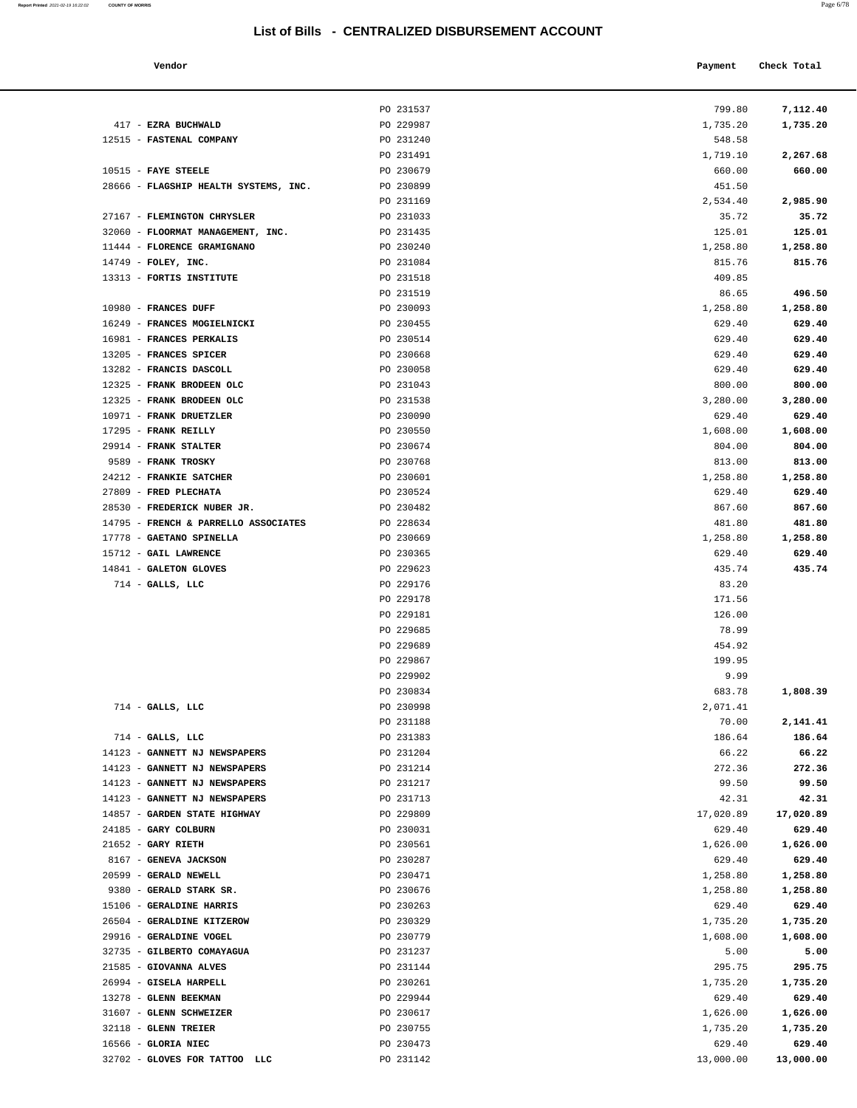| Report Printed 2021-02-19 16:22:02<br>the contract of the contract of the contract of the contract of the contract of the contract of the contract of | <b>COUNTY OF MORRIS</b> | Page 6/78 |
|-------------------------------------------------------------------------------------------------------------------------------------------------------|-------------------------|-----------|
|                                                                                                                                                       |                         |           |

| Vendor | Payment | Check Total |
|--------|---------|-------------|
|        |         |             |

|                                                       | PO 231537              | 799.80            | 7,112.40           |
|-------------------------------------------------------|------------------------|-------------------|--------------------|
| 417 - EZRA BUCHWALD                                   | PO 229987              | 1,735.20          | 1,735.20           |
| 12515 - FASTENAL COMPANY                              | PO 231240              | 548.58            |                    |
|                                                       | PO 231491              | 1,719.10          | 2,267.68           |
| $10515$ - FAYE STEELE                                 | PO 230679              | 660.00            | 660.00             |
| 28666 - FLAGSHIP HEALTH SYSTEMS, INC.                 | PO 230899              | 451.50            |                    |
|                                                       | PO 231169              | 2,534.40          | 2,985.90           |
| 27167 - FLEMINGTON CHRYSLER                           | PO 231033              | 35.72             | 35.72              |
| 32060 - FLOORMAT MANAGEMENT, INC.                     | PO 231435              | 125.01            | 125.01             |
| 11444 - FLORENCE GRAMIGNANO                           | PO 230240              | 1,258.80          | 1,258.80           |
| $14749$ - FOLEY, INC.<br>13313 - FORTIS INSTITUTE     | PO 231084<br>PO 231518 | 815.76<br>409.85  | 815.76             |
|                                                       | PO 231519              | 86.65             | 496.50             |
| 10980 - FRANCES DUFF                                  | PO 230093              | 1,258.80          | 1,258.80           |
| 16249 - FRANCES MOGIELNICKI                           | PO 230455              | 629.40            | 629.40             |
| 16981 - FRANCES PERKALIS                              | PO 230514              | 629.40            | 629.40             |
| 13205 - FRANCES SPICER                                | PO 230668              | 629.40            | 629.40             |
| 13282 - FRANCIS DASCOLL                               | PO 230058              | 629.40            | 629.40             |
| 12325 - FRANK BRODEEN OLC                             | PO 231043              | 800.00            | 800.00             |
| 12325 - FRANK BRODEEN OLC                             | PO 231538              | 3,280.00          | 3,280.00           |
| 10971 - FRANK DRUETZLER                               | PO 230090              | 629.40            | 629.40             |
| 17295 - FRANK REILLY                                  | PO 230550              | 1,608.00          | 1,608.00           |
| 29914 - FRANK STALTER                                 | PO 230674              | 804.00            | 804.00             |
| 9589 - FRANK TROSKY                                   | PO 230768              | 813.00            | 813.00             |
| 24212 - FRANKIE SATCHER<br>27809 - FRED PLECHATA      | PO 230601              | 1,258.80          | 1,258.80           |
| 28530 - FREDERICK NUBER JR.                           | PO 230524<br>PO 230482 | 629.40<br>867.60  | 629.40<br>867.60   |
| 14795 - FRENCH & PARRELLO ASSOCIATES                  | PO 228634              | 481.80            | 481.80             |
| 17778 - GAETANO SPINELLA                              | PO 230669              | 1,258.80          | 1,258.80           |
| 15712 - GAIL LAWRENCE                                 | PO 230365              | 629.40            | 629.40             |
| 14841 - GALETON GLOVES                                | PO 229623              | 435.74            | 435.74             |
| $714$ - GALLS, LLC                                    | PO 229176              | 83.20             |                    |
|                                                       | PO 229178              | 171.56            |                    |
|                                                       | PO 229181              | 126.00            |                    |
|                                                       | PO 229685              | 78.99             |                    |
|                                                       | PO 229689              | 454.92            |                    |
|                                                       | PO 229867              | 199.95            |                    |
|                                                       | PO 229902              | 9.99              |                    |
|                                                       | PO 230834              | 683.78            | 1,808.39           |
| $714$ - GALLS, LLC                                    | PO 230998              | 2,071.41<br>70.00 |                    |
| $714$ - GALLS, LLC                                    | PO 231188<br>PO 231383 | 186.64            | 2,141.41<br>186.64 |
| 14123 - GANNETT NJ NEWSPAPERS                         | PO 231204              | 66.22             | 66.22              |
| 14123 - GANNETT NJ NEWSPAPERS                         | PO 231214              | 272.36            | 272.36             |
| 14123 - GANNETT NJ NEWSPAPERS                         | PO 231217              | 99.50             | 99.50              |
| 14123 - GANNETT NJ NEWSPAPERS                         | PO 231713              | 42.31             | 42.31              |
| 14857 - GARDEN STATE HIGHWAY                          | PO 229809              | 17,020.89         | 17,020.89          |
| 24185 - GARY COLBURN                                  | PO 230031              | 629.40            | 629.40             |
| $21652$ - GARY RIETH                                  | PO 230561              | 1,626.00          | 1,626.00           |
| 8167 - GENEVA JACKSON                                 | PO 230287              | 629.40            | 629.40             |
| 20599 - GERALD NEWELL                                 | PO 230471              | 1,258.80          | 1,258.80           |
| 9380 - GERALD STARK SR.                               | PO 230676              | 1,258.80          | 1,258.80           |
| 15106 - GERALDINE HARRIS                              | PO 230263              | 629.40            | 629.40             |
| 26504 - GERALDINE KITZEROW<br>29916 - GERALDINE VOGEL | PO 230329              | 1,735.20          | 1,735.20           |
| 32735 - GILBERTO COMAYAGUA                            | PO 230779<br>PO 231237 | 1,608.00<br>5.00  | 1,608.00<br>5.00   |
| 21585 - GIOVANNA ALVES                                | PO 231144              | 295.75            | 295.75             |
| 26994 - GISELA HARPELL                                | PO 230261              | 1,735.20          | 1,735.20           |
| 13278 - GLENN BEEKMAN                                 | PO 229944              | 629.40            | 629.40             |
| 31607 - GLENN SCHWEIZER                               | PO 230617              | 1,626.00          | 1,626.00           |
| 32118 - GLENN TREIER                                  | PO 230755              | 1,735.20          | 1,735.20           |
| 16566 - GLORIA NIEC                                   | PO 230473              | 629.40            | 629.40             |
| 32702 - GLOVES FOR TATTOO LLC                         | PO 231142              | 13,000.00         | 13,000.00          |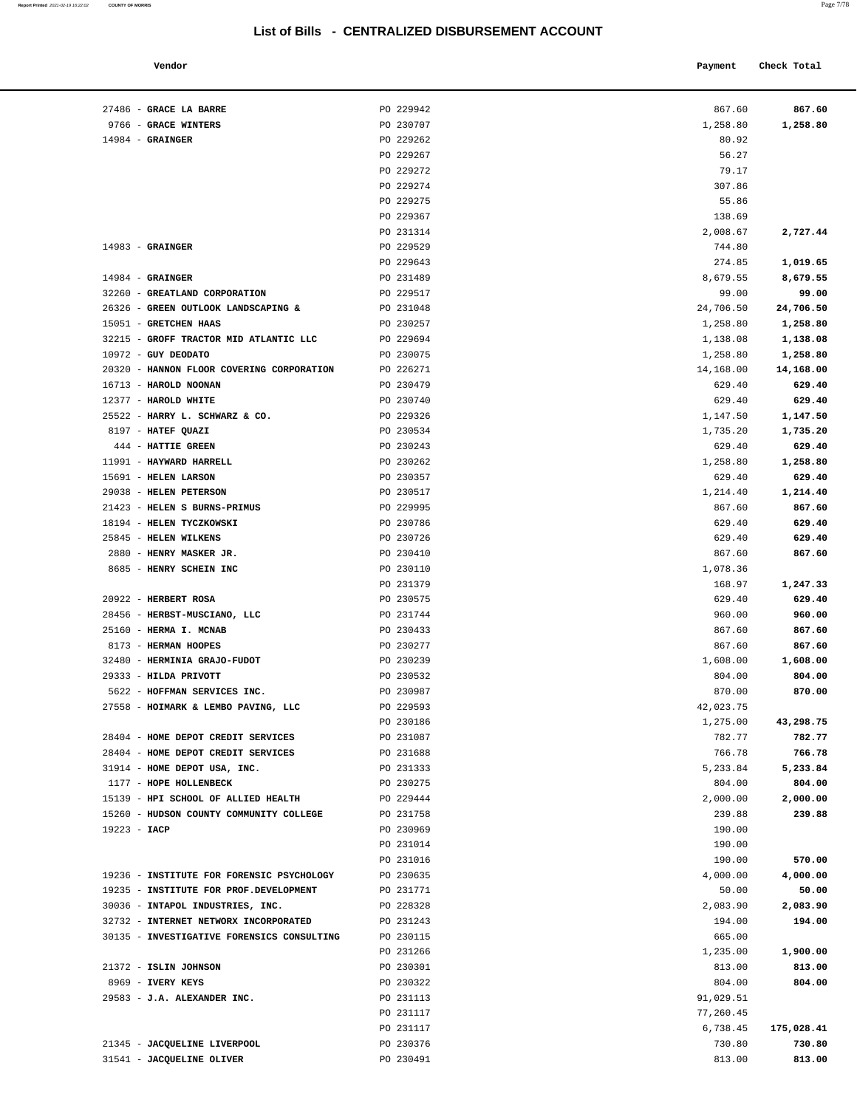| Vendor                |           | Payment  | Check Total |          |
|-----------------------|-----------|----------|-------------|----------|
| <b>GRACE LA BARRE</b> | PO 229942 | 867.60   |             | 867.60   |
| <b>GRACE WINTERS</b>  | PO 230707 | 1,258.80 |             | 1,258.80 |

|                | 27486 - GRACE LA BARRE                     | PO 229942              | 867.60             | 867.60              |
|----------------|--------------------------------------------|------------------------|--------------------|---------------------|
|                | 9766 - GRACE WINTERS                       | PO 230707              | 1,258.80           | 1,258.80            |
|                | $14984$ - GRAINGER                         | PO 229262              | 80.92              |                     |
|                |                                            | PO 229267              | 56.27              |                     |
|                |                                            | PO 229272              | 79.17              |                     |
|                |                                            | PO 229274              | 307.86             |                     |
|                |                                            | PO 229275              | 55.86              |                     |
|                |                                            | PO 229367              | 138.69             |                     |
|                |                                            | PO 231314              | 2,008.67           | 2,727.44            |
|                | $14983$ - GRAINGER                         | PO 229529              | 744.80             |                     |
|                |                                            | PO 229643              | 274.85             | 1,019.65            |
|                | $14984$ - GRAINGER                         | PO 231489              | 8,679.55           | 8,679.55            |
|                | 32260 - GREATLAND CORPORATION              | PO 229517              | 99.00              | 99.00               |
|                | 26326 - GREEN OUTLOOK LANDSCAPING &        | PO 231048              | 24,706.50          | 24,706.50           |
|                | 15051 - GRETCHEN HAAS                      | PO 230257              | 1,258.80           | 1,258.80            |
|                | 32215 - GROFF TRACTOR MID ATLANTIC LLC     | PO 229694              | 1,138.08           | 1,138.08            |
|                | 10972 - GUY DEODATO                        | PO 230075              | 1,258.80           | 1,258.80            |
|                | 20320 - HANNON FLOOR COVERING CORPORATION  | PO 226271              |                    |                     |
|                |                                            |                        | 14,168.00          | 14,168.00           |
|                | 16713 - HAROLD NOONAN                      | PO 230479              | 629.40             | 629.40              |
|                | 12377 - HAROLD WHITE                       | PO 230740              | 629.40             | 629.40              |
|                | 25522 - HARRY L. SCHWARZ & CO.             | PO 229326              | 1,147.50           | 1,147.50            |
|                | 8197 - HATEF QUAZI                         | PO 230534              | 1,735.20           | 1,735.20            |
|                | 444 - HATTIE GREEN                         | PO 230243              | 629.40             | 629.40              |
|                | 11991 - HAYWARD HARRELL                    | PO 230262              | 1,258.80           | 1,258.80            |
|                | 15691 - HELEN LARSON                       | PO 230357              | 629.40             | 629.40              |
|                | 29038 - HELEN PETERSON                     | PO 230517              | 1,214.40           | 1,214.40            |
|                | 21423 - HELEN S BURNS-PRIMUS               | PO 229995              | 867.60             | 867.60              |
|                | 18194 - HELEN TYCZKOWSKI                   | PO 230786              | 629.40             | 629.40              |
|                | 25845 - HELEN WILKENS                      | PO 230726              | 629.40             | 629.40              |
|                | 2880 - HENRY MASKER JR.                    | PO 230410              | 867.60             | 867.60              |
|                | 8685 - HENRY SCHEIN INC                    | PO 230110              | 1,078.36           |                     |
|                |                                            | PO 231379              | 168.97             | 1,247.33            |
|                | 20922 - HERBERT ROSA                       | PO 230575              | 629.40             | 629.40              |
|                | 28456 - HERBST-MUSCIANO, LLC               | PO 231744              | 960.00             | 960.00              |
|                | 25160 - HERMA I. MCNAB                     | PO 230433              | 867.60             | 867.60              |
|                | 8173 - HERMAN HOOPES                       | PO 230277              | 867.60             | 867.60              |
|                | 32480 - HERMINIA GRAJO-FUDOT               | PO 230239              | 1,608.00           | 1,608.00            |
|                | 29333 - HILDA PRIVOTT                      | PO 230532              | 804.00             | 804.00              |
|                | 5622 - HOFFMAN SERVICES INC.               | PO 230987              | 870.00             | 870.00              |
|                | 27558 - HOIMARK & LEMBO PAVING, LLC        | PO 229593              | 42,023.75          |                     |
|                |                                            |                        |                    |                     |
|                | 28404 - HOME DEPOT CREDIT SERVICES         | PO 230186<br>PO 231087 | 1,275.00<br>782.77 | 43,298.75<br>782.77 |
|                |                                            |                        |                    |                     |
|                | 28404 - HOME DEPOT CREDIT SERVICES         | PO 231688              | 766.78             | 766.78              |
|                | 31914 - HOME DEPOT USA, INC.               | PO 231333              | 5,233.84           | 5,233.84            |
|                | 1177 - HOPE HOLLENBECK                     | PO 230275              | 804.00             | 804.00              |
|                | 15139 - HPI SCHOOL OF ALLIED HEALTH        | PO 229444              | 2,000.00           | 2,000.00            |
|                | 15260 - HUDSON COUNTY COMMUNITY COLLEGE    | PO 231758              | 239.88             | 239.88              |
| $19223 - IACP$ |                                            | PO 230969              | 190.00             |                     |
|                |                                            | PO 231014              | 190.00             |                     |
|                |                                            | PO 231016              | 190.00             | 570.00              |
|                | 19236 - INSTITUTE FOR FORENSIC PSYCHOLOGY  | PO 230635              | 4,000.00           | 4,000.00            |
|                | 19235 - INSTITUTE FOR PROF.DEVELOPMENT     | PO 231771              | 50.00              | 50.00               |
|                | 30036 - INTAPOL INDUSTRIES, INC.           | PO 228328              | 2,083.90           | 2,083.90            |
|                | 32732 - INTERNET NETWORX INCORPORATED      | PO 231243              | 194.00             | 194.00              |
|                | 30135 - INVESTIGATIVE FORENSICS CONSULTING | PO 230115              | 665.00             |                     |
|                |                                            | PO 231266              | 1,235.00           | 1,900.00            |
|                | 21372 - ISLIN JOHNSON                      | PO 230301              | 813.00             | 813.00              |
|                | 8969 - IVERY KEYS                          | PO 230322              | 804.00             | 804.00              |
|                | 29583 - J.A. ALEXANDER INC.                | PO 231113              | 91,029.51          |                     |
|                |                                            | PO 231117              | 77,260.45          |                     |
|                |                                            | PO 231117              | 6,738.45           | 175,028.41          |
|                | 21345 - JACQUELINE LIVERPOOL               | PO 230376              | 730.80             | 730.80              |
|                | 31541 - JACQUELINE OLIVER                  | PO 230491              | 813.00             | 813.00              |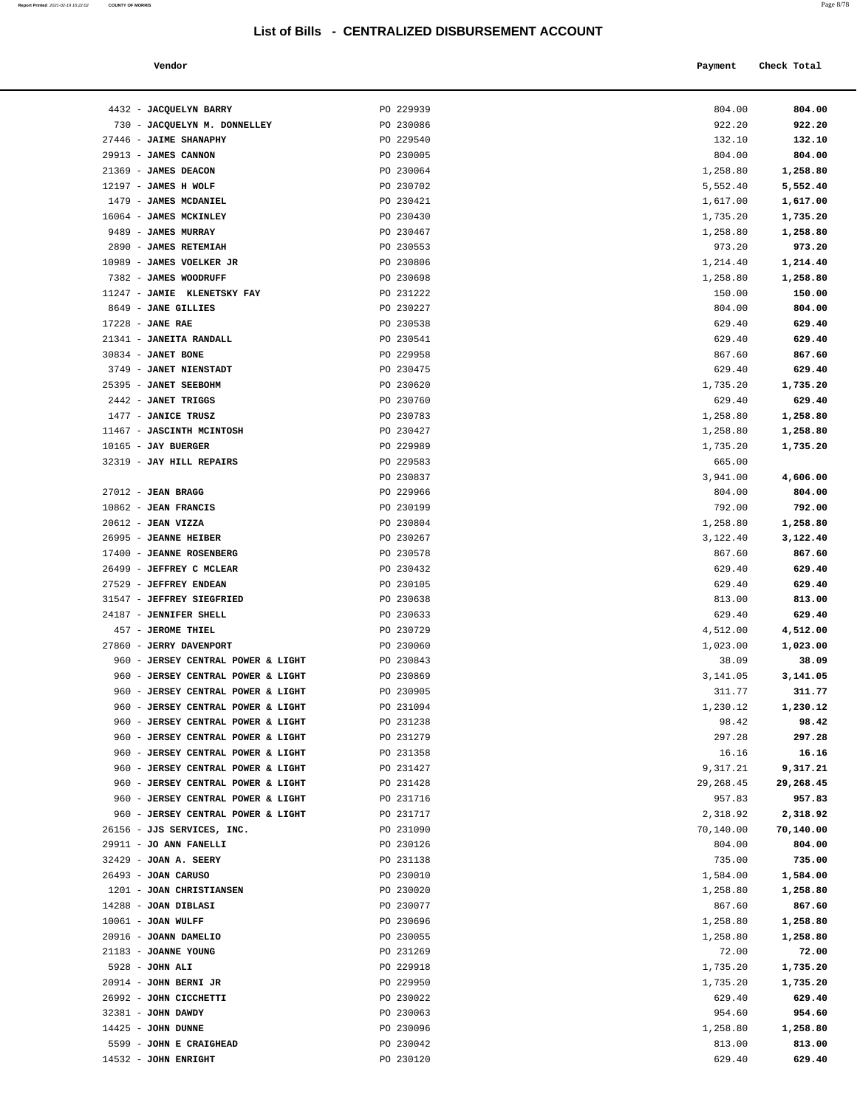| Vendor | Payment Check Total |
|--------|---------------------|
|        |                     |

| 4432 - JACQUELYN BARRY             | PO 229939 | 804.00    | 804.00    |
|------------------------------------|-----------|-----------|-----------|
| 730 - JACQUELYN M. DONNELLEY       | PO 230086 | 922.20    | 922.20    |
| 27446 - JAIME SHANAPHY             | PO 229540 | 132.10    | 132.10    |
| 29913 - JAMES CANNON               | PO 230005 | 804.00    | 804.00    |
| 21369 - JAMES DEACON               | PO 230064 | 1,258.80  | 1,258.80  |
| $12197$ - JAMES H WOLF             | PO 230702 | 5,552.40  |           |
|                                    |           |           | 5,552.40  |
| 1479 - JAMES MCDANIEL              | PO 230421 | 1,617.00  | 1,617.00  |
| 16064 - JAMES MCKINLEY             | PO 230430 | 1,735.20  | 1,735.20  |
| 9489 - JAMES MURRAY                | PO 230467 | 1,258.80  | 1,258.80  |
| 2890 - JAMES RETEMIAH              | PO 230553 | 973.20    | 973.20    |
| 10989 - JAMES VOELKER JR           | PO 230806 | 1,214.40  | 1,214.40  |
| 7382 - JAMES WOODRUFF              | PO 230698 | 1,258.80  | 1,258.80  |
| 11247 - JAMIE KLENETSKY FAY        | PO 231222 | 150.00    | 150.00    |
| 8649 - JANE GILLIES                | PO 230227 | 804.00    | 804.00    |
| $17228$ - JANE RAE                 | PO 230538 | 629.40    | 629.40    |
| 21341 - JANEITA RANDALL            | PO 230541 | 629.40    | 629.40    |
| 30834 - JANET BONE                 | PO 229958 | 867.60    | 867.60    |
| 3749 - JANET NIENSTADT             | PO 230475 | 629.40    | 629.40    |
| 25395 - JANET SEEBOHM              | PO 230620 | 1,735.20  | 1,735.20  |
| 2442 - JANET TRIGGS                | PO 230760 | 629.40    | 629.40    |
| 1477 - JANICE TRUSZ                | PO 230783 | 1,258.80  | 1,258.80  |
| 11467 - JASCINTH MCINTOSH          | PO 230427 | 1,258.80  | 1,258.80  |
| $10165$ - JAY BUERGER              | PO 229989 | 1,735.20  | 1,735.20  |
| 32319 - JAY HILL REPAIRS           | PO 229583 | 665.00    |           |
|                                    | PO 230837 | 3,941.00  | 4,606.00  |
| $27012$ - JEAN BRAGG               | PO 229966 | 804.00    | 804.00    |
| $10862$ - JEAN FRANCIS             | PO 230199 | 792.00    | 792.00    |
| $20612$ - JEAN VIZZA               | PO 230804 | 1,258.80  | 1,258.80  |
| 26995 - JEANNE HEIBER              | PO 230267 | 3,122.40  | 3,122.40  |
| 17400 - JEANNE ROSENBERG           | PO 230578 | 867.60    | 867.60    |
| 26499 - JEFFREY C MCLEAR           | PO 230432 | 629.40    | 629.40    |
| 27529 - JEFFREY ENDEAN             | PO 230105 | 629.40    | 629.40    |
| 31547 - JEFFREY SIEGFRIED          | PO 230638 | 813.00    | 813.00    |
| 24187 - JENNIFER SHELL             | PO 230633 | 629.40    | 629.40    |
| 457 - JEROME THIEL                 | PO 230729 | 4,512.00  | 4,512.00  |
| 27860 - JERRY DAVENPORT            | PO 230060 | 1,023.00  | 1,023.00  |
| 960 - JERSEY CENTRAL POWER & LIGHT | PO 230843 | 38.09     | 38.09     |
| 960 - JERSEY CENTRAL POWER & LIGHT | PO 230869 | 3,141.05  | 3,141.05  |
| 960 - JERSEY CENTRAL POWER & LIGHT | PO 230905 | 311.77    | 311.77    |
| 960 - JERSEY CENTRAL POWER & LIGHT | PO 231094 | 1,230.12  | 1,230.12  |
| 960 - JERSEY CENTRAL POWER & LIGHT | PO 231238 | 98.42     | 98.42     |
| 960 - JERSEY CENTRAL POWER & LIGHT | PO 231279 | 297.28    | 297.28    |
| 960 - JERSEY CENTRAL POWER & LIGHT | PO 231358 | 16.16     | 16.16     |
| 960 - JERSEY CENTRAL POWER & LIGHT | PO 231427 | 9,317.21  | 9,317.21  |
| 960 - JERSEY CENTRAL POWER & LIGHT | PO 231428 | 29,268.45 | 29,268.45 |
| 960 - JERSEY CENTRAL POWER & LIGHT | PO 231716 | 957.83    | 957.83    |
| 960 - JERSEY CENTRAL POWER & LIGHT | PO 231717 | 2,318.92  | 2,318.92  |
| 26156 - JJS SERVICES, INC.         | PO 231090 | 70,140.00 | 70,140.00 |
| 29911 - JO ANN FANELLI             | PO 230126 | 804.00    | 804.00    |
| 32429 - JOAN A. SEERY              | PO 231138 | 735.00    | 735.00    |
| 26493 - JOAN CARUSO                | PO 230010 | 1,584.00  | 1,584.00  |
| 1201 - JOAN CHRISTIANSEN           | PO 230020 | 1,258.80  | 1,258.80  |
| 14288 - JOAN DIBLASI               | PO 230077 | 867.60    | 867.60    |
| $10061$ - JOAN WULFF               | PO 230696 | 1,258.80  | 1,258.80  |
| 20916 - JOANN DAMELIO              | PO 230055 | 1,258.80  | 1,258.80  |
| 21183 - JOANNE YOUNG               | PO 231269 | 72.00     | 72.00     |
| 5928 - JOHN ALI                    | PO 229918 | 1,735.20  | 1,735.20  |
| 20914 - JOHN BERNI JR              | PO 229950 | 1,735.20  | 1,735.20  |
| 26992 - JOHN CICCHETTI             | PO 230022 | 629.40    | 629.40    |
| 32381 - JOHN DAWDY                 | PO 230063 | 954.60    | 954.60    |
| $14425$ - JOHN DUNNE               | PO 230096 | 1,258.80  | 1,258.80  |
| 5599 - JOHN E CRAIGHEAD            | PO 230042 | 813.00    | 813.00    |
| 14532 - JOHN ENRIGHT               | PO 230120 | 629.40    | 629.40    |
|                                    |           |           |           |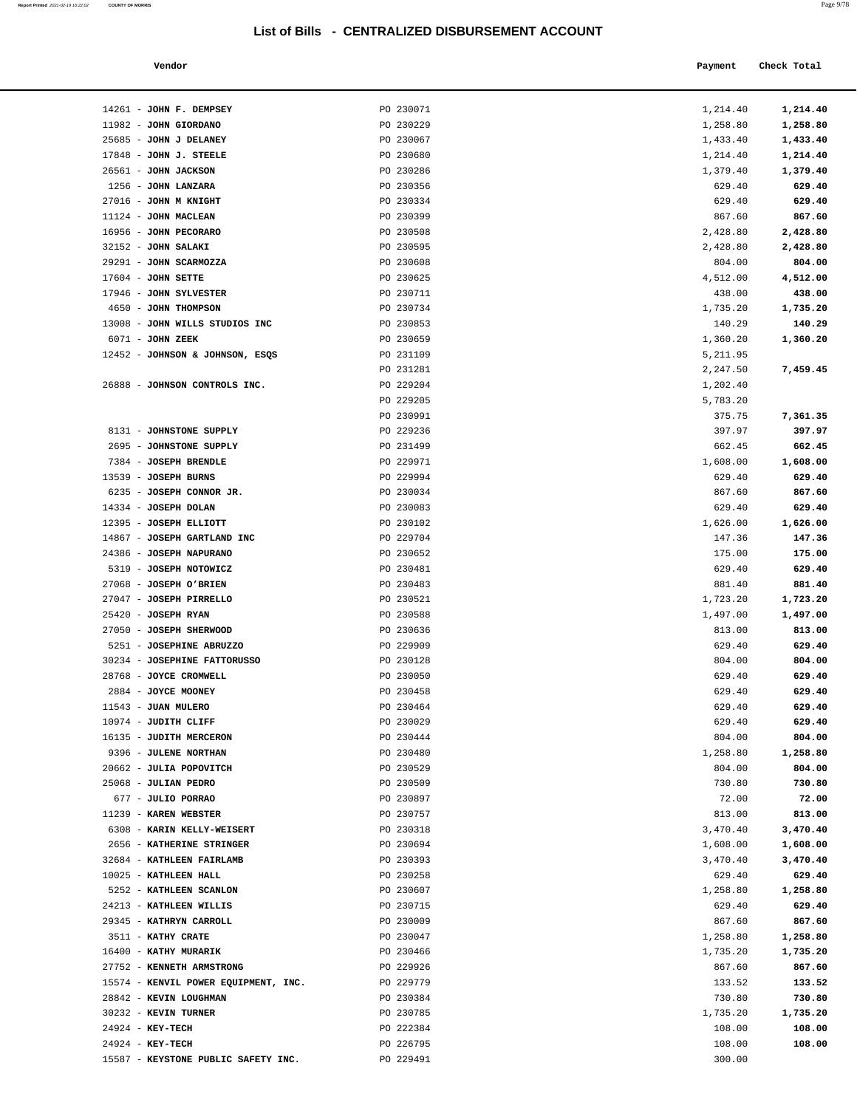**Report Printed**  2021-02-19 16:22:02 **COUNTY OF MORRIS** 

| . . |  |
|-----|--|
|-----|--|

| Vendor | Payment Check Total |
|--------|---------------------|
|        |                     |

| 14261 - JOHN F. DEMPSEY                                  | PO 230071              | 1,214.40             | 1,214.40         |
|----------------------------------------------------------|------------------------|----------------------|------------------|
| 11982 - JOHN GIORDANO                                    | PO 230229              | 1,258.80             | 1,258.80         |
| 25685 - JOHN J DELANEY                                   | PO 230067              | 1,433.40             | 1,433.40         |
| $17848$ - JOHN J. STEELE                                 | PO 230680              | 1,214.40             | 1,214.40         |
| 26561 - JOHN JACKSON                                     | PO 230286              | 1,379.40             | 1,379.40         |
| 1256 - JOHN LANZARA                                      | PO 230356              | 629.40               | 629.40           |
| 27016 - JOHN M KNIGHT                                    | PO 230334              | 629.40               | 629.40           |
| 11124 - JOHN MACLEAN                                     | PO 230399              | 867.60               | 867.60           |
| 16956 - JOHN PECORARO                                    | PO 230508              | 2,428.80             | 2,428.80         |
| 32152 - JOHN SALAKI                                      | PO 230595              | 2,428.80             | 2,428.80         |
| 29291 - JOHN SCARMOZZA                                   | PO 230608              | 804.00               | 804.00           |
| $17604$ - JOHN SETTE                                     | PO 230625              | 4,512.00             | 4,512.00         |
| 17946 - JOHN SYLVESTER                                   | PO 230711              | 438.00               | 438.00           |
| 4650 - JOHN THOMPSON                                     | PO 230734              | 1,735.20             | 1,735.20         |
| 13008 - JOHN WILLS STUDIOS INC                           | PO 230853              | 140.29               | 140.29           |
| 6071 - JOHN ZEEK                                         | PO 230659              | 1,360.20             | 1,360.20         |
| 12452 - JOHNSON & JOHNSON, ESQS                          | PO 231109              | 5,211.95             |                  |
| 26888 - JOHNSON CONTROLS INC.                            | PO 231281<br>PO 229204 | 2,247.50<br>1,202.40 | 7,459.45         |
|                                                          | PO 229205              | 5,783.20             |                  |
|                                                          | PO 230991              | 375.75               | 7,361.35         |
| 8131 - JOHNSTONE SUPPLY                                  | PO 229236              | 397.97               | 397.97           |
| 2695 - JOHNSTONE SUPPLY                                  | PO 231499              | 662.45               | 662.45           |
| 7384 - JOSEPH BRENDLE                                    | PO 229971              | 1,608.00             | 1,608.00         |
| 13539 - JOSEPH BURNS                                     | PO 229994              | 629.40               | 629.40           |
| 6235 - JOSEPH CONNOR JR.                                 | PO 230034              | 867.60               | 867.60           |
| 14334 - JOSEPH DOLAN                                     | PO 230083              | 629.40               | 629.40           |
| 12395 - JOSEPH ELLIOTT                                   | PO 230102              | 1,626.00             | 1,626.00         |
| 14867 - JOSEPH GARTLAND INC                              | PO 229704              | 147.36               | 147.36           |
| 24386 - JOSEPH NAPURANO                                  | PO 230652              | 175.00               | 175.00           |
| 5319 - JOSEPH NOTOWICZ                                   | PO 230481              | 629.40               | 629.40           |
| 27068 - JOSEPH O'BRIEN                                   | PO 230483              | 881.40               | 881.40           |
| 27047 - JOSEPH PIRRELLO                                  | PO 230521              | 1,723.20             | 1,723.20         |
| $25420$ - JOSEPH RYAN                                    | PO 230588              | 1,497.00             | 1,497.00         |
| 27050 - JOSEPH SHERWOOD                                  | PO 230636              | 813.00               | 813.00           |
| 5251 - JOSEPHINE ABRUZZO<br>30234 - JOSEPHINE FATTORUSSO | PO 229909              | 629.40               | 629.40           |
| 28768 - JOYCE CROMWELL                                   | PO 230128<br>PO 230050 | 804.00<br>629.40     | 804.00<br>629.40 |
| 2884 - JOYCE MOONEY                                      | PO 230458              | 629.40               | 629.40           |
| 11543 - JUAN MULERO                                      | PO 230464              | 629.40               | 629.40           |
| 10974 - JUDITH CLIFF                                     | PO 230029              | 629.40               | 629.40           |
| 16135 - JUDITH MERCERON                                  | PO 230444              | 804.00               | 804.00           |
| 9396 - JULENE NORTHAN                                    | PO 230480              | 1,258.80             | 1,258.80         |
| 20662 - JULIA POPOVITCH                                  | PO 230529              | 804.00               | 804.00           |
| 25068 - JULIAN PEDRO                                     | PO 230509              | 730.80               | 730.80           |
| 677 - JULIO PORRAO                                       | PO 230897              | 72.00                | 72.00            |
| 11239 - KAREN WEBSTER                                    | PO 230757              | 813.00               | 813.00           |
| 6308 - KARIN KELLY-WEISERT                               | PO 230318              | 3,470.40             | 3,470.40         |
| 2656 - KATHERINE STRINGER                                | PO 230694              | 1,608.00             | 1,608.00         |
| 32684 - KATHLEEN FAIRLAMB                                | PO 230393              | 3,470.40             | 3,470.40         |
| 10025 - KATHLEEN HALL                                    | PO 230258              | 629.40               | 629.40           |
| 5252 - KATHLEEN SCANLON                                  | PO 230607              | 1,258.80             | 1,258.80         |
| 24213 - KATHLEEN WILLIS<br>29345 - KATHRYN CARROLL       | PO 230715<br>PO 230009 | 629.40<br>867.60     | 629.40<br>867.60 |
| 3511 - KATHY CRATE                                       | PO 230047              | 1,258.80             | 1,258.80         |
| 16400 - KATHY MURARIK                                    | PO 230466              | 1,735.20             | 1,735.20         |
| 27752 - KENNETH ARMSTRONG                                | PO 229926              | 867.60               | 867.60           |
| 15574 - KENVIL POWER EQUIPMENT, INC.                     | PO 229779              | 133.52               | 133.52           |
| 28842 - KEVIN LOUGHMAN                                   | PO 230384              | 730.80               | 730.80           |
| 30232 - KEVIN TURNER                                     | PO 230785              | 1,735.20             | 1,735.20         |
| $24924 - KEY-TECH$                                       | PO 222384              | 108.00               | 108.00           |
| 24924 - KEY-TECH                                         | PO 226795              | 108.00               | 108.00           |
| 15587 - KEYSTONE PUBLIC SAFETY INC.                      | PO 229491              | 300.00               |                  |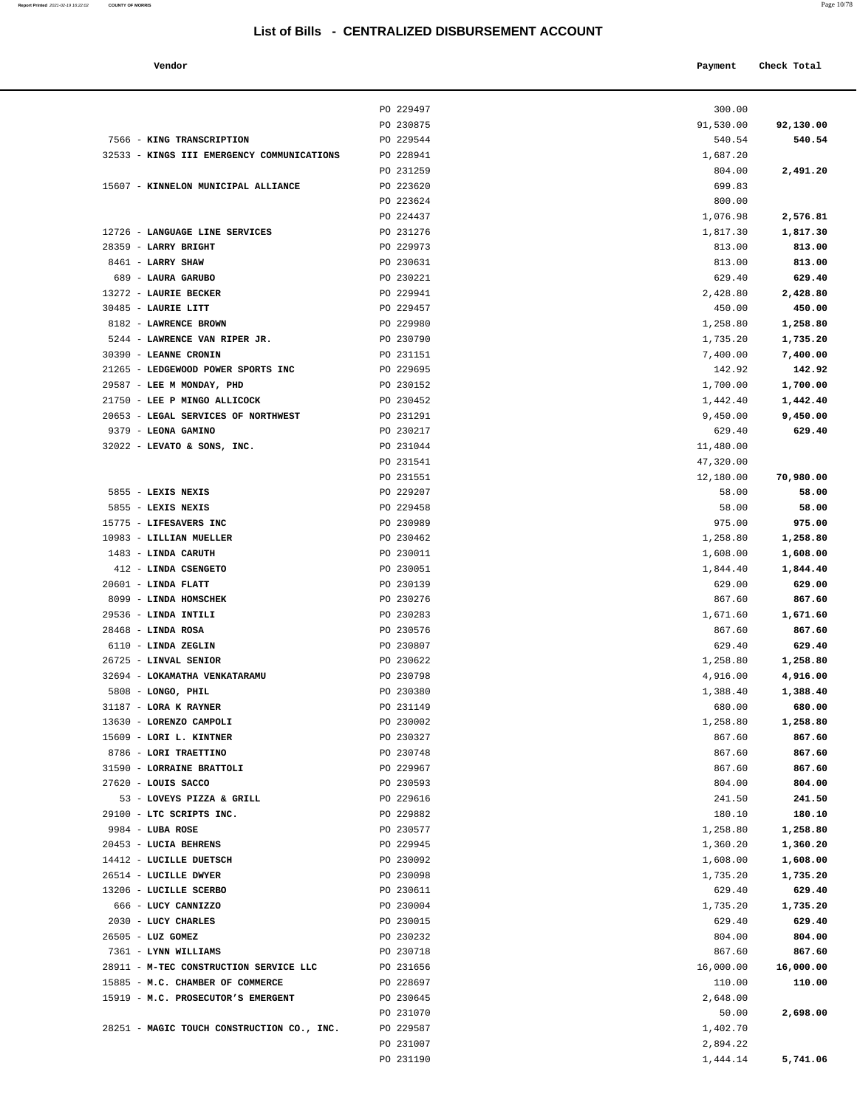| Payment Check Total |
|---------------------|
|                     |

|                                            | PO 229497 | 300.00    |           |
|--------------------------------------------|-----------|-----------|-----------|
|                                            | PO 230875 | 91,530.00 | 92,130.00 |
| 7566 - KING TRANSCRIPTION                  | PO 229544 | 540.54    | 540.54    |
| 32533 - KINGS III EMERGENCY COMMUNICATIONS | PO 228941 | 1,687.20  |           |
|                                            | PO 231259 | 804.00    | 2,491.20  |
| 15607 - KINNELON MUNICIPAL ALLIANCE        | PO 223620 | 699.83    |           |
|                                            | PO 223624 | 800.00    |           |
|                                            | PO 224437 | 1,076.98  | 2,576.81  |
| 12726 - LANGUAGE LINE SERVICES             | PO 231276 | 1,817.30  | 1,817.30  |
| 28359 - LARRY BRIGHT                       | PO 229973 | 813.00    | 813.00    |
| 8461 - LARRY SHAW                          | PO 230631 | 813.00    | 813.00    |
| 689 - LAURA GARUBO                         | PO 230221 | 629.40    | 629.40    |
| 13272 - LAURIE BECKER                      | PO 229941 | 2,428.80  | 2,428.80  |
| 30485 - LAURIE LITT                        | PO 229457 | 450.00    | 450.00    |
| 8182 - LAWRENCE BROWN                      | PO 229980 | 1,258.80  | 1,258.80  |
| 5244 - LAWRENCE VAN RIPER JR.              | PO 230790 | 1,735.20  | 1,735.20  |
| 30390 - LEANNE CRONIN                      | PO 231151 | 7,400.00  | 7,400.00  |
| 21265 - LEDGEWOOD POWER SPORTS INC         | PO 229695 | 142.92    | 142.92    |
| 29587 - LEE M MONDAY, PHD                  | PO 230152 | 1,700.00  | 1,700.00  |
| 21750 - LEE P MINGO ALLICOCK               | PO 230452 | 1,442.40  | 1,442.40  |
| 20653 - LEGAL SERVICES OF NORTHWEST        | PO 231291 | 9,450.00  | 9,450.00  |
| 9379 - LEONA GAMINO                        | PO 230217 | 629.40    | 629.40    |
| 32022 - LEVATO & SONS, INC.                | PO 231044 | 11,480.00 |           |
|                                            | PO 231541 | 47,320.00 |           |
|                                            | PO 231551 | 12,180.00 | 70,980.00 |
| 5855 - LEXIS NEXIS                         | PO 229207 | 58.00     | 58.00     |
| 5855 - LEXIS NEXIS                         | PO 229458 | 58.00     | 58.00     |
| 15775 - LIFESAVERS INC                     | PO 230989 | 975.00    | 975.00    |
| 10983 - LILLIAN MUELLER                    | PO 230462 | 1,258.80  | 1,258.80  |
| 1483 - LINDA CARUTH                        | PO 230011 | 1,608.00  | 1,608.00  |
| 412 - LINDA CSENGETO                       | PO 230051 | 1,844.40  | 1,844.40  |
| $20601$ - LINDA FLATT                      | PO 230139 | 629.00    | 629.00    |
| 8099 - LINDA HOMSCHEK                      | PO 230276 | 867.60    | 867.60    |
| 29536 - LINDA INTILI                       | PO 230283 | 1,671.60  | 1,671.60  |
| $28468$ - LINDA ROSA                       | PO 230576 | 867.60    | 867.60    |
| 6110 - LINDA ZEGLIN                        | PO 230807 | 629.40    | 629.40    |
| 26725 - LINVAL SENIOR                      | PO 230622 | 1,258.80  | 1,258.80  |
| 32694 - LOKAMATHA VENKATARAMU              | PO 230798 | 4,916.00  | 4,916.00  |
| 5808 - LONGO, PHIL                         | PO 230380 | 1,388.40  | 1,388.40  |
| 31187 - LORA K RAYNER                      | PO 231149 | 680.00    | 680.00    |
| 13630 - LORENZO CAMPOLI                    | PO 230002 | 1,258.80  | 1,258.80  |
| 15609 - LORI L. KINTNER                    | PO 230327 | 867.60    | 867.60    |
| 8786 - LORI TRAETTINO                      | PO 230748 | 867.60    | 867.60    |
| 31590 - LORRAINE BRATTOLI                  | PO 229967 | 867.60    | 867.60    |
| $27620$ - LOUIS SACCO                      | PO 230593 | 804.00    | 804.00    |
| 53 - LOVEYS PIZZA & GRILL                  | PO 229616 | 241.50    | 241.50    |
| 29100 - LTC SCRIPTS INC.                   | PO 229882 | 180.10    | 180.10    |
| 9984 - LUBA ROSE                           | PO 230577 | 1,258.80  | 1,258.80  |
| 20453 - LUCIA BEHRENS                      | PO 229945 | 1,360.20  | 1,360.20  |
| 14412 - LUCILLE DUETSCH                    | PO 230092 | 1,608.00  | 1,608.00  |
| 26514 - LUCILLE DWYER                      | PO 230098 | 1,735.20  | 1,735.20  |
| 13206 - LUCILLE SCERBO                     | PO 230611 | 629.40    | 629.40    |
| 666 - LUCY CANNIZZO                        | PO 230004 | 1,735.20  | 1,735.20  |
| 2030 - LUCY CHARLES                        | PO 230015 | 629.40    | 629.40    |
| $26505$ - LUZ GOMEZ                        | PO 230232 | 804.00    | 804.00    |
| 7361 - LYNN WILLIAMS                       | PO 230718 | 867.60    | 867.60    |
| 28911 - M-TEC CONSTRUCTION SERVICE LLC     | PO 231656 | 16,000.00 | 16,000.00 |
| 15885 - M.C. CHAMBER OF COMMERCE           | PO 228697 | 110.00    | 110.00    |
| 15919 - M.C. PROSECUTOR'S EMERGENT         | PO 230645 | 2,648.00  |           |
|                                            | PO 231070 | 50.00     | 2,698.00  |
| 28251 - MAGIC TOUCH CONSTRUCTION CO., INC. | PO 229587 | 1,402.70  |           |
|                                            | PO 231007 | 2,894.22  |           |
|                                            | PO 231190 | 1,444.14  | 5,741.06  |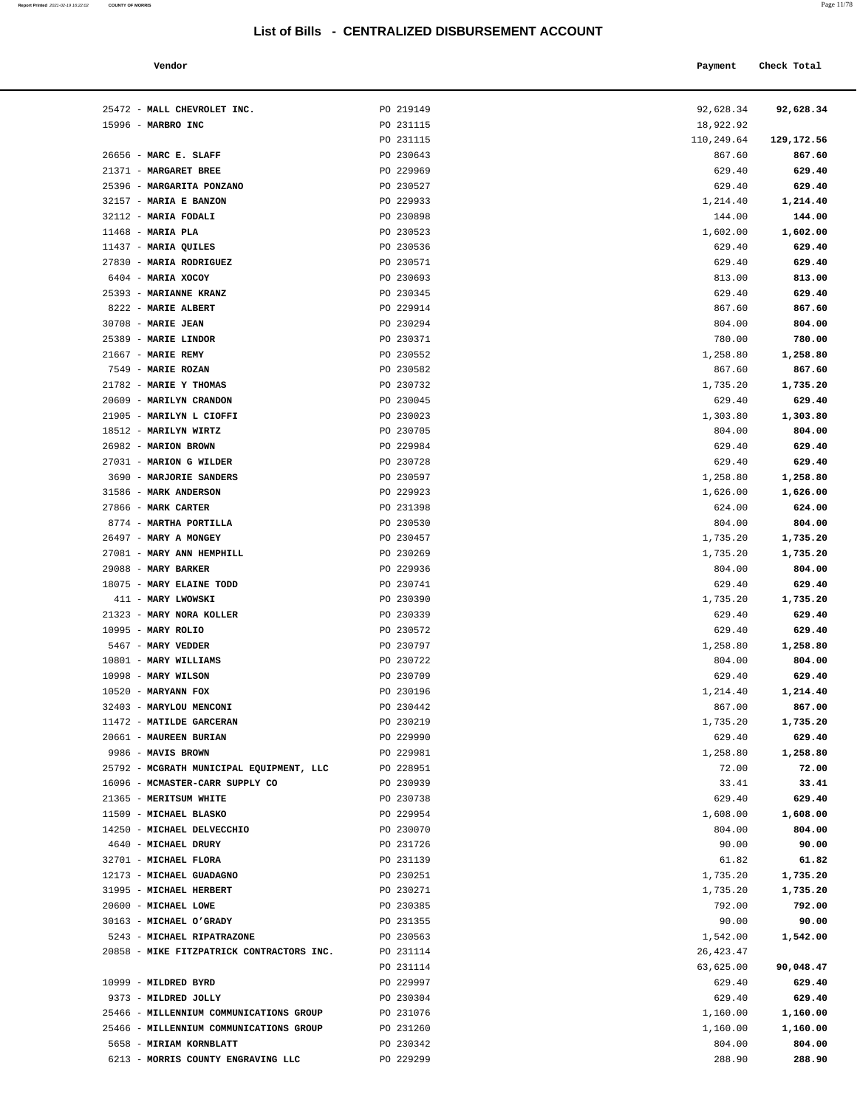| Vendor              |           | Payment | Check Total          |
|---------------------|-----------|---------|----------------------|
| אז יש המסיסטים דוגש | DO 219149 |         | $0.262021$ $0.20221$ |

| 25472 - MALL CHEVROLET INC.                  | PO 219149              | 92,628.34          | 92,628.34        |
|----------------------------------------------|------------------------|--------------------|------------------|
| 15996 - MARBRO INC                           | PO 231115              | 18,922.92          |                  |
|                                              | PO 231115              | 110,249.64         | 129,172.56       |
| 26656 - MARC E. SLAFF                        | PO 230643              | 867.60             | 867.60           |
| 21371 - MARGARET BREE                        | PO 229969              | 629.40             | 629.40           |
| 25396 - MARGARITA PONZANO                    | PO 230527              | 629.40             | 629.40           |
| 32157 - MARIA E BANZON                       | PO 229933              | 1,214.40           | 1,214.40         |
| 32112 - MARIA FODALI                         | PO 230898              | 144.00             | 144.00           |
| $11468$ - MARIA PLA                          | PO 230523              | 1,602.00           | 1,602.00         |
| $11437$ - MARIA QUILES                       | PO 230536              | 629.40             | 629.40           |
| 27830 - MARIA RODRIGUEZ                      | PO 230571              | 629.40             | 629.40           |
| 6404 - MARIA XOCOY                           | PO 230693              | 813.00             | 813.00           |
| 25393 - MARIANNE KRANZ                       | PO 230345              | 629.40             | 629.40           |
| 8222 - MARIE ALBERT                          | PO 229914              | 867.60             | 867.60           |
| 30708 - MARIE JEAN                           | PO 230294              | 804.00             | 804.00           |
| 25389 - MARIE LINDOR                         | PO 230371              | 780.00             | 780.00           |
| $21667$ - MARIE REMY                         | PO 230552              | 1,258.80           | 1,258.80         |
| 7549 - MARIE ROZAN                           | PO 230582              | 867.60             | 867.60           |
| 21782 - MARIE Y THOMAS                       | PO 230732              | 1,735.20           | 1,735.20         |
| 20609 - MARILYN CRANDON                      | PO 230045              | 629.40             | 629.40           |
| 21905 - MARILYN L CIOFFI                     | PO 230023              | 1,303.80           | 1,303.80         |
| 18512 - MARILYN WIRTZ                        | PO 230705              | 804.00             | 804.00           |
| 26982 - MARION BROWN                         | PO 229984              | 629.40             | 629.40           |
| 27031 - MARION G WILDER                      | PO 230728              | 629.40             | 629.40           |
| 3690 - MARJORIE SANDERS                      | PO 230597              | 1,258.80           | 1,258.80         |
| 31586 - MARK ANDERSON                        | PO 229923              | 1,626.00           | 1,626.00         |
| 27866 - MARK CARTER                          | PO 231398              | 624.00             | 624.00           |
| 8774 - MARTHA PORTILLA                       | PO 230530              | 804.00             | 804.00           |
| 26497 - MARY A MONGEY                        | PO 230457              | 1,735.20           | 1,735.20         |
| 27081 - MARY ANN HEMPHILL                    | PO 230269              | 1,735.20           | 1,735.20         |
| 29088 - MARY BARKER                          | PO 229936              | 804.00             | 804.00           |
| 18075 - MARY ELAINE TODD                     | PO 230741              | 629.40             | 629.40           |
| 411 - MARY LWOWSKI                           | PO 230390              | 1,735.20           | 1,735.20         |
| 21323 - MARY NORA KOLLER                     | PO 230339              | 629.40             | 629.40           |
| 10995 - MARY ROLIO                           | PO 230572              | 629.40             | 629.40           |
| 5467 - MARY VEDDER                           | PO 230797              | 1,258.80           | 1,258.80         |
| 10801 - MARY WILLIAMS<br>10998 - MARY WILSON | PO 230722<br>PO 230709 | 804.00             | 804.00<br>629.40 |
| $10520$ - MARYANN FOX                        | PO 230196              | 629.40<br>1,214.40 | 1,214.40         |
| 32403 - MARYLOU MENCONI                      | PO 230442              | 867.00             | 867.00           |
| 11472 - MATILDE GARCERAN                     | PO 230219              | 1,735.20           | 1,735.20         |
| 20661 - MAUREEN BURIAN                       | PO 229990              | 629.40             | 629.40           |
| 9986 - MAVIS BROWN                           | PO 229981              | 1,258.80           | 1,258.80         |
| 25792 - MCGRATH MUNICIPAL EQUIPMENT, LLC     | PO 228951              | 72.00              | 72.00            |
| 16096 - MCMASTER-CARR SUPPLY CO              | PO 230939              | 33.41              | 33.41            |
| 21365 - MERITSUM WHITE                       | PO 230738              | 629.40             | 629.40           |
| 11509 - MICHAEL BLASKO                       | PO 229954              | 1,608.00           | 1,608.00         |
| 14250 - MICHAEL DELVECCHIO                   | PO 230070              | 804.00             | 804.00           |
| 4640 - MICHAEL DRURY                         | PO 231726              | 90.00              | 90.00            |
| 32701 - MICHAEL FLORA                        | PO 231139              | 61.82              | 61.82            |
| 12173 - MICHAEL GUADAGNO                     | PO 230251              | 1,735.20           | 1,735.20         |
| 31995 - MICHAEL HERBERT                      | PO 230271              | 1,735.20           | 1,735.20         |
| 20600 - MICHAEL LOWE                         | PO 230385              | 792.00             | 792.00           |
| 30163 - MICHAEL O'GRADY                      | PO 231355              | 90.00              | 90.00            |
| 5243 - MICHAEL RIPATRAZONE                   | PO 230563              | 1,542.00           | 1,542.00         |
| 20858 - MIKE FITZPATRICK CONTRACTORS INC.    | PO 231114              | 26,423.47          |                  |
|                                              | PO 231114              | 63,625.00          | 90,048.47        |
| 10999 - MILDRED BYRD                         | PO 229997              | 629.40             | 629.40           |
| 9373 - MILDRED JOLLY                         | PO 230304              | 629.40             | 629.40           |
| 25466 - MILLENNIUM COMMUNICATIONS GROUP      | PO 231076              | 1,160.00           | 1,160.00         |
| 25466 - MILLENNIUM COMMUNICATIONS GROUP      | PO 231260              | 1,160.00           | 1,160.00         |
| 5658 - MIRIAM KORNBLATT                      | PO 230342              | 804.00             | 804.00           |

6213 - **MORRIS COUNTY ENGRAVING LLC** PO 229299 288.90 **288.90**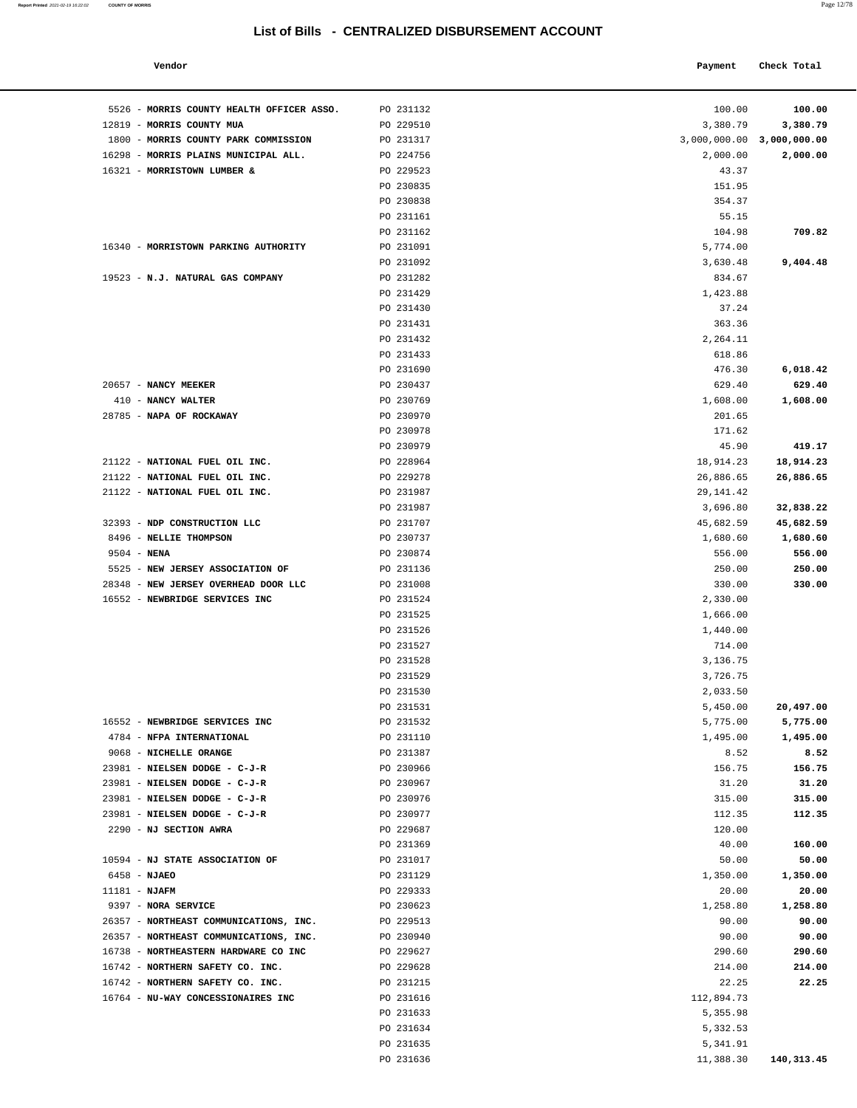#### **Report Printed** 2021-02-19 16:22:02 **COUNTY OF MORRIS** Page 12/78

## **List of Bills - CENTRALIZED DISBURSEMENT ACCOUNT**

| Vendor | Payment Check Total |
|--------|---------------------|
|        |                     |

| 5526 - MORRIS COUNTY HEALTH OFFICER ASSO. | PO 231132              | 100.00                    | 100.00     |
|-------------------------------------------|------------------------|---------------------------|------------|
| 12819 - MORRIS COUNTY MUA                 | PO 229510              | 3,380.79                  | 3,380.79   |
| 1800 - MORRIS COUNTY PARK COMMISSION      | PO 231317              | 3,000,000.00 3,000,000.00 |            |
| 16298 - MORRIS PLAINS MUNICIPAL ALL.      | PO 224756              | 2,000.00                  | 2,000.00   |
| 16321 - MORRISTOWN LUMBER &               | PO 229523              | 43.37                     |            |
|                                           | PO 230835              | 151.95                    |            |
|                                           | PO 230838              | 354.37                    |            |
|                                           | PO 231161              | 55.15                     |            |
|                                           | PO 231162              | 104.98                    | 709.82     |
| 16340 - MORRISTOWN PARKING AUTHORITY      | PO 231091              | 5,774.00                  |            |
|                                           | PO 231092              | 3,630.48                  | 9,404.48   |
| 19523 - N.J. NATURAL GAS COMPANY          | PO 231282              | 834.67                    |            |
|                                           | PO 231429              | 1,423.88                  |            |
|                                           | PO 231430              | 37.24                     |            |
|                                           | PO 231431              | 363.36                    |            |
|                                           | PO 231432<br>PO 231433 | 2,264.11                  |            |
|                                           | PO 231690              | 618.86<br>476.30          | 6,018.42   |
| 20657 - NANCY MEEKER                      | PO 230437              | 629.40                    | 629.40     |
| 410 - NANCY WALTER                        | PO 230769              | 1,608.00                  | 1,608.00   |
| 28785 - NAPA OF ROCKAWAY                  | PO 230970              | 201.65                    |            |
|                                           | PO 230978              | 171.62                    |            |
|                                           | PO 230979              | 45.90                     | 419.17     |
| 21122 - NATIONAL FUEL OIL INC.            | PO 228964              | 18,914.23                 | 18,914.23  |
| 21122 - NATIONAL FUEL OIL INC.            | PO 229278              | 26,886.65                 | 26,886.65  |
| 21122 - NATIONAL FUEL OIL INC.            | PO 231987              | 29, 141.42                |            |
|                                           | PO 231987              | 3,696.80                  | 32,838.22  |
| 32393 - NDP CONSTRUCTION LLC              | PO 231707              | 45,682.59                 | 45,682.59  |
| 8496 - NELLIE THOMPSON                    | PO 230737              | 1,680.60                  | 1,680.60   |
| $9504 - NENA$                             | PO 230874              | 556.00                    | 556.00     |
| 5525 - NEW JERSEY ASSOCIATION OF          | PO 231136              | 250.00                    | 250.00     |
| 28348 - NEW JERSEY OVERHEAD DOOR LLC      | PO 231008              | 330.00                    | 330.00     |
| 16552 - NEWBRIDGE SERVICES INC            | PO 231524              | 2,330.00                  |            |
|                                           | PO 231525              | 1,666.00                  |            |
|                                           | PO 231526              | 1,440.00                  |            |
|                                           | PO 231527              | 714.00                    |            |
|                                           | PO 231528              | 3,136.75                  |            |
|                                           | PO 231529              | 3,726.75                  |            |
|                                           | PO 231530<br>PO 231531 | 2,033.50<br>5,450.00      | 20,497.00  |
| 16552 - NEWBRIDGE SERVICES INC            | PO 231532              | 5,775.00                  | 5,775.00   |
| 4784 - NFPA INTERNATIONAL                 | PO 231110              | 1,495.00                  | 1,495.00   |
| 9068 - NICHELLE ORANGE                    | PO 231387              | 8.52                      | 8.52       |
| 23981 - NIELSEN DODGE - C-J-R             | PO 230966              | 156.75                    | 156.75     |
| 23981 - NIELSEN DODGE - C-J-R             | PO 230967              | 31.20                     | 31.20      |
| 23981 - NIELSEN DODGE - C-J-R             | PO 230976              | 315.00                    | 315.00     |
| 23981 - NIELSEN DODGE - C-J-R             | PO 230977              | 112.35                    | 112.35     |
| 2290 - NJ SECTION AWRA                    | PO 229687              | 120.00                    |            |
|                                           | PO 231369              | 40.00                     | 160.00     |
| 10594 - NJ STATE ASSOCIATION OF           | PO 231017              | 50.00                     | 50.00      |
| 6458 - NJAEO                              | PO 231129              | 1,350.00                  | 1,350.00   |
| $11181 - NJAFM$                           | PO 229333              | 20.00                     | 20.00      |
| 9397 - NORA SERVICE                       | PO 230623              | 1,258.80                  | 1,258.80   |
| 26357 - NORTHEAST COMMUNICATIONS, INC.    | PO 229513              | 90.00                     | 90.00      |
| 26357 - NORTHEAST COMMUNICATIONS, INC.    | PO 230940              | 90.00                     | 90.00      |
| 16738 - NORTHEASTERN HARDWARE CO INC      | PO 229627              | 290.60                    | 290.60     |
| 16742 - NORTHERN SAFETY CO. INC.          | PO 229628              | 214.00                    | 214.00     |
| 16742 - NORTHERN SAFETY CO. INC.          | PO 231215              | 22.25                     | 22.25      |
| 16764 - NU-WAY CONCESSIONAIRES INC        | PO 231616              | 112,894.73                |            |
|                                           | PO 231633<br>PO 231634 | 5,355.98<br>5,332.53      |            |
|                                           | PO 231635              | 5,341.91                  |            |
|                                           | PO 231636              | 11,388.30                 | 140,313.45 |
|                                           |                        |                           |            |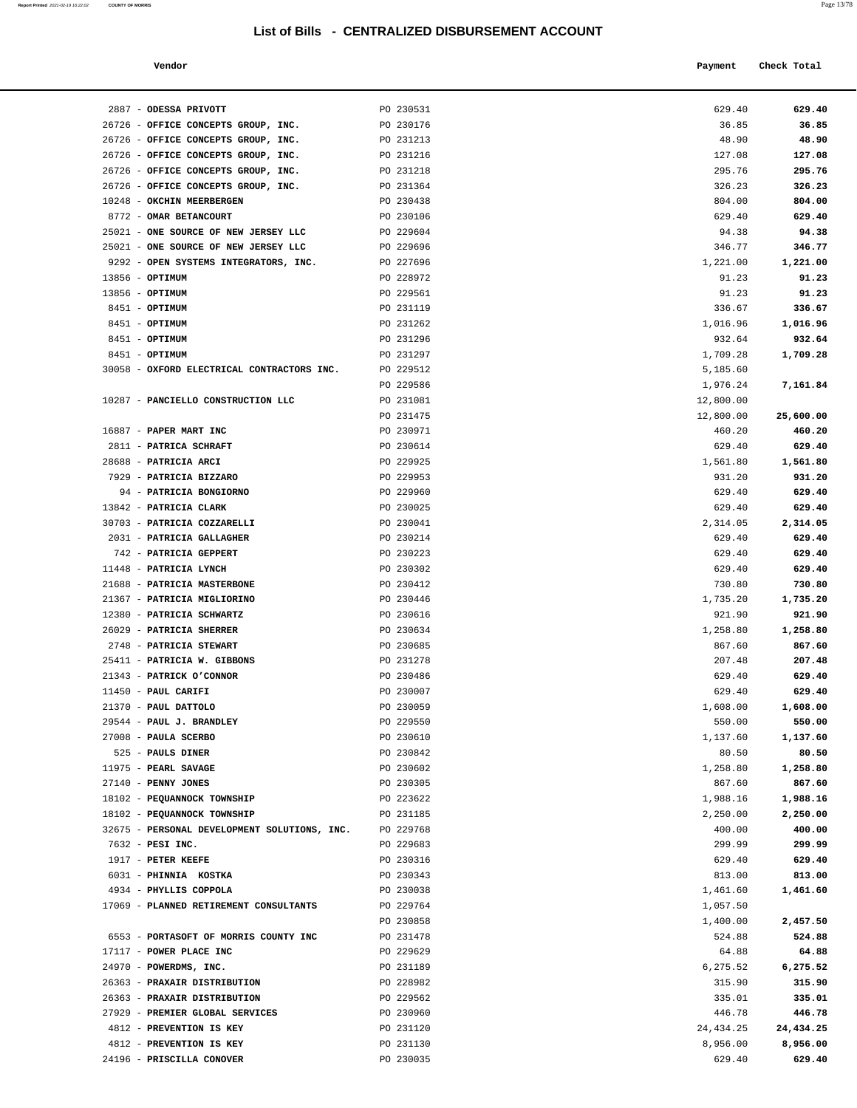| Vendor | Payment Check Total |
|--------|---------------------|
|        |                     |

| 2887 - ODESSA PRIVOTT                                      | PO 230531              | 629.40               | 629.40               |
|------------------------------------------------------------|------------------------|----------------------|----------------------|
| 26726 - OFFICE CONCEPTS GROUP, INC.                        | PO 230176              | 36.85                | 36.85                |
| 26726 - OFFICE CONCEPTS GROUP, INC.                        | PO 231213              | 48.90                | 48.90                |
| 26726 - OFFICE CONCEPTS GROUP, INC.                        | PO 231216              | 127.08               | 127.08               |
| 26726 - OFFICE CONCEPTS GROUP, INC.                        | PO 231218              | 295.76               | 295.76               |
| 26726 - OFFICE CONCEPTS GROUP, INC.                        | PO 231364              | 326.23               | 326.23               |
| 10248 - OKCHIN MEERBERGEN                                  | PO 230438              | 804.00               | 804.00               |
| 8772 - OMAR BETANCOURT                                     | PO 230106              | 629.40               | 629.40               |
| 25021 - ONE SOURCE OF NEW JERSEY LLC                       | PO 229604              | 94.38                | 94.38                |
| 25021 - ONE SOURCE OF NEW JERSEY LLC                       | PO 229696              | 346.77               | 346.77               |
| 9292 - OPEN SYSTEMS INTEGRATORS, INC.                      | PO 227696              | 1,221.00             | 1,221.00             |
| $13856 - OPTIMUM$                                          | PO 228972              | 91.23                | 91.23                |
| 13856 - OPTIMUM                                            | PO 229561              | 91.23                | 91.23                |
| 8451 - OPTIMUM                                             | PO 231119              | 336.67               | 336.67               |
| 8451 - <b>OPTIMUM</b>                                      | PO 231262              | 1,016.96             | 1,016.96             |
| 8451 - <b>OPTIMUM</b>                                      | PO 231296              | 932.64               | 932.64               |
| 8451 - OPTIMUM                                             | PO 231297              | 1,709.28             | 1,709.28             |
| 30058 - OXFORD ELECTRICAL CONTRACTORS INC.                 | PO 229512              | 5,185.60             |                      |
|                                                            | PO 229586              | 1,976.24             | 7,161.84             |
| 10287 - PANCIELLO CONSTRUCTION LLC                         | PO 231081              | 12,800.00            |                      |
|                                                            | PO 231475              | 12,800.00            | 25,600.00            |
| 16887 - PAPER MART INC                                     | PO 230971              | 460.20               | 460.20               |
| 2811 - PATRICA SCHRAFT<br>28688 - PATRICIA ARCI            | PO 230614<br>PO 229925 | 629.40               | 629.40<br>1,561.80   |
| 7929 - PATRICIA BIZZARO                                    | PO 229953              | 1,561.80<br>931.20   | 931.20               |
| 94 - PATRICIA BONGIORNO                                    | PO 229960              | 629.40               | 629.40               |
| 13842 - PATRICIA CLARK                                     | PO 230025              | 629.40               | 629.40               |
| 30703 - PATRICIA COZZARELLI                                | PO 230041              | 2,314.05             | 2,314.05             |
| 2031 - PATRICIA GALLAGHER                                  | PO 230214              | 629.40               | 629.40               |
| 742 - PATRICIA GEPPERT                                     | PO 230223              | 629.40               | 629.40               |
| 11448 - PATRICIA LYNCH                                     | PO 230302              | 629.40               | 629.40               |
| 21688 - PATRICIA MASTERBONE                                | PO 230412              | 730.80               | 730.80               |
| 21367 - PATRICIA MIGLIORINO                                | PO 230446              | 1,735.20             | 1,735.20             |
| 12380 - PATRICIA SCHWARTZ                                  | PO 230616              | 921.90               | 921.90               |
| 26029 - PATRICIA SHERRER                                   | PO 230634              | 1,258.80             | 1,258.80             |
| 2748 - PATRICIA STEWART                                    | PO 230685              | 867.60               | 867.60               |
| 25411 - PATRICIA W. GIBBONS                                | PO 231278              | 207.48               | 207.48               |
| 21343 - PATRICK O'CONNOR                                   | PO 230486              | 629.40               | 629.40               |
| 11450 - PAUL CARIFI                                        | PO 230007              | 629.40               | 629.40               |
| 21370 - PAUL DATTOLO                                       | PO 230059              | 1,608.00             | 1,608.00             |
| 29544 - PAUL J. BRANDLEY                                   | PO 229550              | 550.00               | 550.00               |
| 27008 - PAULA SCERBO                                       | PO 230610              | 1,137.60             | 1,137.60             |
| 525 - PAULS DINER                                          | PO 230842              | 80.50                | 80.50                |
| 11975 - PEARL SAVAGE                                       | PO 230602              | 1,258.80             | 1,258.80             |
| 27140 - PENNY JONES                                        | PO 230305              | 867.60               | 867.60               |
| 18102 - PEQUANNOCK TOWNSHIP<br>18102 - PEQUANNOCK TOWNSHIP | PO 223622<br>PO 231185 | 1,988.16<br>2,250.00 | 1,988.16<br>2,250.00 |
| 32675 - PERSONAL DEVELOPMENT SOLUTIONS, INC.               | PO 229768              | 400.00               | 400.00               |
| 7632 - PESI INC.                                           | PO 229683              | 299.99               | 299.99               |
| 1917 - PETER KEEFE                                         | PO 230316              | 629.40               | 629.40               |
| 6031 - PHINNIA KOSTKA                                      | PO 230343              | 813.00               | 813.00               |
| 4934 - PHYLLIS COPPOLA                                     | PO 230038              | 1,461.60             | 1,461.60             |
| 17069 - PLANNED RETIREMENT CONSULTANTS                     | PO 229764              | 1,057.50             |                      |
|                                                            | PO 230858              | 1,400.00             | 2,457.50             |
| 6553 - PORTASOFT OF MORRIS COUNTY INC                      | PO 231478              | 524.88               | 524.88               |
| 17117 - POWER PLACE INC                                    | PO 229629              | 64.88                | 64.88                |
| 24970 - POWERDMS, INC.                                     | PO 231189              | 6,275.52             | 6,275.52             |
| 26363 - PRAXAIR DISTRIBUTION                               | PO 228982              | 315.90               | 315.90               |
| 26363 - PRAXAIR DISTRIBUTION                               | PO 229562              | 335.01               | 335.01               |
| 27929 - PREMIER GLOBAL SERVICES                            | PO 230960              | 446.78               | 446.78               |
| 4812 - PREVENTION IS KEY                                   | PO 231120              | 24, 434. 25          | 24,434.25            |
| 4812 - PREVENTION IS KEY                                   | PO 231130              | 8,956.00             | 8,956.00             |
| 24196 - PRISCILLA CONOVER                                  | PO 230035              | 629.40               | 629.40               |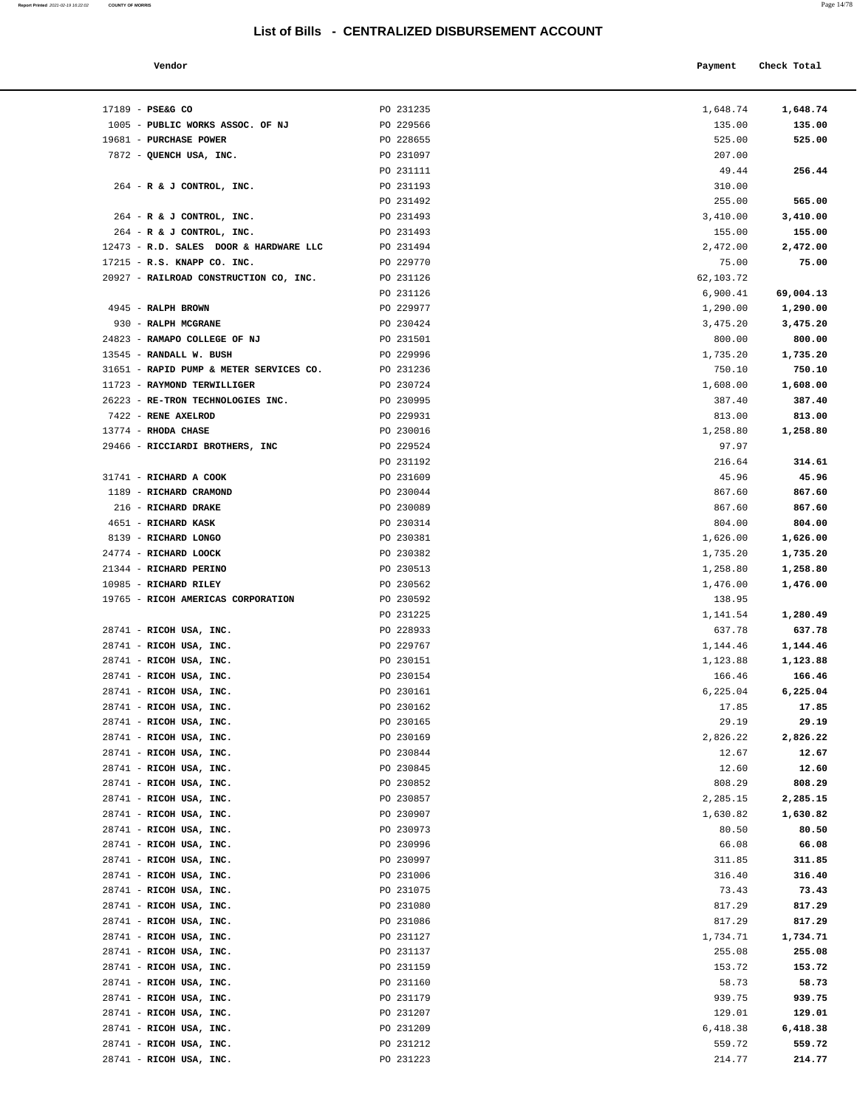### **List of Bills - CENTRALIZED DISBU**

28741 - **RICOH USA, INC.** PO 231223 214.77 **214.77** 

| List of Bills - CENTRALIZED DISBURSEMENT ACCOUNT |           |           |             |  |
|--------------------------------------------------|-----------|-----------|-------------|--|
| Vendor                                           |           | Payment   | Check Total |  |
| 17189 - PSE&G CO                                 | PO 231235 | 1,648.74  | 1,648.74    |  |
| 1005 - PUBLIC WORKS ASSOC. OF NJ                 | PO 229566 | 135.00    | 135.00      |  |
| 19681 - PURCHASE POWER                           | PO 228655 | 525.00    | 525.00      |  |
| 7872 - QUENCH USA, INC.                          | PO 231097 | 207.00    |             |  |
|                                                  | PO 231111 | 49.44     | 256.44      |  |
| 264 - R & J CONTROL, INC.                        | PO 231193 | 310.00    |             |  |
|                                                  | PO 231492 | 255.00    | 565.00      |  |
| 264 - R & J CONTROL, INC.                        | PO 231493 | 3,410.00  | 3,410.00    |  |
| 264 - R & J CONTROL, INC.                        | PO 231493 | 155.00    | 155.00      |  |
| 12473 - R.D. SALES DOOR & HARDWARE LLC           | PO 231494 | 2,472.00  | 2,472.00    |  |
| 17215 - R.S. KNAPP CO. INC.                      | PO 229770 | 75.00     | 75.00       |  |
| 20927 - RAILROAD CONSTRUCTION CO, INC.           | PO 231126 | 62,103.72 |             |  |
|                                                  | PO 231126 | 6,900.41  | 69,004.13   |  |
| 4945 - RALPH BROWN                               | PO 229977 | 1,290.00  | 1,290.00    |  |
| 930 - RALPH MCGRANE                              | PO 230424 | 3,475.20  | 3,475.20    |  |
| 24823 - RAMAPO COLLEGE OF NJ                     | PO 231501 | 800.00    | 800.00      |  |
| 13545 - RANDALL W. BUSH                          | PO 229996 | 1,735.20  | 1,735.20    |  |
| 31651 - RAPID PUMP & METER SERVICES CO.          | PO 231236 | 750.10    | 750.10      |  |
| 11723 - RAYMOND TERWILLIGER                      | PO 230724 | 1,608.00  | 1,608.00    |  |
| 26223 - RE-TRON TECHNOLOGIES INC.                | PO 230995 | 387.40    | 387.40      |  |
| 7422 - RENE AXELROD                              | PO 229931 | 813.00    | 813.00      |  |
| 13774 - RHODA CHASE                              | PO 230016 | 1,258.80  | 1,258.80    |  |
| 29466 - RICCIARDI BROTHERS, INC                  | PO 229524 | 97.97     |             |  |
|                                                  | PO 231192 | 216.64    | 314.61      |  |
| 31741 - RICHARD A COOK                           | PO 231609 | 45.96     | 45.96       |  |
| 1189 - RICHARD CRAMOND                           | PO 230044 | 867.60    | 867.60      |  |
| 216 - RICHARD DRAKE                              | PO 230089 | 867.60    | 867.60      |  |
| 4651 - RICHARD KASK                              | PO 230314 | 804.00    | 804.00      |  |
| 8139 - RICHARD LONGO                             | PO 230381 | 1,626.00  | 1,626.00    |  |
| 24774 - RICHARD LOOCK                            | PO 230382 | 1,735.20  | 1,735.20    |  |
| 21344 - RICHARD PERINO                           | PO 230513 | 1,258.80  | 1,258.80    |  |
| 10985 - RICHARD RILEY                            | PO 230562 | 1,476.00  | 1,476.00    |  |
| 19765 - RICOH AMERICAS CORPORATION               | PO 230592 | 138.95    |             |  |
|                                                  | PO 231225 | 1,141.54  | 1,280.49    |  |
| 28741 - RICOH USA, INC.                          | PO 228933 | 637.78    | 637.78      |  |
| 28741 - RICOH USA, INC.                          | PO 229767 | 1,144.46  | 1,144.46    |  |
| 28741 - RICOH USA, INC.                          | PO 230151 | 1,123.88  | 1,123.88    |  |
| 28741 - RICOH USA, INC.                          | PO 230154 | 166.46    | 166.46      |  |
| 28741 - RICOH USA, INC.                          | PO 230161 | 6,225.04  | 6,225.04    |  |
| 28741 - RICOH USA, INC.                          | PO 230162 | 17.85     | 17.85       |  |
| 28741 - RICOH USA, INC.                          | PO 230165 | 29.19     | 29.19       |  |
| 28741 - RICOH USA, INC.                          | PO 230169 | 2,826.22  | 2,826.22    |  |
| 28741 - RICOH USA, INC.                          | PO 230844 | 12.67     | 12.67       |  |
| 28741 - RICOH USA, INC.                          | PO 230845 | 12.60     | 12.60       |  |
| 28741 - RICOH USA, INC.                          | PO 230852 | 808.29    | 808.29      |  |
| 28741 - RICOH USA, INC.                          | PO 230857 | 2,285.15  | 2,285.15    |  |
| 28741 - RICOH USA, INC.                          | PO 230907 | 1,630.82  | 1,630.82    |  |
| 28741 - RICOH USA, INC.                          | PO 230973 | 80.50     | 80.50       |  |
| 28741 - RICOH USA, INC.                          | PO 230996 | 66.08     | 66.08       |  |
| 28741 - RICOH USA, INC.                          | PO 230997 | 311.85    | 311.85      |  |
| 28741 - RICOH USA, INC.                          | PO 231006 | 316.40    | 316.40      |  |
| 28741 - RICOH USA, INC.                          | PO 231075 | 73.43     | 73.43       |  |
| 28741 - RICOH USA, INC.                          | PO 231080 | 817.29    | 817.29      |  |
| 28741 - RICOH USA, INC.                          | PO 231086 | 817.29    | 817.29      |  |
| 28741 - RICOH USA, INC.                          | PO 231127 | 1,734.71  | 1,734.71    |  |
| 28741 - RICOH USA, INC.                          | PO 231137 | 255.08    | 255.08      |  |
| 28741 - RICOH USA, INC.                          | PO 231159 | 153.72    | 153.72      |  |
| 28741 - RICOH USA, INC.                          | PO 231160 | 58.73     | 58.73       |  |

| 1005 - PUBLIC WORKS ASSOC. OF NJ        | PO 229566 | 135.00    | 135.00    |
|-----------------------------------------|-----------|-----------|-----------|
| 19681 - PURCHASE POWER                  | PO 228655 | 525.00    | 525.00    |
| 7872 - QUENCH USA, INC.                 | PO 231097 | 207.00    |           |
|                                         | PO 231111 | 49.44     | 256.44    |
| 264 - R & J CONTROL, INC.               | PO 231193 | 310.00    |           |
|                                         | PO 231492 | 255.00    | 565.00    |
| 264 - R & J CONTROL, INC.               | PO 231493 | 3,410.00  | 3,410.00  |
| 264 - R & J CONTROL, INC.               | PO 231493 | 155.00    | 155.00    |
|                                         |           |           |           |
| 12473 - R.D. SALES DOOR & HARDWARE LLC  | PO 231494 | 2,472.00  | 2,472.00  |
| 17215 - R.S. KNAPP CO. INC.             | PO 229770 | 75.00     | 75.00     |
| 20927 - RAILROAD CONSTRUCTION CO, INC.  | PO 231126 | 62,103.72 |           |
|                                         | PO 231126 | 6,900.41  | 69,004.13 |
| 4945 - RALPH BROWN                      | PO 229977 | 1,290.00  | 1,290.00  |
| 930 - RALPH MCGRANE                     | PO 230424 | 3,475.20  | 3,475.20  |
| 24823 - RAMAPO COLLEGE OF NJ            | PO 231501 | 800.00    | 800.00    |
| 13545 - RANDALL W. BUSH                 | PO 229996 | 1,735.20  | 1,735.20  |
| 31651 - RAPID PUMP & METER SERVICES CO. | PO 231236 | 750.10    | 750.10    |
| 11723 - RAYMOND TERWILLIGER             | PO 230724 | 1,608.00  | 1,608.00  |
| 26223 - RE-TRON TECHNOLOGIES INC.       | PO 230995 | 387.40    | 387.40    |
| 7422 - RENE AXELROD                     | PO 229931 | 813.00    | 813.00    |
| 13774 - RHODA CHASE                     |           |           |           |
|                                         | PO 230016 | 1,258.80  | 1,258.80  |
| 29466 - RICCIARDI BROTHERS, INC         | PO 229524 | 97.97     |           |
|                                         | PO 231192 | 216.64    | 314.61    |
| 31741 - RICHARD A COOK                  | PO 231609 | 45.96     | 45.96     |
| 1189 - RICHARD CRAMOND                  | PO 230044 | 867.60    | 867.60    |
| 216 - RICHARD DRAKE                     | PO 230089 | 867.60    | 867.60    |
| 4651 - RICHARD KASK                     | PO 230314 | 804.00    | 804.00    |
| 8139 - RICHARD LONGO                    | PO 230381 | 1,626.00  | 1,626.00  |
| 24774 - RICHARD LOOCK                   | PO 230382 | 1,735.20  | 1,735.20  |
| 21344 - RICHARD PERINO                  | PO 230513 | 1,258.80  | 1,258.80  |
| 10985 - RICHARD RILEY                   | PO 230562 | 1,476.00  | 1,476.00  |
| 19765 - RICOH AMERICAS CORPORATION      | PO 230592 | 138.95    |           |
|                                         | PO 231225 | 1,141.54  | 1,280.49  |
| 28741 - RICOH USA, INC.                 | PO 228933 | 637.78    | 637.78    |
| 28741 - RICOH USA, INC.                 | PO 229767 | 1,144.46  | 1,144.46  |
|                                         |           |           |           |
| 28741 - RICOH USA, INC.                 | PO 230151 | 1,123.88  | 1,123.88  |
| 28741 - RICOH USA, INC.                 | PO 230154 | 166.46    | 166.46    |
| 28741 - RICOH USA, INC.                 | PO 230161 | 6,225.04  | 6,225.04  |
| 28741 - RICOH USA, INC.                 | PO 230162 | 17.85     | 17.85     |
| 28741 - RICOH USA, INC.                 | PO 230165 | 29.19     | 29.19     |
| 28741 - RICOH USA, INC.                 | PO 230169 | 2,826.22  | 2,826.22  |
| 28741 - RICOH USA, INC.                 | PO 230844 | 12.67     | 12.67     |
| 28741 - RICOH USA, INC.                 | PO 230845 | 12.60     | 12.60     |
| 28741 - RICOH USA, INC.                 | PO 230852 | 808.29    | 808.29    |
| 28741 - RICOH USA, INC.                 | PO 230857 | 2,285.15  | 2,285.15  |
| 28741 - RICOH USA, INC.                 | PO 230907 | 1,630.82  | 1,630.82  |
| 28741 - RICOH USA, INC.                 | PO 230973 | 80.50     | 80.50     |
| 28741 - RICOH USA, INC.                 | PO 230996 | 66.08     | 66.08     |
| 28741 - RICOH USA, INC.                 | PO 230997 | 311.85    | 311.85    |
|                                         |           |           | 316.40    |
| 28741 - RICOH USA, INC.                 | PO 231006 | 316.40    |           |
| 28741 - RICOH USA, INC.                 | PO 231075 | 73.43     | 73.43     |
| 28741 - RICOH USA, INC.                 | PO 231080 | 817.29    | 817.29    |
| 28741 - RICOH USA, INC.                 | PO 231086 | 817.29    | 817.29    |
| 28741 - RICOH USA, INC.                 | PO 231127 | 1,734.71  | 1,734.71  |
| 28741 - RICOH USA, INC.                 | PO 231137 | 255.08    | 255.08    |
| 28741 - RICOH USA, INC.                 | PO 231159 | 153.72    | 153.72    |
| 28741 - RICOH USA, INC.                 | PO 231160 | 58.73     | 58.73     |
| 28741 - RICOH USA, INC.                 | PO 231179 | 939.75    | 939.75    |
| 28741 - RICOH USA, INC.                 | PO 231207 | 129.01    | 129.01    |
| 28741 - RICOH USA, INC.                 | PO 231209 | 6,418.38  | 6,418.38  |
| 28741 - RICOH USA, INC.                 | PO 231212 | 559.72    | 559.72    |
|                                         |           |           |           |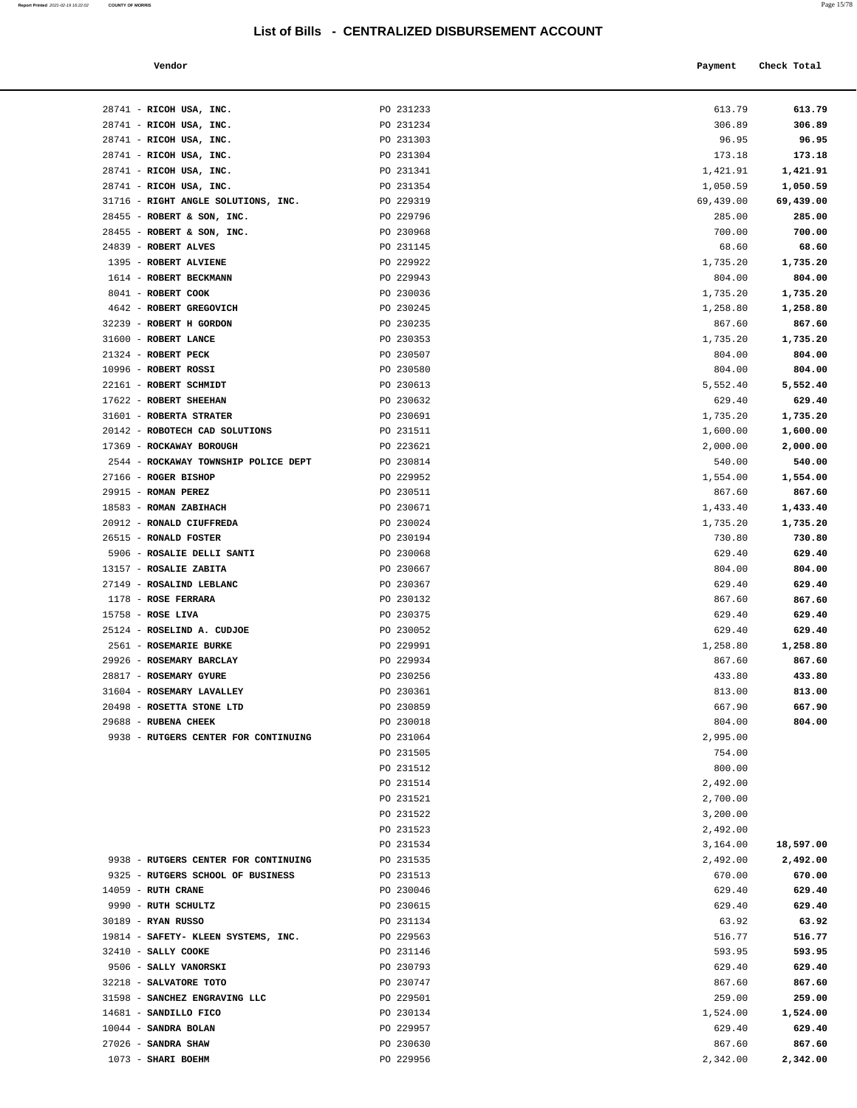| Report Printed 2021-02-19 16:22:02 | <b>COUNTY OF MORRIS</b> |  |  | Page 15/78 |
|------------------------------------|-------------------------|--|--|------------|
|                                    |                         |  |  |            |

| Vendor |  | Payment Check Total |
|--------|--|---------------------|
|--------|--|---------------------|

| 28741 - RICOH USA, INC.                           | PO 231233              | 613.79             | 613.79             |
|---------------------------------------------------|------------------------|--------------------|--------------------|
| 28741 - RICOH USA, INC.                           | PO 231234              | 306.89             | 306.89             |
| 28741 - RICOH USA, INC.                           | PO 231303              | 96.95              | 96.95              |
| 28741 - RICOH USA, INC.                           | PO 231304              | 173.18             | 173.18             |
| 28741 - RICOH USA, INC.                           | PO 231341              | 1,421.91           | 1,421.91           |
| 28741 - RICOH USA, INC.                           | PO 231354              | 1,050.59           | 1,050.59           |
| 31716 - RIGHT ANGLE SOLUTIONS, INC.               | PO 229319              | 69,439.00          | 69,439.00          |
| 28455 - ROBERT & SON, INC.                        | PO 229796              | 285.00             | 285.00             |
| 28455 - ROBERT & SON, INC.                        | PO 230968              | 700.00             | 700.00             |
| 24839 - ROBERT ALVES                              | PO 231145              | 68.60              | 68.60              |
| 1395 - ROBERT ALVIENE                             | PO 229922              | 1,735.20           | 1,735.20           |
| 1614 - ROBERT BECKMANN<br>8041 - ROBERT COOK      | PO 229943<br>PO 230036 | 804.00<br>1,735.20 | 804.00<br>1,735.20 |
| 4642 - ROBERT GREGOVICH                           | PO 230245              | 1,258.80           | 1,258.80           |
| 32239 - ROBERT H GORDON                           | PO 230235              | 867.60             | 867.60             |
| 31600 - ROBERT LANCE                              | PO 230353              | 1,735.20           | 1,735.20           |
| 21324 - ROBERT PECK                               | PO 230507              | 804.00             | 804.00             |
| 10996 - ROBERT ROSSI                              | PO 230580              | 804.00             | 804.00             |
| 22161 - ROBERT SCHMIDT                            | PO 230613              | 5,552.40           | 5,552.40           |
| 17622 - ROBERT SHEEHAN                            | PO 230632              | 629.40             | 629.40             |
| 31601 - ROBERTA STRATER                           | PO 230691              | 1,735.20           | 1,735.20           |
| 20142 - ROBOTECH CAD SOLUTIONS                    | PO 231511              | 1,600.00           | 1,600.00           |
| 17369 - ROCKAWAY BOROUGH                          | PO 223621              | 2,000.00           | 2,000.00           |
| 2544 - ROCKAWAY TOWNSHIP POLICE DEPT              | PO 230814              | 540.00             | 540.00             |
| 27166 - ROGER BISHOP                              | PO 229952              | 1,554.00           | 1,554.00           |
| $29915$ - ROMAN PEREZ                             | PO 230511              | 867.60             | 867.60             |
| 18583 - ROMAN ZABIHACH                            | PO 230671              | 1,433.40           | 1,433.40           |
| 20912 - RONALD CIUFFREDA<br>26515 - RONALD FOSTER | PO 230024<br>PO 230194 | 1,735.20           | 1,735.20           |
| 5906 - ROSALIE DELLI SANTI                        | PO 230068              | 730.80<br>629.40   | 730.80<br>629.40   |
| 13157 - ROSALIE ZABITA                            | PO 230667              | 804.00             | 804.00             |
| 27149 - ROSALIND LEBLANC                          | PO 230367              | 629.40             | 629.40             |
| 1178 - ROSE FERRARA                               | PO 230132              | 867.60             | 867.60             |
| $15758$ - ROSE LIVA                               | PO 230375              | 629.40             | 629.40             |
| 25124 - ROSELIND A. CUDJOE                        | PO 230052              | 629.40             | 629.40             |
| 2561 - ROSEMARIE BURKE                            | PO 229991              | 1,258.80           | 1,258.80           |
| 29926 - ROSEMARY BARCLAY                          | PO 229934              | 867.60             | 867.60             |
| 28817 - ROSEMARY GYURE                            | PO 230256              | 433.80             | 433.80             |
| 31604 - ROSEMARY LAVALLEY                         | PO 230361              | 813.00             | 813.00             |
| 20498 - ROSETTA STONE LTD                         | PO 230859              | 667.90             | 667.90             |
| 29688 - RUBENA CHEEK                              | PO 230018              | 804.00             | 804.00             |
| 9938 - RUTGERS CENTER FOR CONTINUING              | PO 231064              | 2,995.00           |                    |
|                                                   | PO 231505<br>PO 231512 | 754.00<br>800.00   |                    |
|                                                   | PO 231514              | 2,492.00           |                    |
|                                                   | PO 231521              | 2,700.00           |                    |
|                                                   | PO 231522              | 3,200.00           |                    |
|                                                   | PO 231523              | 2,492.00           |                    |
|                                                   | PO 231534              | 3,164.00           | 18,597.00          |
| 9938 - RUTGERS CENTER FOR CONTINUING              | PO 231535              | 2,492.00           | 2,492.00           |
| 9325 - RUTGERS SCHOOL OF BUSINESS                 | PO 231513              | 670.00             | 670.00             |
| 14059 - RUTH CRANE                                | PO 230046              | 629.40             | 629.40             |
| 9990 - RUTH SCHULTZ                               | PO 230615              | 629.40             | 629.40             |
| 30189 - RYAN RUSSO                                | PO 231134              | 63.92              | 63.92              |
| 19814 - SAFETY- KLEEN SYSTEMS, INC.               | PO 229563              | 516.77             | 516.77             |
| 32410 - SALLY COOKE                               | PO 231146              | 593.95             | 593.95             |
| 9506 - SALLY VANORSKI                             | PO 230793              | 629.40             | 629.40             |
| 32218 - SALVATORE TOTO                            | PO 230747              | 867.60             | 867.60             |
| 31598 - SANCHEZ ENGRAVING LLC                     | PO 229501              | 259.00             | 259.00             |
| 14681 - SANDILLO FICO<br>10044 - SANDRA BOLAN     | PO 230134<br>PO 229957 | 1,524.00<br>629.40 | 1,524.00<br>629.40 |
| 27026 - SANDRA SHAW                               | PO 230630              | 867.60             | 867.60             |
| 1073 - SHARI BOEHM                                | PO 229956              | 2,342.00           | 2,342.00           |
|                                                   |                        |                    |                    |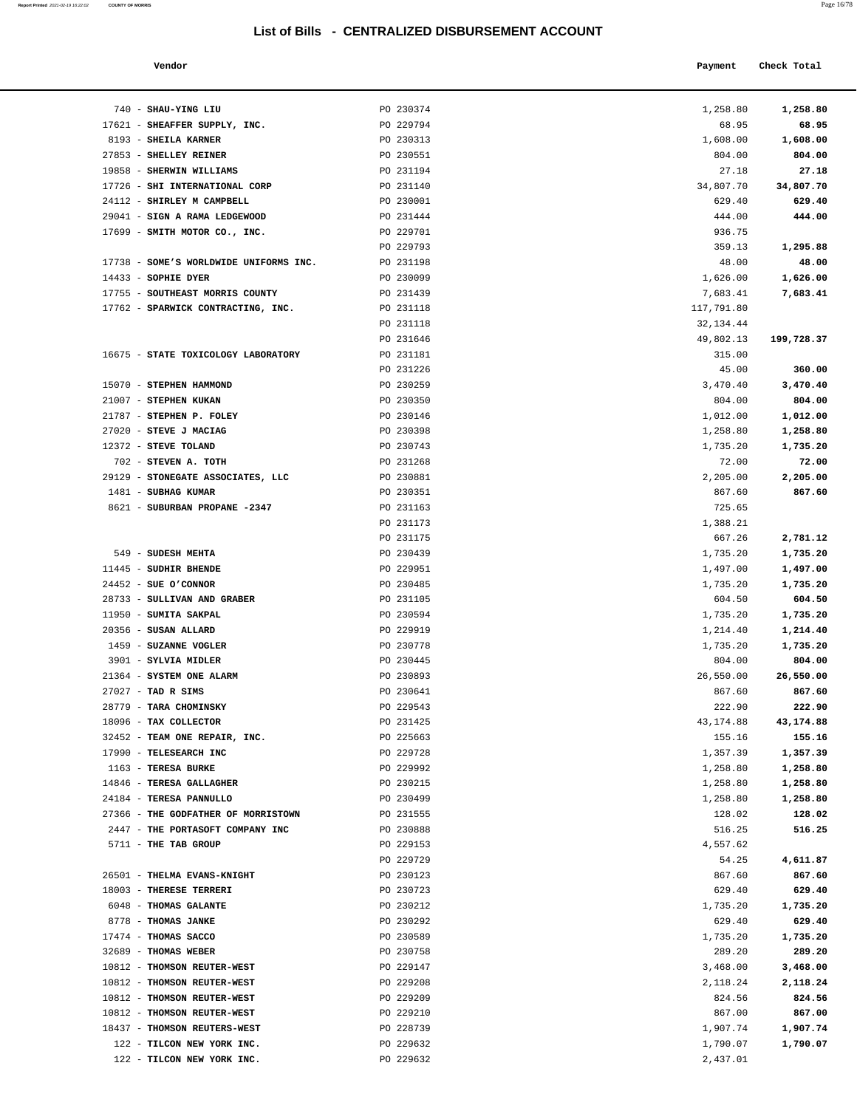**Report Printed 2021-02-19 16:22:02 COUNTY OF MORRIS** 

| a. | ۰<br>I<br>I |  |
|----|-------------|--|
|    |             |  |

| Ś                                 |                                                  |                      | Page 16/             |
|-----------------------------------|--------------------------------------------------|----------------------|----------------------|
|                                   | List of Bills - CENTRALIZED DISBURSEMENT ACCOUNT |                      |                      |
| Vendor                            |                                                  | Payment              | Check Total          |
| SHAU-YING LIU                     | PO 230374                                        | 1,258.80             | 1,258.80             |
| SHEAFFER SUPPLY, INC.             | PO 229794                                        | 68.95                | 68.95                |
| <b>SHEILA KARNER</b>              | PO 230313                                        | 1,608.00             | 1,608.00             |
| SHELLEY REINER                    | PO 230551                                        | 804.00               | 804.00               |
| SHERWIN WILLIAMS                  | PO 231194                                        | 27.18                | 27.18                |
| <b>SHI INTERNATIONAL CORP</b>     | PO 231140                                        | 34,807.70            | 34,807.70            |
| SHIRLEY M CAMPBELL                | PO 230001                                        | 629.40               | 629.40               |
| <b>SIGN A RAMA LEDGEWOOD</b>      | PO 231444                                        | 444.00               | 444.00               |
| SMITH MOTOR CO., INC.             | PO 229701                                        | 936.75               |                      |
|                                   | PO 229793                                        | 359.13               | 1,295.88             |
| SOME'S WORLDWIDE UNIFORMS INC.    | PO 231198                                        | 48.00                | 48.00                |
| SOPHIE DYER                       | PO 230099                                        | 1,626.00             | 1,626.00             |
| SOUTHEAST MORRIS COUNTY           | PO 231439                                        | 7,683.41             | 7,683.41             |
| SPARWICK CONTRACTING, INC.        | PO 231118                                        | 117,791.80           |                      |
|                                   | PO 231118                                        | 32, 134.44           |                      |
|                                   | PO 231646                                        | 49,802.13            | 199,728.37           |
| STATE TOXICOLOGY LABORATORY       | PO 231181                                        | 315.00               |                      |
|                                   | PO 231226                                        | 45.00                | 360.00               |
| <b>STEPHEN HAMMOND</b>            | PO 230259                                        | 3,470.40             | 3,470.40             |
| STEPHEN KUKAN                     | PO 230350                                        | 804.00               | 804.00               |
| STEPHEN P. FOLEY                  | PO 230146                                        | 1,012.00             | 1,012.00             |
| <b>STEVE J MACIAG</b>             | PO 230398                                        | 1,258.80             | 1,258.80             |
| <b>STEVE TOLAND</b>               | PO 230743                                        | 1,735.20             | 1,735.20             |
| STEVEN A. TOTH                    | PO 231268                                        | 72.00                | 72.00                |
| STONEGATE ASSOCIATES, LLC         | PO 230881                                        | 2,205.00             | 2,205.00             |
| <b>SUBHAG KUMAR</b>               | PO 230351                                        | 867.60               | 867.60               |
| <b>SUBURBAN PROPANE -2347</b>     | PO 231163                                        | 725.65               |                      |
|                                   | PO 231173                                        | 1,388.21             |                      |
|                                   | PO 231175                                        | 667.26               | 2,781.12             |
| <b>SUDESH MEHTA</b>               | PO 230439                                        | 1,735.20             | 1,735.20             |
| SUDHIR BHENDE                     | PO 229951                                        | 1,497.00             | 1,497.00             |
| SUE O'CONNOR                      | PO 230485                                        | 1,735.20             | 1,735.20             |
| SULLIVAN AND GRABER               | PO 231105                                        | 604.50               | 604.50               |
| SUMITA SAKPAL                     | PO 230594                                        | 1,735.20             | 1,735.20             |
| SUSAN ALLARD                      | PO 229919<br>PO 230778                           | 1,214.40             | 1,214.40             |
| <b>SUZANNE VOGLER</b>             |                                                  | 1,735.20             | 1,735.20             |
| SYLVIA MIDLER<br>SYSTEM ONE ALARM | PO 230445                                        | 804.00               | 804.00<br>26,550.00  |
| TAD R SIMS                        | PO 230893                                        | 26,550.00            |                      |
| <b>TARA CHOMINSKY</b>             | PO 230641                                        | 867.60<br>222.90     | 867.60<br>222.90     |
| TAX COLLECTOR                     | PO 229543<br>PO 231425                           | 43,174.88            | 43,174.88            |
| TEAM ONE REPAIR, INC.             | PO 225663                                        | 155.16               | 155.16               |
| <b>TELESEARCH INC</b>             | PO 229728                                        |                      |                      |
| <b>TERESA BURKE</b>               | PO 229992                                        | 1,357.39<br>1,258.80 | 1,357.39<br>1,258.80 |
| <b>TERESA GALLAGHER</b>           | PO 230215                                        | 1,258.80             | 1,258.80             |
| <b>TERESA PANNULLO</b>            | PO 230499                                        | 1,258.80             | 1,258.80             |
| THE GODFATHER OF MORRISTOWN       | PO 231555                                        | 128.02               | 128.02               |
| THE PORTASOFT COMPANY INC         | PO 230888                                        | 516.25               | 516.25               |
| THE TAB GROUP                     | PO 229153                                        | 4,557.62             |                      |
|                                   | PO 229729                                        | 54.25                | 4,611.87             |
| <b>THELMA EVANS-KNIGHT</b>        | PO 230123                                        | 867.60               | 867.60               |
|                                   |                                                  |                      |                      |

| 740 - SHAU-YING LIU                          | PO 230374              | 1,258.80           | 1,258.80           |
|----------------------------------------------|------------------------|--------------------|--------------------|
| 17621 - SHEAFFER SUPPLY, INC.                | PO 229794              | 68.95              | 68.95              |
| 8193 - SHEILA KARNER                         | PO 230313              | 1,608.00           | 1,608.00           |
| 27853 - SHELLEY REINER                       | PO 230551              | 804.00             | 804.00             |
| 19858 - SHERWIN WILLIAMS                     | PO 231194              | 27.18              | 27.18              |
| 17726 - SHI INTERNATIONAL CORP               | PO 231140              | 34,807.70          | 34,807.70          |
| 24112 - SHIRLEY M CAMPBELL                   | PO 230001              | 629.40             | 629.40             |
| 29041 - SIGN A RAMA LEDGEWOOD                | PO 231444              | 444.00             | 444.00             |
| 17699 - SMITH MOTOR CO., INC.                | PO 229701              | 936.75             |                    |
|                                              | PO 229793              | 359.13             | 1,295.88           |
| 17738 - SOME'S WORLDWIDE UNIFORMS INC.       | PO 231198              | 48.00              | 48.00              |
| 14433 - SOPHIE DYER                          | PO 230099              | 1,626.00           | 1,626.00           |
| 17755 - SOUTHEAST MORRIS COUNTY              | PO 231439              | 7,683.41           | 7,683.41           |
| 17762 - SPARWICK CONTRACTING, INC.           | PO 231118              | 117,791.80         |                    |
|                                              | PO 231118              | 32, 134.44         |                    |
|                                              | PO 231646              | 49,802.13          | 199,728.37         |
| 16675 - STATE TOXICOLOGY LABORATORY          | PO 231181              | 315.00             |                    |
|                                              | PO 231226              | 45.00              | 360.00             |
| 15070 - STEPHEN HAMMOND                      | PO 230259              | 3,470.40           | 3,470.40           |
| 21007 - STEPHEN KUKAN                        | PO 230350              | 804.00             | 804.00             |
| 21787 - STEPHEN P. FOLEY                     | PO 230146              | 1,012.00           | 1,012.00           |
| 27020 - STEVE J MACIAG                       | PO 230398              | 1,258.80           | 1,258.80           |
| 12372 - STEVE TOLAND<br>702 - STEVEN A. TOTH | PO 230743<br>PO 231268 | 1,735.20<br>72.00  | 1,735.20<br>72.00  |
| 29129 - STONEGATE ASSOCIATES, LLC            | PO 230881              | 2,205.00           | 2,205.00           |
| 1481 - SUBHAG KUMAR                          | PO 230351              | 867.60             | 867.60             |
| 8621 - SUBURBAN PROPANE -2347                | PO 231163              | 725.65             |                    |
|                                              | PO 231173              | 1,388.21           |                    |
|                                              | PO 231175              | 667.26             | 2,781.12           |
| 549 - SUDESH MEHTA                           | PO 230439              | 1,735.20           | 1,735.20           |
| 11445 - SUDHIR BHENDE                        | PO 229951              | 1,497.00           | 1,497.00           |
| $24452$ - SUE O'CONNOR                       | PO 230485              | 1,735.20           | 1,735.20           |
| 28733 - SULLIVAN AND GRABER                  | PO 231105              | 604.50             | 604.50             |
| 11950 - SUMITA SAKPAL                        | PO 230594              | 1,735.20           | 1,735.20           |
| 20356 - SUSAN ALLARD                         | PO 229919              | 1,214.40           | 1,214.40           |
| 1459 - SUZANNE VOGLER                        | PO 230778              | 1,735.20           | 1,735.20           |
| 3901 - SYLVIA MIDLER                         | PO 230445              | 804.00             | 804.00             |
| 21364 - SYSTEM ONE ALARM                     | PO 230893              | 26,550.00          | 26,550.00          |
| $27027$ - TAD R SIMS                         | PO 230641              | 867.60             | 867.60             |
| 28779 - TARA CHOMINSKY                       | PO 229543              | 222.90             | 222.90             |
| 18096 - TAX COLLECTOR                        | PO 231425              | 43,174.88          | 43,174.88          |
| 32452 - TEAM ONE REPAIR, INC.                | PO 225663              | 155.16             | 155.16             |
| 17990 - TELESEARCH INC                       | PO 229728              | 1,357.39           | 1,357.39           |
| 1163 - TERESA BURKE                          | PO 229992              | 1,258.80           | 1,258.80           |
| 14846 - TERESA GALLAGHER                     | PO 230215              | 1,258.80           | 1,258.80           |
| 24184 - TERESA PANNULLO                      | PO 230499              | 1,258.80           | 1,258.80           |
| 27366 - THE GODFATHER OF MORRISTOWN          | PO 231555              | 128.02             | 128.02             |
| 2447 - THE PORTASOFT COMPANY INC             | PO 230888              | 516.25             | 516.25             |
| 5711 - THE TAB GROUP                         | PO 229153              | 4,557.62           |                    |
|                                              | PO 229729              | 54.25              | 4,611.87           |
| 26501 - THELMA EVANS-KNIGHT                  | PO 230123              | 867.60             | 867.60             |
| 18003 - THERESE TERRERI                      | PO 230723              | 629.40             | 629.40             |
| 6048 - THOMAS GALANTE                        | PO 230212              | 1,735.20           | 1,735.20           |
| 8778 - THOMAS JANKE                          | PO 230292              | 629.40             | 629.40             |
| 17474 - THOMAS SACCO<br>32689 - THOMAS WEBER | PO 230589<br>PO 230758 | 1,735.20<br>289.20 | 1,735.20<br>289.20 |
| 10812 - THOMSON REUTER-WEST                  | PO 229147              | 3,468.00           | 3,468.00           |
| 10812 - THOMSON REUTER-WEST                  | PO 229208              | 2,118.24           | 2,118.24           |
| 10812 - THOMSON REUTER-WEST                  | PO 229209              | 824.56             | 824.56             |
| 10812 - THOMSON REUTER-WEST                  | PO 229210              | 867.00             | 867.00             |
| 18437 - THOMSON REUTERS-WEST                 | PO 228739              | 1,907.74           | 1,907.74           |
| 122 - TILCON NEW YORK INC.                   | PO 229632              | 1,790.07           | 1,790.07           |
| 122 - TILCON NEW YORK INC.                   | PO 229632              | 2,437.01           |                    |
|                                              |                        |                    |                    |
|                                              |                        |                    |                    |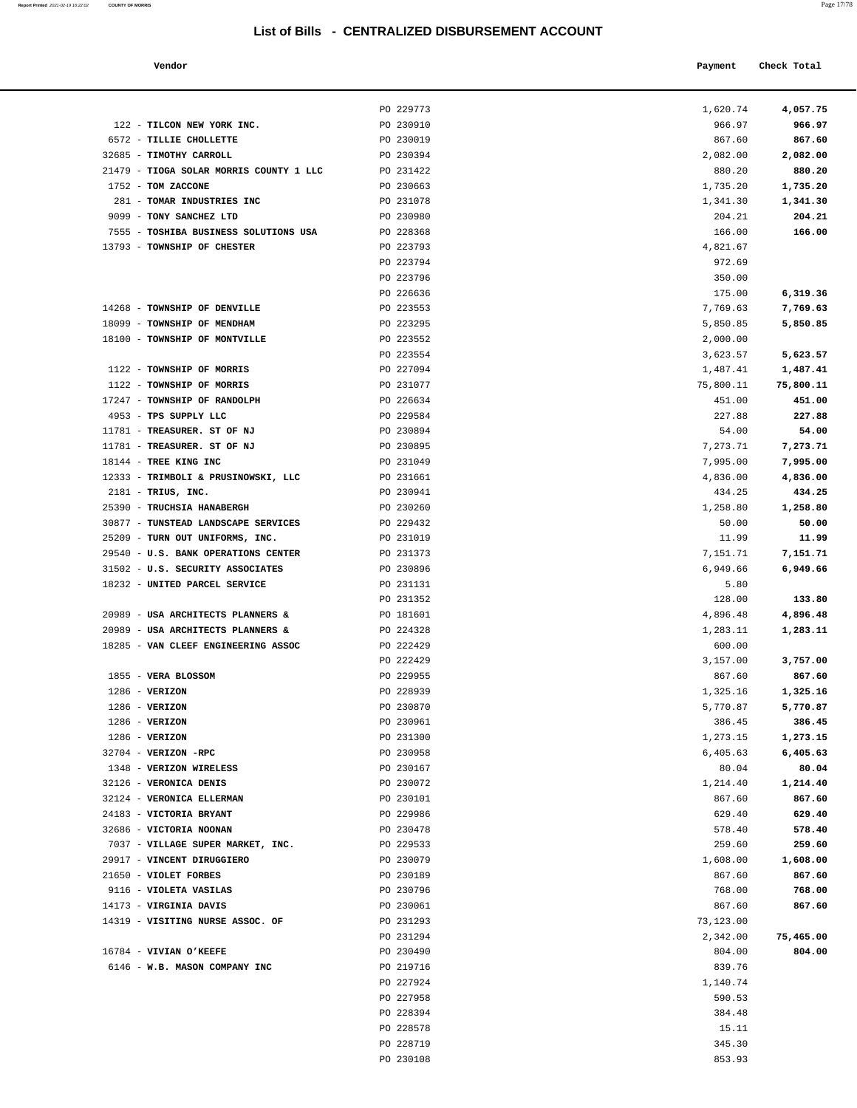122 - **TILCON NEW YORK INC.** PO 230910 6572 - **TILLIE CHOLLETTE** PO 230019

**Report Printed** 2021-02-19 16:22:02 **COUNTY OF MORRIS** 

|  | ۰ |
|--|---|
|--|---|

|                                 | List of Bills - CENTRALIZED DISBURSEMENT ACCOUNT |           |             |  |
|---------------------------------|--------------------------------------------------|-----------|-------------|--|
| Vendor                          |                                                  | Payment   | Check Total |  |
|                                 | PO 229773                                        | 1,620.74  | 4,057.75    |  |
| TILCON NEW YORK INC.            | PO 230910                                        | 966.97    | 966.97      |  |
| TILLIE CHOLLETTE                | PO 230019                                        | 867.60    | 867.60      |  |
| <b>TIMOTHY CARROLL</b>          | PO 230394                                        | 2,082.00  | 2,082.00    |  |
| TIOGA SOLAR MORRIS COUNTY 1 LLC | PO 231422                                        | 880.20    | 880.20      |  |
| TOM ZACCONE                     | PO 230663                                        | 1,735.20  | 1,735.20    |  |
| TOMAR INDUSTRIES INC            | PO 231078                                        | 1,341.30  | 1,341.30    |  |
| <b>TONY SANCHEZ LTD</b>         | PO 230980                                        | 204.21    | 204.21      |  |
| TOSHIBA BUSINESS SOLUTIONS USA  | PO 228368                                        | 166.00    | 166.00      |  |
| <b>TOWNSHIP OF CHESTER</b>      | PO 223793                                        | 4,821.67  |             |  |
|                                 | PO 223794                                        | 972.69    |             |  |
|                                 | PO 223796                                        | 350.00    |             |  |
|                                 | PO 226636                                        | 175.00    | 6,319.36    |  |
| <b>TOWNSHIP OF DENVILLE</b>     | PO 223553                                        | 7,769.63  | 7,769.63    |  |
| TOWNSHIP OF MENDHAM             | PO 223295                                        | 5,850.85  | 5,850.85    |  |
| <b>TOWNSHIP OF MONTVILLE</b>    | PO 223552                                        | 2,000.00  |             |  |
|                                 | PO 223554                                        | 3,623.57  | 5,623.57    |  |
| <b>TOWNSHIP OF MORRIS</b>       | PO 227094                                        | 1,487.41  | 1,487.41    |  |
| <b>TOWNSHIP OF MORRIS</b>       | PO 231077                                        | 75,800.11 | 75,800.11   |  |
| TOWNSHIP OF RANDOLPH            | PO 226634                                        | 451.00    | 451.00      |  |
| TPS SUPPLY LLC                  | PO 229584                                        | 227.88    | 227.88      |  |
| TREASURER. ST OF NJ             | PO 230894                                        | 54.00     | 54.00       |  |
| <b>TREASURER. ST OF NJ</b>      | PO 230895                                        | 7,273.71  | 7,273.71    |  |
| TREE KING INC                   | PO 231049                                        | 7,995.00  | 7,995.00    |  |
|                                 |                                                  |           |             |  |

PO 228719 345.30 PO 230108 853.93

| 32685 - TIMOTHY CARROLL                 | PO 230394 | 2,082.00  | 2,082.00  |
|-----------------------------------------|-----------|-----------|-----------|
| 21479 - TIOGA SOLAR MORRIS COUNTY 1 LLC | PO 231422 | 880.20    | 880.20    |
| 1752 - TOM ZACCONE                      | PO 230663 | 1,735.20  | 1,735.20  |
| 281 - TOMAR INDUSTRIES INC              | PO 231078 | 1,341.30  | 1,341.30  |
| 9099 - TONY SANCHEZ LTD                 | PO 230980 | 204.21    | 204.21    |
| 7555 - TOSHIBA BUSINESS SOLUTIONS USA   | PO 228368 | 166.00    | 166.00    |
| 13793 - TOWNSHIP OF CHESTER             | PO 223793 | 4,821.67  |           |
|                                         | PO 223794 | 972.69    |           |
|                                         | PO 223796 | 350.00    |           |
|                                         | PO 226636 | 175.00    | 6,319.36  |
| 14268 - TOWNSHIP OF DENVILLE            | PO 223553 | 7,769.63  | 7,769.63  |
| 18099 - TOWNSHIP OF MENDHAM             | PO 223295 | 5,850.85  | 5,850.85  |
| 18100 - TOWNSHIP OF MONTVILLE           | PO 223552 | 2,000.00  |           |
|                                         | PO 223554 | 3,623.57  | 5,623.57  |
| 1122 - TOWNSHIP OF MORRIS               | PO 227094 | 1,487.41  | 1,487.41  |
| 1122 - TOWNSHIP OF MORRIS               | PO 231077 | 75,800.11 | 75,800.11 |
| 17247 - TOWNSHIP OF RANDOLPH            | PO 226634 | 451.00    | 451.00    |
| 4953 - TPS SUPPLY LLC                   | PO 229584 | 227.88    | 227.88    |
| 11781 - TREASURER. ST OF NJ             | PO 230894 | 54.00     | 54.00     |
| 11781 - TREASURER. ST OF NJ             | PO 230895 | 7,273.71  | 7,273.71  |
| 18144 - TREE KING INC                   | PO 231049 | 7,995.00  | 7,995.00  |
| 12333 - TRIMBOLI & PRUSINOWSKI, LLC     | PO 231661 | 4,836.00  | 4,836.00  |
| $2181$ - TRIUS, INC.                    | PO 230941 | 434.25    | 434.25    |
| 25390 - TRUCHSIA HANABERGH              | PO 230260 | 1,258.80  | 1,258.80  |
| 30877 - TUNSTEAD LANDSCAPE SERVICES     | PO 229432 | 50.00     | 50.00     |
| 25209 - TURN OUT UNIFORMS, INC.         | PO 231019 | 11.99     | 11.99     |
| 29540 - U.S. BANK OPERATIONS CENTER     | PO 231373 | 7,151.71  | 7,151.71  |
| 31502 - U.S. SECURITY ASSOCIATES        | PO 230896 | 6,949.66  | 6,949.66  |
| 18232 - UNITED PARCEL SERVICE           | PO 231131 | 5.80      |           |
|                                         | PO 231352 | 128.00    | 133.80    |
| 20989 - USA ARCHITECTS PLANNERS &       | PO 181601 | 4,896.48  | 4,896.48  |
| 20989 - USA ARCHITECTS PLANNERS &       | PO 224328 | 1,283.11  | 1,283.11  |
| 18285 - VAN CLEEF ENGINEERING ASSOC     | PO 222429 | 600.00    |           |
|                                         | PO 222429 | 3,157.00  | 3,757.00  |
| 1855 - VERA BLOSSOM                     | PO 229955 | 867.60    | 867.60    |
| $1286$ - VERIZON                        | PO 228939 | 1,325.16  | 1,325.16  |
| $1286$ - VERIZON                        | PO 230870 | 5,770.87  | 5,770.87  |
| $1286$ - VERIZON                        | PO 230961 | 386.45    | 386.45    |
| $1286$ - VERIZON                        | PO 231300 | 1,273.15  | 1,273.15  |
| 32704 - VERIZON -RPC                    | PO 230958 | 6,405.63  | 6,405.63  |
| 1348 - VERIZON WIRELESS                 | PO 230167 | 80.04     | 80.04     |
| 32126 - VERONICA DENIS                  | PO 230072 | 1,214.40  | 1,214.40  |
| 32124 - VERONICA ELLERMAN               | PO 230101 | 867.60    | 867.60    |
| 24183 - VICTORIA BRYANT                 | PO 229986 | 629.40    | 629.40    |
| 32686 - VICTORIA NOONAN                 | PO 230478 | 578.40    | 578.40    |
| 7037 - VILLAGE SUPER MARKET, INC.       | PO 229533 | 259.60    | 259.60    |
| 29917 - VINCENT DIRUGGIERO              | PO 230079 | 1,608.00  | 1,608.00  |
| 21650 - VIOLET FORBES                   | PO 230189 | 867.60    | 867.60    |
| 9116 - VIOLETA VASILAS                  | PO 230796 | 768.00    | 768.00    |
| 14173 - VIRGINIA DAVIS                  | PO 230061 | 867.60    | 867.60    |
| 14319 - VISITING NURSE ASSOC. OF        | PO 231293 | 73,123.00 |           |
|                                         | PO 231294 | 2,342.00  | 75,465.00 |
| 16784 - VIVIAN O'KEEFE                  | PO 230490 | 804.00    | 804.00    |
| 6146 - W.B. MASON COMPANY INC           | PO 219716 | 839.76    |           |
|                                         | PO 227924 | 1,140.74  |           |
|                                         | PO 227958 | 590.53    |           |
|                                         | PO 228394 | 384.48    |           |
|                                         | PO 228578 | 15.11     |           |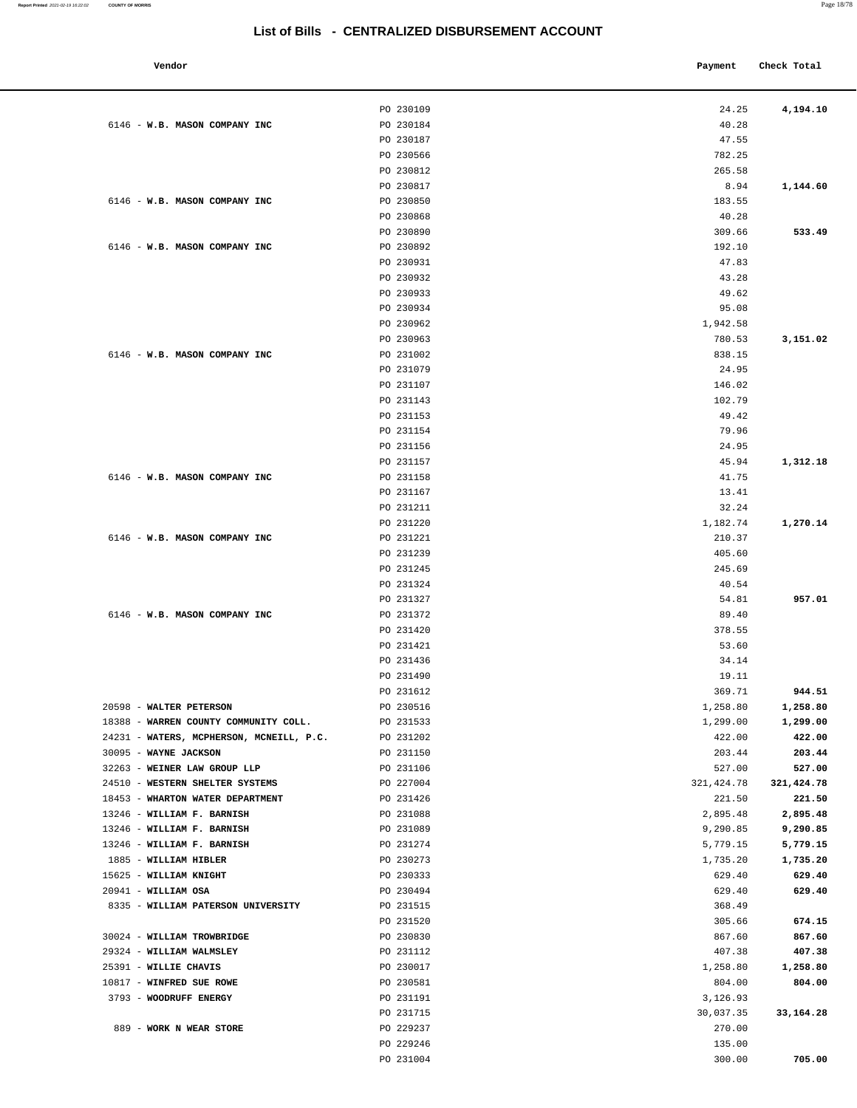**Vendor Payment** Check Total **Payment** Check Total **Payment** PO 230109 24.25 **4,194.10** 6146 - **W.B. MASON COMPANY INC** PO 230184 40.28 PO 230187 47.55 PO 230566 782.25 PO 230812 265.58 PO 230817 8.94 **1,144.60** 6146 - **W.B. MASON COMPANY INC** PO 230850 **183.55** PO 230868 40.28 PO 230890 **533.49** 309.66 **533.49**  6146 - **W.B. MASON COMPANY INC** PO 230892 192.10 PO 230931 47.83 PO 230932 43.28 PO 230933 49.62 PO 230934 95.08 PO 230962 1,942.58 PO 230963 780.53 **3,151.02** 6146 - **W.B. MASON COMPANY INC** PO 231002 838.15 PO 231079 24.95 PO 231107 146.02 PO 231143 102.79 PO 231153 49.42 PO 231154 79.96 PO 231156 24.95 PO 231157 45.94 **1,312.18** 6146 - **W.B. MASON COMPANY INC** PO 231158 41.75 PO 231167 13.41 PO 231211 32.24 PO 231220 1,182.74 **1,270.14**  6146 - **W.B. MASON COMPANY INC** PO 231221 210.37 PO 231239 405.60 PO 231245 245.69 PO 231324 40.54 PO 231327 54.81 957.01 6146 - **W.B. MASON COMPANY INC** PO 231372 89.40 PO 231420 378.55 PO 231421 53.60 PO 231436 34.14 PO 231490 19.11 PO 231612 **944.51**  20598 - **WALTER PETERSON** PO 230516 1,258.80 **1,258.80** 18388 - **WARREN COUNTY COMMUNITY COLL.** PO 231533 1,299.00 **1,299.00** 24231 - **WATERS, MCPHERSON, MCNEILL, P.C.** PO 231202 422.00 **422.00** 30095 - **WAYNE JACKSON** PO 231150 203.44 **203.44** 32263 - **WEINER LAW GROUP LLP** PO 231106 527.00 **527.00** 24510 - **WESTERN SHELTER SYSTEMS** PO 227004 321,424.78 **321,424.78** 18453 - **WHARTON WATER DEPARTMENT** PO 231426 221.50 **221.50** 13246 - **WILLIAM F. BARNISH** PO 231088 2,895.48 **2,895.48** 13246 - **WILLIAM F. BARNISH** PO 231089 9,290.85 **9,290.85** 13246 - **WILLIAM F. BARNISH** PO 231274 5,779.15 **5,779.15** 1885 - **WILLIAM HIBLER** PO 230273 1,735.20 **1,735.20** 15625 - **WILLIAM KNIGHT** PO 230333 629.40 **629.40** 20941 - **WILLIAM OSA** PO 230494 629.40 **629.40** 8335 - **WILLIAM PATERSON UNIVERSITY** PO 231515 368.49 PO 231520 674.15 30024 - **WILLIAM TROWBRIDGE** PO 230830 867.60 **867.60** 29324 - **WILLIAM WALMSLEY** PO 231112 407.38 **407.38** 25391 - **WILLIE CHAVIS** PO 230017 1,258.80 **1,258.80** 10817 - **WINFRED SUE ROWE** PO 230581 804.00 **804.00** 3793 - **WOODRUFF ENERGY PO 231191 PO 231191 PO 231191** 3,126.93 PO 231715 30,037.35 **33,164.28** 889 - **WORK N WEAR STORE** PO 229237 270.00 PO 229246 135.00 PO 231004 300.00 **705.00**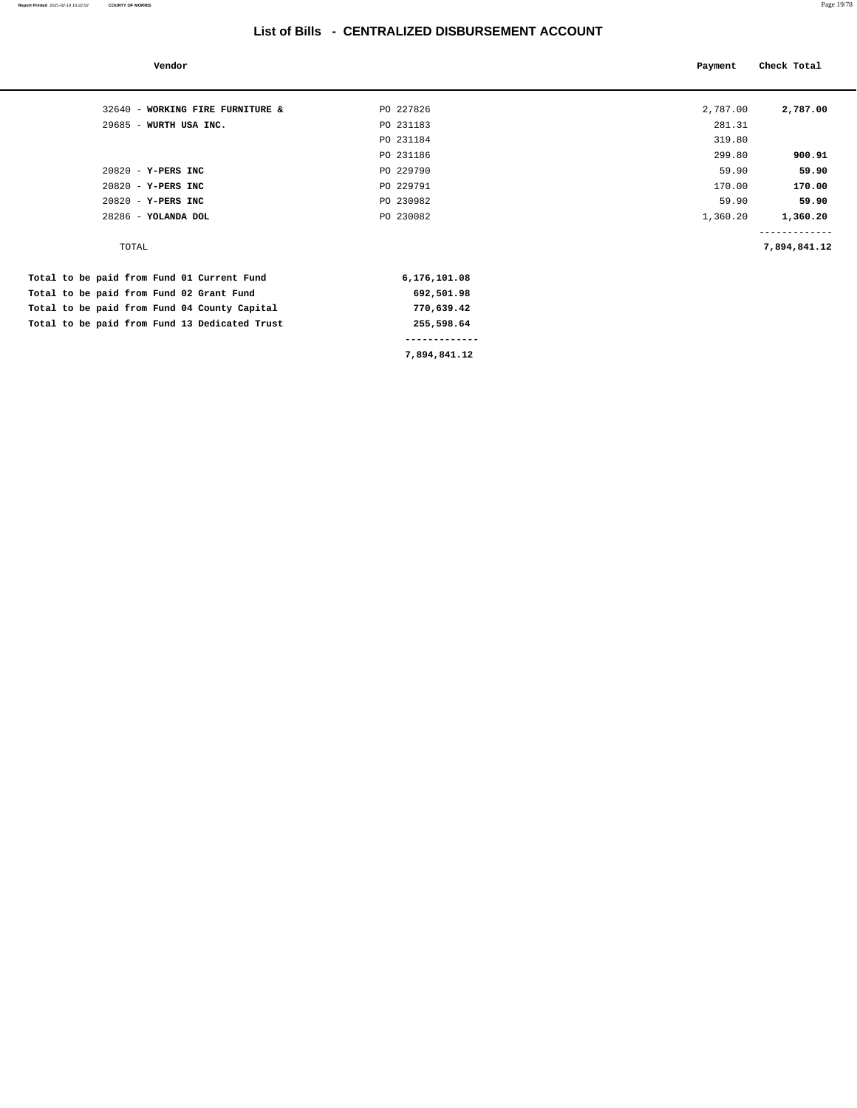| Vendor                                        |               | Payment  | Check Total  |
|-----------------------------------------------|---------------|----------|--------------|
| 32640 - WORKING FIRE FURNITURE &              | PO 227826     | 2,787.00 | 2,787.00     |
| 29685 - WURTH USA INC.                        | PO 231183     | 281.31   |              |
|                                               | PO 231184     | 319.80   |              |
|                                               | PO 231186     | 299.80   | 900.91       |
| $20820 - Y - PERS$ INC                        | PO 229790     | 59.90    | 59.90        |
| 20820 - Y-PERS INC                            | PO 229791     | 170.00   | 170.00       |
| 20820 - Y-PERS INC                            | PO 230982     | 59.90    | 59.90        |
| 28286 - YOLANDA DOL                           | PO 230082     | 1,360.20 | 1,360.20     |
| TOTAL                                         |               |          | 7,894,841.12 |
| Total to be paid from Fund 01 Current Fund    | 6,176,101.08  |          |              |
| Total to be paid from Fund 02 Grant Fund      | 692,501.98    |          |              |
| Total to be paid from Fund 04 County Capital  | 770,639.42    |          |              |
| Total to be paid from Fund 13 Dedicated Trust | 255,598.64    |          |              |
|                                               | ------------- |          |              |

**7,894,841.12**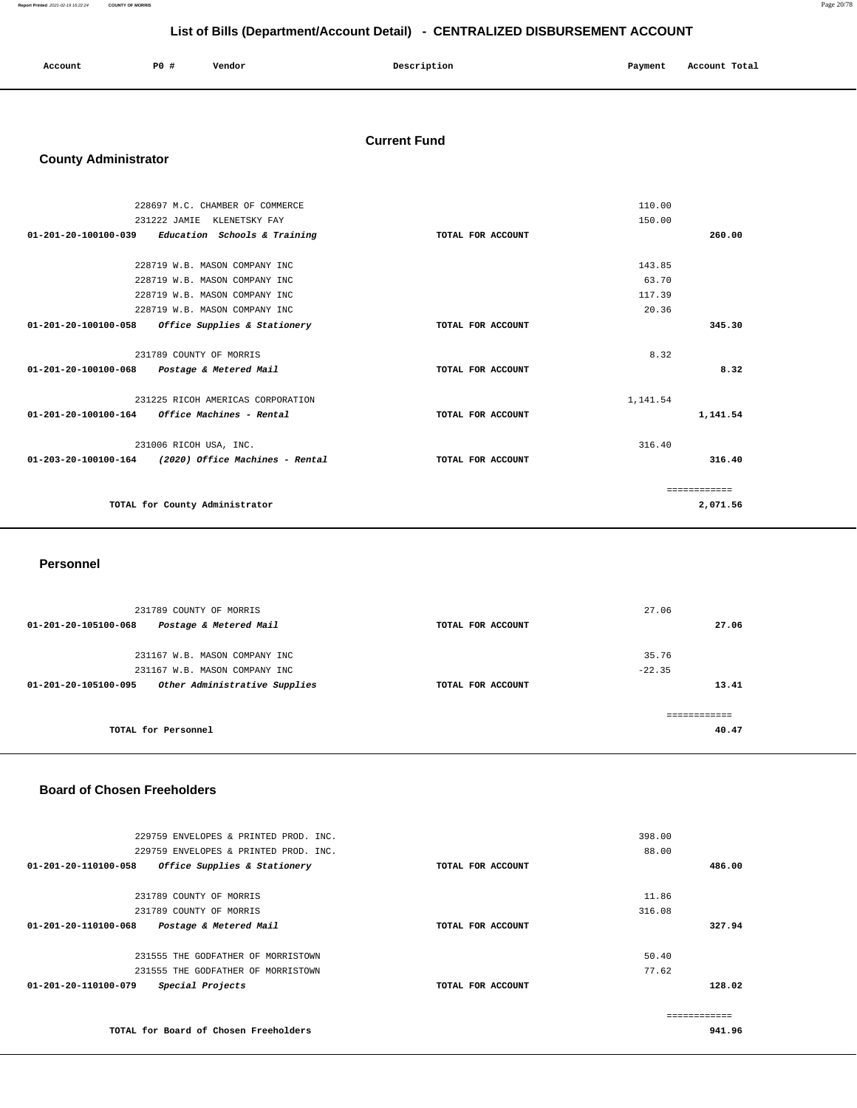| Account | PO# | Vendor | Description | Payment | Account Total |
|---------|-----|--------|-------------|---------|---------------|
|         |     |        |             |         |               |

### **Current Fund**

## **County Administrator**

| 228697 M.C. CHAMBER OF COMMERCE                                |                   | 110.00   |              |
|----------------------------------------------------------------|-------------------|----------|--------------|
| 231222 JAMIE KLENETSKY FAY                                     |                   | 150.00   |              |
| 01-201-20-100100-039<br>Education Schools & Training           | TOTAL FOR ACCOUNT |          | 260.00       |
|                                                                |                   |          |              |
| 228719 W.B. MASON COMPANY INC                                  |                   | 143.85   |              |
| 228719 W.B. MASON COMPANY INC                                  |                   | 63.70    |              |
| 228719 W.B. MASON COMPANY INC                                  |                   | 117.39   |              |
| 228719 W.B. MASON COMPANY INC                                  |                   | 20.36    |              |
| $01 - 201 - 20 - 100100 - 058$<br>Office Supplies & Stationery | TOTAL FOR ACCOUNT |          | 345.30       |
|                                                                |                   |          |              |
| 231789 COUNTY OF MORRIS                                        |                   | 8.32     |              |
| $01 - 201 - 20 - 100100 - 068$<br>Postage & Metered Mail       | TOTAL FOR ACCOUNT |          | 8.32         |
|                                                                |                   |          |              |
| 231225 RICOH AMERICAS CORPORATION                              |                   | 1,141.54 |              |
| Office Machines - Rental<br>01-201-20-100100-164               | TOTAL FOR ACCOUNT |          | 1,141.54     |
|                                                                |                   |          |              |
| 231006 RICOH USA, INC.                                         |                   | 316.40   |              |
| 01-203-20-100100-164 (2020) Office Machines - Rental           | TOTAL FOR ACCOUNT |          | 316.40       |
|                                                                |                   |          |              |
|                                                                |                   |          | ============ |
| TOTAL for County Administrator                                 |                   |          | 2,071.56     |
|                                                                |                   |          |              |

#### **Personnel**

| 231789 COUNTY OF MORRIS<br>01-201-20-105100-068<br>Postage & Metered Mail | TOTAL FOR ACCOUNT | 27.06    | 27.06 |
|---------------------------------------------------------------------------|-------------------|----------|-------|
| 231167 W.B. MASON COMPANY INC                                             |                   | 35.76    |       |
| 231167 W.B. MASON COMPANY INC                                             |                   | $-22.35$ |       |
| Other Administrative Supplies<br>01-201-20-105100-095                     | TOTAL FOR ACCOUNT |          | 13.41 |
| TOTAL for Personnel                                                       |                   |          | 40.47 |

#### **Board of Chosen Freeholders**

| 229759 ENVELOPES & PRINTED PROD. INC.                    | 398.00            |        |
|----------------------------------------------------------|-------------------|--------|
| 229759 ENVELOPES & PRINTED PROD. INC.                    | 88.00             |        |
| 01-201-20-110100-058<br>Office Supplies & Stationery     | TOTAL FOR ACCOUNT | 486.00 |
| 231789 COUNTY OF MORRIS                                  | 11.86             |        |
| 231789 COUNTY OF MORRIS                                  | 316.08            |        |
| $01 - 201 - 20 - 110100 - 068$<br>Postage & Metered Mail | TOTAL FOR ACCOUNT | 327.94 |
| 231555 THE GODFATHER OF MORRISTOWN                       | 50.40             |        |
| 231555 THE GODFATHER OF MORRISTOWN                       | 77.62             |        |
| 01-201-20-110100-079<br>Special Projects                 | TOTAL FOR ACCOUNT | 128.02 |
|                                                          |                   |        |
| TOTAL for Board of Chosen Freeholders                    |                   | 941.96 |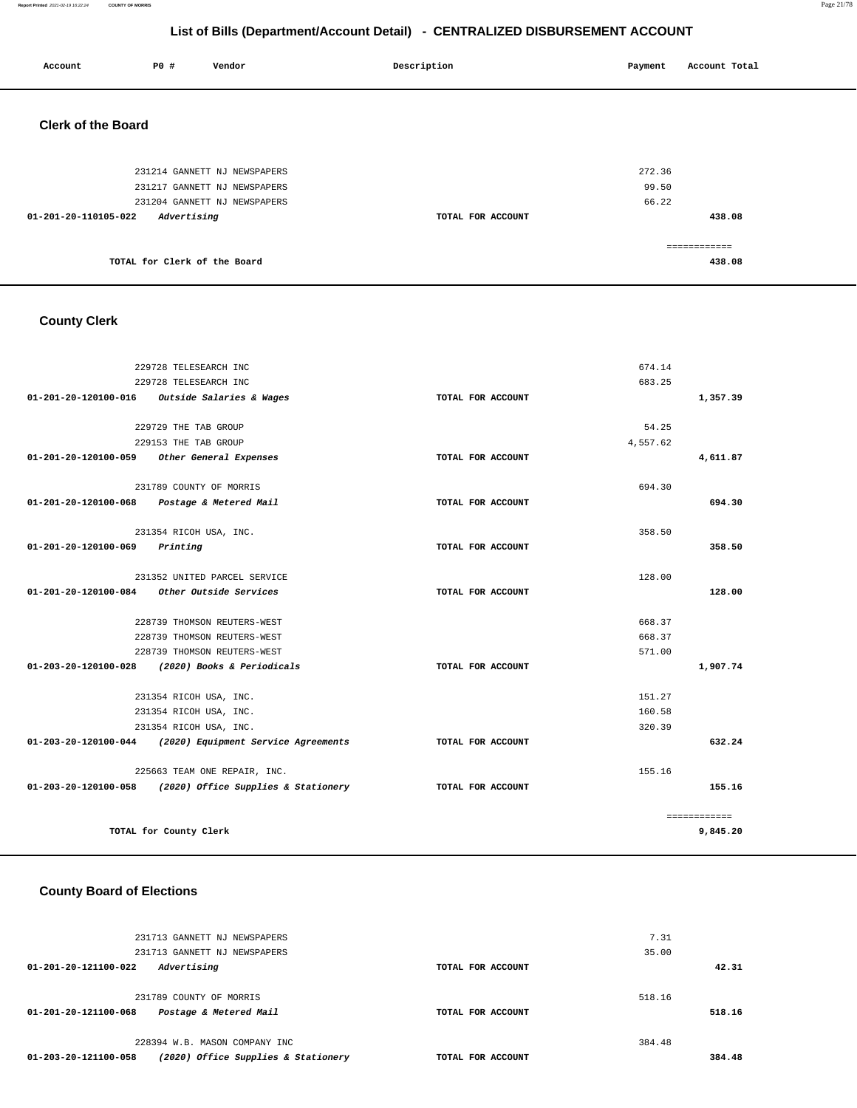#### **Report Printed** 2021-02-19 16:22:24 **COUNTY OF MORRIS** Page 21/78

## **List of Bills (Department/Account Detail) - CENTRALIZED DISBURSEMENT ACCOUNT**

| Account                   | P0 # |             | Vendor                       | Description |                   | Payment | Account Total |
|---------------------------|------|-------------|------------------------------|-------------|-------------------|---------|---------------|
| <b>Clerk of the Board</b> |      |             |                              |             |                   |         |               |
|                           |      |             | 231214 GANNETT NJ NEWSPAPERS |             |                   | 272.36  |               |
|                           |      |             | 231217 GANNETT NJ NEWSPAPERS |             |                   | 99.50   |               |
|                           |      |             | 231204 GANNETT NJ NEWSPAPERS |             |                   | 66.22   |               |
| 01-201-20-110105-022      |      | Advertising |                              |             | TOTAL FOR ACCOUNT |         | 438.08        |
|                           |      |             |                              |             |                   |         | ------------  |
|                           |      |             | TOTAL for Clerk of the Board |             |                   |         | 438.08        |

## **County Clerk**

|                                         | 229728 TELESEARCH INC                                    |                   | 674.14   |              |
|-----------------------------------------|----------------------------------------------------------|-------------------|----------|--------------|
|                                         | 229728 TELESEARCH INC                                    |                   | 683.25   |              |
|                                         | 01-201-20-120100-016 Outside Salaries & Wages            | TOTAL FOR ACCOUNT |          | 1,357.39     |
|                                         |                                                          |                   |          |              |
|                                         | 229729 THE TAB GROUP                                     |                   | 54.25    |              |
|                                         | 229153 THE TAB GROUP                                     |                   | 4.557.62 |              |
|                                         | 01-201-20-120100-059 Other General Expenses              | TOTAL FOR ACCOUNT |          | 4,611.87     |
|                                         | 231789 COUNTY OF MORRIS                                  |                   | 694.30   |              |
|                                         | 01-201-20-120100-068 Postage & Metered Mail              | TOTAL FOR ACCOUNT |          | 694.30       |
|                                         |                                                          |                   |          |              |
|                                         | 231354 RICOH USA, INC.                                   |                   | 358.50   |              |
| $01 - 201 - 20 - 120100 - 069$ Printing |                                                          | TOTAL FOR ACCOUNT |          | 358.50       |
|                                         |                                                          |                   |          |              |
|                                         | 231352 UNITED PARCEL SERVICE                             |                   | 128.00   |              |
|                                         | 01-201-20-120100-084 Other Outside Services              | TOTAL FOR ACCOUNT |          | 128.00       |
|                                         | 228739 THOMSON REUTERS-WEST                              |                   | 668.37   |              |
|                                         | 228739 THOMSON REUTERS-WEST                              |                   | 668.37   |              |
|                                         | 228739 THOMSON REUTERS-WEST                              |                   | 571.00   |              |
|                                         | 01-203-20-120100-028 (2020) Books & Periodicals          | TOTAL FOR ACCOUNT |          | 1,907.74     |
|                                         |                                                          |                   |          |              |
|                                         | 231354 RICOH USA, INC.                                   |                   | 151.27   |              |
|                                         | 231354 RICOH USA, INC.                                   |                   | 160.58   |              |
|                                         | 231354 RICOH USA, INC.                                   |                   | 320.39   |              |
|                                         | 01-203-20-120100-044 (2020) Equipment Service Agreements | TOTAL FOR ACCOUNT |          | 632.24       |
|                                         | 225663 TEAM ONE REPAIR, INC.                             |                   | 155.16   |              |
|                                         | 01-203-20-120100-058 (2020) Office Supplies & Stationery | TOTAL FOR ACCOUNT |          | 155.16       |
|                                         |                                                          |                   |          |              |
|                                         |                                                          |                   |          | ------------ |
|                                         | TOTAL for County Clerk                                   |                   |          | 9,845.20     |

## **County Board of Elections**

|        | 7.31   |                   | 231713 GANNETT NJ NEWSPAPERS        |                                |
|--------|--------|-------------------|-------------------------------------|--------------------------------|
|        | 35.00  |                   | 231713 GANNETT NJ NEWSPAPERS        |                                |
| 42.31  |        | TOTAL FOR ACCOUNT | Advertising                         | $01 - 201 - 20 - 121100 - 022$ |
|        | 518.16 |                   | 231789 COUNTY OF MORRIS             |                                |
| 518.16 |        | TOTAL FOR ACCOUNT | Postage & Metered Mail              | $01 - 201 - 20 - 121100 - 068$ |
|        | 384.48 |                   | 228394 W.B. MASON COMPANY INC       |                                |
| 384.48 |        | TOTAL FOR ACCOUNT | (2020) Office Supplies & Stationery | 01-203-20-121100-058           |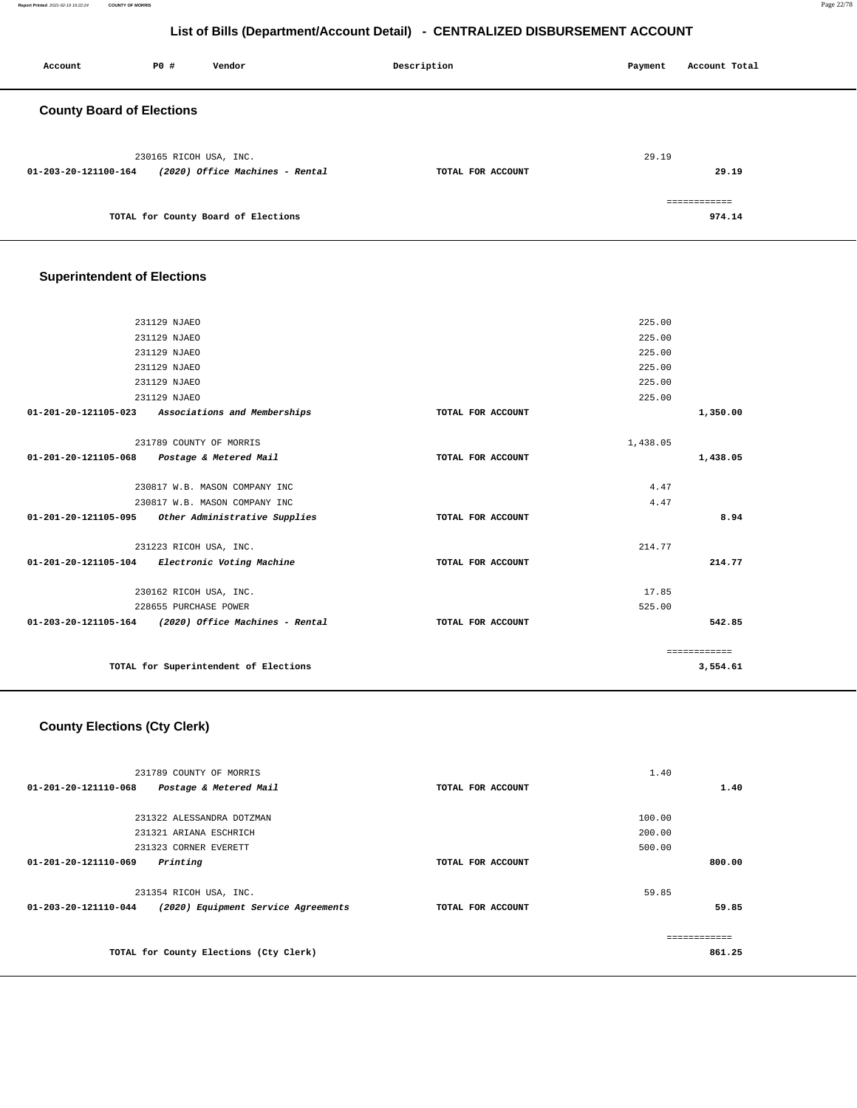| Account                          | P0 #                   | Vendor                              | Description       | Payment | Account Total          |
|----------------------------------|------------------------|-------------------------------------|-------------------|---------|------------------------|
| <b>County Board of Elections</b> |                        |                                     |                   |         |                        |
| 01-203-20-121100-164             | 230165 RICOH USA, INC. | (2020) Office Machines - Rental     | TOTAL FOR ACCOUNT | 29.19   | 29.19                  |
|                                  |                        | TOTAL for County Board of Elections |                   |         | ============<br>974.14 |

## **Superintendent of Elections**

|                      | 231129 NJAEO                                         |                   | 225.00   |              |
|----------------------|------------------------------------------------------|-------------------|----------|--------------|
|                      | 231129 NJAEO                                         |                   | 225.00   |              |
|                      | 231129 NJAEO                                         |                   | 225.00   |              |
|                      | 231129 NJAEO                                         |                   | 225.00   |              |
|                      | 231129 NJAEO                                         |                   | 225.00   |              |
|                      | 231129 NJAEO                                         |                   | 225.00   |              |
|                      | 01-201-20-121105-023 Associations and Memberships    | TOTAL FOR ACCOUNT |          | 1,350.00     |
|                      | 231789 COUNTY OF MORRIS                              |                   | 1,438.05 |              |
|                      | 01-201-20-121105-068 Postage & Metered Mail          | TOTAL FOR ACCOUNT |          | 1,438.05     |
|                      | 230817 W.B. MASON COMPANY INC                        |                   | 4.47     |              |
|                      | 230817 W.B. MASON COMPANY INC                        |                   | 4.47     |              |
| 01-201-20-121105-095 | Other Administrative Supplies                        | TOTAL FOR ACCOUNT |          | 8.94         |
|                      | 231223 RICOH USA, INC.                               |                   | 214.77   |              |
|                      | 01-201-20-121105-104 Electronic Voting Machine       | TOTAL FOR ACCOUNT |          | 214.77       |
|                      | 230162 RICOH USA, INC.                               |                   | 17.85    |              |
|                      | 228655 PURCHASE POWER                                |                   | 525.00   |              |
|                      | 01-203-20-121105-164 (2020) Office Machines - Rental | TOTAL FOR ACCOUNT |          | 542.85       |
|                      |                                                      |                   |          | ============ |
|                      | TOTAL for Superintendent of Elections                |                   |          | 3,554.61     |
|                      |                                                      |                   |          |              |

# **County Elections (Cty Clerk)**

| 231789 COUNTY OF MORRIS                                     |                   | 1.40   |
|-------------------------------------------------------------|-------------------|--------|
| $01 - 201 - 20 - 121110 - 068$<br>Postage & Metered Mail    | TOTAL FOR ACCOUNT | 1.40   |
|                                                             |                   |        |
| 231322 ALESSANDRA DOTZMAN                                   |                   | 100.00 |
| 231321 ARIANA ESCHRICH                                      |                   | 200.00 |
| 231323 CORNER EVERETT                                       |                   | 500.00 |
| 01-201-20-121110-069<br>Printing                            | TOTAL FOR ACCOUNT | 800.00 |
|                                                             |                   |        |
| 231354 RICOH USA, INC.                                      |                   | 59.85  |
| 01-203-20-121110-044<br>(2020) Equipment Service Agreements | TOTAL FOR ACCOUNT | 59.85  |
|                                                             |                   |        |
|                                                             |                   |        |
| TOTAL for County Elections (Cty Clerk)                      |                   | 861.25 |
|                                                             |                   |        |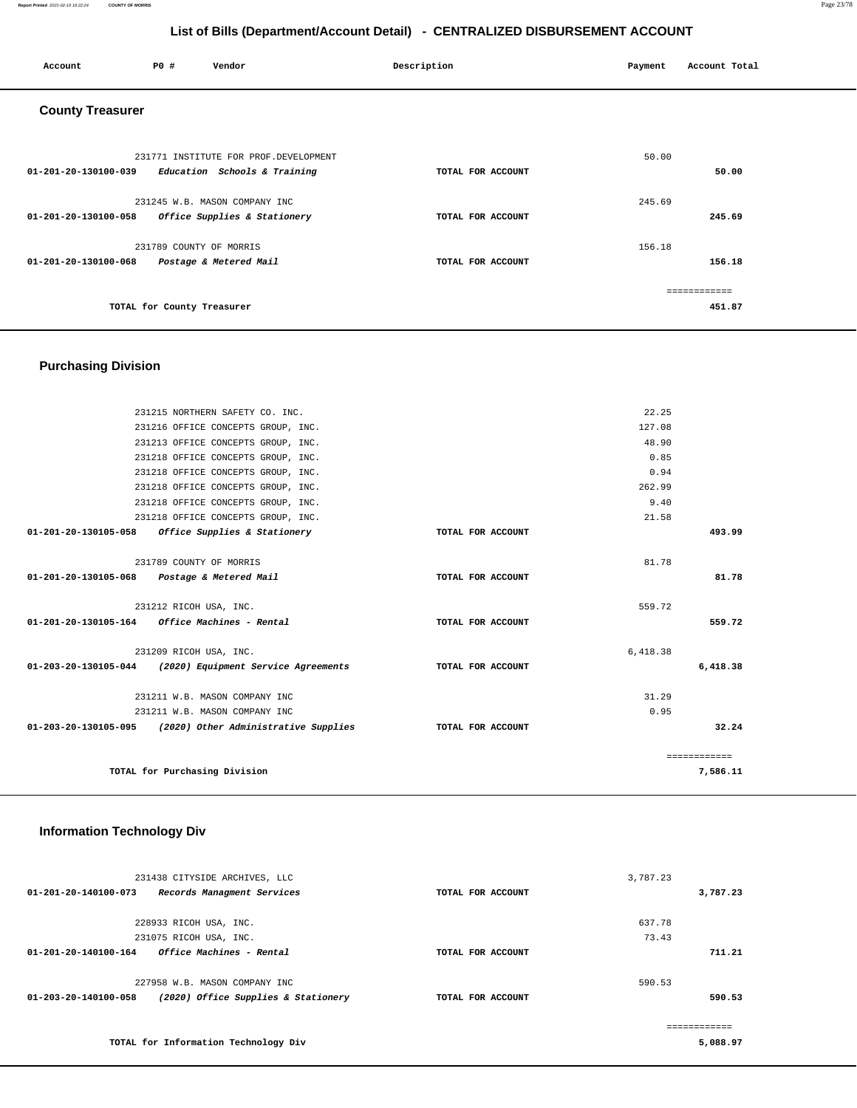#### **Report Printed** 2021-02-19 16:22:24 **COUNTY OF MORRIS** Page 23/78

**5,088.97** 

## **List of Bills (Department/Account Detail) - CENTRALIZED DISBURSEMENT ACCOUNT**

| Account                 | P0 #                       | Vendor                                                                 | Description       | Payment | Account Total          |
|-------------------------|----------------------------|------------------------------------------------------------------------|-------------------|---------|------------------------|
| <b>County Treasurer</b> |                            |                                                                        |                   |         |                        |
| 01-201-20-130100-039    |                            | 231771 INSTITUTE FOR PROF. DEVELOPMENT<br>Education Schools & Training | TOTAL FOR ACCOUNT | 50.00   | 50.00                  |
| 01-201-20-130100-058    |                            | 231245 W.B. MASON COMPANY INC<br>Office Supplies & Stationery          | TOTAL FOR ACCOUNT | 245.69  | 245.69                 |
| 01-201-20-130100-068    | 231789 COUNTY OF MORRIS    | Postage & Metered Mail                                                 | TOTAL FOR ACCOUNT | 156.18  | 156.18                 |
|                         | TOTAL for County Treasurer |                                                                        |                   |         | ============<br>451.87 |

## **Purchasing Division**

|                                                         | 231215 NORTHERN SAFETY CO. INC.                             |                   | 22.25    |              |
|---------------------------------------------------------|-------------------------------------------------------------|-------------------|----------|--------------|
|                                                         | 231216 OFFICE CONCEPTS GROUP, INC.                          |                   | 127.08   |              |
|                                                         | 231213 OFFICE CONCEPTS GROUP, INC.                          |                   | 48.90    |              |
|                                                         | 231218 OFFICE CONCEPTS GROUP, INC.                          |                   | 0.85     |              |
|                                                         | 231218 OFFICE CONCEPTS GROUP, INC.                          |                   | 0.94     |              |
|                                                         | 231218 OFFICE CONCEPTS GROUP, INC.                          |                   | 262.99   |              |
|                                                         | 231218 OFFICE CONCEPTS GROUP, INC.                          |                   | 9.40     |              |
|                                                         | 231218 OFFICE CONCEPTS GROUP, INC.                          |                   | 21.58    |              |
|                                                         | 01-201-20-130105-058 Office Supplies & Stationery           | TOTAL FOR ACCOUNT |          | 493.99       |
|                                                         | 231789 COUNTY OF MORRIS                                     |                   | 81.78    |              |
| 01-201-20-130105-068 Postage & Metered Mail             |                                                             | TOTAL FOR ACCOUNT |          | 81.78        |
|                                                         | 231212 RICOH USA, INC.                                      |                   | 559.72   |              |
| $01 - 201 - 20 - 130105 - 164$ Office Machines - Rental |                                                             | TOTAL FOR ACCOUNT |          | 559.72       |
|                                                         | 231209 RICOH USA, INC.                                      |                   | 6,418.38 |              |
|                                                         | 01-203-20-130105-044 (2020) Equipment Service Agreements    | TOTAL FOR ACCOUNT |          | 6,418.38     |
|                                                         | 231211 W.B. MASON COMPANY INC                               |                   | 31.29    |              |
|                                                         | 231211 W.B. MASON COMPANY INC                               |                   | 0.95     |              |
|                                                         | $01-203-20-130105-095$ (2020) Other Administrative Supplies | TOTAL FOR ACCOUNT |          | 32.24        |
|                                                         |                                                             |                   |          | ============ |
|                                                         | TOTAL for Purchasing Division                               |                   |          | 7,586.11     |
|                                                         |                                                             |                   |          |              |

#### **Information Technology Div**

**TOTAL for Information Technology Div** 

| 231438 CITYSIDE ARCHIVES, LLC                                            |                   | 3,787.23 |
|--------------------------------------------------------------------------|-------------------|----------|
| $01 - 201 - 20 - 140100 - 073$<br>Records Managment Services             | TOTAL FOR ACCOUNT | 3,787.23 |
|                                                                          |                   | 637.78   |
| 228933 RICOH USA, INC.                                                   |                   |          |
| 231075 RICOH USA, INC.                                                   |                   | 73.43    |
| <i><b>Office Machines - Rental</b></i><br>$01 - 201 - 20 - 140100 - 164$ | TOTAL FOR ACCOUNT | 711.21   |
| 227958 W.B. MASON COMPANY INC                                            |                   | 590.53   |
| (2020) Office Supplies & Stationery<br>$01 - 203 - 20 - 140100 - 058$    | TOTAL FOR ACCOUNT | 590.53   |
|                                                                          |                   |          |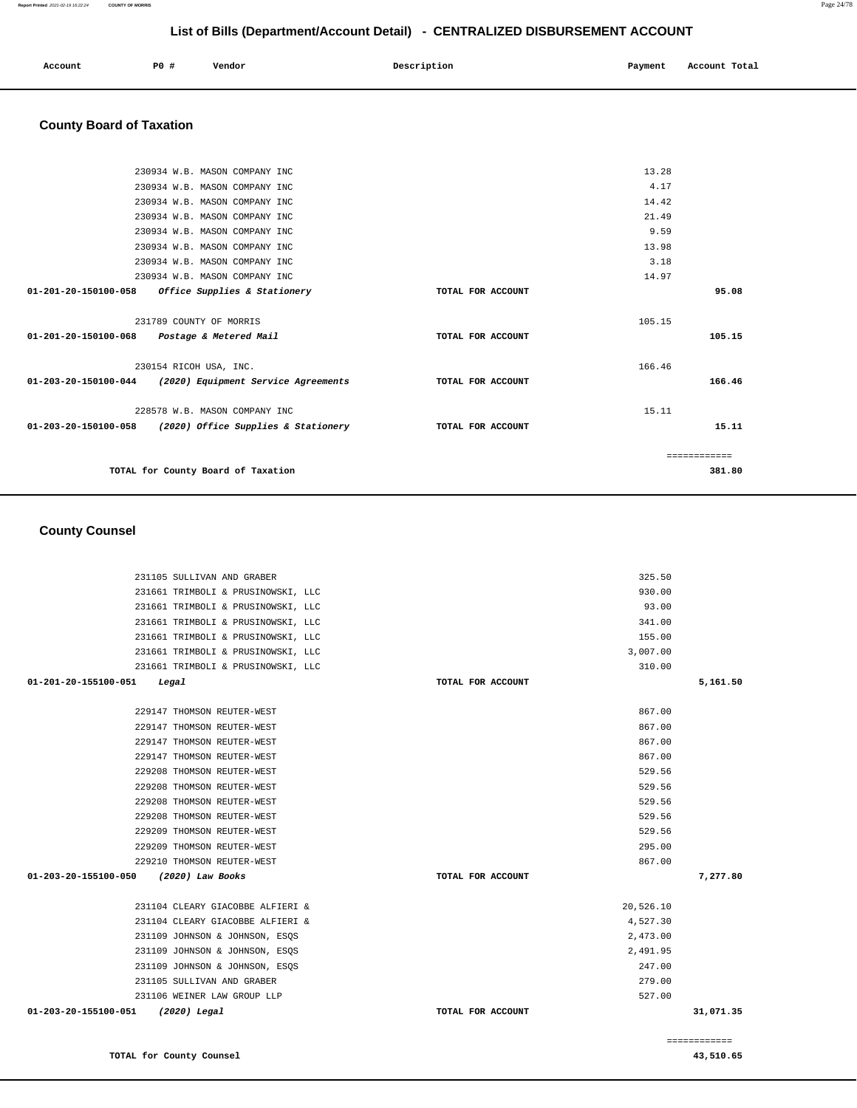| 231661 TRIMBOLI & PRUSINOWSKI, LLC    |                   | 930.00    |              |
|---------------------------------------|-------------------|-----------|--------------|
| 231661 TRIMBOLI & PRUSINOWSKI, LLC    |                   | 93.00     |              |
| 231661 TRIMBOLI & PRUSINOWSKI, LLC    |                   | 341.00    |              |
| 231661 TRIMBOLI & PRUSINOWSKI, LLC    |                   | 155.00    |              |
| 231661 TRIMBOLI & PRUSINOWSKI, LLC    |                   | 3,007.00  |              |
| 231661 TRIMBOLI & PRUSINOWSKI, LLC    |                   | 310.00    |              |
| 01-201-20-155100-051<br>Legal         | TOTAL FOR ACCOUNT |           | 5,161.50     |
| 229147 THOMSON REUTER-WEST            |                   | 867.00    |              |
| 229147 THOMSON REUTER-WEST            |                   | 867.00    |              |
| 229147 THOMSON REUTER-WEST            |                   | 867.00    |              |
| 229147 THOMSON REUTER-WEST            |                   | 867.00    |              |
| 229208 THOMSON REUTER-WEST            |                   | 529.56    |              |
| 229208 THOMSON REUTER-WEST            |                   | 529.56    |              |
| 229208 THOMSON REUTER-WEST            |                   | 529.56    |              |
| 229208 THOMSON REUTER-WEST            |                   | 529.56    |              |
| 229209 THOMSON REUTER-WEST            |                   | 529.56    |              |
| 229209 THOMSON REUTER-WEST            |                   | 295.00    |              |
| 229210 THOMSON REUTER-WEST            |                   | 867.00    |              |
| 01-203-20-155100-050 (2020) Law Books | TOTAL FOR ACCOUNT |           | 7,277.80     |
| 231104 CLEARY GIACOBBE ALFIERI &      |                   | 20,526.10 |              |
| 231104 CLEARY GIACOBBE ALFIERI &      |                   | 4,527.30  |              |
| 231109 JOHNSON & JOHNSON, ESQS        |                   | 2,473.00  |              |
| 231109 JOHNSON & JOHNSON, ESQS        |                   | 2,491.95  |              |
| 231109 JOHNSON & JOHNSON, ESOS        |                   | 247.00    |              |
| 231105 SULLIVAN AND GRABER            |                   | 279.00    |              |
| 231106 WEINER LAW GROUP LLP           |                   | 527.00    |              |
| 01-203-20-155100-051<br>(2020) Legal  | TOTAL FOR ACCOUNT |           | 31,071.35    |
|                                       |                   |           | ============ |

#### **County Counsel**

|                                             | 230934 W.B. MASON COMPANY INC                              |                   | 13.28        |  |
|---------------------------------------------|------------------------------------------------------------|-------------------|--------------|--|
|                                             | 230934 W.B. MASON COMPANY INC                              |                   | 4.17         |  |
|                                             | 230934 W.B. MASON COMPANY INC                              |                   | 14.42        |  |
|                                             | 230934 W.B. MASON COMPANY INC                              |                   | 21.49        |  |
|                                             | 230934 W.B. MASON COMPANY INC                              |                   | 9.59         |  |
|                                             | 230934 W.B. MASON COMPANY INC                              |                   | 13.98        |  |
|                                             | 230934 W.B. MASON COMPANY INC                              |                   | 3.18         |  |
|                                             | 230934 W.B. MASON COMPANY INC                              |                   | 14.97        |  |
| $01 - 201 - 20 - 150100 - 058$              | Office Supplies & Stationery                               | TOTAL FOR ACCOUNT | 95.08        |  |
|                                             |                                                            |                   |              |  |
|                                             | 231789 COUNTY OF MORRIS                                    |                   | 105.15       |  |
| 01-201-20-150100-068 Postage & Metered Mail |                                                            | TOTAL FOR ACCOUNT | 105.15       |  |
|                                             |                                                            |                   |              |  |
|                                             | 230154 RICOH USA, INC.                                     |                   | 166.46       |  |
|                                             | 01-203-20-150100-044 (2020) Equipment Service Agreements   | TOTAL FOR ACCOUNT | 166.46       |  |
|                                             |                                                            |                   |              |  |
|                                             | 228578 W.B. MASON COMPANY INC                              |                   | 15.11        |  |
|                                             | $01-203-20-150100-058$ (2020) Office Supplies & Stationery | TOTAL FOR ACCOUNT | 15.11        |  |
|                                             |                                                            |                   |              |  |
|                                             |                                                            |                   | ------------ |  |
|                                             | TOTAL for County Board of Taxation                         |                   | 381.80       |  |
|                                             |                                                            |                   |              |  |

231105 SULLIVAN AND GRABER 325.50

# **County Board of Taxation**

**TOTAL for County Counsel 43,510.65** 

**Report Printed** 2021-02-19 16:22:24 **COUNTY OF MORRIS** Page 24/78

## **List of Bills (Department/Account Detail) - CENTRALIZED DISBURSEMENT ACCOUNT**

 **Account** 20 **P P**  $\uparrow$  **Payment** Payment Account Total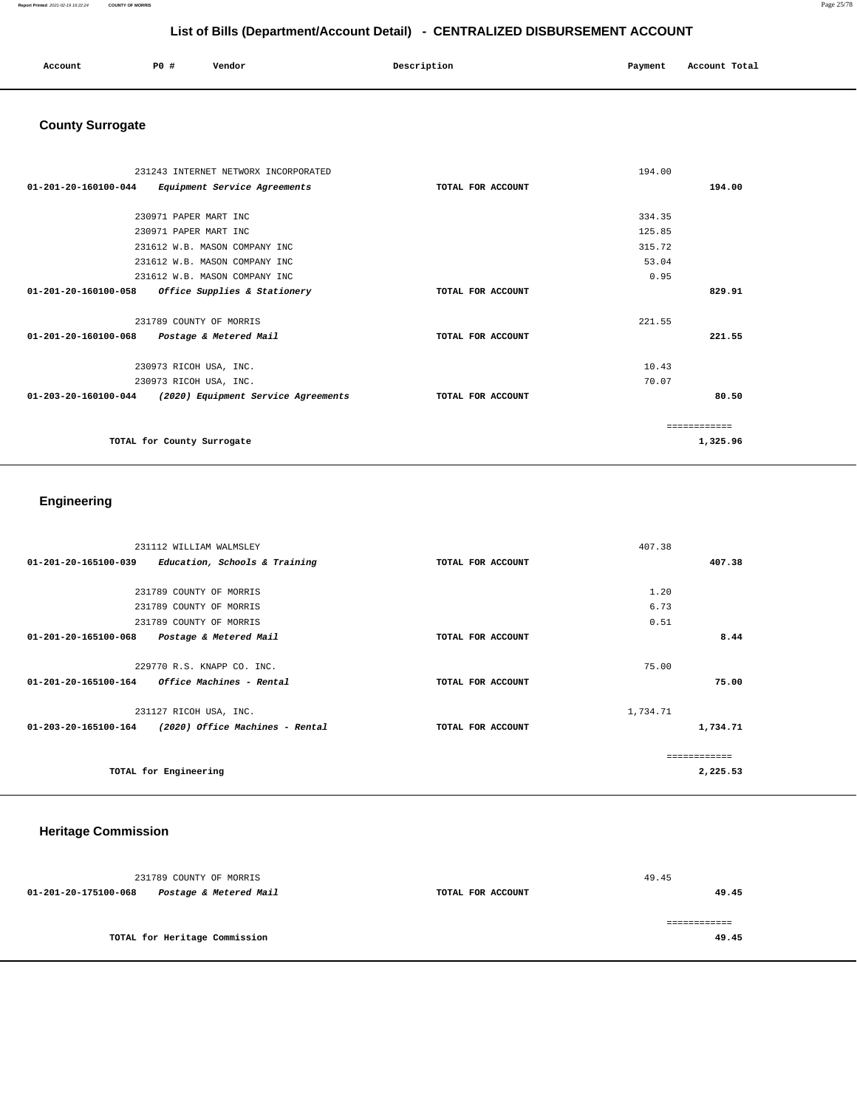| Account<br>. | P0 # | Vendor | Description | Payment | Account Total |
|--------------|------|--------|-------------|---------|---------------|
|              |      |        |             |         |               |

# **County Surrogate**

| 231243 INTERNET NETWORX INCORPORATED                                  |                   | 194.00 |          |
|-----------------------------------------------------------------------|-------------------|--------|----------|
| $01 - 201 - 20 - 160100 - 044$<br>Equipment Service Agreements        | TOTAL FOR ACCOUNT |        | 194.00   |
|                                                                       |                   |        |          |
| 230971 PAPER MART INC                                                 |                   | 334.35 |          |
| 230971 PAPER MART INC                                                 |                   | 125.85 |          |
| 231612 W.B. MASON COMPANY INC                                         |                   | 315.72 |          |
| 231612 W.B. MASON COMPANY INC                                         |                   | 53.04  |          |
| 231612 W.B. MASON COMPANY INC                                         |                   | 0.95   |          |
| $01 - 201 - 20 - 160100 - 058$<br>Office Supplies & Stationery        | TOTAL FOR ACCOUNT |        | 829.91   |
|                                                                       |                   |        |          |
| 231789 COUNTY OF MORRIS                                               |                   | 221.55 |          |
| 01-201-20-160100-068 Postage & Metered Mail                           | TOTAL FOR ACCOUNT |        | 221.55   |
|                                                                       |                   |        |          |
| 230973 RICOH USA, INC.                                                |                   | 10.43  |          |
| 230973 RICOH USA, INC.                                                |                   | 70.07  |          |
| $01 - 203 - 20 - 160100 - 044$<br>(2020) Equipment Service Agreements | TOTAL FOR ACCOUNT |        | 80.50    |
|                                                                       |                   |        |          |
|                                                                       |                   |        |          |
| TOTAL for County Surrogate                                            |                   |        | 1,325.96 |
|                                                                       |                   |        |          |

## **Engineering**

|                      | 231112 WILLIAM WALMSLEY                |                   | 407.38   |          |
|----------------------|----------------------------------------|-------------------|----------|----------|
| 01-201-20-165100-039 | Education, Schools & Training          | TOTAL FOR ACCOUNT |          | 407.38   |
|                      |                                        |                   |          |          |
|                      | 231789 COUNTY OF MORRIS                |                   | 1.20     |          |
|                      | 231789 COUNTY OF MORRIS                |                   | 6.73     |          |
|                      | 231789 COUNTY OF MORRIS                |                   | 0.51     |          |
| 01-201-20-165100-068 | Postage & Metered Mail                 | TOTAL FOR ACCOUNT |          | 8.44     |
|                      |                                        |                   |          |          |
|                      | 229770 R.S. KNAPP CO. INC.             |                   | 75.00    |          |
| 01-201-20-165100-164 | <i><b>Office Machines - Rental</b></i> | TOTAL FOR ACCOUNT |          | 75.00    |
|                      | 231127 RICOH USA, INC.                 |                   | 1,734.71 |          |
| 01-203-20-165100-164 | (2020) Office Machines - Rental        | TOTAL FOR ACCOUNT |          | 1,734.71 |
|                      |                                        |                   |          |          |
|                      | TOTAL for Engineering                  |                   |          | 2,225.53 |

## **Heritage Commission**

| 231789 COUNTY OF MORRIS |                               |                   | 49.45 |
|-------------------------|-------------------------------|-------------------|-------|
| 01-201-20-175100-068    | Postage & Metered Mail        | TOTAL FOR ACCOUNT | 49.45 |
|                         |                               |                   |       |
|                         |                               |                   |       |
|                         | TOTAL for Heritage Commission |                   | 49.45 |
|                         |                               |                   |       |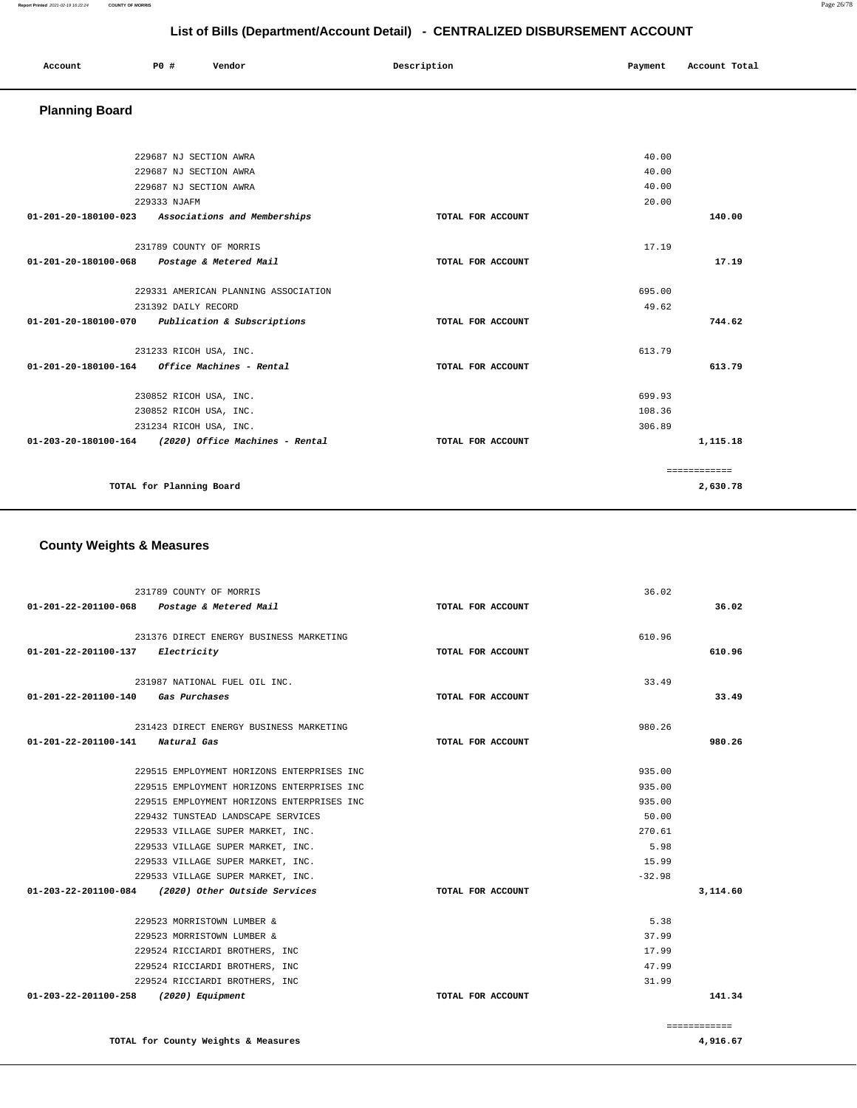#### **Report Printed** 2021-02-19 16:22:24 **COUNTY OF MORRIS** Page 26/78

## **List of Bills (Department/Account Detail) - CENTRALIZED DISBURSEMENT ACCOUNT**

| Account<br>. | <b>PO #</b> | Vendor | Description | Payment | Account Total |
|--------------|-------------|--------|-------------|---------|---------------|
|              |             |        |             |         |               |

## **Planning Board**

| 229687 NJ SECTION AWRA                               |                   | 40.00  |              |
|------------------------------------------------------|-------------------|--------|--------------|
| 229687 NJ SECTION AWRA                               |                   | 40.00  |              |
| 229687 NJ SECTION AWRA                               |                   | 40.00  |              |
| 229333 NJAFM                                         |                   | 20.00  |              |
| 01-201-20-180100-023 Associations and Memberships    | TOTAL FOR ACCOUNT |        | 140.00       |
| 231789 COUNTY OF MORRIS                              |                   | 17.19  |              |
| 01-201-20-180100-068                                 |                   |        | 17.19        |
| Postage & Metered Mail                               | TOTAL FOR ACCOUNT |        |              |
| 229331 AMERICAN PLANNING ASSOCIATION                 |                   | 695.00 |              |
|                                                      |                   | 49.62  |              |
| 231392 DAILY RECORD                                  |                   |        |              |
| 01-201-20-180100-070 Publication & Subscriptions     | TOTAL FOR ACCOUNT |        | 744.62       |
| 231233 RICOH USA, INC.                               |                   | 613.79 |              |
|                                                      |                   |        |              |
| 01-201-20-180100-164<br>Office Machines - Rental     | TOTAL FOR ACCOUNT |        | 613.79       |
| 230852 RICOH USA, INC.                               |                   | 699.93 |              |
| 230852 RICOH USA, INC.                               |                   | 108.36 |              |
| 231234 RICOH USA, INC.                               |                   | 306.89 |              |
| 01-203-20-180100-164 (2020) Office Machines - Rental | TOTAL FOR ACCOUNT |        | 1,115.18     |
|                                                      |                   |        | ============ |
| TOTAL for Planning Board                             |                   |        | 2,630.78     |

## **County Weights & Measures**

|                                            | 231789 COUNTY OF MORRIS                            |                   | 36.02        |          |
|--------------------------------------------|----------------------------------------------------|-------------------|--------------|----------|
|                                            | 01-201-22-201100-068 Postage & Metered Mail        | TOTAL FOR ACCOUNT |              | 36.02    |
|                                            |                                                    |                   |              |          |
|                                            | 231376 DIRECT ENERGY BUSINESS MARKETING            |                   | 610.96       |          |
| $01 - 201 - 22 - 201100 - 137$ Electricity |                                                    | TOTAL FOR ACCOUNT |              | 610.96   |
|                                            |                                                    |                   |              |          |
|                                            | 231987 NATIONAL FUEL OIL INC.                      |                   | 33.49        |          |
| 01-201-22-201100-140 Gas Purchases         |                                                    | TOTAL FOR ACCOUNT |              | 33.49    |
|                                            | 231423 DIRECT ENERGY BUSINESS MARKETING            |                   | 980.26       |          |
| 01-201-22-201100-141 Natural Gas           |                                                    | TOTAL FOR ACCOUNT |              | 980.26   |
|                                            | 229515 EMPLOYMENT HORIZONS ENTERPRISES INC         |                   | 935.00       |          |
|                                            | 229515 EMPLOYMENT HORIZONS ENTERPRISES INC         |                   | 935.00       |          |
|                                            |                                                    |                   |              |          |
|                                            | 229515 EMPLOYMENT HORIZONS ENTERPRISES INC         |                   | 935.00       |          |
|                                            | 229432 TUNSTEAD LANDSCAPE SERVICES                 |                   | 50.00        |          |
|                                            | 229533 VILLAGE SUPER MARKET, INC.                  |                   | 270.61       |          |
|                                            | 229533 VILLAGE SUPER MARKET, INC.                  |                   | 5.98         |          |
|                                            | 229533 VILLAGE SUPER MARKET, INC.                  |                   | 15.99        |          |
|                                            | 229533 VILLAGE SUPER MARKET, INC.                  |                   | $-32.98$     |          |
|                                            | 01-203-22-201100-084 (2020) Other Outside Services | TOTAL FOR ACCOUNT |              | 3,114.60 |
|                                            | 229523 MORRISTOWN LUMBER &                         |                   | 5.38         |          |
|                                            | 229523 MORRISTOWN LUMBER &                         |                   | 37.99        |          |
|                                            | 229524 RICCIARDI BROTHERS, INC                     |                   | 17.99        |          |
|                                            | 229524 RICCIARDI BROTHERS, INC                     |                   | 47.99        |          |
|                                            | 229524 RICCIARDI BROTHERS, INC                     |                   | 31.99        |          |
| 01-203-22-201100-258 (2020) Equipment      |                                                    | TOTAL FOR ACCOUNT |              | 141.34   |
|                                            |                                                    |                   |              |          |
|                                            |                                                    |                   | ============ |          |

**TOTAL for County Weights & Measures** 

**4,916.67**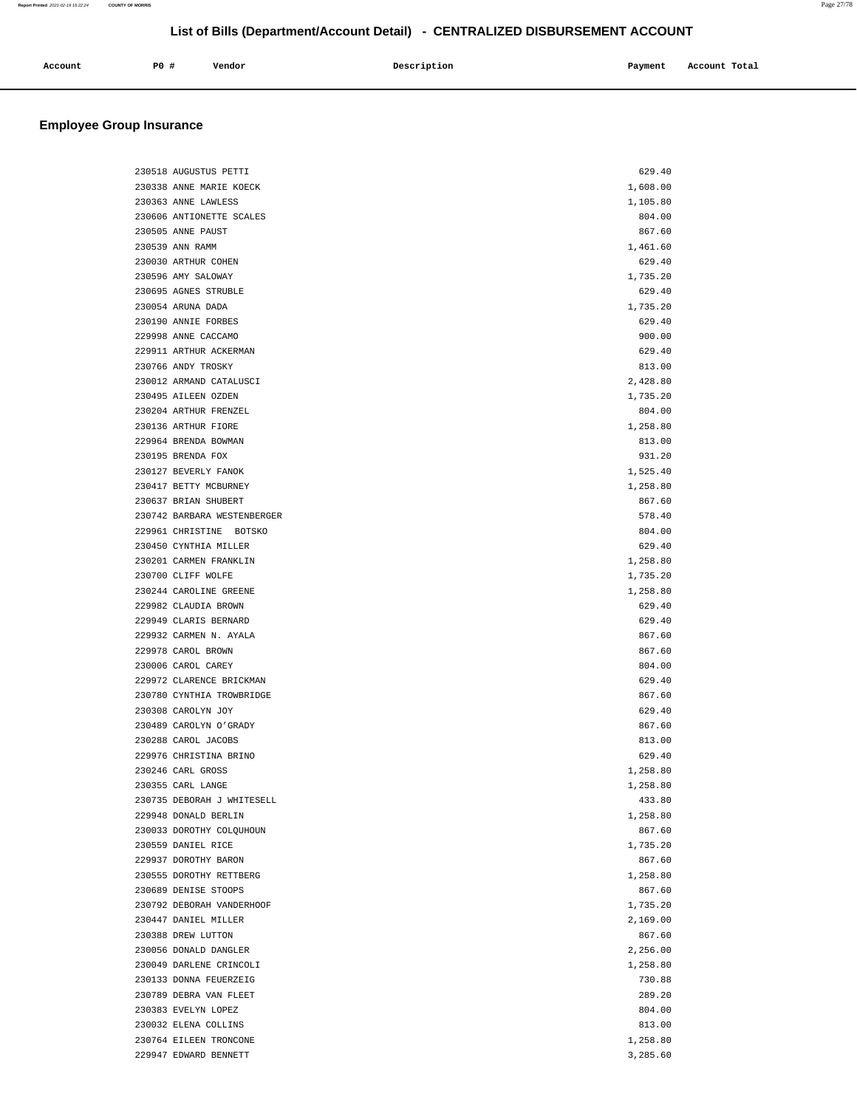| Account | PO # | Vendor | Description | Payment | Account Total |
|---------|------|--------|-------------|---------|---------------|
|         |      |        |             |         |               |

| 230518 AUGUSTUS PETTI                           | 629.40             |
|-------------------------------------------------|--------------------|
| 230338 ANNE MARIE KOECK                         | 1,608.00           |
| 230363 ANNE LAWLESS                             | 1,105.80           |
| 230606 ANTIONETTE SCALES                        | 804.00             |
| 230505 ANNE PAUST                               | 867.60             |
| 230539 ANN RAMM                                 | 1,461.60           |
| 230030 ARTHUR COHEN                             | 629.40             |
| 230596 AMY SALOWAY                              | 1,735.20           |
| 230695 AGNES STRUBLE                            | 629.40             |
| 230054 ARUNA DADA                               | 1,735.20           |
| 230190 ANNIE FORBES                             | 629.40             |
| 229998 ANNE CACCAMO                             | 900.00             |
| 229911 ARTHUR ACKERMAN                          | 629.40             |
| 230766 ANDY TROSKY                              | 813.00             |
| 230012 ARMAND CATALUSCI                         | 2,428.80           |
| 230495 AILEEN OZDEN                             | 1,735.20           |
| 230204 ARTHUR FRENZEL                           | 804.00             |
| 230136 ARTHUR FIORE                             | 1,258.80           |
| 229964 BRENDA BOWMAN                            | 813.00             |
| 230195 BRENDA FOX                               | 931.20             |
| 230127 BEVERLY FANOK                            | 1,525.40           |
| 230417 BETTY MCBURNEY                           | 1,258.80           |
| 230637 BRIAN SHUBERT                            | 867.60             |
| 230742 BARBARA WESTENBERGER                     | 578.40             |
| 229961 CHRISTINE BOTSKO                         | 804.00             |
| 230450 CYNTHIA MILLER                           | 629.40             |
| 230201 CARMEN FRANKLIN                          | 1,258.80           |
| 230700 CLIFF WOLFE                              | 1,735.20           |
| 230244 CAROLINE GREENE                          | 1,258.80           |
| 229982 CLAUDIA BROWN                            | 629.40             |
| 229949 CLARIS BERNARD                           | 629.40             |
| 229932 CARMEN N. AYALA                          | 867.60             |
| 229978 CAROL BROWN                              | 867.60             |
| 230006 CAROL CAREY                              | 804.00             |
| 229972 CLARENCE BRICKMAN                        | 629.40             |
| 230780 CYNTHIA TROWBRIDGE                       | 867.60             |
| 230308 CAROLYN JOY                              | 629.40             |
| 230489 CAROLYN O'GRADY                          | 867.60             |
| 230288 CAROL JACOBS                             | 813.00             |
| 229976 CHRISTINA BRINO                          | 629.40             |
| 230246 CARL GROSS                               | 1,258.80           |
| 230355 CARL LANGE<br>230735 DEBORAH J WHITESELL | 1,258.80           |
| 229948 DONALD BERLIN                            | 433.80             |
|                                                 | 1,258.80           |
| 230033 DOROTHY COLQUHOUN<br>230559 DANIEL RICE  | 867.60<br>1,735.20 |
| 229937 DOROTHY BARON                            |                    |
| 230555 DOROTHY RETTBERG                         | 867.60<br>1,258.80 |
| 230689 DENISE STOOPS                            | 867.60             |
| 230792 DEBORAH VANDERHOOF                       | 1,735.20           |
| 230447 DANIEL MILLER                            | 2,169.00           |
| 230388 DREW LUTTON                              | 867.60             |
| 230056 DONALD DANGLER                           | 2,256.00           |
| 230049 DARLENE CRINCOLI                         | 1,258.80           |
| 230133 DONNA FEUERZEIG                          | 730.88             |
| 230789 DEBRA VAN FLEET                          | 289.20             |
| 230383 EVELYN LOPEZ                             | 804.00             |
| 230032 ELENA COLLINS                            | 813.00             |
| 230764 EILEEN TRONCONE                          | 1,258.80           |
| 229947 EDWARD BENNETT                           | 3,285.60           |
|                                                 |                    |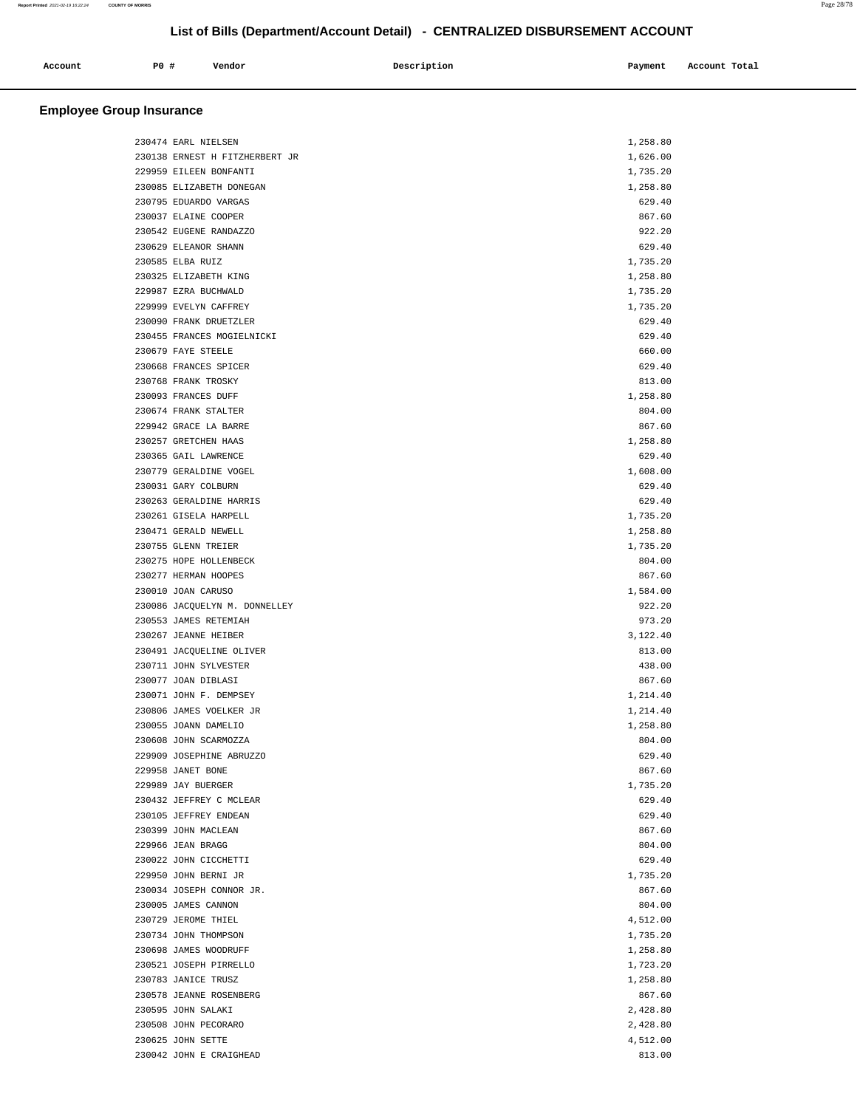| Account | P0 # | Vendor | Description | Payment | Account Total |
|---------|------|--------|-------------|---------|---------------|
|         |      |        |             |         |               |

| 230474 EARL NIELSEN            | 1,258.80 |
|--------------------------------|----------|
| 230138 ERNEST H FITZHERBERT JR | 1,626.00 |
| 229959 EILEEN BONFANTI         | 1,735.20 |
| 230085 ELIZABETH DONEGAN       | 1,258.80 |
| 230795 EDUARDO VARGAS          | 629.40   |
| 230037 ELAINE COOPER           | 867.60   |
| 230542 EUGENE RANDAZZO         | 922.20   |
| 230629 ELEANOR SHANN           | 629.40   |
| 230585 ELBA RUIZ               | 1,735.20 |
| 230325 ELIZABETH KING          | 1,258.80 |
| 229987 EZRA BUCHWALD           | 1,735.20 |
| 229999 EVELYN CAFFREY          | 1,735.20 |
| 230090 FRANK DRUETZLER         | 629.40   |
| 230455 FRANCES MOGIELNICKI     | 629.40   |
| 230679 FAYE STEELE             | 660.00   |
| 230668 FRANCES SPICER          | 629.40   |
| 230768 FRANK TROSKY            | 813.00   |
| 230093 FRANCES DUFF            | 1,258.80 |
| 230674 FRANK STALTER           | 804.00   |
| 229942 GRACE LA BARRE          | 867.60   |
| 230257 GRETCHEN HAAS           | 1,258.80 |
| 230365 GAIL LAWRENCE           | 629.40   |
| 230779 GERALDINE VOGEL         | 1,608.00 |
| 230031 GARY COLBURN            | 629.40   |
| 230263 GERALDINE HARRIS        | 629.40   |
| 230261 GISELA HARPELL          | 1,735.20 |
| 230471 GERALD NEWELL           | 1,258.80 |
| 230755 GLENN TREIER            | 1,735.20 |
| 230275 HOPE HOLLENBECK         | 804.00   |
| 230277 HERMAN HOOPES           | 867.60   |
| 230010 JOAN CARUSO             | 1,584.00 |
| 230086 JACQUELYN M. DONNELLEY  | 922.20   |
| 230553 JAMES RETEMIAH          | 973.20   |
| 230267 JEANNE HEIBER           | 3,122.40 |
| 230491 JACQUELINE OLIVER       | 813.00   |
| 230711 JOHN SYLVESTER          | 438.00   |
| 230077 JOAN DIBLASI            | 867.60   |
| 230071 JOHN F. DEMPSEY         | 1,214.40 |
| 230806 JAMES VOELKER JR        | 1,214.40 |
| 230055 JOANN DAMELIO           | 1,258.80 |
| 230608 JOHN SCARMOZZA          | 804.00   |
| 229909 JOSEPHINE ABRUZZO       | 629.40   |
| 229958 JANET BONE              | 867.60   |
| 229989 JAY BUERGER             | 1,735.20 |
| 230432 JEFFREY C MCLEAR        | 629.40   |
| 230105 JEFFREY ENDEAN          | 629.40   |
| 230399 JOHN MACLEAN            | 867.60   |
| 229966 JEAN BRAGG              | 804.00   |
| 230022 JOHN CICCHETTI          | 629.40   |
| 229950 JOHN BERNI JR           | 1,735.20 |
| 230034 JOSEPH CONNOR JR.       | 867.60   |
| 230005 JAMES CANNON            | 804.00   |
| 230729 JEROME THIEL            | 4,512.00 |
| 230734 JOHN THOMPSON           | 1,735.20 |
| 230698 JAMES WOODRUFF          | 1,258.80 |
| 230521 JOSEPH PIRRELLO         | 1,723.20 |
| 230783 JANICE TRUSZ            | 1,258.80 |
| 230578 JEANNE ROSENBERG        | 867.60   |
| 230595 JOHN SALAKI             | 2,428.80 |
| 230508 JOHN PECORARO           | 2,428.80 |
| 230625 JOHN SETTE              | 4,512.00 |
| 230042 JOHN E CRAIGHEAD        | 813.00   |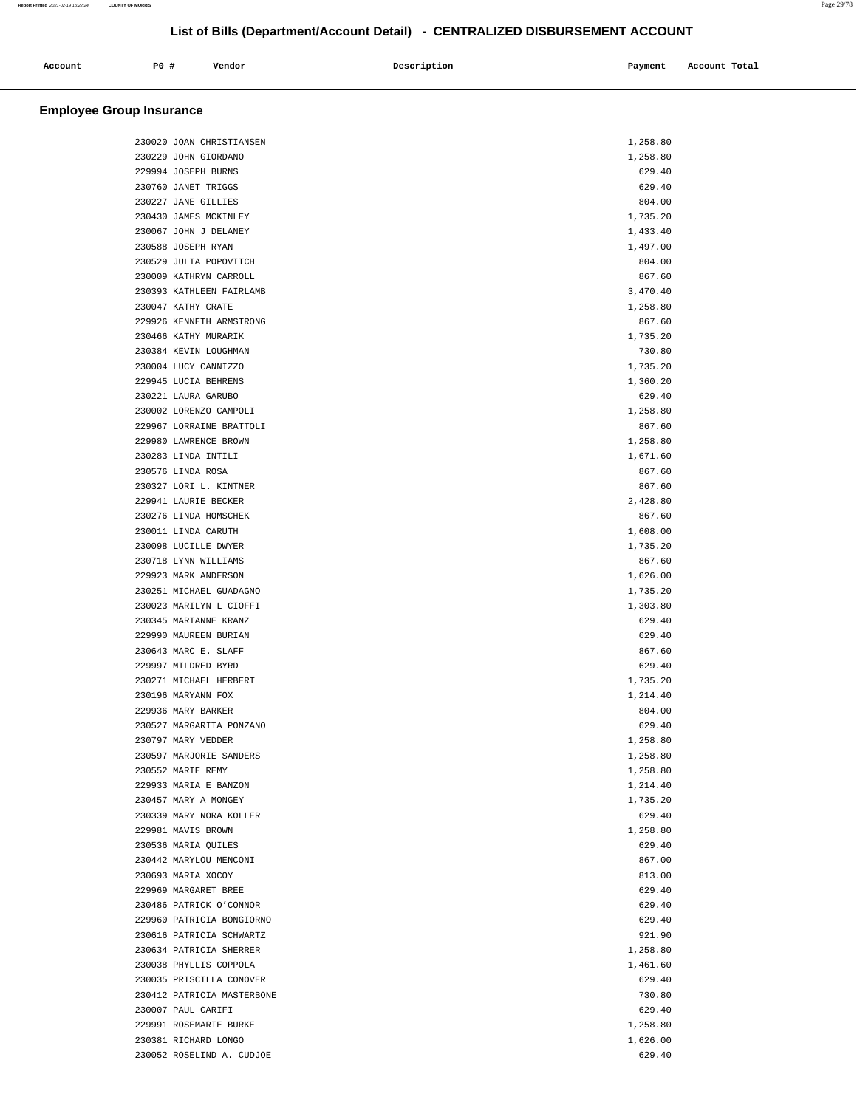|         | <b>PO #</b> | Vendor | Description | Payment | Account Total |
|---------|-------------|--------|-------------|---------|---------------|
| Account |             |        |             |         |               |
|         |             |        |             |         |               |
|         |             |        |             |         |               |

| 230020 JOAN CHRISTIANSEN                        | 1,258.80           |  |
|-------------------------------------------------|--------------------|--|
| 230229 JOHN GIORDANO                            | 1,258.80           |  |
| 229994 JOSEPH BURNS                             | 629.40             |  |
| 230760 JANET TRIGGS                             | 629.40             |  |
| 230227 JANE GILLIES                             | 804.00             |  |
| 230430 JAMES MCKINLEY                           | 1,735.20           |  |
| 230067 JOHN J DELANEY                           | 1,433.40           |  |
| 230588 JOSEPH RYAN                              | 1,497.00           |  |
| 230529 JULIA POPOVITCH                          | 804.00             |  |
| 230009 KATHRYN CARROLL                          | 867.60             |  |
| 230393 KATHLEEN FAIRLAMB                        | 3,470.40           |  |
| 230047 KATHY CRATE                              | 1,258.80           |  |
| 229926 KENNETH ARMSTRONG                        | 867.60             |  |
| 230466 KATHY MURARIK                            | 1,735.20           |  |
| 230384 KEVIN LOUGHMAN                           | 730.80             |  |
| 230004 LUCY CANNIZZO                            | 1,735.20           |  |
| 229945 LUCIA BEHRENS                            | 1,360.20           |  |
| 230221 LAURA GARUBO                             | 629.40             |  |
| 230002 LORENZO CAMPOLI                          | 1,258.80           |  |
| 229967 LORRAINE BRATTOLI                        | 867.60             |  |
| 229980 LAWRENCE BROWN                           | 1,258.80           |  |
| 230283 LINDA INTILI                             | 1,671.60           |  |
| 230576 LINDA ROSA                               | 867.60             |  |
| 230327 LORI L. KINTNER                          | 867.60             |  |
| 229941 LAURIE BECKER                            | 2,428.80           |  |
| 230276 LINDA HOMSCHEK                           | 867.60             |  |
| 230011 LINDA CARUTH                             | 1,608.00           |  |
|                                                 |                    |  |
| 230098 LUCILLE DWYER<br>230718 LYNN WILLIAMS    | 1,735.20<br>867.60 |  |
|                                                 |                    |  |
| 229923 MARK ANDERSON<br>230251 MICHAEL GUADAGNO | 1,626.00           |  |
|                                                 | 1,735.20           |  |
| 230023 MARILYN L CIOFFI                         | 1,303.80           |  |
| 230345 MARIANNE KRANZ                           | 629.40             |  |
| 229990 MAUREEN BURIAN                           | 629.40             |  |
| 230643 MARC E. SLAFF                            | 867.60             |  |
| 229997 MILDRED BYRD                             | 629.40             |  |
| 230271 MICHAEL HERBERT                          | 1,735.20           |  |
| 230196 MARYANN FOX                              | 1,214.40           |  |
| 229936 MARY BARKER                              | 804.00             |  |
| 230527 MARGARITA PONZANO                        | 629.40             |  |
| 230797 MARY VEDDER                              | 1,258.80           |  |
| 230597 MARJORIE SANDERS                         | 1,258.80           |  |
| 230552 MARIE REMY                               | 1,258.80           |  |
| 229933 MARIA E BANZON                           | 1,214.40           |  |
| 230457 MARY A MONGEY                            | 1,735.20           |  |
| 230339 MARY NORA KOLLER                         | 629.40             |  |
| 229981 MAVIS BROWN                              | 1,258.80           |  |
| 230536 MARIA QUILES                             | 629.40             |  |
| 230442 MARYLOU MENCONI                          | 867.00             |  |
| 230693 MARIA XOCOY                              | 813.00             |  |
| 229969 MARGARET BREE                            | 629.40             |  |
| 230486 PATRICK O'CONNOR                         | 629.40             |  |
| 229960 PATRICIA BONGIORNO                       | 629.40             |  |
| 230616 PATRICIA SCHWARTZ                        | 921.90             |  |
| 230634 PATRICIA SHERRER                         | 1,258.80           |  |
| 230038 PHYLLIS COPPOLA                          | 1,461.60           |  |
| 230035 PRISCILLA CONOVER                        | 629.40             |  |
| 230412 PATRICIA MASTERBONE                      | 730.80             |  |
| 230007 PAUL CARIFI                              | 629.40             |  |
| 229991 ROSEMARIE BURKE                          | 1,258.80           |  |
| 230381 RICHARD LONGO                            | 1,626.00           |  |
| 230052 ROSELIND A. CUDJOE                       | 629.40             |  |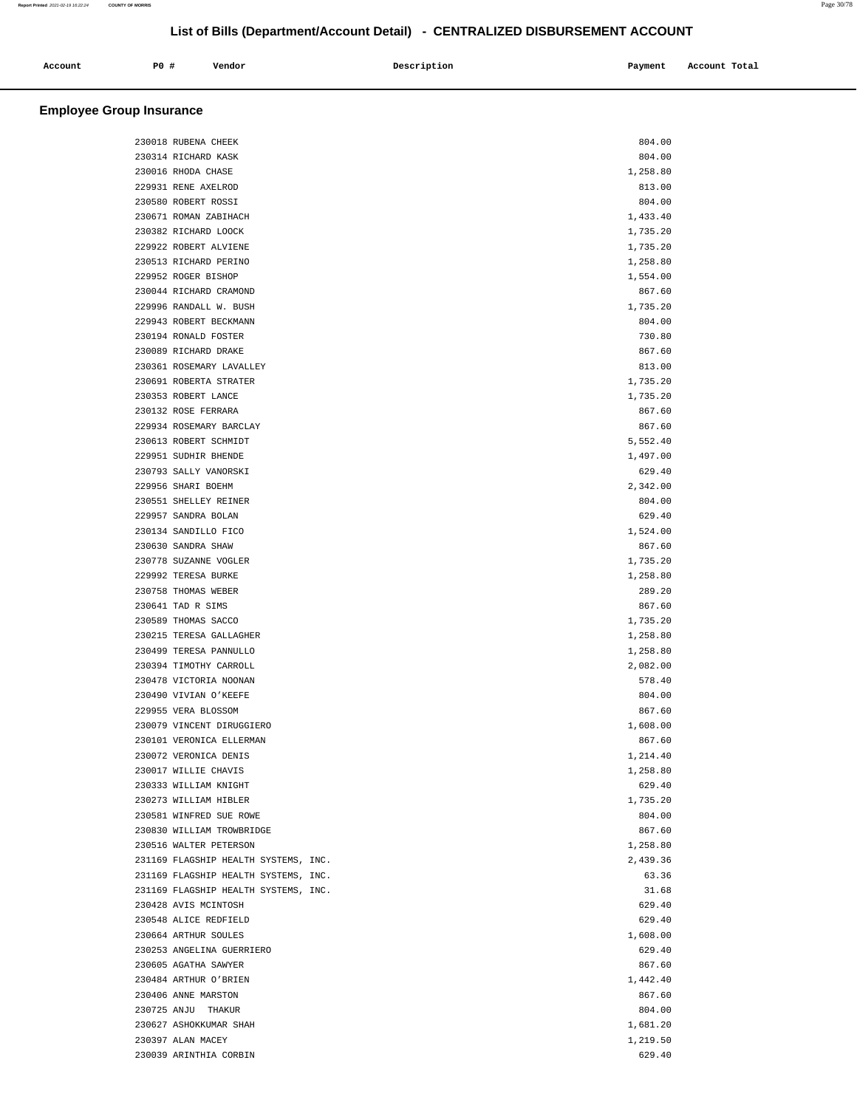| Account<br>. | PO# | Vendor | Description | Payment | Account Total<br>.<br>. |
|--------------|-----|--------|-------------|---------|-------------------------|
|              |     |        |             |         |                         |

| 230018 RUBENA CHEEK                  | 804.00             |  |
|--------------------------------------|--------------------|--|
| 230314 RICHARD KASK                  | 804.00             |  |
| 230016 RHODA CHASE                   | 1,258.80           |  |
| 229931 RENE AXELROD                  | 813.00             |  |
| 230580 ROBERT ROSSI                  | 804.00             |  |
| 230671 ROMAN ZABIHACH                | 1,433.40           |  |
| 230382 RICHARD LOOCK                 | 1,735.20           |  |
|                                      |                    |  |
| 229922 ROBERT ALVIENE                | 1,735.20           |  |
| 230513 RICHARD PERINO                | 1,258.80           |  |
| 229952 ROGER BISHOP                  | 1,554.00           |  |
| 230044 RICHARD CRAMOND               | 867.60             |  |
| 229996 RANDALL W. BUSH               | 1,735.20           |  |
| 229943 ROBERT BECKMANN               | 804.00             |  |
| 230194 RONALD FOSTER                 | 730.80             |  |
| 230089 RICHARD DRAKE                 | 867.60             |  |
| 230361 ROSEMARY LAVALLEY             | 813.00             |  |
| 230691 ROBERTA STRATER               | 1,735.20           |  |
| 230353 ROBERT LANCE                  | 1,735.20           |  |
| 230132 ROSE FERRARA                  | 867.60             |  |
| 229934 ROSEMARY BARCLAY              | 867.60             |  |
| 230613 ROBERT SCHMIDT                | 5,552.40           |  |
| 229951 SUDHIR BHENDE                 | 1,497.00           |  |
| 230793 SALLY VANORSKI                | 629.40             |  |
| 229956 SHARI BOEHM                   | 2,342.00           |  |
| 230551 SHELLEY REINER                | 804.00             |  |
| 229957 SANDRA BOLAN                  | 629.40             |  |
| 230134 SANDILLO FICO                 | 1,524.00           |  |
| 230630 SANDRA SHAW                   | 867.60             |  |
| 230778 SUZANNE VOGLER                | 1,735.20           |  |
| 229992 TERESA BURKE                  | 1,258.80           |  |
| 230758 THOMAS WEBER                  | 289.20             |  |
| 230641 TAD R SIMS                    | 867.60             |  |
| 230589 THOMAS SACCO                  | 1,735.20           |  |
| 230215 TERESA GALLAGHER              | 1,258.80           |  |
| 230499 TERESA PANNULLO               | 1,258.80           |  |
| 230394 TIMOTHY CARROLL               | 2,082.00           |  |
| 230478 VICTORIA NOONAN               | 578.40             |  |
| 230490 VIVIAN O'KEEFE                | 804.00             |  |
| 229955 VERA BLOSSOM                  | 867.60             |  |
| 230079 VINCENT DIRUGGIERO            | 1,608.00           |  |
| 230101 VERONICA ELLERMAN             | 867.60             |  |
| 230072 VERONICA DENIS                | 1,214.40           |  |
| 230017 WILLIE CHAVIS                 |                    |  |
| 230333 WILLIAM KNIGHT                | 1,258.80<br>629.40 |  |
|                                      |                    |  |
| 230273 WILLIAM HIBLER                | 1,735.20           |  |
| 230581 WINFRED SUE ROWE              | 804.00             |  |
| 230830 WILLIAM TROWBRIDGE            | 867.60             |  |
| 230516 WALTER PETERSON               | 1,258.80           |  |
| 231169 FLAGSHIP HEALTH SYSTEMS, INC. | 2,439.36           |  |
| 231169 FLAGSHIP HEALTH SYSTEMS, INC. | 63.36              |  |
| 231169 FLAGSHIP HEALTH SYSTEMS, INC. | 31.68              |  |
| 230428 AVIS MCINTOSH                 | 629.40             |  |
| 230548 ALICE REDFIELD                | 629.40             |  |
| 230664 ARTHUR SOULES                 | 1,608.00           |  |
| 230253 ANGELINA GUERRIERO            | 629.40             |  |
| 230605 AGATHA SAWYER                 | 867.60             |  |
| 230484 ARTHUR O'BRIEN                | 1,442.40           |  |
| 230406 ANNE MARSTON                  | 867.60             |  |
| 230725 ANJU THAKUR                   | 804.00             |  |
| 230627 ASHOKKUMAR SHAH               | 1,681.20           |  |
| 230397 ALAN MACEY                    | 1,219.50           |  |
| 230039 ARINTHIA CORBIN               | 629.40             |  |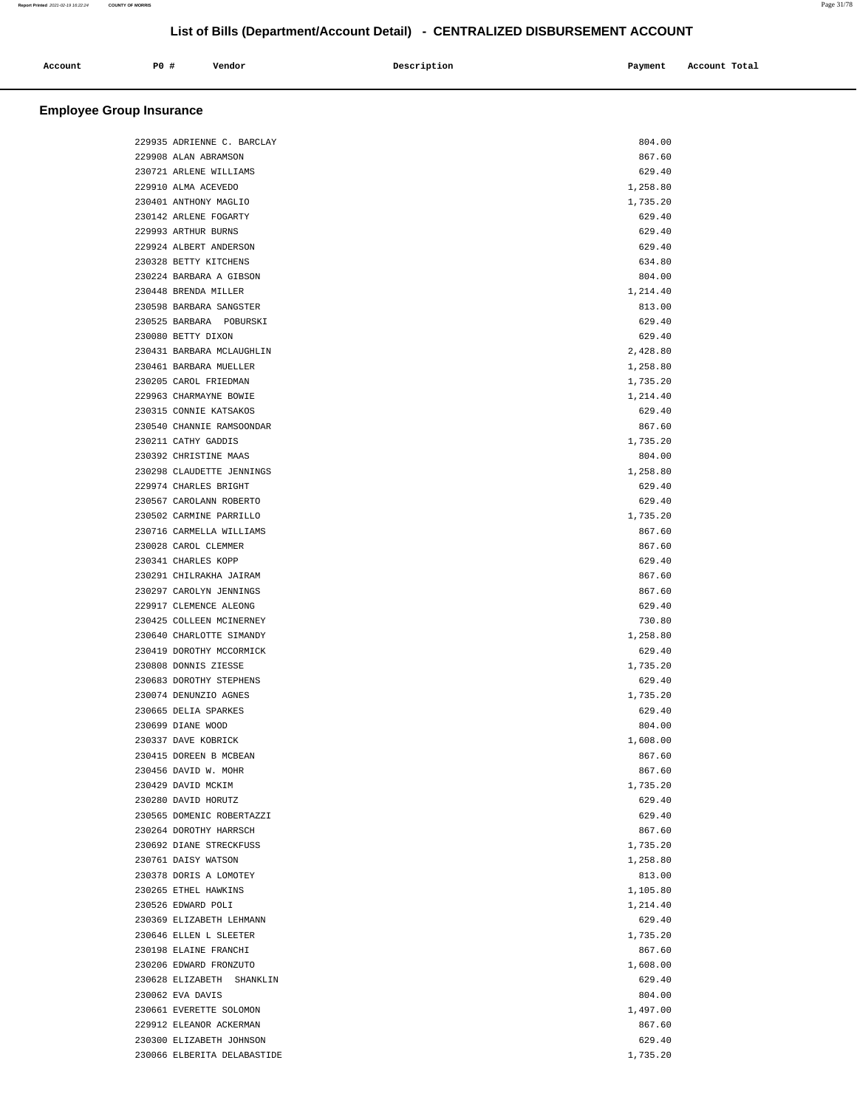| Account | P0 # | Vendor | Description | Payment | Account Total |
|---------|------|--------|-------------|---------|---------------|
|         |      |        |             |         |               |

|  | 229935 ADRIENNE C. BARCLAY  | 804.00   |  |
|--|-----------------------------|----------|--|
|  | 229908 ALAN ABRAMSON        | 867.60   |  |
|  | 230721 ARLENE WILLIAMS      | 629.40   |  |
|  | 229910 ALMA ACEVEDO         | 1,258.80 |  |
|  | 230401 ANTHONY MAGLIO       | 1,735.20 |  |
|  | 230142 ARLENE FOGARTY       | 629.40   |  |
|  | 229993 ARTHUR BURNS         | 629.40   |  |
|  | 229924 ALBERT ANDERSON      | 629.40   |  |
|  | 230328 BETTY KITCHENS       | 634.80   |  |
|  | 230224 BARBARA A GIBSON     | 804.00   |  |
|  | 230448 BRENDA MILLER        | 1,214.40 |  |
|  | 230598 BARBARA SANGSTER     | 813.00   |  |
|  | 230525 BARBARA POBURSKI     | 629.40   |  |
|  | 230080 BETTY DIXON          | 629.40   |  |
|  | 230431 BARBARA MCLAUGHLIN   | 2,428.80 |  |
|  | 230461 BARBARA MUELLER      | 1,258.80 |  |
|  | 230205 CAROL FRIEDMAN       | 1,735.20 |  |
|  | 229963 CHARMAYNE BOWIE      | 1,214.40 |  |
|  | 230315 CONNIE KATSAKOS      | 629.40   |  |
|  | 230540 CHANNIE RAMSOONDAR   | 867.60   |  |
|  | 230211 CATHY GADDIS         | 1,735.20 |  |
|  | 230392 CHRISTINE MAAS       | 804.00   |  |
|  | 230298 CLAUDETTE JENNINGS   | 1,258.80 |  |
|  | 229974 CHARLES BRIGHT       | 629.40   |  |
|  | 230567 CAROLANN ROBERTO     | 629.40   |  |
|  | 230502 CARMINE PARRILLO     | 1,735.20 |  |
|  | 230716 CARMELLA WILLIAMS    | 867.60   |  |
|  | 230028 CAROL CLEMMER        | 867.60   |  |
|  | 230341 CHARLES KOPP         | 629.40   |  |
|  | 230291 CHILRAKHA JAIRAM     | 867.60   |  |
|  | 230297 CAROLYN JENNINGS     | 867.60   |  |
|  | 229917 CLEMENCE ALEONG      | 629.40   |  |
|  | 230425 COLLEEN MCINERNEY    | 730.80   |  |
|  | 230640 CHARLOTTE SIMANDY    | 1,258.80 |  |
|  | 230419 DOROTHY MCCORMICK    | 629.40   |  |
|  | 230808 DONNIS ZIESSE        | 1,735.20 |  |
|  | 230683 DOROTHY STEPHENS     | 629.40   |  |
|  | 230074 DENUNZIO AGNES       | 1,735.20 |  |
|  | 230665 DELIA SPARKES        | 629.40   |  |
|  | 230699 DIANE WOOD           | 804.00   |  |
|  | 230337 DAVE KOBRICK         | 1,608.00 |  |
|  | 230415 DOREEN B MCBEAN      | 867.60   |  |
|  | 230456 DAVID W. MOHR        | 867.60   |  |
|  | 230429 DAVID MCKIM          | 1,735.20 |  |
|  | 230280 DAVID HORUTZ         | 629.40   |  |
|  | 230565 DOMENIC ROBERTAZZI   | 629.40   |  |
|  | 230264 DOROTHY HARRSCH      | 867.60   |  |
|  | 230692 DIANE STRECKFUSS     | 1,735.20 |  |
|  | 230761 DAISY WATSON         | 1,258.80 |  |
|  | 230378 DORIS A LOMOTEY      | 813.00   |  |
|  | 230265 ETHEL HAWKINS        | 1,105.80 |  |
|  | 230526 EDWARD POLI          | 1,214.40 |  |
|  | 230369 ELIZABETH LEHMANN    | 629.40   |  |
|  | 230646 ELLEN L SLEETER      | 1,735.20 |  |
|  | 230198 ELAINE FRANCHI       | 867.60   |  |
|  | 230206 EDWARD FRONZUTO      | 1,608.00 |  |
|  | 230628 ELIZABETH SHANKLIN   | 629.40   |  |
|  | 230062 EVA DAVIS            | 804.00   |  |
|  | 230661 EVERETTE SOLOMON     | 1,497.00 |  |
|  | 229912 ELEANOR ACKERMAN     | 867.60   |  |
|  | 230300 ELIZABETH JOHNSON    | 629.40   |  |
|  | 230066 ELBERITA DELABASTIDE | 1,735.20 |  |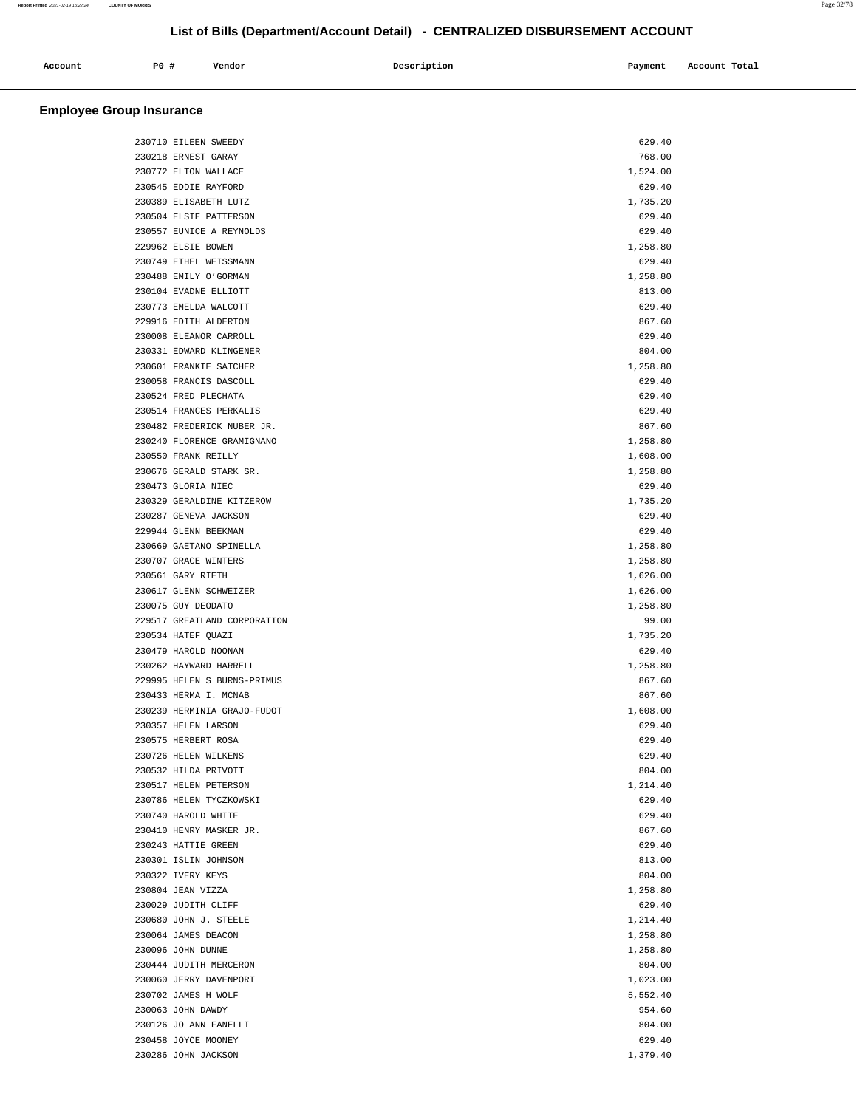|         | $P0$ , | Vendor |             |         | Account Total |
|---------|--------|--------|-------------|---------|---------------|
| Account |        |        | Description | Payment |               |
|         |        |        |             |         |               |

| 230710 EILEEN SWEEDY         | 629.40   |
|------------------------------|----------|
| 230218 ERNEST GARAY          | 768.00   |
| 230772 ELTON WALLACE         | 1,524.00 |
| 230545 EDDIE RAYFORD         | 629.40   |
| 230389 ELISABETH LUTZ        | 1,735.20 |
| 230504 ELSIE PATTERSON       | 629.40   |
| 230557 EUNICE A REYNOLDS     | 629.40   |
| 229962 ELSIE BOWEN           | 1,258.80 |
| 230749 ETHEL WEISSMANN       | 629.40   |
| 230488 EMILY O'GORMAN        | 1,258.80 |
| 230104 EVADNE ELLIOTT        | 813.00   |
| 230773 EMELDA WALCOTT        | 629.40   |
| 229916 EDITH ALDERTON        | 867.60   |
| 230008 ELEANOR CARROLL       | 629.40   |
| 230331 EDWARD KLINGENER      | 804.00   |
| 230601 FRANKIE SATCHER       | 1,258.80 |
|                              |          |
| 230058 FRANCIS DASCOLL       | 629.40   |
| 230524 FRED PLECHATA         | 629.40   |
| 230514 FRANCES PERKALIS      | 629.40   |
| 230482 FREDERICK NUBER JR.   | 867.60   |
| 230240 FLORENCE GRAMIGNANO   | 1,258.80 |
| 230550 FRANK REILLY          | 1,608.00 |
| 230676 GERALD STARK SR.      | 1,258.80 |
| 230473 GLORIA NIEC           | 629.40   |
| 230329 GERALDINE KITZEROW    | 1,735.20 |
| 230287 GENEVA JACKSON        | 629.40   |
| 229944 GLENN BEEKMAN         | 629.40   |
| 230669 GAETANO SPINELLA      | 1,258.80 |
| 230707 GRACE WINTERS         | 1,258.80 |
| 230561 GARY RIETH            | 1,626.00 |
| 230617 GLENN SCHWEIZER       | 1,626.00 |
| 230075 GUY DEODATO           | 1,258.80 |
| 229517 GREATLAND CORPORATION | 99.00    |
| 230534 HATEF QUAZI           | 1,735.20 |
| 230479 HAROLD NOONAN         | 629.40   |
| 230262 HAYWARD HARRELL       | 1,258.80 |
| 229995 HELEN S BURNS-PRIMUS  | 867.60   |
| 230433 HERMA I. MCNAB        | 867.60   |
| 230239 HERMINIA GRAJO-FUDOT  | 1,608.00 |
| 230357 HELEN LARSON          | 629.40   |
| 230575 HERBERT ROSA          | 629.40   |
| 230726 HELEN WILKENS         | 629.40   |
| 230532 HILDA PRIVOTT         | 804.00   |
| 230517 HELEN PETERSON        | 1,214.40 |
| 230786 HELEN TYCZKOWSKI      | 629.40   |
| 230740 HAROLD WHITE          | 629.40   |
| 230410 HENRY MASKER JR.      | 867.60   |
| 230243 HATTIE GREEN          |          |
|                              | 629.40   |
| 230301 ISLIN JOHNSON         | 813.00   |
| 230322 IVERY KEYS            | 804.00   |
| 230804 JEAN VIZZA            | 1,258.80 |
| 230029 JUDITH CLIFF          | 629.40   |
| 230680 JOHN J. STEELE        | 1,214.40 |
| 230064 JAMES DEACON          | 1,258.80 |
| 230096 JOHN DUNNE            | 1,258.80 |
| 230444 JUDITH MERCERON       | 804.00   |
| 230060 JERRY DAVENPORT       | 1,023.00 |
| 230702 JAMES H WOLF          | 5,552.40 |
| 230063 JOHN DAWDY            | 954.60   |
| 230126 JO ANN FANELLI        | 804.00   |
| 230458 JOYCE MOONEY          | 629.40   |
| 230286 JOHN JACKSON          | 1,379.40 |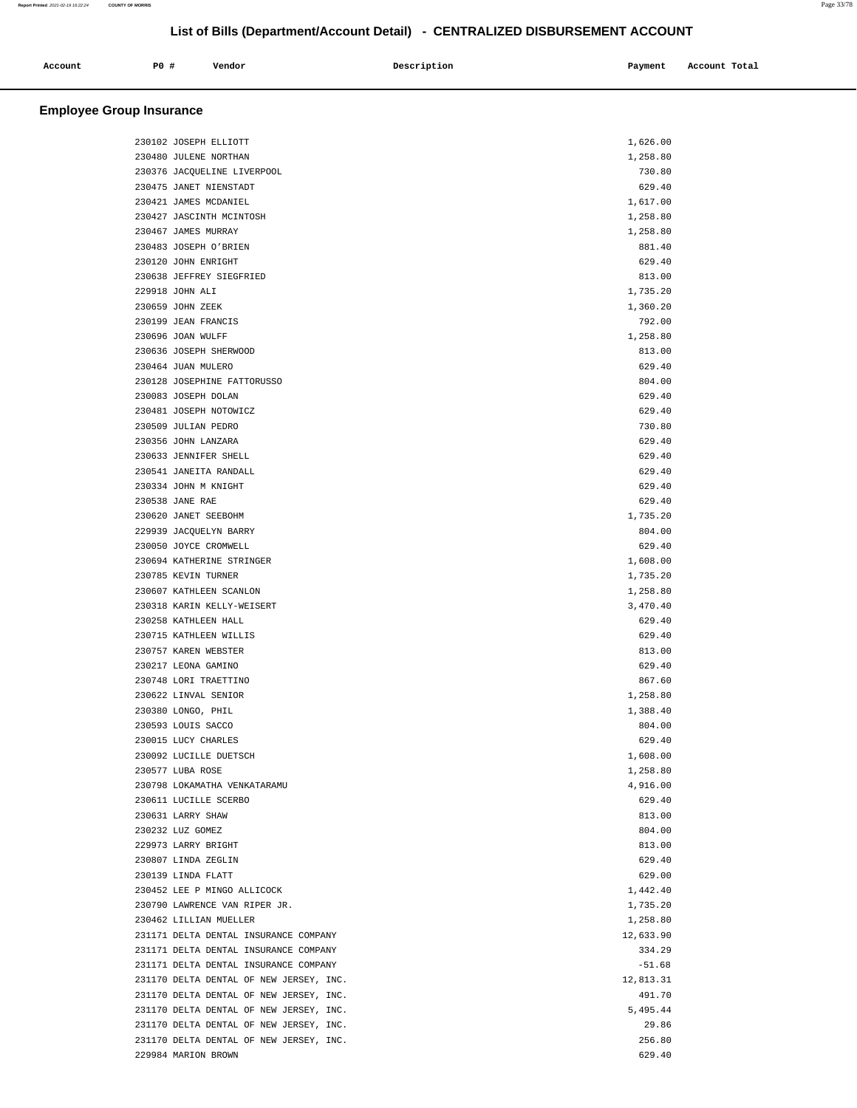|              |             |        |             |         | Account Total |
|--------------|-------------|--------|-------------|---------|---------------|
| Account<br>. | <b>PO #</b> | Vendor | Description | Payment |               |
|              |             |        |             |         |               |

| 230102 JOSEPH ELLIOTT                   | 1,626.00         |  |
|-----------------------------------------|------------------|--|
| 230480 JULENE NORTHAN                   | 1,258.80         |  |
| 230376 JACQUELINE LIVERPOOL             | 730.80           |  |
| 230475 JANET NIENSTADT                  | 629.40           |  |
| 230421 JAMES MCDANIEL                   | 1,617.00         |  |
| 230427 JASCINTH MCINTOSH                | 1,258.80         |  |
| 230467 JAMES MURRAY                     | 1,258.80         |  |
| 230483 JOSEPH O'BRIEN                   | 881.40           |  |
| 230120 JOHN ENRIGHT                     | 629.40           |  |
| 230638 JEFFREY SIEGFRIED                | 813.00           |  |
| 229918 JOHN ALI                         | 1,735.20         |  |
| 230659 JOHN ZEEK                        | 1,360.20         |  |
| 230199 JEAN FRANCIS                     | 792.00           |  |
| 230696 JOAN WULFF                       | 1,258.80         |  |
| 230636 JOSEPH SHERWOOD                  |                  |  |
|                                         | 813.00<br>629.40 |  |
| 230464 JUAN MULERO                      |                  |  |
| 230128 JOSEPHINE FATTORUSSO             | 804.00           |  |
| 230083 JOSEPH DOLAN                     | 629.40           |  |
| 230481 JOSEPH NOTOWICZ                  | 629.40           |  |
| 230509 JULIAN PEDRO                     | 730.80           |  |
| 230356 JOHN LANZARA                     | 629.40           |  |
| 230633 JENNIFER SHELL                   | 629.40           |  |
| 230541 JANEITA RANDALL                  | 629.40           |  |
| 230334 JOHN M KNIGHT                    | 629.40           |  |
| 230538 JANE RAE                         | 629.40           |  |
| 230620 JANET SEEBOHM                    | 1,735.20         |  |
| 229939 JACQUELYN BARRY                  | 804.00           |  |
| 230050 JOYCE CROMWELL                   | 629.40           |  |
| 230694 KATHERINE STRINGER               | 1,608.00         |  |
| 230785 KEVIN TURNER                     | 1,735.20         |  |
| 230607 KATHLEEN SCANLON                 | 1,258.80         |  |
| 230318 KARIN KELLY-WEISERT              | 3,470.40         |  |
| 230258 KATHLEEN HALL                    | 629.40           |  |
| 230715 KATHLEEN WILLIS                  | 629.40           |  |
| 230757 KAREN WEBSTER                    | 813.00           |  |
| 230217 LEONA GAMINO                     | 629.40           |  |
| 230748 LORI TRAETTINO                   | 867.60           |  |
| 230622 LINVAL SENIOR                    | 1,258.80         |  |
| 230380 LONGO, PHIL                      | 1,388.40         |  |
| 230593 LOUIS SACCO                      | 804.00           |  |
| 230015 LUCY CHARLES                     | 629.40           |  |
| 230092 LUCILLE DUETSCH                  | 1,608.00         |  |
| 230577 LUBA ROSE                        | 1,258.80         |  |
| 230798 LOKAMATHA VENKATARAMU            | 4,916.00         |  |
| 230611 LUCILLE SCERBO                   | 629.40           |  |
| 230631 LARRY SHAW                       | 813.00           |  |
| 230232 LUZ GOMEZ                        | 804.00           |  |
| 229973 LARRY BRIGHT                     | 813.00           |  |
| 230807 LINDA ZEGLIN                     | 629.40           |  |
| 230139 LINDA FLATT                      | 629.00           |  |
| 230452 LEE P MINGO ALLICOCK             | 1,442.40         |  |
|                                         |                  |  |
| 230790 LAWRENCE VAN RIPER JR.           | 1,735.20         |  |
| 230462 LILLIAN MUELLER                  | 1,258.80         |  |
| 231171 DELTA DENTAL INSURANCE COMPANY   | 12,633.90        |  |
| 231171 DELTA DENTAL INSURANCE COMPANY   | 334.29           |  |
| 231171 DELTA DENTAL INSURANCE COMPANY   | $-51.68$         |  |
| 231170 DELTA DENTAL OF NEW JERSEY, INC. | 12,813.31        |  |
| 231170 DELTA DENTAL OF NEW JERSEY, INC. | 491.70           |  |
| 231170 DELTA DENTAL OF NEW JERSEY, INC. | 5,495.44         |  |
| 231170 DELTA DENTAL OF NEW JERSEY, INC. | 29.86            |  |
| 231170 DELTA DENTAL OF NEW JERSEY, INC. | 256.80           |  |
| 229984 MARION BROWN                     | 629.40           |  |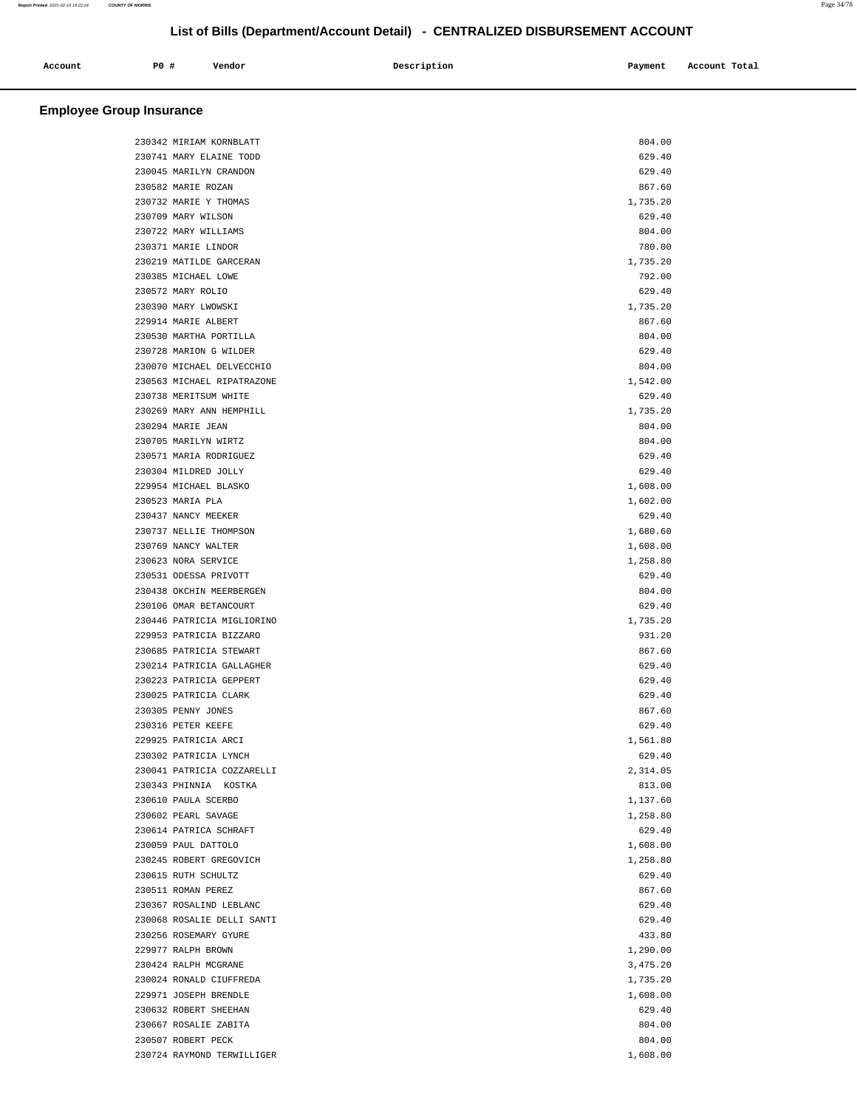| Account | P0# | Vendor | Description | Payment | Account Total |
|---------|-----|--------|-------------|---------|---------------|
|         |     |        |             |         |               |

| 230342 MIRIAM KORNBLATT    | 804.00   |
|----------------------------|----------|
| 230741 MARY ELAINE TODD    | 629.40   |
| 230045 MARILYN CRANDON     | 629.40   |
| 230582 MARIE ROZAN         | 867.60   |
| 230732 MARIE Y THOMAS      | 1,735.20 |
| 230709 MARY WILSON         | 629.40   |
| 230722 MARY WILLIAMS       | 804.00   |
| 230371 MARIE LINDOR        | 780.00   |
| 230219 MATILDE GARCERAN    | 1,735.20 |
| 230385 MICHAEL LOWE        | 792.00   |
| 230572 MARY ROLIO          | 629.40   |
| 230390 MARY LWOWSKI        | 1,735.20 |
| 229914 MARIE ALBERT        | 867.60   |
| 230530 MARTHA PORTILLA     | 804.00   |
| 230728 MARION G WILDER     | 629.40   |
| 230070 MICHAEL DELVECCHIO  | 804.00   |
| 230563 MICHAEL RIPATRAZONE | 1,542.00 |
| 230738 MERITSUM WHITE      | 629.40   |
| 230269 MARY ANN HEMPHILL   | 1,735.20 |
| 230294 MARIE JEAN          | 804.00   |
| 230705 MARILYN WIRTZ       | 804.00   |
| 230571 MARIA RODRIGUEZ     | 629.40   |
| 230304 MILDRED JOLLY       | 629.40   |
| 229954 MICHAEL BLASKO      | 1,608.00 |
| 230523 MARIA PLA           | 1,602.00 |
| 230437 NANCY MEEKER        | 629.40   |
| 230737 NELLIE THOMPSON     | 1,680.60 |
| 230769 NANCY WALTER        | 1,608.00 |
| 230623 NORA SERVICE        | 1,258.80 |
| 230531 ODESSA PRIVOTT      | 629.40   |
| 230438 OKCHIN MEERBERGEN   | 804.00   |
| 230106 OMAR BETANCOURT     | 629.40   |
| 230446 PATRICIA MIGLIORINO | 1,735.20 |
| 229953 PATRICIA BIZZARO    | 931.20   |
| 230685 PATRICIA STEWART    | 867.60   |
| 230214 PATRICIA GALLAGHER  | 629.40   |
| 230223 PATRICIA GEPPERT    | 629.40   |
| 230025 PATRICIA CLARK      | 629.40   |
| 230305 PENNY JONES         | 867.60   |
| 230316 PETER KEEFE         | 629.40   |
| 229925 PATRICIA ARCI       | 1,561.80 |
| 230302 PATRICIA LYNCH      | 629.40   |
| 230041 PATRICIA COZZARELLI | 2,314.05 |
| 230343 PHINNIA KOSTKA      | 813.00   |
| 230610 PAULA SCERBO        | 1,137.60 |
| 230602 PEARL SAVAGE        | 1,258.80 |
| 230614 PATRICA SCHRAFT     | 629.40   |
| 230059 PAUL DATTOLO        | 1,608.00 |
| 230245 ROBERT GREGOVICH    | 1,258.80 |
| 230615 RUTH SCHULTZ        | 629.40   |
| 230511 ROMAN PEREZ         | 867.60   |
| 230367 ROSALIND LEBLANC    | 629.40   |
| 230068 ROSALIE DELLI SANTI | 629.40   |
| 230256 ROSEMARY GYURE      | 433.80   |
| 229977 RALPH BROWN         | 1,290.00 |
| 230424 RALPH MCGRANE       | 3,475.20 |
| 230024 RONALD CIUFFREDA    | 1,735.20 |
| 229971 JOSEPH BRENDLE      | 1,608.00 |
| 230632 ROBERT SHEEHAN      | 629.40   |
| 230667 ROSALIE ZABITA      | 804.00   |
| 230507 ROBERT PECK         | 804.00   |
| 230724 RAYMOND TERWILLIGER | 1,608.00 |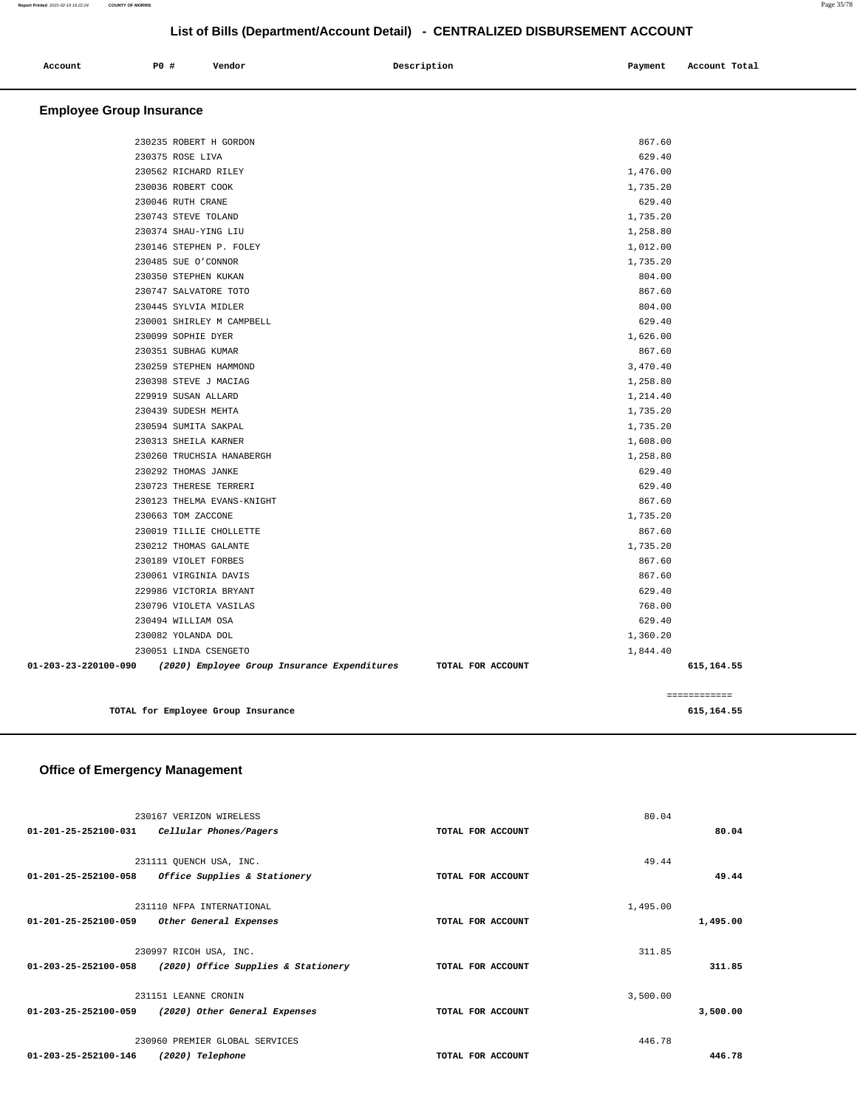| P0 #<br>Account                 | Vendor | Description | Payment  | Account Total |
|---------------------------------|--------|-------------|----------|---------------|
| <b>Employee Group Insurance</b> |        |             |          |               |
| 230235 ROBERT H GORDON          |        |             | 867.60   |               |
| 230375 ROSE LIVA                |        |             | 629.40   |               |
| 230562 RICHARD RILEY            |        |             | 1,476.00 |               |
| 230036 ROBERT COOK              |        |             | 1,735.20 |               |
| 230046 RUTH CRANE               |        |             | 629.40   |               |
| 230743 STEVE TOLAND             |        |             | 1,735.20 |               |
| 230374 SHAU-YING LIU            |        |             | 1,258.80 |               |
| 230146 STEPHEN P. FOLEY         |        |             | 1,012.00 |               |
| 230485 SUE O'CONNOR             |        |             | 1,735.20 |               |
| 230350 STEPHEN KUKAN            |        |             | 804.00   |               |
| 230747 SALVATORE TOTO           |        |             | 867.60   |               |
| 230445 SYLVIA MIDLER            |        |             | 804.00   |               |
| 230001 SHIRLEY M CAMPBELL       |        |             | 629.40   |               |
| 230099 SOPHIE DYER              |        |             | 1,626.00 |               |
| 230351 SUBHAG KUMAR             |        |             | 867.60   |               |
| 230259 STEPHEN HAMMOND          |        |             | 3,470.40 |               |
| 230398 STEVE J MACIAG           |        |             | 1,258.80 |               |
| 229919 SUSAN ALLARD             |        |             | 1,214.40 |               |
| 230439 SUDESH MEHTA             |        |             | 1,735.20 |               |
| 230594 SUMITA SAKPAL            |        |             | 1,735.20 |               |
| 230313 SHEILA KARNER            |        |             | 1,608.00 |               |
| 230260 TRUCHSIA HANABERGH       |        |             | 1,258.80 |               |
| 230292 THOMAS JANKE             |        |             | 629.40   |               |
| 230723 THERESE TERRERI          |        |             | 629.40   |               |
| 230123 THELMA EVANS-KNIGHT      |        |             | 867.60   |               |
| 230663 TOM ZACCONE              |        |             | 1,735.20 |               |
| 230019 TILLIE CHOLLETTE         |        |             | 867.60   |               |
| 230212 THOMAS GALANTE           |        |             | 1,735.20 |               |
| 230189 VIOLET FORBES            |        |             | 867.60   |               |
| 230061 VIRGINIA DAVIS           |        |             | 867.60   |               |
| 229986 VICTORIA BRYANT          |        |             | 629.40   |               |
| 230796 VIOLETA VASILAS          |        |             | 768.00   |               |
| 230494 WILLIAM OSA              |        |             | 629.40   |               |
| 230082 YOLANDA DOL              |        |             | 1,360.20 |               |
| 230051 LINDA CSENGETO           |        |             | 1,844.40 |               |

|                                    | ------------<br>------------ |
|------------------------------------|------------------------------|
| TOTAL for Employee Group Insurance | 615.164.55                   |

 **01-203-23-220100-090 (2020) Employee Group Insurance Expenditures TOTAL FOR ACCOUNT 615,164.55**

## **Office of Emergency Management**

|                                | 230167 VERIZON WIRELESS             |                   | 80.04    |          |
|--------------------------------|-------------------------------------|-------------------|----------|----------|
| 01-201-25-252100-031           | Cellular Phones/Pagers              | TOTAL FOR ACCOUNT |          | 80.04    |
|                                | 231111 QUENCH USA, INC.             |                   | 49.44    |          |
| $01 - 201 - 25 - 252100 - 058$ | Office Supplies & Stationery        | TOTAL FOR ACCOUNT |          | 49.44    |
|                                | 231110 NFPA INTERNATIONAL           |                   | 1,495.00 |          |
| $01 - 201 - 25 - 252100 - 059$ | Other General Expenses              | TOTAL FOR ACCOUNT |          | 1,495.00 |
|                                |                                     |                   |          |          |
|                                | 230997 RICOH USA, INC.              |                   | 311.85   |          |
| 01-203-25-252100-058           | (2020) Office Supplies & Stationery | TOTAL FOR ACCOUNT |          | 311.85   |
|                                | 231151 LEANNE CRONIN                |                   | 3,500.00 |          |
| 01-203-25-252100-059           | (2020) Other General Expenses       | TOTAL FOR ACCOUNT |          | 3,500.00 |
|                                |                                     |                   |          |          |
|                                | 230960 PREMIER GLOBAL SERVICES      |                   | 446.78   |          |
| 01-203-25-252100-146           | (2020) Telephone                    | TOTAL FOR ACCOUNT |          | 446.78   |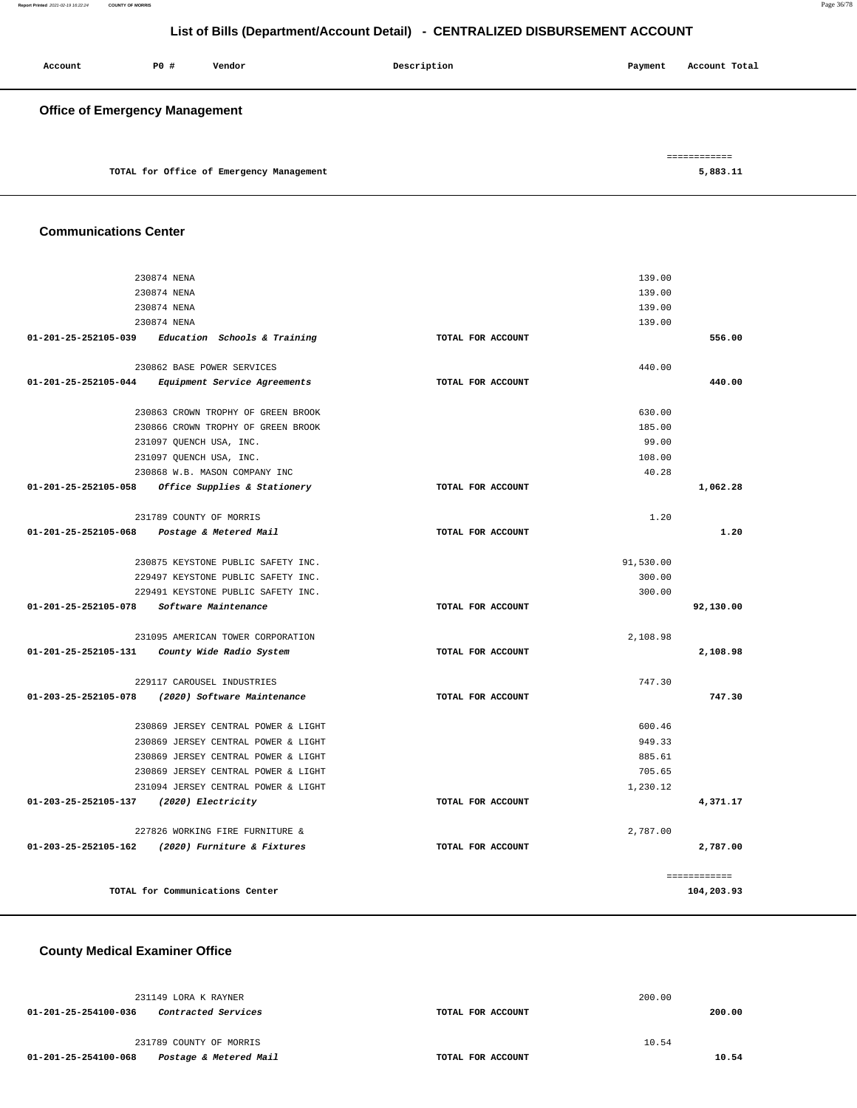| Account                               | P0 # | Vendor                                   | Description | Payment | Account Total            |
|---------------------------------------|------|------------------------------------------|-------------|---------|--------------------------|
| <b>Office of Emergency Management</b> |      |                                          |             |         |                          |
|                                       |      | TOTAL for Office of Emergency Management |             |         | ============<br>5,883.11 |

## **Communications Center**

| 230874 NENA                                                 |                   | 139.00    |              |
|-------------------------------------------------------------|-------------------|-----------|--------------|
| 230874 NENA                                                 |                   | 139.00    |              |
| 230874 NENA                                                 |                   | 139.00    |              |
| 230874 NENA                                                 |                   | 139.00    |              |
| 01-201-25-252105-039<br>Education Schools & Training        | TOTAL FOR ACCOUNT |           | 556.00       |
| 230862 BASE POWER SERVICES                                  |                   | 440.00    |              |
| <i>Equipment Service Agreements</i><br>01-201-25-252105-044 | TOTAL FOR ACCOUNT |           | 440.00       |
| 230863 CROWN TROPHY OF GREEN BROOK                          |                   | 630.00    |              |
| 230866 CROWN TROPHY OF GREEN BROOK                          |                   | 185.00    |              |
| 231097 QUENCH USA, INC.                                     |                   | 99.00     |              |
| 231097 QUENCH USA, INC.                                     |                   | 108.00    |              |
| 230868 W.B. MASON COMPANY INC                               |                   | 40.28     |              |
| 01-201-25-252105-058<br>Office Supplies & Stationery        | TOTAL FOR ACCOUNT |           | 1,062.28     |
| 231789 COUNTY OF MORRIS                                     |                   | 1.20      |              |
| 01-201-25-252105-068<br>Postage & Metered Mail              | TOTAL FOR ACCOUNT |           | 1.20         |
| 230875 KEYSTONE PUBLIC SAFETY INC.                          |                   | 91,530.00 |              |
| 229497 KEYSTONE PUBLIC SAFETY INC.                          |                   | 300.00    |              |
| 229491 KEYSTONE PUBLIC SAFETY INC.                          |                   | 300.00    |              |
| 01-201-25-252105-078<br>Software Maintenance                | TOTAL FOR ACCOUNT |           | 92,130.00    |
| 231095 AMERICAN TOWER CORPORATION                           |                   | 2,108.98  |              |
| 01-201-25-252105-131<br>County Wide Radio System            | TOTAL FOR ACCOUNT |           | 2,108.98     |
| 229117 CAROUSEL INDUSTRIES                                  |                   | 747.30    |              |
| 01-203-25-252105-078<br>(2020) Software Maintenance         | TOTAL FOR ACCOUNT |           | 747.30       |
| 230869 JERSEY CENTRAL POWER & LIGHT                         |                   | 600.46    |              |
| 230869 JERSEY CENTRAL POWER & LIGHT                         |                   | 949.33    |              |
| 230869 JERSEY CENTRAL POWER & LIGHT                         |                   | 885.61    |              |
| 230869 JERSEY CENTRAL POWER & LIGHT                         |                   | 705.65    |              |
| 231094 JERSEY CENTRAL POWER & LIGHT                         |                   | 1,230.12  |              |
| (2020) Electricity<br>01-203-25-252105-137                  | TOTAL FOR ACCOUNT |           | 4,371.17     |
| 227826 WORKING FIRE FURNITURE &                             |                   | 2,787.00  |              |
| 01-203-25-252105-162 (2020) Furniture & Fixtures            | TOTAL FOR ACCOUNT |           | 2,787.00     |
|                                                             |                   |           | ============ |
| TOTAL for Communications Center                             |                   |           | 104,203.93   |

## **County Medical Examiner Office**

| 231149 LORA K RAYNER                               |                   | 200.00 |        |
|----------------------------------------------------|-------------------|--------|--------|
| 01-201-25-254100-036<br><i>Contracted Services</i> | TOTAL FOR ACCOUNT |        | 200.00 |
| 231789 COUNTY OF MORRIS                            |                   | 10.54  |        |
| 01-201-25-254100-068<br>Postage & Metered Mail     | TOTAL FOR ACCOUNT |        | 10.54  |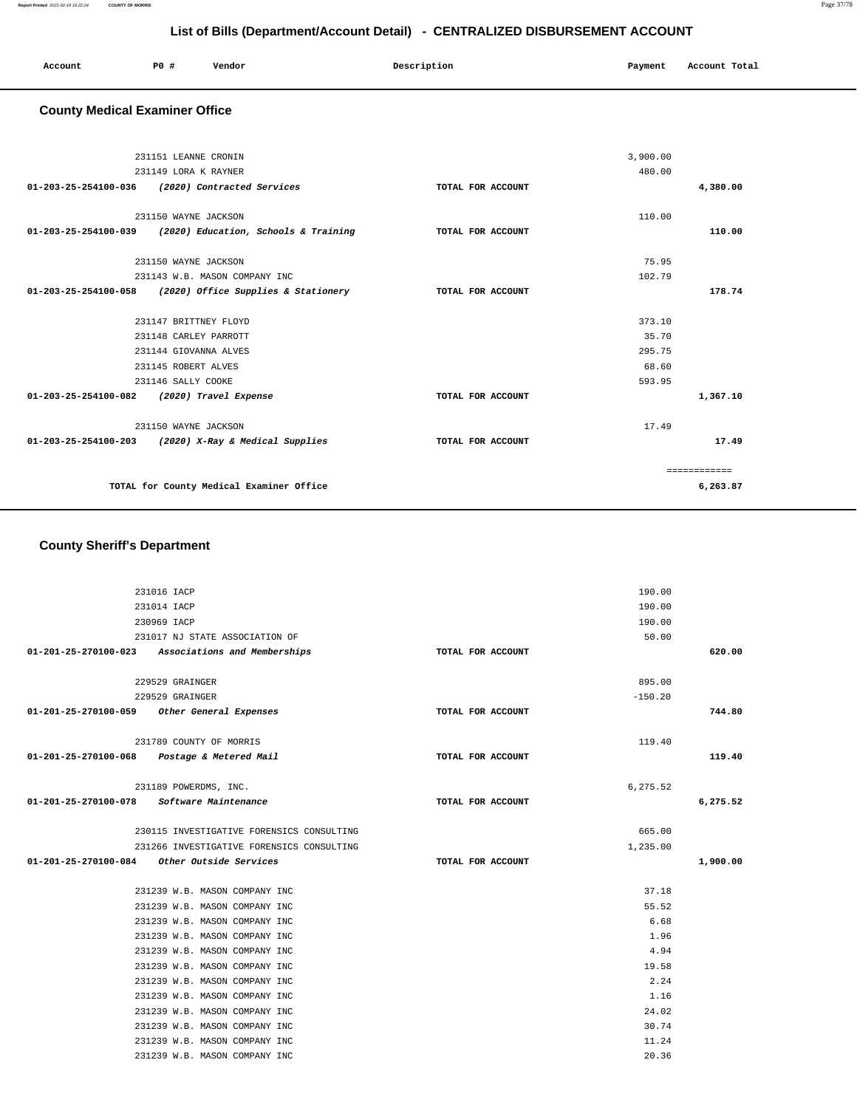| Account | <b>PO #</b> | Vendor | Description | Payment | Account Total |
|---------|-------------|--------|-------------|---------|---------------|
|         |             |        |             |         |               |

## **County Medical Examiner Office**

|                                | 231151 LEANNE CRONIN                                 |                   | 3,900.00 |              |  |
|--------------------------------|------------------------------------------------------|-------------------|----------|--------------|--|
|                                |                                                      |                   |          |              |  |
|                                | 231149 LORA K RAYNER                                 |                   | 480.00   |              |  |
|                                | 01-203-25-254100-036 (2020) Contracted Services      | TOTAL FOR ACCOUNT |          | 4,380.00     |  |
|                                |                                                      |                   |          |              |  |
|                                | 231150 WAYNE JACKSON                                 |                   | 110.00   |              |  |
| $01 - 203 - 25 - 254100 - 039$ | (2020) Education, Schools & Training                 | TOTAL FOR ACCOUNT |          | 110.00       |  |
|                                |                                                      |                   |          |              |  |
|                                | 231150 WAYNE JACKSON                                 |                   | 75.95    |              |  |
|                                | 231143 W.B. MASON COMPANY INC                        |                   | 102.79   |              |  |
| $01 - 203 - 25 - 254100 - 058$ | (2020) Office Supplies & Stationery                  | TOTAL FOR ACCOUNT |          | 178.74       |  |
|                                |                                                      |                   |          |              |  |
|                                | 231147 BRITTNEY FLOYD                                |                   | 373.10   |              |  |
|                                | 231148 CARLEY PARROTT                                |                   | 35.70    |              |  |
| 231144 GIOVANNA ALVES          |                                                      | 295.75            |          |              |  |
|                                | 231145 ROBERT ALVES                                  |                   | 68.60    |              |  |
|                                | 231146 SALLY COOKE                                   |                   | 593.95   |              |  |
| $01 - 203 - 25 - 254100 - 082$ | (2020) Travel Expense                                | TOTAL FOR ACCOUNT |          | 1,367.10     |  |
|                                | 231150 WAYNE JACKSON                                 |                   | 17.49    |              |  |
|                                | 01-203-25-254100-203 (2020) X-Ray & Medical Supplies | TOTAL FOR ACCOUNT |          | 17.49        |  |
|                                |                                                      |                   |          |              |  |
|                                |                                                      |                   |          | ============ |  |
|                                | TOTAL for County Medical Examiner Office             |                   |          | 6,263.87     |  |
|                                |                                                      |                   |          |              |  |

## **County Sheriff's Department**

|                                             | 231016 IACP                                       |                   | 190.00    |          |
|---------------------------------------------|---------------------------------------------------|-------------------|-----------|----------|
|                                             | 231014 IACP                                       |                   | 190.00    |          |
|                                             | 230969 IACP                                       |                   | 190.00    |          |
|                                             | 231017 NJ STATE ASSOCIATION OF                    |                   | 50.00     |          |
|                                             | 01-201-25-270100-023 Associations and Memberships | TOTAL FOR ACCOUNT |           | 620.00   |
|                                             |                                                   |                   |           |          |
|                                             | 229529 GRAINGER                                   |                   | 895.00    |          |
|                                             | 229529 GRAINGER                                   |                   | $-150.20$ |          |
| 01-201-25-270100-059 Other General Expenses |                                                   | TOTAL FOR ACCOUNT |           | 744.80   |
|                                             | 231789 COUNTY OF MORRIS                           |                   | 119.40    |          |
| 01-201-25-270100-068 Postage & Metered Mail |                                                   | TOTAL FOR ACCOUNT |           | 119.40   |
|                                             |                                                   |                   |           |          |
|                                             | 231189 POWERDMS, INC.                             |                   | 6,275.52  |          |
| 01-201-25-270100-078 Software Maintenance   |                                                   | TOTAL FOR ACCOUNT |           | 6,275.52 |
|                                             | 230115 INVESTIGATIVE FORENSICS CONSULTING         |                   | 665.00    |          |
|                                             | 231266 INVESTIGATIVE FORENSICS CONSULTING         |                   | 1,235.00  |          |
| 01-201-25-270100-084 Other Outside Services |                                                   | TOTAL FOR ACCOUNT |           | 1,900.00 |
|                                             | 231239 W.B. MASON COMPANY INC                     |                   | 37.18     |          |
|                                             | 231239 W.B. MASON COMPANY INC                     |                   | 55.52     |          |
|                                             | 231239 W.B. MASON COMPANY INC                     |                   | 6.68      |          |
|                                             | 231239 W.B. MASON COMPANY INC                     |                   | 1.96      |          |
|                                             | 231239 W.B. MASON COMPANY INC                     |                   | 4.94      |          |
|                                             | 231239 W.B. MASON COMPANY INC                     |                   | 19.58     |          |
|                                             | 231239 W.B. MASON COMPANY INC                     |                   | 2.24      |          |
|                                             | 231239 W.B. MASON COMPANY INC                     |                   | 1.16      |          |
|                                             | 231239 W.B. MASON COMPANY INC                     |                   | 24.02     |          |
|                                             | 231239 W.B. MASON COMPANY INC                     |                   | 30.74     |          |
|                                             | 231239 W.B. MASON COMPANY INC                     |                   | 11.24     |          |
|                                             | 231239 W.B. MASON COMPANY INC                     |                   | 20.36     |          |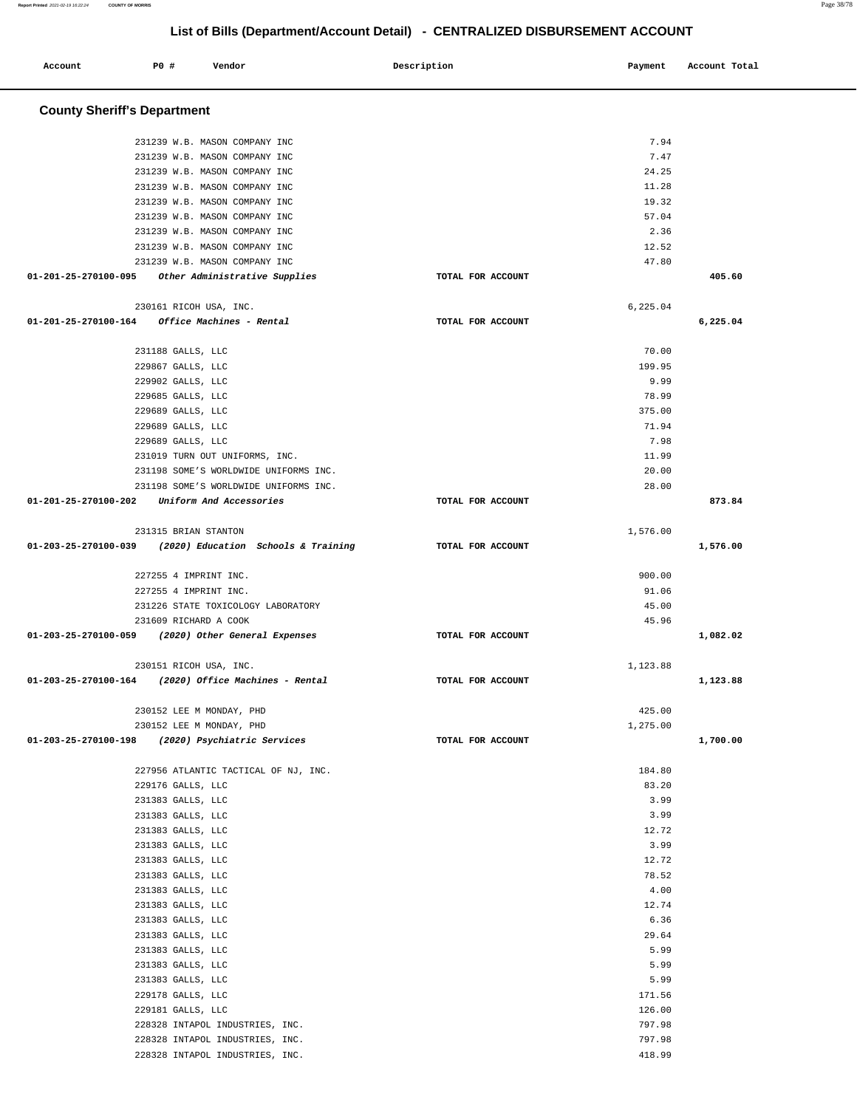۳

| Account                                          | <b>PO #</b>                            | Vendor                                |                                     | Description       | Payment      | Account Total |
|--------------------------------------------------|----------------------------------------|---------------------------------------|-------------------------------------|-------------------|--------------|---------------|
| <b>County Sheriff's Department</b>               |                                        |                                       |                                     |                   |              |               |
|                                                  |                                        | 231239 W.B. MASON COMPANY INC         |                                     |                   | 7.94         |               |
|                                                  |                                        | 231239 W.B. MASON COMPANY INC         |                                     |                   | 7.47         |               |
|                                                  |                                        | 231239 W.B. MASON COMPANY INC         |                                     |                   | 24.25        |               |
|                                                  |                                        | 231239 W.B. MASON COMPANY INC         |                                     |                   | 11.28        |               |
|                                                  |                                        | 231239 W.B. MASON COMPANY INC         |                                     |                   | 19.32        |               |
|                                                  |                                        | 231239 W.B. MASON COMPANY INC         |                                     |                   | 57.04        |               |
|                                                  |                                        | 231239 W.B. MASON COMPANY INC         |                                     |                   | 2.36         |               |
|                                                  |                                        | 231239 W.B. MASON COMPANY INC         |                                     |                   | 12.52        |               |
|                                                  |                                        | 231239 W.B. MASON COMPANY INC         |                                     |                   | 47.80        |               |
| 01-201-25-270100-095                             |                                        | Other Administrative Supplies         |                                     | TOTAL FOR ACCOUNT |              | 405.60        |
|                                                  | 230161 RICOH USA, INC.                 |                                       |                                     |                   | 6,225.04     |               |
| 01-201-25-270100-164                             |                                        | Office Machines - Rental              |                                     | TOTAL FOR ACCOUNT |              | 6,225.04      |
|                                                  |                                        |                                       |                                     |                   | 70.00        |               |
|                                                  | 231188 GALLS, LLC<br>229867 GALLS, LLC |                                       |                                     |                   | 199.95       |               |
|                                                  | 229902 GALLS, LLC                      |                                       |                                     |                   | 9.99         |               |
|                                                  | 229685 GALLS, LLC                      |                                       |                                     |                   | 78.99        |               |
|                                                  | 229689 GALLS, LLC                      |                                       |                                     |                   | 375.00       |               |
|                                                  | 229689 GALLS, LLC                      |                                       |                                     |                   | 71.94        |               |
|                                                  | 229689 GALLS, LLC                      |                                       |                                     |                   | 7.98         |               |
|                                                  |                                        | 231019 TURN OUT UNIFORMS, INC.        |                                     |                   | 11.99        |               |
|                                                  |                                        | 231198 SOME'S WORLDWIDE UNIFORMS INC. |                                     |                   | 20.00        |               |
|                                                  |                                        | 231198 SOME'S WORLDWIDE UNIFORMS INC. |                                     |                   | 28.00        |               |
| 01-201-25-270100-202                             |                                        | Uniform And Accessories               |                                     | TOTAL FOR ACCOUNT |              | 873.84        |
|                                                  | 231315 BRIAN STANTON                   |                                       |                                     |                   | 1,576.00     |               |
| 01-203-25-270100-039                             |                                        |                                       | (2020) Education Schools & Training | TOTAL FOR ACCOUNT |              | 1,576.00      |
|                                                  | 227255 4 IMPRINT INC.                  |                                       |                                     |                   | 900.00       |               |
|                                                  | 227255 4 IMPRINT INC.                  |                                       |                                     |                   | 91.06        |               |
|                                                  |                                        | 231226 STATE TOXICOLOGY LABORATORY    |                                     |                   | 45.00        |               |
|                                                  | 231609 RICHARD A COOK                  |                                       |                                     |                   | 45.96        |               |
| 01-203-25-270100-059                             |                                        | (2020) Other General Expenses         |                                     | TOTAL FOR ACCOUNT |              | 1,082.02      |
|                                                  | 230151 RICOH USA, INC.                 |                                       |                                     |                   | 1,123.88     |               |
| 01-203-25-270100-164                             |                                        | (2020) Office Machines - Rental       |                                     | TOTAL FOR ACCOUNT |              | 1,123.88      |
|                                                  | 230152 LEE M MONDAY, PHD               |                                       |                                     |                   | 425.00       |               |
|                                                  | 230152 LEE M MONDAY, PHD               |                                       |                                     |                   | 1,275.00     |               |
| 01-203-25-270100-198 (2020) Psychiatric Services |                                        |                                       |                                     | TOTAL FOR ACCOUNT |              | 1,700.00      |
|                                                  |                                        |                                       |                                     |                   |              |               |
|                                                  |                                        | 227956 ATLANTIC TACTICAL OF NJ, INC.  |                                     |                   | 184.80       |               |
|                                                  | 229176 GALLS, LLC                      |                                       |                                     |                   | 83.20        |               |
|                                                  | 231383 GALLS, LLC                      |                                       |                                     |                   | 3.99<br>3.99 |               |
|                                                  | 231383 GALLS, LLC<br>231383 GALLS, LLC |                                       |                                     |                   | 12.72        |               |
|                                                  | 231383 GALLS, LLC                      |                                       |                                     |                   | 3.99         |               |
|                                                  | 231383 GALLS, LLC                      |                                       |                                     |                   | 12.72        |               |
|                                                  | 231383 GALLS, LLC                      |                                       |                                     |                   | 78.52        |               |
|                                                  | 231383 GALLS, LLC                      |                                       |                                     |                   | 4.00         |               |
|                                                  | 231383 GALLS, LLC                      |                                       |                                     |                   | 12.74        |               |
|                                                  | 231383 GALLS, LLC                      |                                       |                                     |                   | 6.36         |               |
|                                                  | 231383 GALLS, LLC                      |                                       |                                     |                   | 29.64        |               |
|                                                  | 231383 GALLS, LLC                      |                                       |                                     |                   | 5.99         |               |
|                                                  | 231383 GALLS, LLC                      |                                       |                                     |                   | 5.99         |               |
|                                                  | 231383 GALLS, LLC                      |                                       |                                     |                   | 5.99         |               |
|                                                  | 229178 GALLS, LLC                      |                                       |                                     |                   | 171.56       |               |
|                                                  | 229181 GALLS, LLC                      |                                       |                                     |                   | 126.00       |               |
|                                                  |                                        | 228328 INTAPOL INDUSTRIES, INC.       |                                     |                   | 797.98       |               |
|                                                  |                                        | 228328 INTAPOL INDUSTRIES, INC.       |                                     |                   | 797.98       |               |
|                                                  |                                        | 228328 INTAPOL INDUSTRIES, INC.       |                                     |                   | 418.99       |               |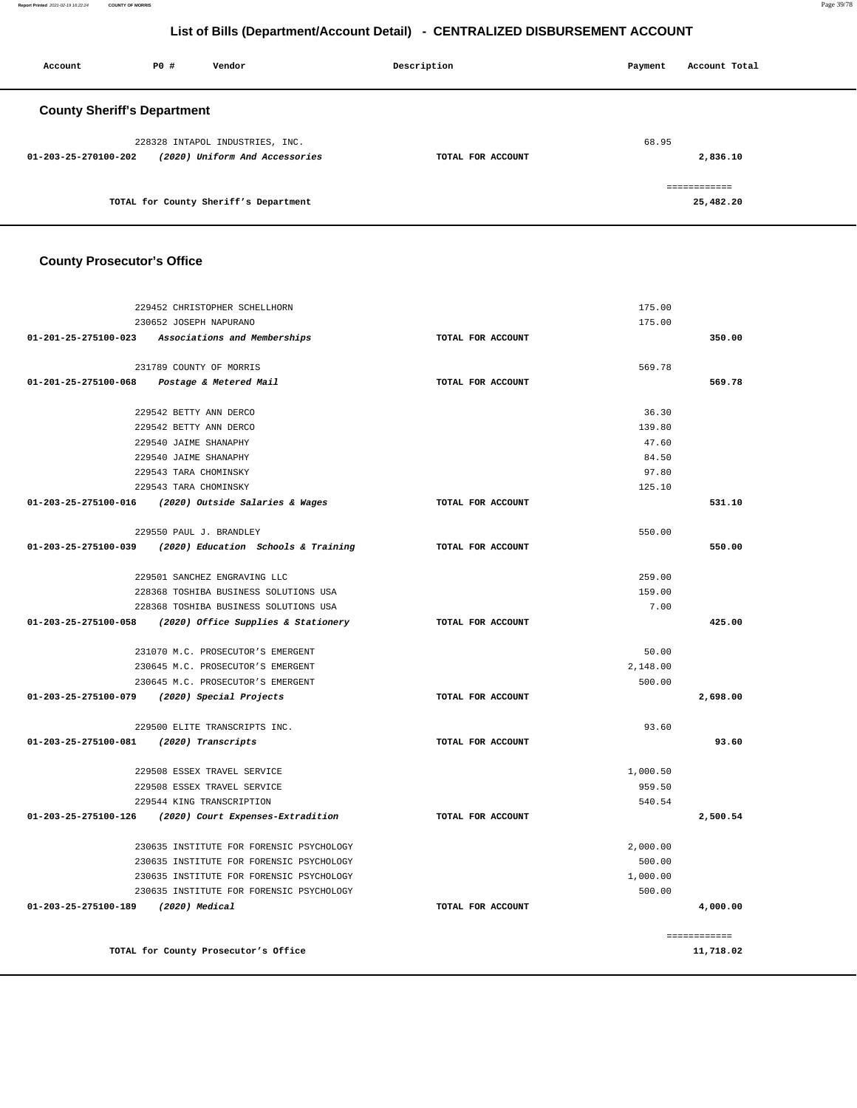**Report Printed** 2021-02-19 16:22:24 **COUNTY OF MORRIS** Page 39/78

## **List of Bills (Department/Account Detail) - CENTRALIZED DISBURSEMENT ACCOUNT**

| Account                               | P0 # | Vendor                          | Description       | Payment | Account Total |
|---------------------------------------|------|---------------------------------|-------------------|---------|---------------|
| <b>County Sheriff's Department</b>    |      |                                 |                   |         |               |
|                                       |      | 228328 INTAPOL INDUSTRIES, INC. |                   | 68.95   |               |
| 01-203-25-270100-202                  |      | (2020) Uniform And Accessories  | TOTAL FOR ACCOUNT |         | 2,836.10      |
|                                       |      |                                 |                   |         | ============  |
| TOTAL for County Sheriff's Department |      |                                 |                   |         | 25,482.20     |

## **County Prosecutor's Office**

|                                         | 229452 CHRISTOPHER SCHELLHORN                            |                   | 175.00   |              |
|-----------------------------------------|----------------------------------------------------------|-------------------|----------|--------------|
|                                         | 230652 JOSEPH NAPURANO                                   |                   | 175.00   |              |
|                                         | 01-201-25-275100-023 Associations and Memberships        | TOTAL FOR ACCOUNT |          | 350.00       |
|                                         | 231789 COUNTY OF MORRIS                                  |                   | 569.78   |              |
|                                         | 01-201-25-275100-068 Postage & Metered Mail              | TOTAL FOR ACCOUNT |          | 569.78       |
|                                         | 229542 BETTY ANN DERCO                                   |                   | 36.30    |              |
|                                         | 229542 BETTY ANN DERCO                                   |                   | 139.80   |              |
|                                         | 229540 JAIME SHANAPHY                                    |                   | 47.60    |              |
|                                         | 229540 JAIME SHANAPHY                                    |                   | 84.50    |              |
|                                         | 229543 TARA CHOMINSKY                                    |                   | 97.80    |              |
|                                         | 229543 TARA CHOMINSKY                                    |                   | 125.10   |              |
|                                         | 01-203-25-275100-016 (2020) Outside Salaries & Wages     | TOTAL FOR ACCOUNT |          | 531.10       |
|                                         | 229550 PAUL J. BRANDLEY                                  |                   | 550.00   |              |
|                                         | 01-203-25-275100-039 (2020) Education Schools & Training | TOTAL FOR ACCOUNT |          | 550.00       |
|                                         | 229501 SANCHEZ ENGRAVING LLC                             |                   | 259.00   |              |
|                                         | 228368 TOSHIBA BUSINESS SOLUTIONS USA                    |                   | 159.00   |              |
|                                         | 228368 TOSHIBA BUSINESS SOLUTIONS USA                    |                   | 7.00     |              |
|                                         | 01-203-25-275100-058 (2020) Office Supplies & Stationery | TOTAL FOR ACCOUNT |          | 425.00       |
|                                         | 231070 M.C. PROSECUTOR'S EMERGENT                        |                   | 50.00    |              |
|                                         | 230645 M.C. PROSECUTOR'S EMERGENT                        |                   | 2,148.00 |              |
|                                         | 230645 M.C. PROSECUTOR'S EMERGENT                        |                   | 500.00   |              |
|                                         | 01-203-25-275100-079 (2020) Special Projects             | TOTAL FOR ACCOUNT |          | 2,698.00     |
|                                         | 229500 ELITE TRANSCRIPTS INC.                            |                   | 93.60    |              |
| 01-203-25-275100-081 (2020) Transcripts |                                                          | TOTAL FOR ACCOUNT |          | 93.60        |
|                                         | 229508 ESSEX TRAVEL SERVICE                              |                   | 1,000.50 |              |
|                                         | 229508 ESSEX TRAVEL SERVICE                              |                   | 959.50   |              |
|                                         | 229544 KING TRANSCRIPTION                                |                   | 540.54   |              |
|                                         | 01-203-25-275100-126 (2020) Court Expenses-Extradition   | TOTAL FOR ACCOUNT |          | 2,500.54     |
|                                         | 230635 INSTITUTE FOR FORENSIC PSYCHOLOGY                 |                   | 2,000.00 |              |
|                                         | 230635 INSTITUTE FOR FORENSIC PSYCHOLOGY                 |                   | 500.00   |              |
|                                         | 230635 INSTITUTE FOR FORENSIC PSYCHOLOGY                 |                   | 1,000.00 |              |
|                                         | 230635 INSTITUTE FOR FORENSIC PSYCHOLOGY                 |                   | 500.00   |              |
| 01-203-25-275100-189                    | (2020) Medical                                           | TOTAL FOR ACCOUNT |          | 4,000.00     |
|                                         |                                                          |                   |          | ============ |
|                                         | TOTAL for County Prosecutor's Office                     |                   |          | 11,718.02    |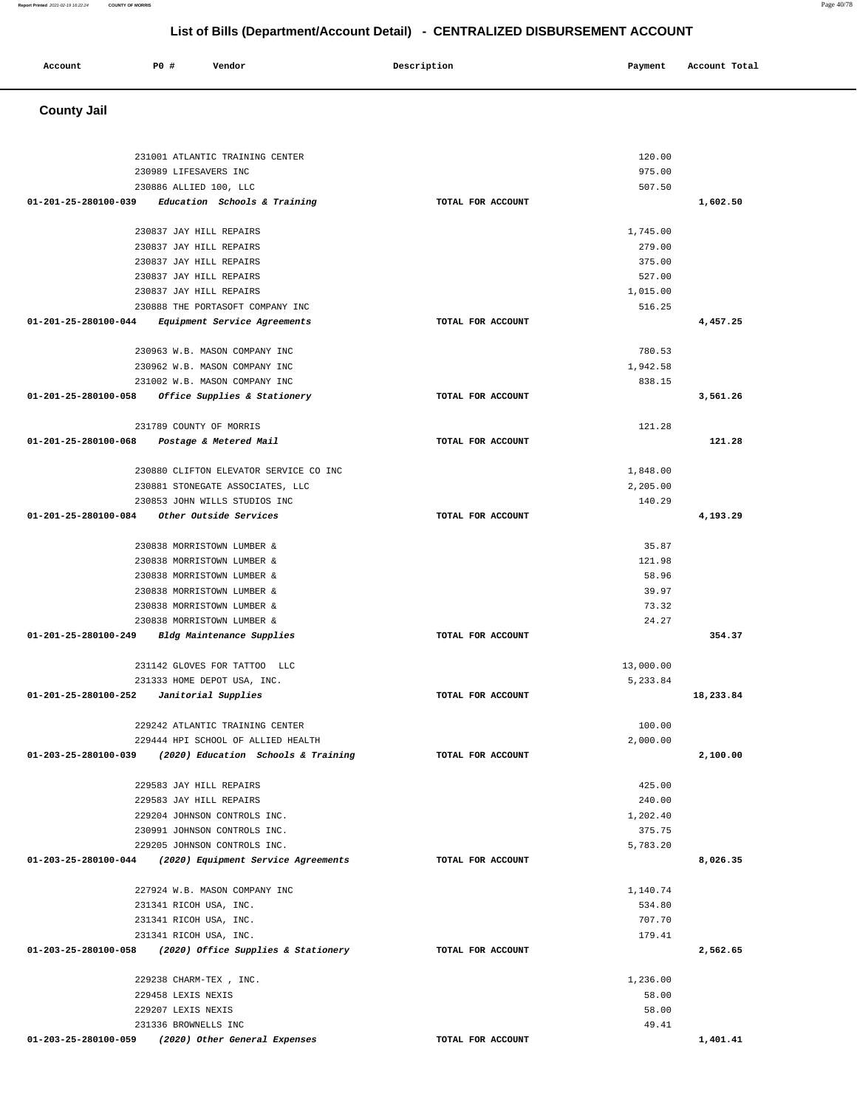| 231001 ATLANTIC TRAINING CENTER                                                          |                   | 120.00    |           |
|------------------------------------------------------------------------------------------|-------------------|-----------|-----------|
| 230989 LIFESAVERS INC                                                                    |                   | 975.00    |           |
| 230886 ALLIED 100, LLC                                                                   |                   | 507.50    |           |
| 01-201-25-280100-039<br>Education Schools & Training                                     | TOTAL FOR ACCOUNT |           | 1,602.50  |
| 230837 JAY HILL REPAIRS                                                                  |                   | 1,745.00  |           |
| 230837 JAY HILL REPAIRS                                                                  |                   | 279.00    |           |
| 230837 JAY HILL REPAIRS                                                                  |                   | 375.00    |           |
| 230837 JAY HILL REPAIRS                                                                  |                   | 527.00    |           |
| 230837 JAY HILL REPAIRS                                                                  |                   | 1,015.00  |           |
| 230888 THE PORTASOFT COMPANY INC                                                         |                   | 516.25    |           |
| 01-201-25-280100-044<br>Equipment Service Agreements                                     | TOTAL FOR ACCOUNT |           | 4,457.25  |
| 230963 W.B. MASON COMPANY INC                                                            |                   | 780.53    |           |
| 230962 W.B. MASON COMPANY INC                                                            |                   | 1,942.58  |           |
| 231002 W.B. MASON COMPANY INC                                                            |                   | 838.15    |           |
| 01-201-25-280100-058<br><i>Office Supplies &amp; Stationery</i>                          | TOTAL FOR ACCOUNT |           | 3,561.26  |
|                                                                                          |                   |           |           |
| 231789 COUNTY OF MORRIS                                                                  |                   | 121.28    |           |
| 01-201-25-280100-068<br>Postage & Metered Mail                                           | TOTAL FOR ACCOUNT |           | 121.28    |
| 230880 CLIFTON ELEVATOR SERVICE CO INC                                                   |                   | 1,848.00  |           |
| 230881 STONEGATE ASSOCIATES, LLC                                                         |                   | 2,205.00  |           |
| 230853 JOHN WILLS STUDIOS INC                                                            |                   | 140.29    |           |
|                                                                                          | TOTAL FOR ACCOUNT |           | 4,193.29  |
|                                                                                          |                   |           |           |
| 230838 MORRISTOWN LUMBER &                                                               |                   | 35.87     |           |
| 230838 MORRISTOWN LUMBER &                                                               |                   | 121.98    |           |
| 230838 MORRISTOWN LUMBER &                                                               |                   | 58.96     |           |
| 230838 MORRISTOWN LUMBER &                                                               |                   | 39.97     |           |
| 230838 MORRISTOWN LUMBER &                                                               |                   | 73.32     |           |
| 230838 MORRISTOWN LUMBER &                                                               |                   | 24.27     |           |
| 01-201-25-280100-249<br>Bldg Maintenance Supplies                                        | TOTAL FOR ACCOUNT |           | 354.37    |
| 231142 GLOVES FOR TATTOO LLC                                                             |                   | 13,000.00 |           |
| 231333 HOME DEPOT USA, INC.                                                              |                   | 5,233.84  |           |
| $01-201-25-280100-252$ Janitorial Supplies                                               | TOTAL FOR ACCOUNT |           | 18,233.84 |
| 229242 ATLANTIC TRAINING CENTER                                                          |                   | 100.00    |           |
| 229444 HPI SCHOOL OF ALLIED HEALTH                                                       |                   | 2,000.00  |           |
| 01-203-25-280100-039 (2020) Education Schools & Training                                 | TOTAL FOR ACCOUNT |           | 2,100.00  |
|                                                                                          |                   |           |           |
| 229583 JAY HILL REPAIRS                                                                  |                   | 425.00    |           |
| 229583 JAY HILL REPAIRS                                                                  |                   | 240.00    |           |
| 229204 JOHNSON CONTROLS INC.                                                             |                   | 1,202.40  |           |
| 230991 JOHNSON CONTROLS INC.                                                             |                   | 375.75    |           |
| 229205 JOHNSON CONTROLS INC.<br>01-203-25-280100-044 (2020) Equipment Service Agreements | TOTAL FOR ACCOUNT | 5,783.20  | 8,026.35  |
|                                                                                          |                   |           |           |
| 227924 W.B. MASON COMPANY INC                                                            |                   | 1,140.74  |           |
| 231341 RICOH USA, INC.                                                                   |                   | 534.80    |           |
| 231341 RICOH USA, INC.                                                                   |                   | 707.70    |           |
| 231341 RICOH USA, INC.                                                                   |                   | 179.41    |           |
| 01-203-25-280100-058<br>(2020) Office Supplies & Stationery                              | TOTAL FOR ACCOUNT |           | 2,562.65  |
| 229238 CHARM-TEX, INC.                                                                   |                   | 1,236.00  |           |
| 229458 LEXIS NEXIS                                                                       |                   | 58.00     |           |
| 229207 LEXIS NEXIS                                                                       |                   | 58.00     |           |
| 231336 BROWNELLS INC                                                                     |                   | 49.41     |           |
|                                                                                          | TOTAL FOR ACCOUNT |           | 1,401.41  |

#### **County Jail**

# **Account** 20 **P P**  $\uparrow$  **Payment** Payment Account Total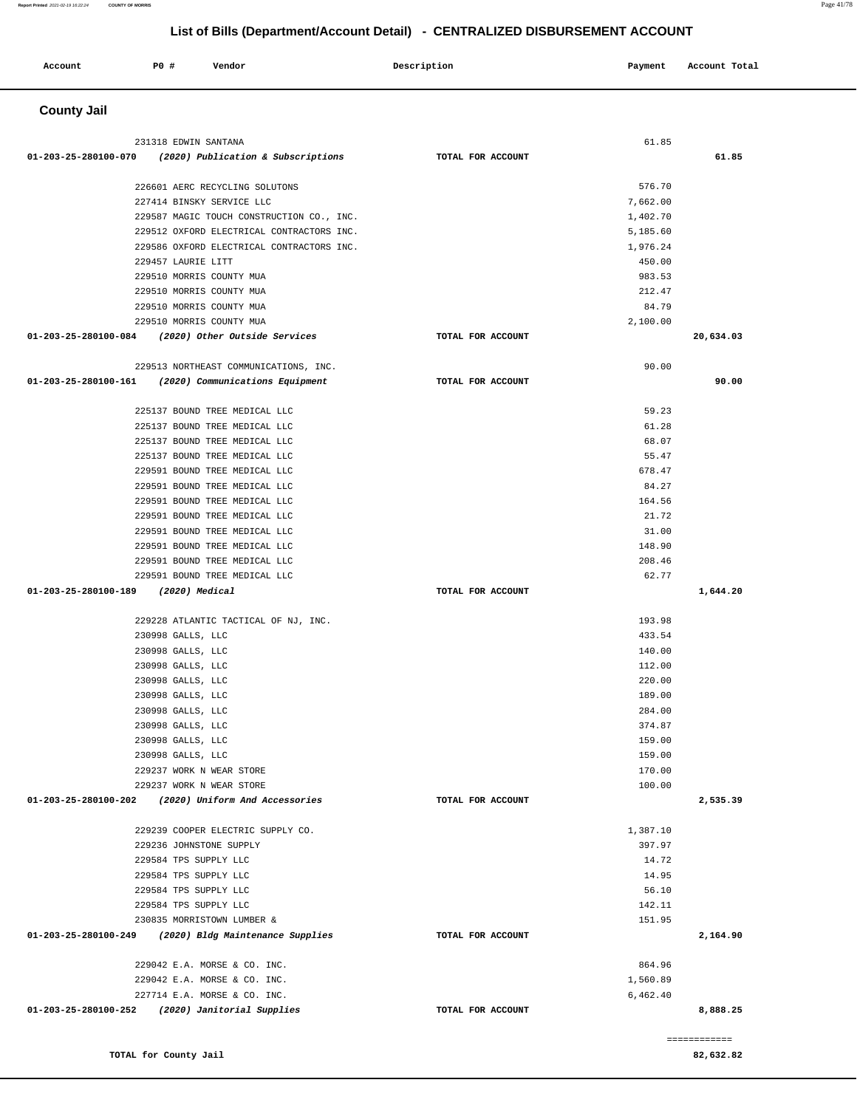**Account P0 # Vendor Description Payment Account Total**

| <b>County Jail</b>                                                                     |                   |                    |  |
|----------------------------------------------------------------------------------------|-------------------|--------------------|--|
|                                                                                        |                   |                    |  |
| 231318 EDWIN SANTANA                                                                   |                   | 61.85              |  |
| $01-203-25-280100-070$ (2020) Publication & Subscriptions                              | TOTAL FOR ACCOUNT | 61.85              |  |
| 226601 AERC RECYCLING SOLUTONS                                                         |                   | 576.70             |  |
| 227414 BINSKY SERVICE LLC                                                              |                   | 7,662.00           |  |
| 229587 MAGIC TOUCH CONSTRUCTION CO., INC.                                              |                   | 1,402.70           |  |
| 229512 OXFORD ELECTRICAL CONTRACTORS INC.                                              |                   | 5,185.60           |  |
| 229586 OXFORD ELECTRICAL CONTRACTORS INC.                                              |                   | 1,976.24           |  |
| 229457 LAURIE LITT                                                                     |                   | 450.00             |  |
| 229510 MORRIS COUNTY MUA                                                               |                   | 983.53             |  |
| 229510 MORRIS COUNTY MUA                                                               |                   | 212.47             |  |
| 229510 MORRIS COUNTY MUA                                                               |                   | 84.79              |  |
| 229510 MORRIS COUNTY MUA                                                               |                   | 2,100.00           |  |
| 01-203-25-280100-084 (2020) Other Outside Services                                     | TOTAL FOR ACCOUNT | 20,634.03          |  |
|                                                                                        |                   |                    |  |
| 229513 NORTHEAST COMMUNICATIONS, INC.                                                  |                   | 90.00              |  |
| 01-203-25-280100-161 (2020) Communications Equipment                                   | TOTAL FOR ACCOUNT | 90.00              |  |
| 225137 BOUND TREE MEDICAL LLC                                                          |                   | 59.23              |  |
| 225137 BOUND TREE MEDICAL LLC                                                          |                   | 61.28              |  |
| 225137 BOUND TREE MEDICAL LLC                                                          |                   | 68.07              |  |
| 225137 BOUND TREE MEDICAL LLC                                                          |                   | 55.47              |  |
| 229591 BOUND TREE MEDICAL LLC                                                          |                   | 678.47             |  |
| 229591 BOUND TREE MEDICAL LLC                                                          |                   | 84.27              |  |
| 229591 BOUND TREE MEDICAL LLC                                                          |                   | 164.56             |  |
| 229591 BOUND TREE MEDICAL LLC                                                          |                   | 21.72              |  |
| 229591 BOUND TREE MEDICAL LLC                                                          |                   | 31.00              |  |
| 229591 BOUND TREE MEDICAL LLC                                                          |                   | 148.90             |  |
| 229591 BOUND TREE MEDICAL LLC                                                          |                   | 208.46             |  |
| 229591 BOUND TREE MEDICAL LLC                                                          |                   | 62.77              |  |
| 01-203-25-280100-189<br>(2020) Medical                                                 | TOTAL FOR ACCOUNT | 1,644.20           |  |
|                                                                                        |                   |                    |  |
| 229228 ATLANTIC TACTICAL OF NJ, INC.                                                   |                   | 193.98             |  |
| 230998 GALLS, LLC                                                                      |                   | 433.54             |  |
| 230998 GALLS, LLC<br>230998 GALLS, LLC                                                 |                   | 140.00<br>112.00   |  |
| 230998 GALLS, LLC                                                                      |                   | 220.00             |  |
| 230998 GALLS, LLC                                                                      |                   | 189.00             |  |
| 230998 GALLS, LLC                                                                      |                   | 284.00             |  |
| 230998 GALLS, LLC                                                                      |                   | 374.87             |  |
| 230998 GALLS, LLC                                                                      |                   | 159.00             |  |
| 230998 GALLS, LLC                                                                      |                   | 159.00             |  |
| 229237 WORK N WEAR STORE                                                               |                   | 170.00             |  |
| 229237 WORK N WEAR STORE                                                               |                   | 100.00             |  |
| 01-203-25-280100-202<br>(2020) Uniform And Accessories                                 | TOTAL FOR ACCOUNT | 2,535.39           |  |
|                                                                                        |                   |                    |  |
| 229239 COOPER ELECTRIC SUPPLY CO.                                                      |                   | 1,387.10           |  |
| 229236 JOHNSTONE SUPPLY                                                                |                   | 397.97             |  |
| 229584 TPS SUPPLY LLC                                                                  |                   | 14.72              |  |
| 229584 TPS SUPPLY LLC                                                                  |                   | 14.95              |  |
| 229584 TPS SUPPLY LLC                                                                  |                   | 56.10              |  |
| 229584 TPS SUPPLY LLC                                                                  |                   | 142.11             |  |
| 230835 MORRISTOWN LUMBER &<br>01-203-25-280100-249<br>(2020) Bldg Maintenance Supplies | TOTAL FOR ACCOUNT | 151.95<br>2,164.90 |  |
|                                                                                        |                   |                    |  |
| 229042 E.A. MORSE & CO. INC.                                                           |                   | 864.96             |  |
| 229042 E.A. MORSE & CO. INC.                                                           |                   | 1,560.89           |  |
| 227714 E.A. MORSE & CO. INC.                                                           |                   | 6,462.40           |  |
| 01-203-25-280100-252 (2020) Janitorial Supplies                                        | TOTAL FOR ACCOUNT | 8,888.25           |  |
|                                                                                        |                   |                    |  |
|                                                                                        |                   | ============       |  |
| TOTAL for County Jail                                                                  |                   | 82,632.82          |  |
|                                                                                        |                   |                    |  |
|                                                                                        |                   |                    |  |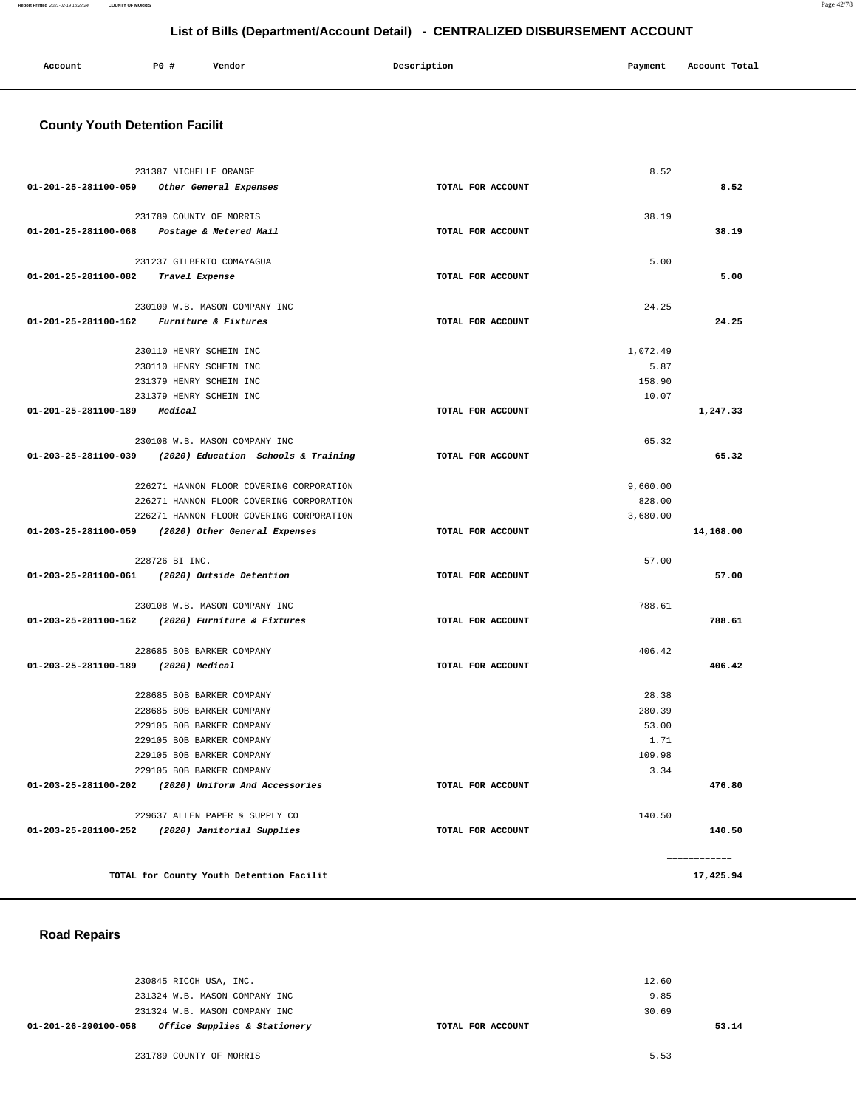#### **Report Printed** 2021-02-19 16:22:24 **COUNTY OF MORRIS** Page 42/78

## **List of Bills (Department/Account Detail) - CENTRALIZED DISBURSEMENT ACCOUNT**

| Account | <b>PO #</b> | Vendor | Description | Payment | Account Total |
|---------|-------------|--------|-------------|---------|---------------|
|         |             |        |             |         |               |

## **County Youth Detention Facilit**

|                                           | 231387 NICHELLE ORANGE                                   |                   | 8.52     |                           |
|-------------------------------------------|----------------------------------------------------------|-------------------|----------|---------------------------|
|                                           | 01-201-25-281100-059 Other General Expenses              | TOTAL FOR ACCOUNT |          | 8.52                      |
|                                           |                                                          |                   |          |                           |
|                                           | 231789 COUNTY OF MORRIS                                  |                   | 38.19    |                           |
|                                           | 01-201-25-281100-068 Postage & Metered Mail              | TOTAL FOR ACCOUNT |          | 38.19                     |
|                                           |                                                          |                   |          |                           |
|                                           | 231237 GILBERTO COMAYAGUA                                |                   | 5.00     |                           |
| 01-201-25-281100-082 Travel Expense       |                                                          | TOTAL FOR ACCOUNT |          | 5.00                      |
|                                           |                                                          |                   |          |                           |
|                                           | 230109 W.B. MASON COMPANY INC                            |                   | 24.25    |                           |
| 01-201-25-281100-162 Furniture & Fixtures |                                                          | TOTAL FOR ACCOUNT |          | 24.25                     |
|                                           |                                                          |                   |          |                           |
|                                           | 230110 HENRY SCHEIN INC                                  |                   | 1,072.49 |                           |
|                                           | 230110 HENRY SCHEIN INC                                  |                   | 5.87     |                           |
|                                           | 231379 HENRY SCHEIN INC                                  |                   | 158.90   |                           |
|                                           | 231379 HENRY SCHEIN INC                                  |                   | 10.07    |                           |
| 01-201-25-281100-189 Medical              |                                                          | TOTAL FOR ACCOUNT |          | 1,247.33                  |
|                                           |                                                          |                   |          |                           |
|                                           | 230108 W.B. MASON COMPANY INC                            |                   | 65.32    |                           |
|                                           | 01-203-25-281100-039 (2020) Education Schools & Training | TOTAL FOR ACCOUNT |          | 65.32                     |
|                                           |                                                          |                   |          |                           |
|                                           | 226271 HANNON FLOOR COVERING CORPORATION                 |                   | 9,660.00 |                           |
|                                           | 226271 HANNON FLOOR COVERING CORPORATION                 |                   | 828.00   |                           |
|                                           | 226271 HANNON FLOOR COVERING CORPORATION                 |                   | 3,680.00 |                           |
|                                           | 01-203-25-281100-059 (2020) Other General Expenses       | TOTAL FOR ACCOUNT |          | 14,168.00                 |
|                                           |                                                          |                   |          |                           |
|                                           | 228726 BI INC.                                           |                   | 57.00    |                           |
|                                           | 01-203-25-281100-061 (2020) Outside Detention            | TOTAL FOR ACCOUNT |          | 57.00                     |
|                                           |                                                          |                   |          |                           |
|                                           | 230108 W.B. MASON COMPANY INC                            |                   | 788.61   |                           |
|                                           | 01-203-25-281100-162 (2020) Furniture & Fixtures         | TOTAL FOR ACCOUNT |          | 788.61                    |
|                                           |                                                          |                   |          |                           |
|                                           | 228685 BOB BARKER COMPANY                                |                   | 406.42   |                           |
| 01-203-25-281100-189 (2020) Medical       |                                                          | TOTAL FOR ACCOUNT |          | 406.42                    |
|                                           |                                                          |                   |          |                           |
|                                           | 228685 BOB BARKER COMPANY                                |                   | 28.38    |                           |
|                                           | 228685 BOB BARKER COMPANY                                |                   | 280.39   |                           |
|                                           | 229105 BOB BARKER COMPANY                                |                   | 53.00    |                           |
|                                           | 229105 BOB BARKER COMPANY                                |                   | 1.71     |                           |
|                                           | 229105 BOB BARKER COMPANY                                |                   | 109.98   |                           |
|                                           | 229105 BOB BARKER COMPANY                                |                   | 3.34     |                           |
|                                           | 01-203-25-281100-202 (2020) Uniform And Accessories      | TOTAL FOR ACCOUNT |          | 476.80                    |
|                                           |                                                          |                   |          |                           |
|                                           |                                                          |                   |          |                           |
|                                           | 229637 ALLEN PAPER & SUPPLY CO                           |                   | 140.50   |                           |
|                                           | 01-203-25-281100-252 (2020) Janitorial Supplies          | TOTAL FOR ACCOUNT |          | 140.50                    |
|                                           |                                                          |                   |          |                           |
|                                           | TOTAL for County Youth Detention Facilit                 |                   |          | ============<br>17,425.94 |

 **Road Repairs** 

| Office Supplies & Stationery<br>01-201-26-290100-058 | TOTAL FOR ACCOUNT | 53.14 |
|------------------------------------------------------|-------------------|-------|
| 231324 W.B. MASON COMPANY INC                        | 30.69             |       |
| 231324 W.B. MASON COMPANY INC                        | 9.85              |       |
| 230845 RICOH USA, INC.                               | 12.60             |       |
|                                                      |                   |       |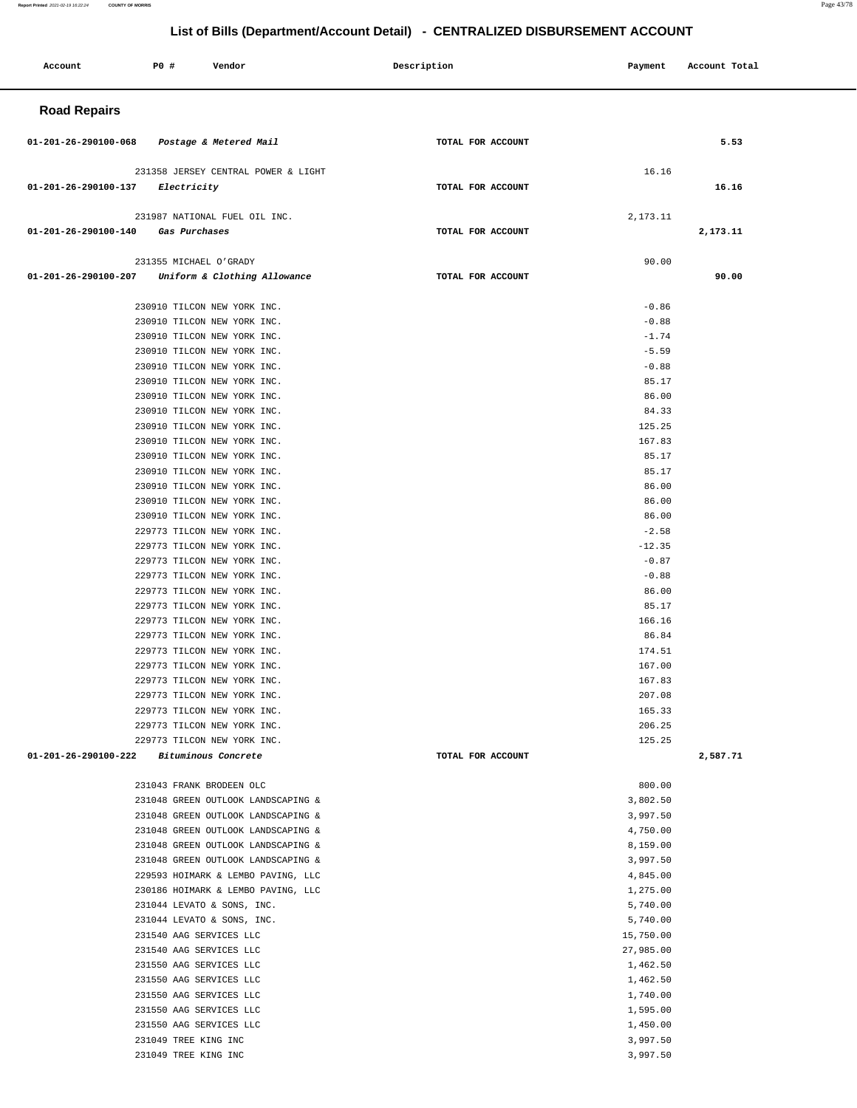#### **Report Printed** 2021-02-19 16:22:24 **COUNTY OF MORRIS** Page 43/78

۳

| Account              | P0 #                                                                                                                                                                                                                                                                  | Vendor                                                                                                                                                                                                                                                                                                                                                                                                                                                                                                                                                                                                                                                                                                                                                                                              | Description       | Payment                                                                                                                                                                                                                                               | Account Total |
|----------------------|-----------------------------------------------------------------------------------------------------------------------------------------------------------------------------------------------------------------------------------------------------------------------|-----------------------------------------------------------------------------------------------------------------------------------------------------------------------------------------------------------------------------------------------------------------------------------------------------------------------------------------------------------------------------------------------------------------------------------------------------------------------------------------------------------------------------------------------------------------------------------------------------------------------------------------------------------------------------------------------------------------------------------------------------------------------------------------------------|-------------------|-------------------------------------------------------------------------------------------------------------------------------------------------------------------------------------------------------------------------------------------------------|---------------|
| <b>Road Repairs</b>  |                                                                                                                                                                                                                                                                       |                                                                                                                                                                                                                                                                                                                                                                                                                                                                                                                                                                                                                                                                                                                                                                                                     |                   |                                                                                                                                                                                                                                                       |               |
| 01-201-26-290100-068 |                                                                                                                                                                                                                                                                       | Postage & Metered Mail                                                                                                                                                                                                                                                                                                                                                                                                                                                                                                                                                                                                                                                                                                                                                                              | TOTAL FOR ACCOUNT |                                                                                                                                                                                                                                                       | 5.53          |
| 01-201-26-290100-137 | Electricity                                                                                                                                                                                                                                                           | 231358 JERSEY CENTRAL POWER & LIGHT                                                                                                                                                                                                                                                                                                                                                                                                                                                                                                                                                                                                                                                                                                                                                                 | TOTAL FOR ACCOUNT | 16.16                                                                                                                                                                                                                                                 | 16.16         |
| 01-201-26-290100-140 | Gas Purchases                                                                                                                                                                                                                                                         | 231987 NATIONAL FUEL OIL INC.                                                                                                                                                                                                                                                                                                                                                                                                                                                                                                                                                                                                                                                                                                                                                                       | TOTAL FOR ACCOUNT | 2,173.11                                                                                                                                                                                                                                              | 2,173.11      |
| 01-201-26-290100-207 | 231355 MICHAEL O'GRADY                                                                                                                                                                                                                                                | Uniform & Clothing Allowance                                                                                                                                                                                                                                                                                                                                                                                                                                                                                                                                                                                                                                                                                                                                                                        | TOTAL FOR ACCOUNT | 90.00                                                                                                                                                                                                                                                 | 90.00         |
|                      |                                                                                                                                                                                                                                                                       | 230910 TILCON NEW YORK INC.<br>230910 TILCON NEW YORK INC.<br>230910 TILCON NEW YORK INC.<br>230910 TILCON NEW YORK INC.<br>230910 TILCON NEW YORK INC.<br>230910 TILCON NEW YORK INC.<br>230910 TILCON NEW YORK INC.<br>230910 TILCON NEW YORK INC.<br>230910 TILCON NEW YORK INC.<br>230910 TILCON NEW YORK INC.<br>230910 TILCON NEW YORK INC.<br>230910 TILCON NEW YORK INC.<br>230910 TILCON NEW YORK INC.<br>230910 TILCON NEW YORK INC.<br>230910 TILCON NEW YORK INC.<br>229773 TILCON NEW YORK INC.<br>229773 TILCON NEW YORK INC.<br>229773 TILCON NEW YORK INC.<br>229773 TILCON NEW YORK INC.<br>229773 TILCON NEW YORK INC.<br>229773 TILCON NEW YORK INC.<br>229773 TILCON NEW YORK INC.<br>229773 TILCON NEW YORK INC.<br>229773 TILCON NEW YORK INC.<br>229773 TILCON NEW YORK INC. |                   | $-0.86$<br>$-0.88$<br>$-1.74$<br>$-5.59$<br>$-0.88$<br>85.17<br>86.00<br>84.33<br>125.25<br>167.83<br>85.17<br>85.17<br>86.00<br>86.00<br>86.00<br>$-2.58$<br>$-12.35$<br>$-0.87$<br>$-0.88$<br>86.00<br>85.17<br>166.16<br>86.84<br>174.51<br>167.00 |               |
| 01-201-26-290100-222 |                                                                                                                                                                                                                                                                       | 229773 TILCON NEW YORK INC.<br>229773 TILCON NEW YORK INC.<br>229773 TILCON NEW YORK INC.<br>229773 TILCON NEW YORK INC.<br>229773 TILCON NEW YORK INC.<br>Bituminous Concrete                                                                                                                                                                                                                                                                                                                                                                                                                                                                                                                                                                                                                      | TOTAL FOR ACCOUNT | 167.83<br>207.08<br>165.33<br>206.25<br>125.25                                                                                                                                                                                                        | 2,587.71      |
|                      | 231043 FRANK BRODEEN OLC<br>231540 AAG SERVICES LLC<br>231540 AAG SERVICES LLC<br>231550 AAG SERVICES LLC<br>231550 AAG SERVICES LLC<br>231550 AAG SERVICES LLC<br>231550 AAG SERVICES LLC<br>231550 AAG SERVICES LLC<br>231049 TREE KING INC<br>231049 TREE KING INC | 231048 GREEN OUTLOOK LANDSCAPING &<br>231048 GREEN OUTLOOK LANDSCAPING &<br>231048 GREEN OUTLOOK LANDSCAPING &<br>231048 GREEN OUTLOOK LANDSCAPING &<br>231048 GREEN OUTLOOK LANDSCAPING &<br>229593 HOIMARK & LEMBO PAVING, LLC<br>230186 HOIMARK & LEMBO PAVING, LLC<br>231044 LEVATO & SONS, INC.<br>231044 LEVATO & SONS, INC.                                                                                                                                                                                                                                                                                                                                                                                                                                                                  |                   | 800.00<br>3,802.50<br>3,997.50<br>4,750.00<br>8,159.00<br>3,997.50<br>4,845.00<br>1,275.00<br>5,740.00<br>5,740.00<br>15,750.00<br>27,985.00<br>1,462.50<br>1,462.50<br>1,740.00<br>1,595.00<br>1,450.00<br>3,997.50<br>3,997.50                      |               |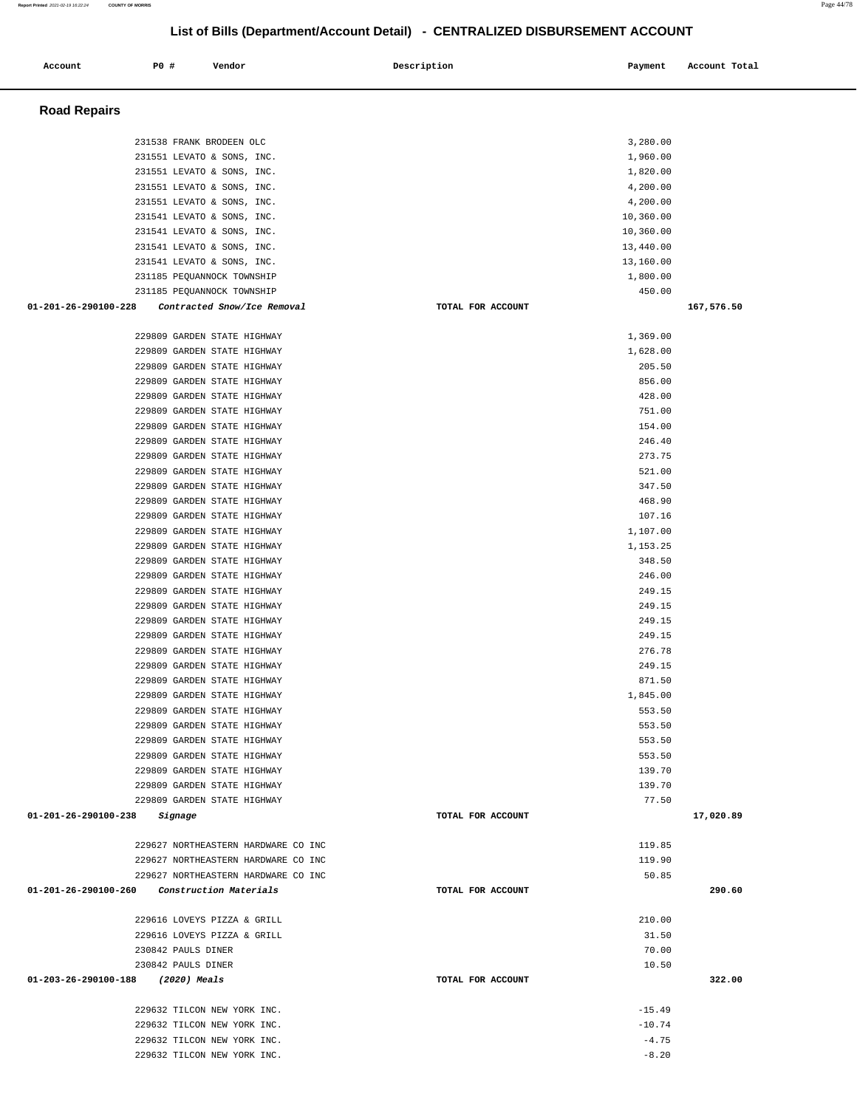| <b>Road Repairs</b>                                                        |                   |                    |            |
|----------------------------------------------------------------------------|-------------------|--------------------|------------|
| 231538 FRANK BRODEEN OLC                                                   |                   | 3,280.00           |            |
| 231551 LEVATO & SONS, INC.                                                 |                   | 1,960.00           |            |
| 231551 LEVATO & SONS, INC.                                                 |                   | 1,820.00           |            |
| 231551 LEVATO & SONS, INC.                                                 |                   | 4,200.00           |            |
| 231551 LEVATO & SONS, INC.                                                 |                   | 4,200.00           |            |
| 231541 LEVATO & SONS, INC.                                                 |                   | 10,360.00          |            |
| 231541 LEVATO & SONS, INC.                                                 |                   | 10,360.00          |            |
| 231541 LEVATO & SONS, INC.                                                 |                   | 13,440.00          |            |
| 231541 LEVATO & SONS, INC.                                                 |                   | 13,160.00          |            |
| 231185 PEQUANNOCK TOWNSHIP                                                 |                   | 1,800.00           |            |
| 231185 PEQUANNOCK TOWNSHIP                                                 |                   | 450.00             |            |
| 01-201-26-290100-228<br>Contracted Snow/Ice Removal                        | TOTAL FOR ACCOUNT |                    | 167,576.50 |
| 229809 GARDEN STATE HIGHWAY                                                |                   | 1,369.00           |            |
| 229809 GARDEN STATE HIGHWAY                                                |                   | 1,628.00           |            |
| 229809 GARDEN STATE HIGHWAY                                                |                   | 205.50             |            |
| 229809 GARDEN STATE HIGHWAY                                                |                   | 856.00             |            |
| 229809 GARDEN STATE HIGHWAY                                                |                   | 428.00             |            |
| 229809 GARDEN STATE HIGHWAY                                                |                   | 751.00             |            |
| 229809 GARDEN STATE HIGHWAY                                                |                   | 154.00             |            |
| 229809 GARDEN STATE HIGHWAY                                                |                   | 246.40             |            |
| 229809 GARDEN STATE HIGHWAY                                                |                   | 273.75             |            |
| 229809 GARDEN STATE HIGHWAY                                                |                   | 521.00             |            |
| 229809 GARDEN STATE HIGHWAY                                                |                   | 347.50             |            |
| 229809 GARDEN STATE HIGHWAY<br>229809 GARDEN STATE HIGHWAY                 |                   | 468.90             |            |
| 229809 GARDEN STATE HIGHWAY                                                |                   | 107.16<br>1,107.00 |            |
| 229809 GARDEN STATE HIGHWAY                                                |                   | 1,153.25           |            |
| 229809 GARDEN STATE HIGHWAY                                                |                   | 348.50             |            |
| 229809 GARDEN STATE HIGHWAY                                                |                   | 246.00             |            |
| 229809 GARDEN STATE HIGHWAY                                                |                   | 249.15             |            |
| 229809 GARDEN STATE HIGHWAY                                                |                   | 249.15             |            |
| 229809 GARDEN STATE HIGHWAY                                                |                   | 249.15             |            |
| 229809 GARDEN STATE HIGHWAY                                                |                   | 249.15             |            |
| 229809 GARDEN STATE HIGHWAY                                                |                   | 276.78             |            |
| 229809 GARDEN STATE HIGHWAY                                                |                   | 249.15             |            |
| 229809 GARDEN STATE HIGHWAY                                                |                   | 871.50             |            |
| 229809 GARDEN STATE HIGHWAY                                                |                   | 1,845.00           |            |
| 229809 GARDEN STATE HIGHWAY                                                |                   | 553.50             |            |
| 229809 GARDEN STATE HIGHWAY                                                |                   | 553.50             |            |
| 229809 GARDEN STATE HIGHWAY                                                |                   | 553.50             |            |
| 229809 GARDEN STATE HIGHWAY                                                |                   | 553.50             |            |
| 229809 GARDEN STATE HIGHWAY<br>229809 GARDEN STATE HIGHWAY                 |                   | 139.70<br>139.70   |            |
| 229809 GARDEN STATE HIGHWAY                                                |                   | 77.50              |            |
| 01-201-26-290100-238<br>Signage                                            | TOTAL FOR ACCOUNT |                    | 17,020.89  |
|                                                                            |                   |                    |            |
| 229627 NORTHEASTERN HARDWARE CO INC                                        |                   | 119.85             |            |
| 229627 NORTHEASTERN HARDWARE CO INC<br>229627 NORTHEASTERN HARDWARE CO INC |                   | 119.90<br>50.85    |            |
| 01-201-26-290100-260<br>Construction Materials                             | TOTAL FOR ACCOUNT |                    | 290.60     |
|                                                                            |                   |                    |            |
| 229616 LOVEYS PIZZA & GRILL<br>229616 LOVEYS PIZZA & GRILL                 |                   | 210.00<br>31.50    |            |
| 230842 PAULS DINER                                                         |                   | 70.00              |            |
| 230842 PAULS DINER                                                         |                   | 10.50              |            |
| 01-203-26-290100-188 (2020) Meals                                          | TOTAL FOR ACCOUNT |                    | 322.00     |
| 229632 TILCON NEW YORK INC.                                                |                   | $-15.49$           |            |
| 229632 TILCON NEW YORK INC.                                                |                   | $-10.74$           |            |
| 229632 TILCON NEW YORK INC.                                                |                   | $-4.75$            |            |
| 229632 TILCON NEW YORK INC.                                                |                   | $-8.20$            |            |
|                                                                            |                   |                    |            |

Account 20 **P** Pomdor Payment Recount Potal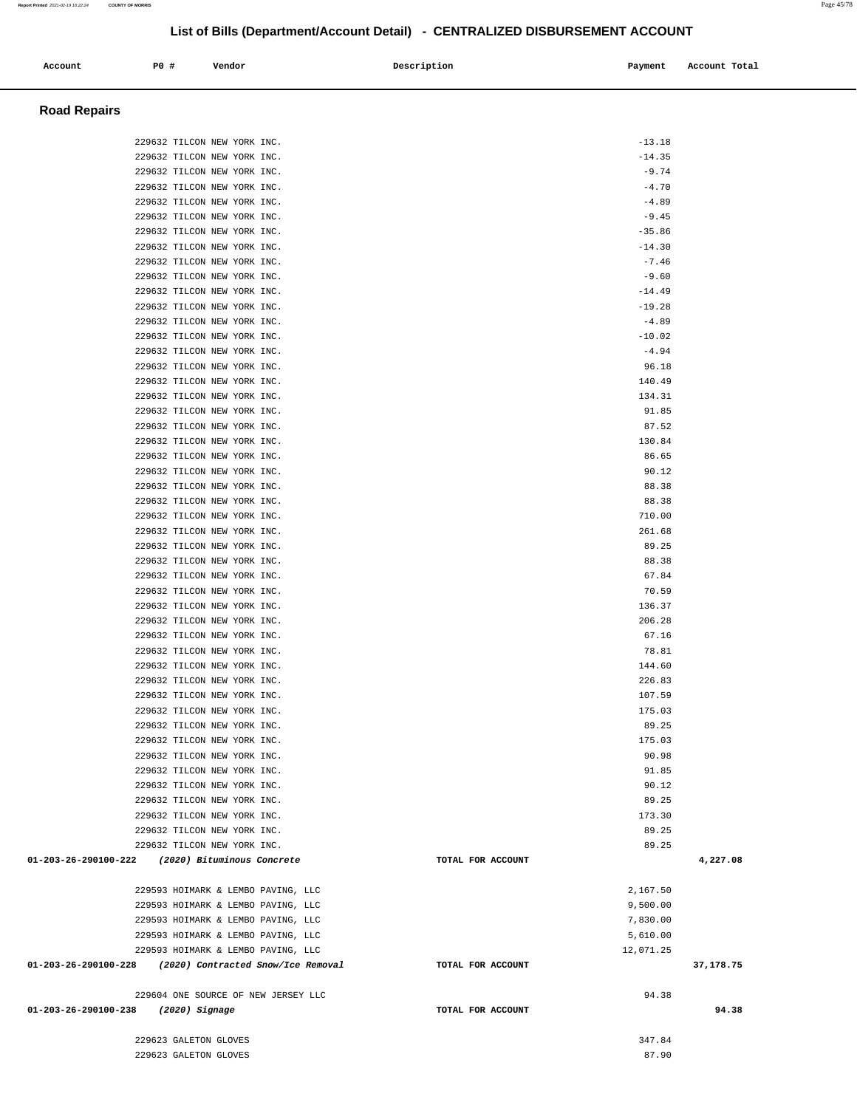| Account                                                 | <b>PO #</b>           | Vendor                                                     | Description |                   | Payment            | Account Total |
|---------------------------------------------------------|-----------------------|------------------------------------------------------------|-------------|-------------------|--------------------|---------------|
| <b>Road Repairs</b>                                     |                       |                                                            |             |                   |                    |               |
|                                                         |                       | 229632 TILCON NEW YORK INC.                                |             |                   | $-13.18$           |               |
|                                                         |                       | 229632 TILCON NEW YORK INC.                                |             |                   | $-14.35$           |               |
|                                                         |                       | 229632 TILCON NEW YORK INC.                                |             |                   | $-9.74$            |               |
|                                                         |                       | 229632 TILCON NEW YORK INC.                                |             |                   | $-4.70$            |               |
|                                                         |                       | 229632 TILCON NEW YORK INC.                                |             |                   | $-4.89$            |               |
|                                                         |                       | 229632 TILCON NEW YORK INC.                                |             |                   | $-9.45$            |               |
|                                                         |                       | 229632 TILCON NEW YORK INC.                                |             |                   | $-35.86$           |               |
|                                                         |                       | 229632 TILCON NEW YORK INC.                                |             |                   | $-14.30$           |               |
|                                                         |                       | 229632 TILCON NEW YORK INC.<br>229632 TILCON NEW YORK INC. |             |                   | $-7.46$<br>$-9.60$ |               |
|                                                         |                       | 229632 TILCON NEW YORK INC.                                |             |                   | $-14.49$           |               |
|                                                         |                       | 229632 TILCON NEW YORK INC.                                |             |                   | $-19.28$           |               |
|                                                         |                       | 229632 TILCON NEW YORK INC.                                |             |                   | $-4.89$            |               |
|                                                         |                       | 229632 TILCON NEW YORK INC.                                |             |                   | $-10.02$           |               |
|                                                         |                       | 229632 TILCON NEW YORK INC.                                |             |                   | $-4.94$            |               |
|                                                         |                       | 229632 TILCON NEW YORK INC.                                |             |                   | 96.18              |               |
|                                                         |                       | 229632 TILCON NEW YORK INC.                                |             |                   | 140.49             |               |
|                                                         |                       | 229632 TILCON NEW YORK INC.                                |             |                   | 134.31             |               |
|                                                         |                       | 229632 TILCON NEW YORK INC.<br>229632 TILCON NEW YORK INC. |             |                   | 91.85<br>87.52     |               |
|                                                         |                       | 229632 TILCON NEW YORK INC.                                |             |                   | 130.84             |               |
|                                                         |                       | 229632 TILCON NEW YORK INC.                                |             |                   | 86.65              |               |
|                                                         |                       | 229632 TILCON NEW YORK INC.                                |             |                   | 90.12              |               |
|                                                         |                       | 229632 TILCON NEW YORK INC.                                |             |                   | 88.38              |               |
|                                                         |                       | 229632 TILCON NEW YORK INC.                                |             |                   | 88.38              |               |
|                                                         |                       | 229632 TILCON NEW YORK INC.                                |             |                   | 710.00             |               |
|                                                         |                       | 229632 TILCON NEW YORK INC.                                |             |                   | 261.68             |               |
|                                                         |                       | 229632 TILCON NEW YORK INC.<br>229632 TILCON NEW YORK INC. |             |                   | 89.25<br>88.38     |               |
|                                                         |                       | 229632 TILCON NEW YORK INC.                                |             |                   | 67.84              |               |
|                                                         |                       | 229632 TILCON NEW YORK INC.                                |             |                   | 70.59              |               |
|                                                         |                       | 229632 TILCON NEW YORK INC.                                |             |                   | 136.37             |               |
|                                                         |                       | 229632 TILCON NEW YORK INC.                                |             |                   | 206.28             |               |
|                                                         |                       | 229632 TILCON NEW YORK INC.                                |             |                   | 67.16              |               |
|                                                         |                       | 229632 TILCON NEW YORK INC.                                |             |                   | 78.81              |               |
|                                                         |                       | 229632 TILCON NEW YORK INC.                                |             |                   | 144.60             |               |
|                                                         |                       | 229632 TILCON NEW YORK INC.<br>229632 TILCON NEW YORK INC. |             |                   | 226.83<br>107.59   |               |
|                                                         |                       | 229632 TILCON NEW YORK INC.                                |             |                   | 175.03             |               |
|                                                         |                       | 229632 TILCON NEW YORK INC.                                |             |                   | 89.25              |               |
|                                                         |                       | 229632 TILCON NEW YORK INC.                                |             |                   | 175.03             |               |
|                                                         |                       | 229632 TILCON NEW YORK INC.                                |             |                   | 90.98              |               |
|                                                         |                       | 229632 TILCON NEW YORK INC.                                |             |                   | 91.85              |               |
|                                                         |                       | 229632 TILCON NEW YORK INC.                                |             |                   | 90.12              |               |
|                                                         |                       | 229632 TILCON NEW YORK INC.                                |             |                   | 89.25              |               |
|                                                         |                       | 229632 TILCON NEW YORK INC.<br>229632 TILCON NEW YORK INC. |             |                   | 173.30<br>89.25    |               |
|                                                         |                       | 229632 TILCON NEW YORK INC.                                |             |                   | 89.25              |               |
| 01-203-26-290100-222 (2020) Bituminous Concrete         |                       |                                                            |             | TOTAL FOR ACCOUNT |                    | 4,227.08      |
|                                                         |                       | 229593 HOIMARK & LEMBO PAVING, LLC                         |             |                   | 2,167.50           |               |
|                                                         |                       | 229593 HOIMARK & LEMBO PAVING, LLC                         |             |                   | 9,500.00           |               |
|                                                         |                       | 229593 HOIMARK & LEMBO PAVING, LLC                         |             |                   | 7,830.00           |               |
|                                                         |                       | 229593 HOIMARK & LEMBO PAVING, LLC                         |             |                   | 5,610.00           |               |
|                                                         |                       | 229593 HOIMARK & LEMBO PAVING, LLC                         |             |                   | 12,071.25          |               |
| 01-203-26-290100-228 (2020) Contracted Snow/Ice Removal |                       |                                                            |             | TOTAL FOR ACCOUNT |                    | 37,178.75     |
|                                                         |                       | 229604 ONE SOURCE OF NEW JERSEY LLC                        |             |                   | 94.38              |               |
| 01-203-26-290100-238                                    | (2020) Signage        |                                                            |             | TOTAL FOR ACCOUNT |                    | 94.38         |
|                                                         | 229623 GALETON GLOVES |                                                            |             |                   | 347.84             |               |
|                                                         | 229623 GALETON GLOVES |                                                            |             |                   | 87.90              |               |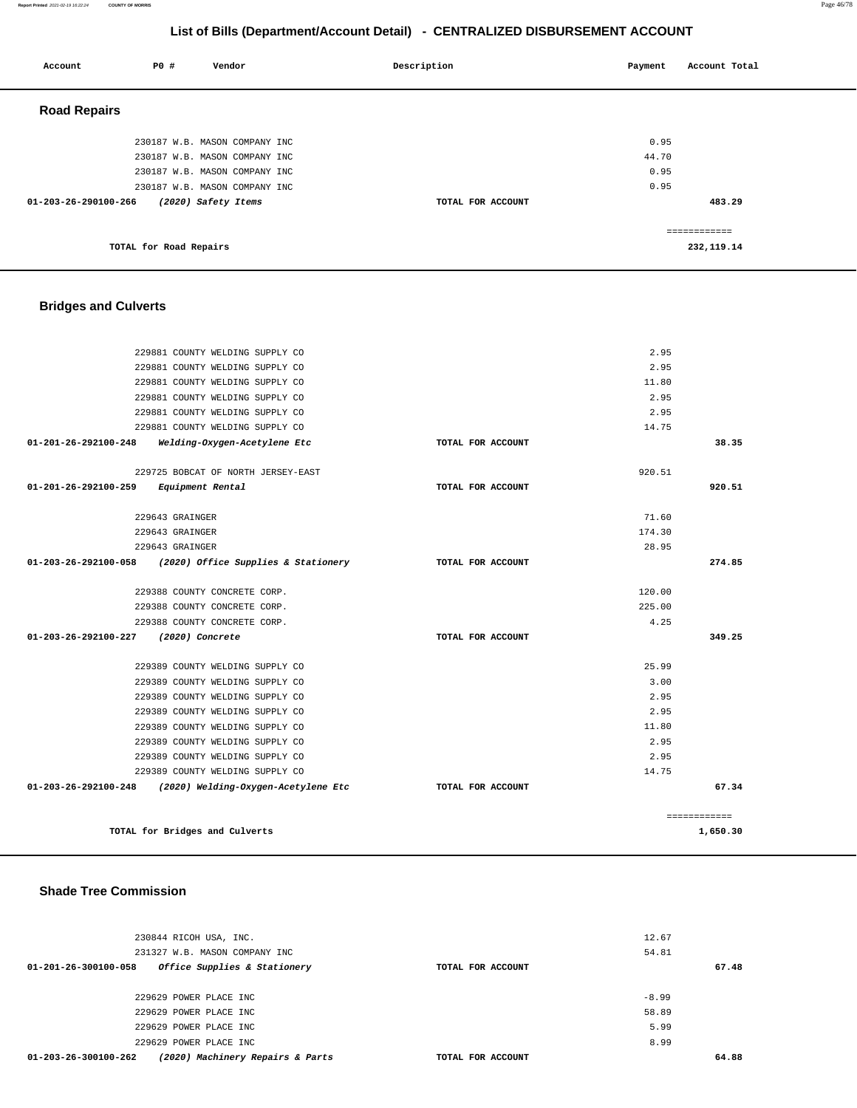#### **Report Printed** 2021-02-19 16:22:24 **COUNTY OF MORRIS** Page 46/78

## **List of Bills (Department/Account Detail) - CENTRALIZED DISBURSEMENT ACCOUNT**

| Account              | P0 # | Vendor                        | Description       | Payment | Account Total |
|----------------------|------|-------------------------------|-------------------|---------|---------------|
| <b>Road Repairs</b>  |      |                               |                   |         |               |
|                      |      | 230187 W.B. MASON COMPANY INC |                   | 0.95    |               |
|                      |      | 230187 W.B. MASON COMPANY INC |                   | 44.70   |               |
|                      |      | 230187 W.B. MASON COMPANY INC |                   | 0.95    |               |
|                      |      | 230187 W.B. MASON COMPANY INC |                   | 0.95    |               |
| 01-203-26-290100-266 |      | (2020) Safety Items           | TOTAL FOR ACCOUNT |         | 483.29        |
|                      |      |                               |                   |         |               |
|                      |      |                               |                   |         | ------------- |

**TOTAL for Road Repairs** 

## **Bridges and Culverts**

| 229881 COUNTY WELDING SUPPLY CO                          |                   | 2.95   |              |
|----------------------------------------------------------|-------------------|--------|--------------|
| 229881 COUNTY WELDING SUPPLY CO                          |                   | 2.95   |              |
| 229881 COUNTY WELDING SUPPLY CO                          |                   | 11.80  |              |
| 229881 COUNTY WELDING SUPPLY CO                          |                   | 2.95   |              |
| 229881 COUNTY WELDING SUPPLY CO                          |                   | 2.95   |              |
| 229881 COUNTY WELDING SUPPLY CO                          |                   | 14.75  |              |
| 01-201-26-292100-248<br>Welding-Oxygen-Acetylene Etc     | TOTAL FOR ACCOUNT |        | 38.35        |
| 229725 BOBCAT OF NORTH JERSEY-EAST                       |                   | 920.51 |              |
| $01 - 201 - 26 - 292100 - 259$<br>Equipment Rental       | TOTAL FOR ACCOUNT |        | 920.51       |
| 229643 GRAINGER                                          |                   | 71.60  |              |
| 229643 GRAINGER                                          |                   | 174.30 |              |
| 229643 GRAINGER                                          |                   | 28.95  |              |
| 01-203-26-292100-058 (2020) Office Supplies & Stationery | TOTAL FOR ACCOUNT |        | 274.85       |
| 229388 COUNTY CONCRETE CORP.                             |                   | 120.00 |              |
| 229388 COUNTY CONCRETE CORP.                             |                   | 225.00 |              |
| 229388 COUNTY CONCRETE CORP.                             |                   | 4.25   |              |
| 01-203-26-292100-227<br>(2020) Concrete                  | TOTAL FOR ACCOUNT |        | 349.25       |
| 229389 COUNTY WELDING SUPPLY CO                          |                   | 25.99  |              |
| 229389 COUNTY WELDING SUPPLY CO                          |                   | 3.00   |              |
| 229389 COUNTY WELDING SUPPLY CO                          |                   | 2.95   |              |
| 229389 COUNTY WELDING SUPPLY CO                          |                   | 2.95   |              |
| 229389 COUNTY WELDING SUPPLY CO                          |                   | 11.80  |              |
| 229389 COUNTY WELDING SUPPLY CO                          |                   | 2.95   |              |
| 229389 COUNTY WELDING SUPPLY CO                          |                   | 2.95   |              |
| 229389 COUNTY WELDING SUPPLY CO                          |                   | 14.75  |              |
| 01-203-26-292100-248 (2020) Welding-Oxygen-Acetylene Etc | TOTAL FOR ACCOUNT |        | 67.34        |
|                                                          |                   |        | ============ |
| TOTAL for Bridges and Culverts                           |                   |        | 1,650.30     |

#### **Shade Tree Commission**

| 230844 RICOH USA, INC.                                         |                   | 12.67   |
|----------------------------------------------------------------|-------------------|---------|
| 231327 W.B. MASON COMPANY INC                                  |                   | 54.81   |
| $01 - 201 - 26 - 300100 - 058$<br>Office Supplies & Stationery | TOTAL FOR ACCOUNT | 67.48   |
|                                                                |                   |         |
| 229629 POWER PLACE INC                                         |                   | $-8.99$ |
| 229629 POWER PLACE INC                                         |                   | 58.89   |
| 229629 POWER PLACE INC                                         |                   | 5.99    |
| 229629 POWER PLACE INC                                         |                   | 8.99    |
| (2020) Machinery Repairs & Parts<br>01-203-26-300100-262       | TOTAL FOR ACCOUNT | 64.88   |

**232,119.14**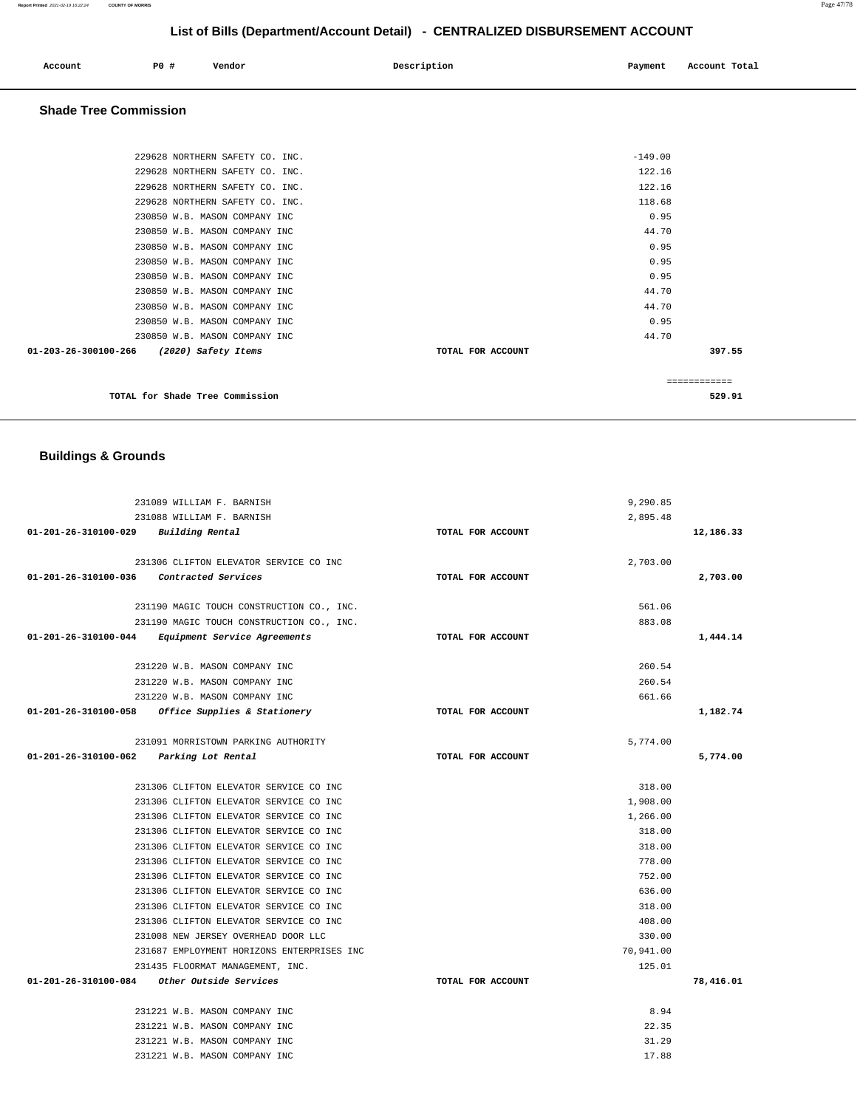| Account | P0 # | Vendor | Description | Payment | Account Total |
|---------|------|--------|-------------|---------|---------------|
|         |      |        |             |         |               |

## **Shade Tree Commission**

| 01-203-26-300100-266 (2020) Safety Items | TOTAL FOR ACCOUNT | 397.55    |
|------------------------------------------|-------------------|-----------|
| 230850 W.B. MASON COMPANY INC            |                   | 44.70     |
| 230850 W.B. MASON COMPANY INC            |                   | 0.95      |
| 230850 W.B. MASON COMPANY INC            |                   | 44.70     |
| 230850 W.B. MASON COMPANY INC            |                   | 44.70     |
| 230850 W.B. MASON COMPANY INC            |                   | 0.95      |
| 230850 W.B. MASON COMPANY INC            |                   | 0.95      |
| 230850 W.B. MASON COMPANY INC            |                   | 0.95      |
| 230850 W.B. MASON COMPANY INC            |                   | 44.70     |
| 230850 W.B. MASON COMPANY INC            |                   | 0.95      |
| 229628 NORTHERN SAFETY CO. INC.          |                   | 118.68    |
| 229628 NORTHERN SAFETY CO. INC.          |                   | 122.16    |
| 229628 NORTHERN SAFETY CO. INC.          |                   | 122.16    |
| 229628 NORTHERN SAFETY CO. INC.          |                   | $-149.00$ |

## **Buildings & Grounds**

|                                          | 231089 WILLIAM F. BARNISH                         |                   | 9,290.85  |           |
|------------------------------------------|---------------------------------------------------|-------------------|-----------|-----------|
|                                          | 231088 WILLIAM F. BARNISH                         |                   | 2,895.48  |           |
| 01-201-26-310100-029 Building Rental     |                                                   | TOTAL FOR ACCOUNT |           | 12,186.33 |
|                                          | 231306 CLIFTON ELEVATOR SERVICE CO INC            |                   | 2,703.00  |           |
| 01-201-26-310100-036 Contracted Services |                                                   | TOTAL FOR ACCOUNT |           | 2,703.00  |
|                                          | 231190 MAGIC TOUCH CONSTRUCTION CO., INC.         |                   | 561.06    |           |
|                                          | 231190 MAGIC TOUCH CONSTRUCTION CO., INC.         |                   | 883.08    |           |
|                                          | 01-201-26-310100-044 Equipment Service Agreements | TOTAL FOR ACCOUNT |           | 1,444.14  |
|                                          | 231220 W.B. MASON COMPANY INC                     |                   | 260.54    |           |
|                                          | 231220 W.B. MASON COMPANY INC                     |                   | 260.54    |           |
|                                          | 231220 W.B. MASON COMPANY INC                     |                   | 661.66    |           |
| 01-201-26-310100-058                     | <i>Office Supplies &amp; Stationery</i>           | TOTAL FOR ACCOUNT |           | 1,182.74  |
|                                          | 231091 MORRISTOWN PARKING AUTHORITY               |                   | 5,774.00  |           |
| 01-201-26-310100-062 Parking Lot Rental  |                                                   | TOTAL FOR ACCOUNT |           | 5,774.00  |
|                                          | 231306 CLIFTON ELEVATOR SERVICE CO INC            |                   | 318.00    |           |
|                                          | 231306 CLIFTON ELEVATOR SERVICE CO INC            |                   | 1,908.00  |           |
|                                          | 231306 CLIFTON ELEVATOR SERVICE CO INC            |                   | 1,266.00  |           |
|                                          | 231306 CLIFTON ELEVATOR SERVICE CO INC            |                   | 318.00    |           |
|                                          | 231306 CLIFTON ELEVATOR SERVICE CO INC            |                   | 318.00    |           |
|                                          | 231306 CLIFTON ELEVATOR SERVICE CO INC            |                   | 778.00    |           |
|                                          | 231306 CLIFTON ELEVATOR SERVICE CO INC            |                   | 752.00    |           |
|                                          | 231306 CLIFTON ELEVATOR SERVICE CO INC            |                   | 636.00    |           |
|                                          | 231306 CLIFTON ELEVATOR SERVICE CO INC            |                   | 318.00    |           |
|                                          | 231306 CLIFTON ELEVATOR SERVICE CO INC            |                   | 408.00    |           |
|                                          | 231008 NEW JERSEY OVERHEAD DOOR LLC               |                   | 330.00    |           |
|                                          | 231687 EMPLOYMENT HORIZONS ENTERPRISES INC        |                   | 70,941.00 |           |
|                                          | 231435 FLOORMAT MANAGEMENT, INC.                  |                   | 125.01    |           |
|                                          | 01-201-26-310100-084 Other Outside Services       | TOTAL FOR ACCOUNT |           | 78,416.01 |
|                                          | 231221 W.B. MASON COMPANY INC                     |                   | 8.94      |           |
|                                          | 231221 W.B. MASON COMPANY INC                     |                   | 22.35     |           |
|                                          | 231221 W.B. MASON COMPANY INC                     |                   | 31.29     |           |
|                                          | 231221 W.B. MASON COMPANY INC                     |                   | 17.88     |           |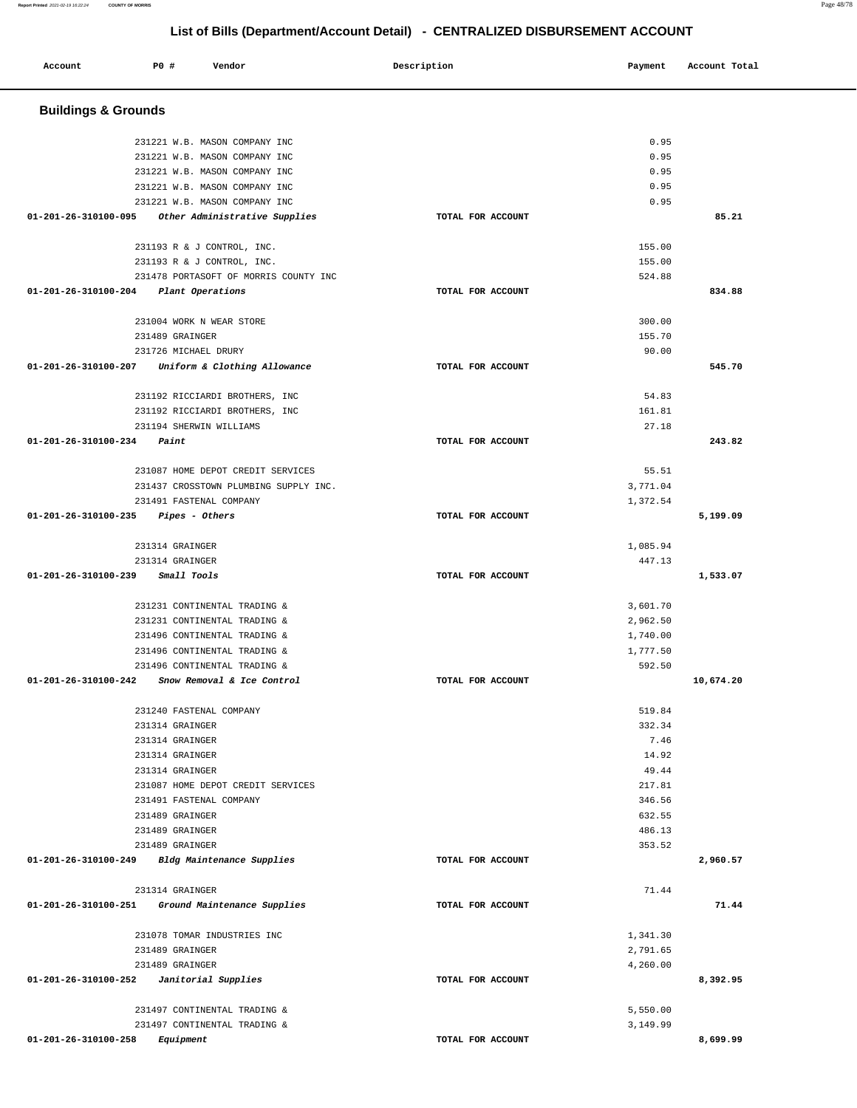#### **Account P0 # Vendor Description Payment Account Total Buildings & Grounds**  231221 W.B. MASON COMPANY INC 231221 W.B. MASON COMPANY INC 231221 W.B. MASON COMPANY INC 231221 W.B. MASON COMPANY INC 231221 W.B. MASON COMPANY INC **01-201-26-310100-095 Other Administrative Supplies TOTAL FOR ACCOUNT**  0.95 0.95 0.95 0.95 0.95 **85.21** 231193 R & J CONTROL, INC. 231193 R & J CONTROL, INC. 231478 PORTASOFT OF MORRIS COUNTY INC **01-201-26-310100-204 Plant Operations TOTAL FOR ACCOUNT**  155.00 155.00 524.88 **834.88** 231004 WORK N WEAR STORE 231489 GRAINGER 231726 MICHAEL DRURY **01-201-26-310100-207 Uniform & Clothing Allowance TOTAL FOR ACCOUNT**  300.00 155.70 90.00 **545.70** 231192 RICCIARDI BROTHERS, INC 231192 RICCIARDI BROTHERS, INC 231194 SHERWIN WILLIAMS **01-201-26-310100-234 Paint TOTAL FOR ACCOUNT**  54.83 161.81 27.18 **243.82** 231087 HOME DEPOT CREDIT SERVICES 231437 CROSSTOWN PLUMBING SUPPLY INC. 231491 FASTENAL COMPANY **01-201-26-310100-235 Pipes - Others TOTAL FOR ACCOUNT**  55.51 3,771.04 1,372.54 **5,199.09** 231314 GRAINGER 231314 GRAINGER **01-201-26-310100-239 Small Tools TOTAL FOR ACCOUNT**  1,085.94 447.13 **1,533.07** 231231 CONTINENTAL TRADING & 231231 CONTINENTAL TRADING & 231496 CONTINENTAL TRADING & 231496 CONTINENTAL TRADING & 231496 CONTINENTAL TRADING & **01-201-26-310100-242 Snow Removal & Ice Control TOTAL FOR ACCOUNT**  3,601.70 2,962.50 1,740.00 1,777.50 592.50 **10,674.20** 231240 FASTENAL COMPANY 231314 GRAINGER 231314 GRAINGER 231314 GRAINGER 231314 GRAINGER 231087 HOME DEPOT CREDIT SERVICES 231491 FASTENAL COMPANY 231489 GRAINGER 231489 GRAINGER 231489 GRAINGER **01-201-26-310100-249 Bldg Maintenance Supplies TOTAL FOR ACCOUNT**  519.84 332.34 7.46 14.92 49.44 217.81 346.56 632.55 486.13 353.52 **2,960.57** 231314 GRAINGER **01-201-26-310100-251 Ground Maintenance Supplies TOTAL FOR ACCOUNT**  71.44 **71.44** 231078 TOMAR INDUSTRIES INC 231489 GRAINGER 231489 GRAINGER **01-201-26-310100-252 Janitorial Supplies TOTAL FOR ACCOUNT**  1,341.30 2,791.65 4,260.00 **8,392.95** 231497 CONTINENTAL TRADING & 231497 CONTINENTAL TRADING & **01-201-26-310100-258 Equipment TOTAL FOR ACCOUNT**  5,550.00 3,149.99 **8,699.99**

## **List of Bills (Department/Account Detail) - CENTRALIZED DISBURSEMENT ACCOUNT**

**Report Printed** 2021-02-19 16:22:24 **COUNTY OF MORRIS** Page 48/78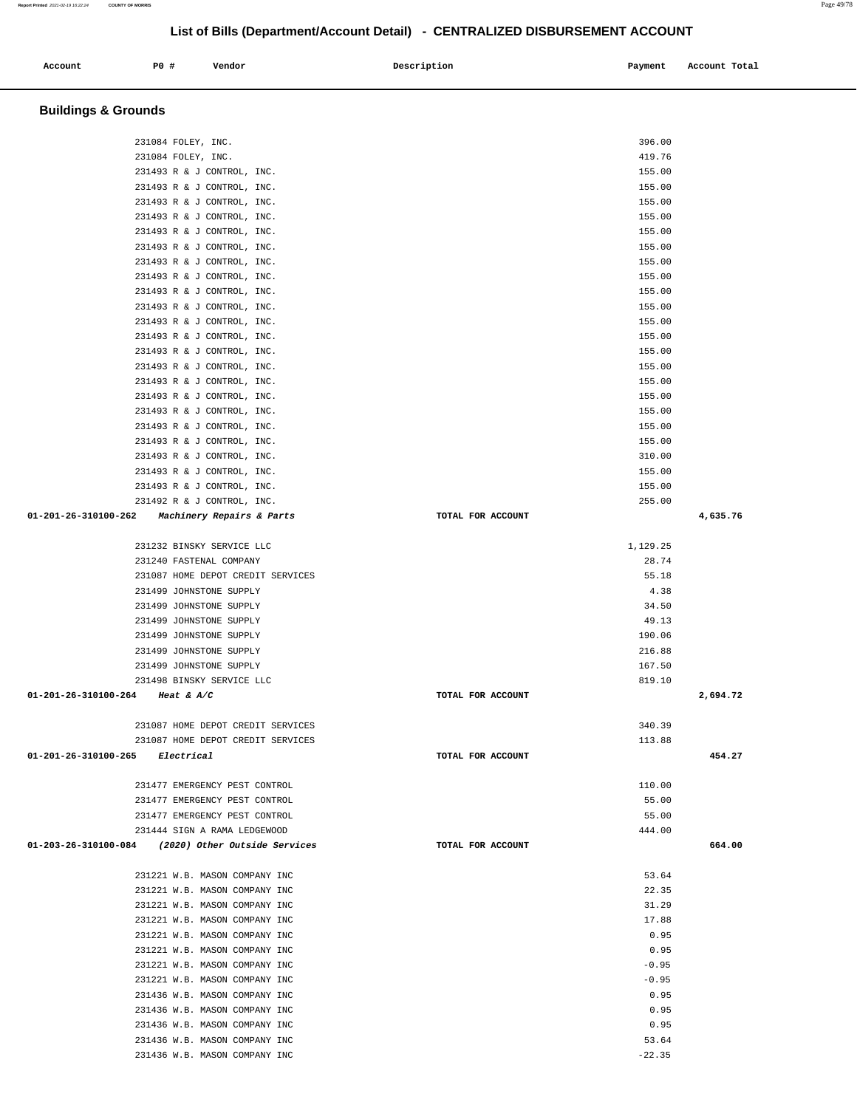| 231493 R & J CONTROL, INC.                         |                   | 155.00   |          |
|----------------------------------------------------|-------------------|----------|----------|
| 231493 R & J CONTROL, INC.                         |                   | 155.00   |          |
| 231493 R & J CONTROL, INC.                         |                   | 155.00   |          |
| 231493 R & J CONTROL, INC.                         |                   | 155.00   |          |
| 231493 R & J CONTROL, INC.                         |                   | 155.00   |          |
| 231493 R & J CONTROL, INC.                         |                   | 155.00   |          |
| 231493 R & J CONTROL, INC.                         |                   | 155.00   |          |
| 231493 R & J CONTROL, INC.                         |                   | 155.00   |          |
| 231493 R & J CONTROL, INC.                         |                   | 155.00   |          |
| 231493 R & J CONTROL, INC.                         |                   | 155.00   |          |
| 231493 R & J CONTROL, INC.                         |                   | 155.00   |          |
| 231493 R & J CONTROL, INC.                         |                   | 155.00   |          |
| 231493 R & J CONTROL, INC.                         |                   | 155.00   |          |
| 231493 R & J CONTROL, INC.                         |                   | 155.00   |          |
| 231493 R & J CONTROL, INC.                         |                   | 155.00   |          |
| 231493 R & J CONTROL, INC.                         |                   | 155.00   |          |
| 231493 R & J CONTROL, INC.                         |                   | 155.00   |          |
| 231493 R & J CONTROL, INC.                         |                   | 155.00   |          |
| 231493 R & J CONTROL, INC.                         |                   | 155.00   |          |
| 231493 R & J CONTROL, INC.                         |                   | 310.00   |          |
| 231493 R & J CONTROL, INC.                         |                   | 155.00   |          |
| 231493 R & J CONTROL, INC.                         |                   | 155.00   |          |
| 231492 R & J CONTROL, INC.                         |                   | 255.00   |          |
| 01-201-26-310100-262 Machinery Repairs & Parts     | TOTAL FOR ACCOUNT |          | 4,635.76 |
|                                                    |                   |          |          |
| 231232 BINSKY SERVICE LLC                          |                   | 1,129.25 |          |
| 231240 FASTENAL COMPANY                            |                   | 28.74    |          |
| 231087 HOME DEPOT CREDIT SERVICES                  |                   | 55.18    |          |
| 231499 JOHNSTONE SUPPLY                            |                   | 4.38     |          |
| 231499 JOHNSTONE SUPPLY                            |                   | 34.50    |          |
| 231499 JOHNSTONE SUPPLY                            |                   | 49.13    |          |
| 231499 JOHNSTONE SUPPLY                            |                   | 190.06   |          |
| 231499 JOHNSTONE SUPPLY                            |                   | 216.88   |          |
| 231499 JOHNSTONE SUPPLY                            |                   | 167.50   |          |
| 231498 BINSKY SERVICE LLC                          |                   | 819.10   |          |
| 01-201-26-310100-264 Heat & A/C                    | TOTAL FOR ACCOUNT |          | 2,694.72 |
|                                                    |                   |          |          |
| 231087 HOME DEPOT CREDIT SERVICES                  |                   | 340.39   |          |
| 231087 HOME DEPOT CREDIT SERVICES                  |                   | 113.88   |          |
| 01-201-26-310100-265 Electrical                    | TOTAL FOR ACCOUNT |          | 454.27   |
|                                                    |                   |          |          |
| 231477 EMERGENCY PEST CONTROL                      |                   | 110.00   |          |
| 231477 EMERGENCY PEST CONTROL                      |                   | 55.00    |          |
| 231477 EMERGENCY PEST CONTROL                      |                   | 55.00    |          |
| 231444 SIGN A RAMA LEDGEWOOD                       |                   | 444.00   |          |
| 01-203-26-310100-084 (2020) Other Outside Services | TOTAL FOR ACCOUNT |          | 664.00   |
| 231221 W.B. MASON COMPANY INC                      |                   | 53.64    |          |
| 231221 W.B. MASON COMPANY INC                      |                   | 22.35    |          |
| 231221 W.B. MASON COMPANY INC                      |                   | 31.29    |          |
| 231221 W.B. MASON COMPANY INC                      |                   | 17.88    |          |
| 231221 W.B. MASON COMPANY INC                      |                   | 0.95     |          |
| 231221 W.B. MASON COMPANY INC                      |                   | 0.95     |          |
| 231221 W.B. MASON COMPANY INC                      |                   | $-0.95$  |          |
| 231221 W.B. MASON COMPANY INC                      |                   | $-0.95$  |          |
| 231436 W.B. MASON COMPANY INC                      |                   | 0.95     |          |
| 231436 W.B. MASON COMPANY INC                      |                   | 0.95     |          |
| 231436 W.B. MASON COMPANY INC                      |                   | 0.95     |          |
| 231436 W.B. MASON COMPANY INC                      |                   | 53.64    |          |
| 231436 W.B. MASON COMPANY INC                      |                   | $-22.35$ |          |
|                                                    |                   |          |          |

#### **Buildings & Grounds**

Account **1888** P0 # Vendor **Payment** Payment Payment Payment Payment Payment Payment Payment Payment Payment Payment Payment Payment Payment Payment Payment Payment Payment Payment Payment Payment Payment Payment Payment P

231084 FOLEY, INC. 396.00 231084 FOLEY, INC. 419.76

## **List of Bills (Department/Account Detail) - CENTRALIZED DISBURSEMENT ACCOUNT**

**Report Printed** 2021-02-19 16:22:24 **COUNTY OF MORRIS** Page 49/78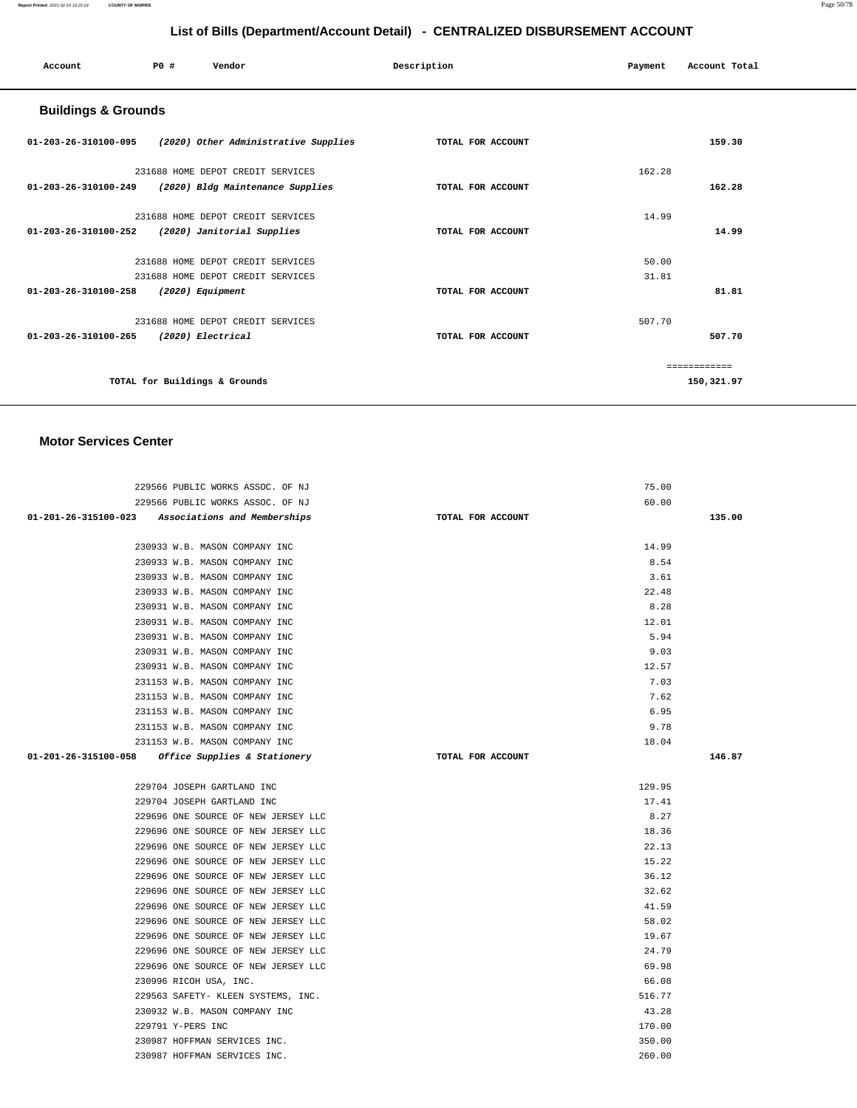| Account                        | P0 #                          | Vendor                               | Description       | Payment | Account Total |
|--------------------------------|-------------------------------|--------------------------------------|-------------------|---------|---------------|
| <b>Buildings &amp; Grounds</b> |                               |                                      |                   |         |               |
| 01-203-26-310100-095           |                               | (2020) Other Administrative Supplies | TOTAL FOR ACCOUNT |         | 159.30        |
|                                |                               | 231688 HOME DEPOT CREDIT SERVICES    |                   | 162.28  |               |
| 01-203-26-310100-249           |                               | (2020) Bldg Maintenance Supplies     | TOTAL FOR ACCOUNT |         | 162.28        |
|                                |                               | 231688 HOME DEPOT CREDIT SERVICES    |                   | 14.99   |               |
| 01-203-26-310100-252           |                               | (2020) Janitorial Supplies           | TOTAL FOR ACCOUNT |         | 14.99         |
|                                |                               | 231688 HOME DEPOT CREDIT SERVICES    |                   | 50.00   |               |
|                                |                               | 231688 HOME DEPOT CREDIT SERVICES    |                   | 31.81   |               |
| 01-203-26-310100-258           | (2020) Equipment              |                                      | TOTAL FOR ACCOUNT |         | 81.81         |
|                                |                               | 231688 HOME DEPOT CREDIT SERVICES    |                   | 507.70  |               |
| 01-203-26-310100-265           | (2020) Electrical             |                                      | TOTAL FOR ACCOUNT |         | 507.70        |
|                                |                               |                                      |                   |         | ============  |
|                                | TOTAL for Buildings & Grounds |                                      |                   |         | 150,321.97    |
|                                |                               |                                      |                   |         |               |

#### **Motor Services Center**

| 229566 PUBLIC WORKS ASSOC. OF NJ                    |                   | 75.00  |        |
|-----------------------------------------------------|-------------------|--------|--------|
| 229566 PUBLIC WORKS ASSOC. OF NJ                    |                   | 60.00  |        |
| 01-201-26-315100-023 Associations and Memberships   | TOTAL FOR ACCOUNT |        | 135.00 |
|                                                     |                   |        |        |
| 230933 W.B. MASON COMPANY INC                       |                   | 14.99  |        |
| 230933 W.B. MASON COMPANY INC                       |                   | 8.54   |        |
| 230933 W.B. MASON COMPANY INC                       |                   | 3.61   |        |
| 230933 W.B. MASON COMPANY INC                       |                   | 22.48  |        |
| 230931 W.B. MASON COMPANY INC                       |                   | 8.28   |        |
| 230931 W.B. MASON COMPANY INC                       |                   | 12.01  |        |
| 230931 W.B. MASON COMPANY INC                       |                   | 5.94   |        |
| 230931 W.B. MASON COMPANY INC                       |                   | 9.03   |        |
| 230931 W.B. MASON COMPANY INC                       |                   | 12.57  |        |
| 231153 W.B. MASON COMPANY INC                       |                   | 7.03   |        |
| 231153 W.B. MASON COMPANY INC                       |                   | 7.62   |        |
| 231153 W.B. MASON COMPANY INC                       |                   | 6.95   |        |
| 231153 W.B. MASON COMPANY INC                       |                   | 9.78   |        |
| 231153 W.B. MASON COMPANY INC                       |                   | 18.04  |        |
| $01-201-26-315100-058$ Office Supplies & Stationery | TOTAL FOR ACCOUNT |        | 146.87 |
|                                                     |                   |        |        |
| 229704 JOSEPH GARTLAND INC                          |                   | 129.95 |        |
| 229704 JOSEPH GARTLAND INC                          |                   | 17.41  |        |
| 229696 ONE SOURCE OF NEW JERSEY LLC                 |                   | 8.27   |        |
| 229696 ONE SOURCE OF NEW JERSEY LLC                 |                   | 18.36  |        |
| 229696 ONE SOURCE OF NEW JERSEY LLC                 |                   | 22.13  |        |
| 229696 ONE SOURCE OF NEW JERSEY LLC                 |                   | 15.22  |        |
| 229696 ONE SOURCE OF NEW JERSEY LLC                 |                   | 36.12  |        |
| 229696 ONE SOURCE OF NEW JERSEY LLC                 |                   | 32.62  |        |
| 229696 ONE SOURCE OF NEW JERSEY LLC                 |                   | 41.59  |        |
| 229696 ONE SOURCE OF NEW JERSEY LLC                 |                   | 58.02  |        |
| 229696 ONE SOURCE OF NEW JERSEY LLC                 |                   | 19.67  |        |
| 229696 ONE SOURCE OF NEW JERSEY LLC                 |                   | 24.79  |        |
| 229696 ONE SOURCE OF NEW JERSEY LLC                 |                   | 69.98  |        |
| 230996 RICOH USA, INC.                              |                   | 66.08  |        |
| 229563 SAFETY- KLEEN SYSTEMS, INC.                  |                   | 516.77 |        |
| 230932 W.B. MASON COMPANY INC                       |                   | 43.28  |        |
| 229791 Y-PERS INC                                   |                   | 170.00 |        |
| 230987 HOFFMAN SERVICES INC.                        |                   | 350.00 |        |
| 230987 HOFFMAN SERVICES INC.                        |                   | 260.00 |        |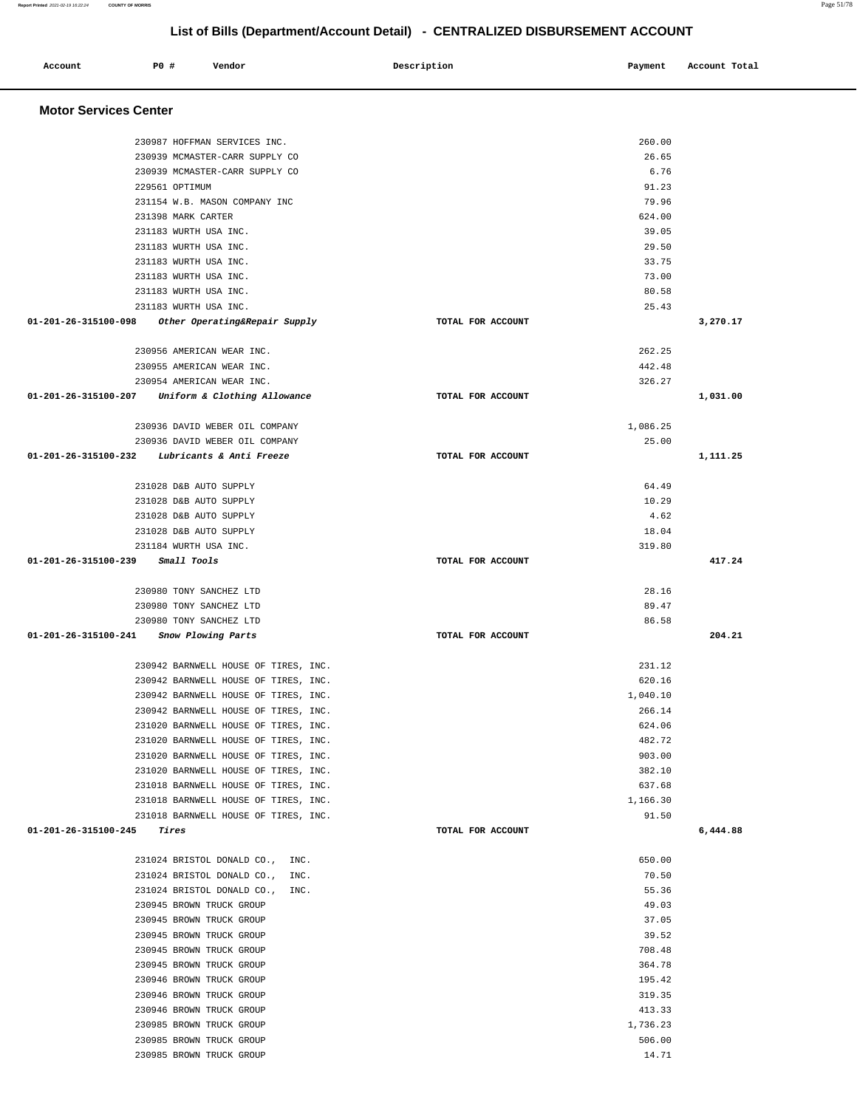|                                      | 230945 BROWN TRUCK GROUP                                                     |                   | 37.05            |          |
|--------------------------------------|------------------------------------------------------------------------------|-------------------|------------------|----------|
|                                      | 231024 BRISTOL DONALD CO., INC.<br>230945 BROWN TRUCK GROUP                  |                   | 55.36<br>49.03   |          |
|                                      | 231024 BRISTOL DONALD CO., INC.                                              |                   | 70.50            |          |
|                                      | 231024 BRISTOL DONALD CO., INC.                                              |                   | 650.00           |          |
| $01 - 201 - 26 - 315100 - 245$ Tires |                                                                              | TOTAL FOR ACCOUNT |                  | 6,444.88 |
|                                      | 231018 BARNWELL HOUSE OF TIRES, INC.                                         |                   | 91.50            |          |
|                                      | 231018 BARNWELL HOUSE OF TIRES, INC.                                         |                   | 1,166.30         |          |
|                                      | 231018 BARNWELL HOUSE OF TIRES, INC.                                         |                   | 637.68           |          |
|                                      | 231020 BARNWELL HOUSE OF TIRES, INC.                                         |                   | 382.10           |          |
|                                      | 231020 BARNWELL HOUSE OF TIRES, INC.                                         |                   | 903.00           |          |
|                                      | 231020 BARNWELL HOUSE OF TIRES, INC.                                         |                   | 482.72           |          |
|                                      | 231020 BARNWELL HOUSE OF TIRES, INC.                                         |                   | 624.06           |          |
|                                      | 230942 BARNWELL HOUSE OF TIRES, INC.                                         |                   | 266.14           |          |
|                                      | 230942 BARNWELL HOUSE OF TIRES, INC.                                         |                   | 1,040.10         |          |
|                                      | 230942 BARNWELL HOUSE OF TIRES, INC.<br>230942 BARNWELL HOUSE OF TIRES, INC. |                   | 231.12<br>620.16 |          |
|                                      |                                                                              |                   |                  |          |
|                                      | 01-201-26-315100-241 Snow Plowing Parts                                      | TOTAL FOR ACCOUNT |                  | 204.21   |
|                                      | 230980 TONY SANCHEZ LTD                                                      |                   | 86.58            |          |
|                                      | 230980 TONY SANCHEZ LTD                                                      |                   | 89.47            |          |
|                                      | 230980 TONY SANCHEZ LTD                                                      |                   | 28.16            |          |
| 01-201-26-315100-239 Small Tools     |                                                                              | TOTAL FOR ACCOUNT |                  | 417.24   |
|                                      | 231184 WURTH USA INC.                                                        |                   | 319.80           |          |
|                                      | 231028 D&B AUTO SUPPLY                                                       |                   | 18.04            |          |
|                                      | 231028 D&B AUTO SUPPLY                                                       |                   | 4.62             |          |
|                                      | 231028 D&B AUTO SUPPLY                                                       |                   | 10.29            |          |
|                                      | 231028 D&B AUTO SUPPLY                                                       |                   | 64.49            |          |
|                                      | 01-201-26-315100-232 Lubricants & Anti Freeze                                | TOTAL FOR ACCOUNT |                  | 1,111.25 |
|                                      | 230936 DAVID WEBER OIL COMPANY                                               |                   | 25.00            |          |
|                                      | 230936 DAVID WEBER OIL COMPANY                                               |                   | 1,086.25         |          |
|                                      |                                                                              |                   |                  |          |
|                                      | 01-201-26-315100-207 Uniform & Clothing Allowance                            | TOTAL FOR ACCOUNT |                  | 1,031.00 |
|                                      | 230955 AMERICAN WEAR INC.<br>230954 AMERICAN WEAR INC.                       |                   | 442.48<br>326.27 |          |
|                                      | 230956 AMERICAN WEAR INC.                                                    |                   | 262.25           |          |
|                                      |                                                                              |                   |                  |          |
|                                      | 01-201-26-315100-098 Other Operating&Repair Supply                           | TOTAL FOR ACCOUNT |                  | 3,270.17 |
|                                      | 231183 WURTH USA INC.<br>231183 WURTH USA INC.                               |                   | 25.43            |          |
|                                      | 231183 WURTH USA INC.                                                        |                   | 73.00<br>80.58   |          |
|                                      | 231183 WURTH USA INC.                                                        |                   | 33.75            |          |
|                                      | 231183 WURTH USA INC.                                                        |                   | 29.50            |          |
|                                      | 231183 WURTH USA INC.                                                        |                   | 39.05            |          |
|                                      | 231398 MARK CARTER                                                           |                   | 624.00           |          |
|                                      | 231154 W.B. MASON COMPANY INC                                                |                   | 79.96            |          |
|                                      | 229561 OPTIMUM                                                               |                   | 91.23            |          |
|                                      | 230939 MCMASTER-CARR SUPPLY CO                                               |                   | 6.76             |          |
|                                      | 230987 HOFFMAN SERVICES INC.<br>230939 MCMASTER-CARR SUPPLY CO               |                   | 260.00<br>26.65  |          |

Account 20 **P** Pomdor Payment Recount Potal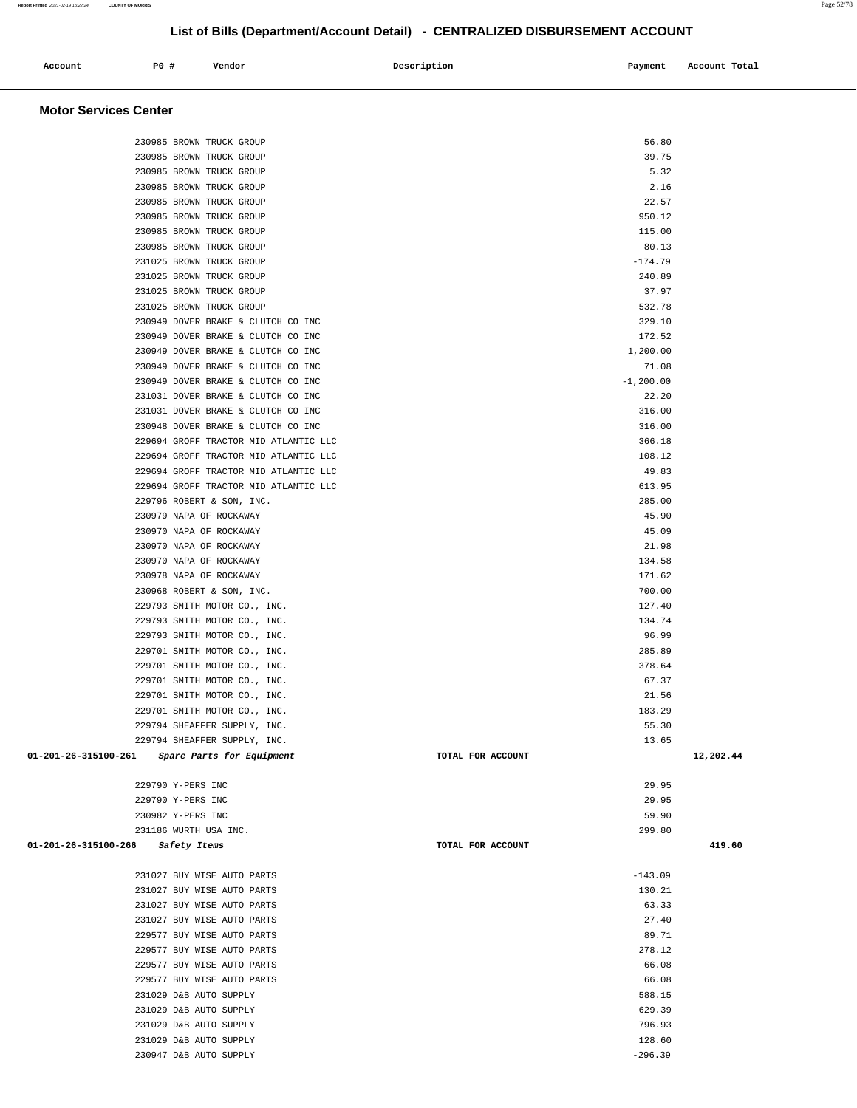| Account | <b>PO #</b> | Vendor | Description | Payment | Account Total |
|---------|-------------|--------|-------------|---------|---------------|
|         |             |        |             |         |               |
|         |             |        |             |         |               |

## **Motor Services Center**

| 230985 BROWN TRUCK GROUP                          |                   | 56.80        |           |
|---------------------------------------------------|-------------------|--------------|-----------|
| 230985 BROWN TRUCK GROUP                          |                   | 39.75        |           |
| 230985 BROWN TRUCK GROUP                          |                   | 5.32         |           |
| 230985 BROWN TRUCK GROUP                          |                   | 2.16         |           |
| 230985 BROWN TRUCK GROUP                          |                   | 22.57        |           |
| 230985 BROWN TRUCK GROUP                          |                   | 950.12       |           |
| 230985 BROWN TRUCK GROUP                          |                   | 115.00       |           |
| 230985 BROWN TRUCK GROUP                          |                   | 80.13        |           |
| 231025 BROWN TRUCK GROUP                          |                   | $-174.79$    |           |
| 231025 BROWN TRUCK GROUP                          |                   | 240.89       |           |
| 231025 BROWN TRUCK GROUP                          |                   | 37.97        |           |
| 231025 BROWN TRUCK GROUP                          |                   | 532.78       |           |
| 230949 DOVER BRAKE & CLUTCH CO INC                |                   | 329.10       |           |
| 230949 DOVER BRAKE & CLUTCH CO INC                |                   | 172.52       |           |
| 230949 DOVER BRAKE & CLUTCH CO INC                |                   | 1,200.00     |           |
| 230949 DOVER BRAKE & CLUTCH CO INC                |                   | 71.08        |           |
| 230949 DOVER BRAKE & CLUTCH CO INC                |                   | $-1, 200.00$ |           |
| 231031 DOVER BRAKE & CLUTCH CO INC                |                   | 22.20        |           |
| 231031 DOVER BRAKE & CLUTCH CO INC                |                   | 316.00       |           |
| 230948 DOVER BRAKE & CLUTCH CO INC                |                   | 316.00       |           |
| 229694 GROFF TRACTOR MID ATLANTIC LLC             |                   | 366.18       |           |
| 229694 GROFF TRACTOR MID ATLANTIC LLC             |                   | 108.12       |           |
| 229694 GROFF TRACTOR MID ATLANTIC LLC             |                   | 49.83        |           |
| 229694 GROFF TRACTOR MID ATLANTIC LLC             |                   | 613.95       |           |
|                                                   |                   |              |           |
| 229796 ROBERT & SON, INC.                         |                   | 285.00       |           |
| 230979 NAPA OF ROCKAWAY                           |                   | 45.90        |           |
| 230970 NAPA OF ROCKAWAY                           |                   | 45.09        |           |
| 230970 NAPA OF ROCKAWAY                           |                   | 21.98        |           |
| 230970 NAPA OF ROCKAWAY                           |                   | 134.58       |           |
| 230978 NAPA OF ROCKAWAY                           |                   | 171.62       |           |
| 230968 ROBERT & SON, INC.                         |                   | 700.00       |           |
| 229793 SMITH MOTOR CO., INC.                      |                   | 127.40       |           |
| 229793 SMITH MOTOR CO., INC.                      |                   | 134.74       |           |
| 229793 SMITH MOTOR CO., INC.                      |                   | 96.99        |           |
| 229701 SMITH MOTOR CO., INC.                      |                   | 285.89       |           |
| 229701 SMITH MOTOR CO., INC.                      |                   | 378.64       |           |
| 229701 SMITH MOTOR CO., INC.                      |                   | 67.37        |           |
| 229701 SMITH MOTOR CO., INC.                      |                   | 21.56        |           |
| 229701 SMITH MOTOR CO., INC.                      |                   | 183.29       |           |
| 229794 SHEAFFER SUPPLY, INC.                      |                   | 55.30        |           |
| 229794 SHEAFFER SUPPLY, INC.                      |                   | 13.65        |           |
| 01-201-26-315100-261<br>Spare Parts for Equipment | TOTAL FOR ACCOUNT |              | 12,202.44 |
|                                                   |                   |              |           |
| 229790 Y-PERS INC                                 |                   | 29.95        |           |
| 229790 Y-PERS INC                                 |                   | 29.95        |           |
| 230982 Y-PERS INC                                 |                   | 59.90        |           |
| 231186 WURTH USA INC.                             |                   | 299.80       |           |
| 01-201-26-315100-266<br>Safety Items              | TOTAL FOR ACCOUNT |              | 419.60    |
|                                                   |                   |              |           |
| 231027 BUY WISE AUTO PARTS                        |                   | $-143.09$    |           |
| 231027 BUY WISE AUTO PARTS                        |                   | 130.21       |           |
| 231027 BUY WISE AUTO PARTS                        |                   | 63.33        |           |
| 231027 BUY WISE AUTO PARTS                        |                   | 27.40        |           |
| 229577 BUY WISE AUTO PARTS                        |                   | 89.71        |           |
| 229577 BUY WISE AUTO PARTS                        |                   | 278.12       |           |
| 229577 BUY WISE AUTO PARTS                        |                   | 66.08        |           |
| 229577 BUY WISE AUTO PARTS                        |                   | 66.08        |           |
| 231029 D&B AUTO SUPPLY                            |                   | 588.15       |           |
| 231029 D&B AUTO SUPPLY                            |                   | 629.39       |           |
| 231029 D&B AUTO SUPPLY                            |                   | 796.93       |           |
| 231029 D&B AUTO SUPPLY                            |                   | 128.60       |           |
| 230947 D&B AUTO SUPPLY                            |                   | $-296.39$    |           |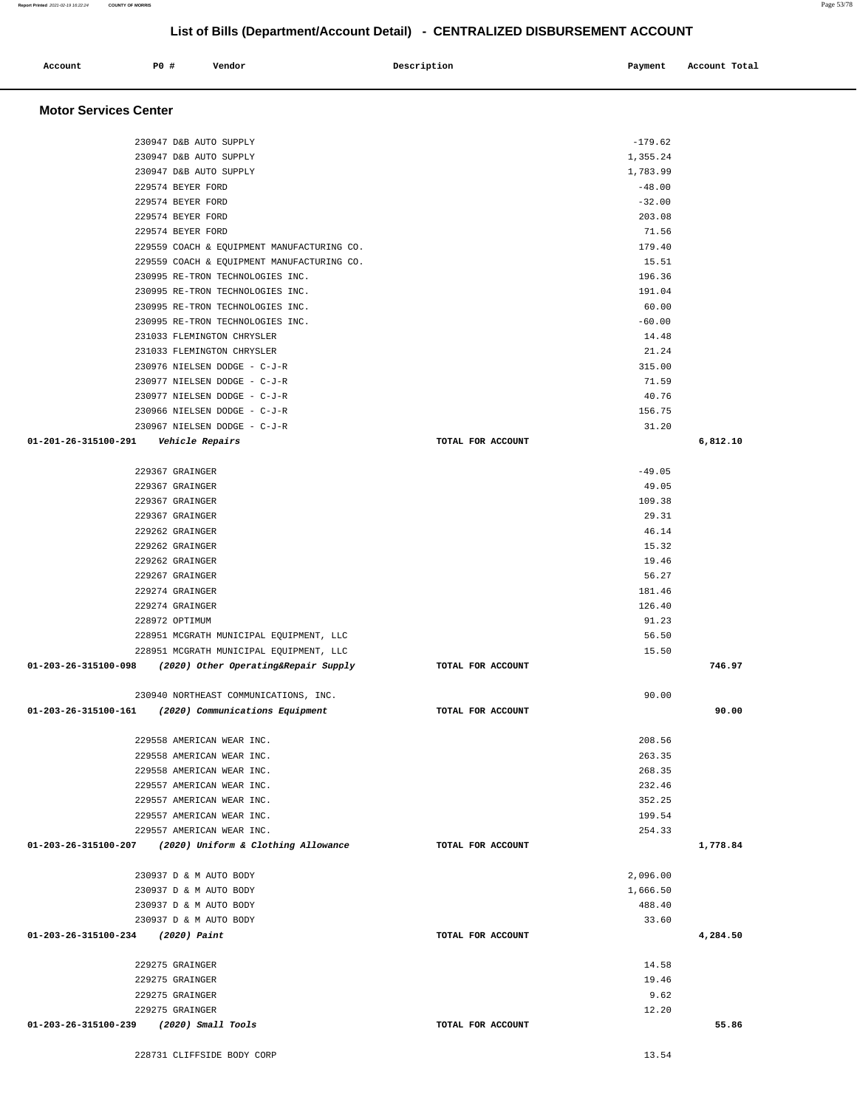## **Motor Services Center**  230947 D&B AUTO SUPPLY -179.62 230947 D&B AUTO SUPPLY 1,355.24 230947 D&B AUTO SUPPLY 1,783.99  $229574$  BEYER FORD  $-48.00$  $229574$  BEYER FORD  $-32.00$  229574 BEYER FORD 203.08 229574 BEYER FORD 71.56 229559 COACH & EQUIPMENT MANUFACTURING CO. 179.40 229559 COACH & EQUIPMENT MANUFACTURING CO. 15.51 230995 RE-TRON TECHNOLOGIES INC. 196.36 230995 RE-TRON TECHNOLOGIES INC. 191.04 230995 RE-TRON TECHNOLOGIES INC. 60.00 230995 RE-TRON TECHNOLOGIES INC. 231033 FLEMINGTON CHRYSLER 14.48 231033 FLEMINGTON CHRYSLER 21.24 230976 NIELSEN DODGE - C-J-R 315.00 230977 NIELSEN DODGE - C-J-R 71.59 230977 NIELSEN DODGE - C-J-R 40.76 230966 NIELSEN DODGE - C-J-R 156.75 230967 NIELSEN DODGE - C-J-R 31.20  **01-201-26-315100-291 Vehicle Repairs TOTAL FOR ACCOUNT 6,812.10**  $229367$  GRAINGER  $-49$ . 229367 GRAINGER 49.05 229367 GRAINGER 109.38 229367 GRAINGER 29.31 229262 GRAINGER 46.14 229262 GRAINGER 15.32 229262 GRAINGER 19.46 229267 GRAINGER 56.27 229274 GRAINGER 181.46 229274 GRAINGER 126.40 228972 OPTIMUM 91.23 228951 MCGRATH MUNICIPAL EQUIPMENT, LLC 56.50 228951 MCGRATH MUNICIPAL EQUIPMENT, LLC 15.50  **01-203-26-315100-098 (2020) Other Operating&Repair Supply TOTAL FOR ACCOUNT 746.97** 230940 NORTHEAST COMMUNICATIONS, INC. 90.00  **01-203-26-315100-161 (2020) Communications Equipment TOTAL FOR ACCOUNT 90.00** 229558 AMERICAN WEAR INC. 208.56 229558 AMERICAN WEAR INC. 263.35 229558 AMERICAN WEAR INC. 268.35 229557 AMERICAN WEAR INC. 232.46 229557 AMERICAN WEAR INC. 352.25 229557 AMERICAN WEAR INC. 199.54 229557 AMERICAN WEAR INC. 254.33  **01-203-26-315100-207 (2020) Uniform & Clothing Allowance TOTAL FOR ACCOUNT 1,778.84** 230937 D & M AUTO BODY 2,096.00 230937 D & M AUTO BODY 1,666.50 230937 D & M AUTO BODY 488.40 230937 D & M AUTO BODY 33.60  **01-203-26-315100-234 (2020) Paint TOTAL FOR ACCOUNT 4,284.50** 229275 GRAINGER 14.58 229275 GRAINGER 19.46  $229275$  GRAINGER  $9.62$  229275 GRAINGER 12.20  **01-203-26-315100-239 (2020) Small Tools TOTAL FOR ACCOUNT 55.86**

228731 CLIFFSIDE BODY CORP 13.54

**Report Printed** 2021-02-19 16:22:24 **COUNTY OF MORRIS** Page 53/78

 **Account P0 # Vendor Description Payment Account Total**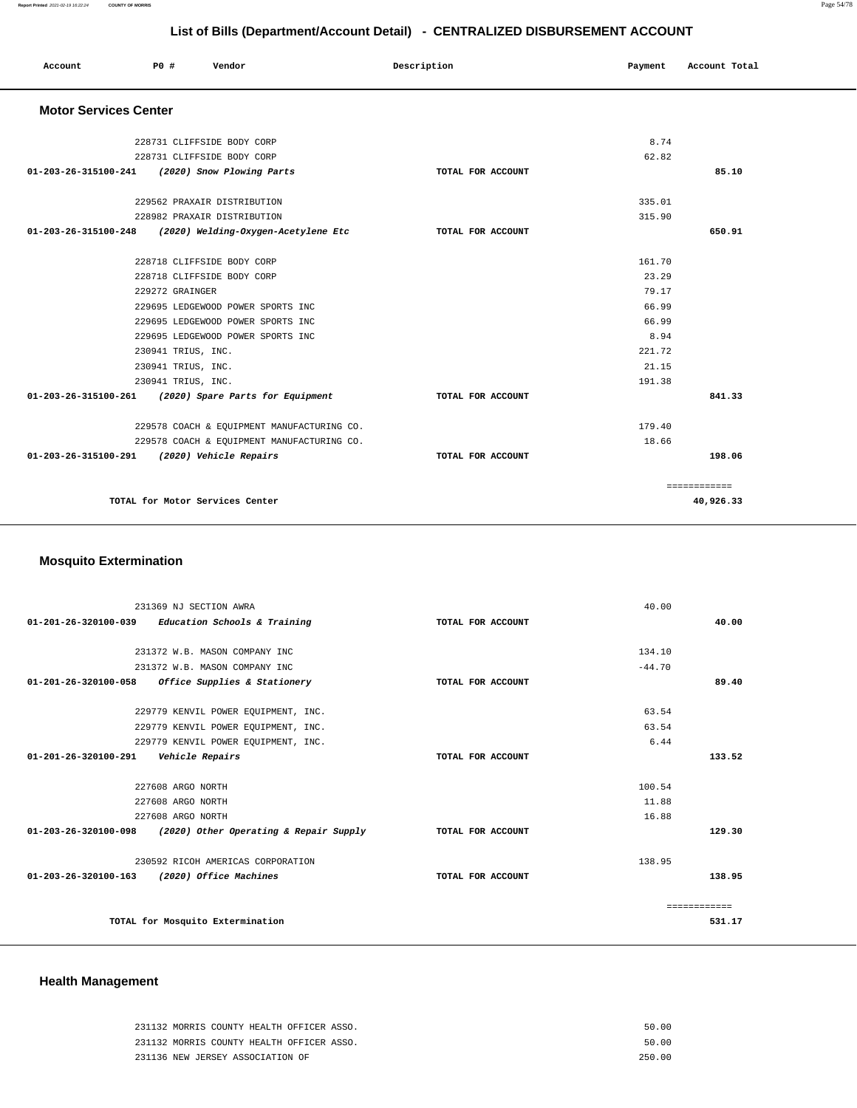|                              |                    |                                            | List of Bills (Department/Account Detail) - CENTRALIZED DISBURSEMENT ACCOUNT |         |               |
|------------------------------|--------------------|--------------------------------------------|------------------------------------------------------------------------------|---------|---------------|
| Account                      | P0 #               | Vendor                                     | Description                                                                  | Payment | Account Total |
| <b>Motor Services Center</b> |                    |                                            |                                                                              |         |               |
|                              |                    | 228731 CLIFFSIDE BODY CORP                 |                                                                              | 8.74    |               |
|                              |                    | 228731 CLIFFSIDE BODY CORP                 |                                                                              | 62.82   |               |
| 01-203-26-315100-241         |                    | (2020) Snow Plowing Parts                  | TOTAL FOR ACCOUNT                                                            |         | 85.10         |
|                              |                    | 229562 PRAXAIR DISTRIBUTION                |                                                                              | 335.01  |               |
|                              |                    | 228982 PRAXAIR DISTRIBUTION                |                                                                              | 315.90  |               |
| 01-203-26-315100-248         |                    | (2020) Welding-Oxygen-Acetylene Etc        | TOTAL FOR ACCOUNT                                                            |         | 650.91        |
|                              |                    | 228718 CLIFFSIDE BODY CORP                 |                                                                              | 161.70  |               |
|                              |                    | 228718 CLIFFSIDE BODY CORP                 |                                                                              | 23.29   |               |
|                              | 229272 GRAINGER    |                                            |                                                                              | 79.17   |               |
|                              |                    | 229695 LEDGEWOOD POWER SPORTS INC          |                                                                              | 66.99   |               |
|                              |                    | 229695 LEDGEWOOD POWER SPORTS INC          |                                                                              | 66.99   |               |
|                              |                    | 229695 LEDGEWOOD POWER SPORTS INC          |                                                                              | 8.94    |               |
|                              | 230941 TRIUS, INC. |                                            |                                                                              | 221.72  |               |
|                              | 230941 TRIUS, INC. |                                            |                                                                              | 21.15   |               |
|                              | 230941 TRIUS, INC. |                                            |                                                                              | 191.38  |               |
| 01-203-26-315100-261         |                    | (2020) Spare Parts for Equipment           | TOTAL FOR ACCOUNT                                                            |         | 841.33        |
|                              |                    | 229578 COACH & EQUIPMENT MANUFACTURING CO. |                                                                              | 179.40  |               |
|                              |                    | 229578 COACH & EQUIPMENT MANUFACTURING CO. |                                                                              | 18.66   |               |
| 01-203-26-315100-291         |                    | (2020) Vehicle Repairs                     | TOTAL FOR ACCOUNT                                                            |         | 198.06        |
|                              |                    |                                            |                                                                              |         | ============  |
|                              |                    | TOTAL for Motor Services Center            |                                                                              |         | 40,926.33     |

## **Mosquito Extermination**

|                      | 231369 NJ SECTION AWRA                                        |                   | 40.00    |              |
|----------------------|---------------------------------------------------------------|-------------------|----------|--------------|
| 01-201-26-320100-039 | Education Schools & Training                                  | TOTAL FOR ACCOUNT |          | 40.00        |
|                      |                                                               |                   |          |              |
|                      | 231372 W.B. MASON COMPANY INC                                 |                   | 134.10   |              |
|                      | 231372 W.B. MASON COMPANY INC                                 |                   | $-44.70$ |              |
| 01-201-26-320100-058 | Office Supplies & Stationery                                  | TOTAL FOR ACCOUNT |          | 89.40        |
|                      |                                                               |                   |          |              |
|                      | 229779 KENVIL POWER EQUIPMENT, INC.                           |                   | 63.54    |              |
|                      | 229779 KENVIL POWER EQUIPMENT, INC.                           |                   | 63.54    |              |
|                      | 229779 KENVIL POWER EOUIPMENT, INC.                           |                   | 6.44     |              |
| 01-201-26-320100-291 | Vehicle Repairs                                               | TOTAL FOR ACCOUNT |          | 133.52       |
|                      |                                                               |                   |          |              |
|                      | 227608 ARGO NORTH                                             |                   | 100.54   |              |
|                      | 227608 ARGO NORTH                                             |                   | 11.88    |              |
|                      | 227608 ARGO NORTH                                             |                   | 16.88    |              |
|                      | $01-203-26-320100-098$ (2020) Other Operating & Repair Supply | TOTAL FOR ACCOUNT |          | 129.30       |
|                      | 230592 RICOH AMERICAS CORPORATION                             |                   | 138.95   |              |
|                      | 01-203-26-320100-163 (2020) Office Machines                   | TOTAL FOR ACCOUNT |          | 138.95       |
|                      |                                                               |                   |          |              |
|                      |                                                               |                   |          | ------------ |
|                      | TOTAL for Mosquito Extermination                              |                   |          | 531.17       |
|                      |                                                               |                   |          |              |

## **Health Management**

| 231132 MORRIS COUNTY HEALTH OFFICER ASSO. | 50.00  |
|-------------------------------------------|--------|
| 231132 MORRIS COUNTY HEALTH OFFICER ASSO. | 50.00  |
| 231136 NEW JERSEY ASSOCIATION OF          | 250 00 |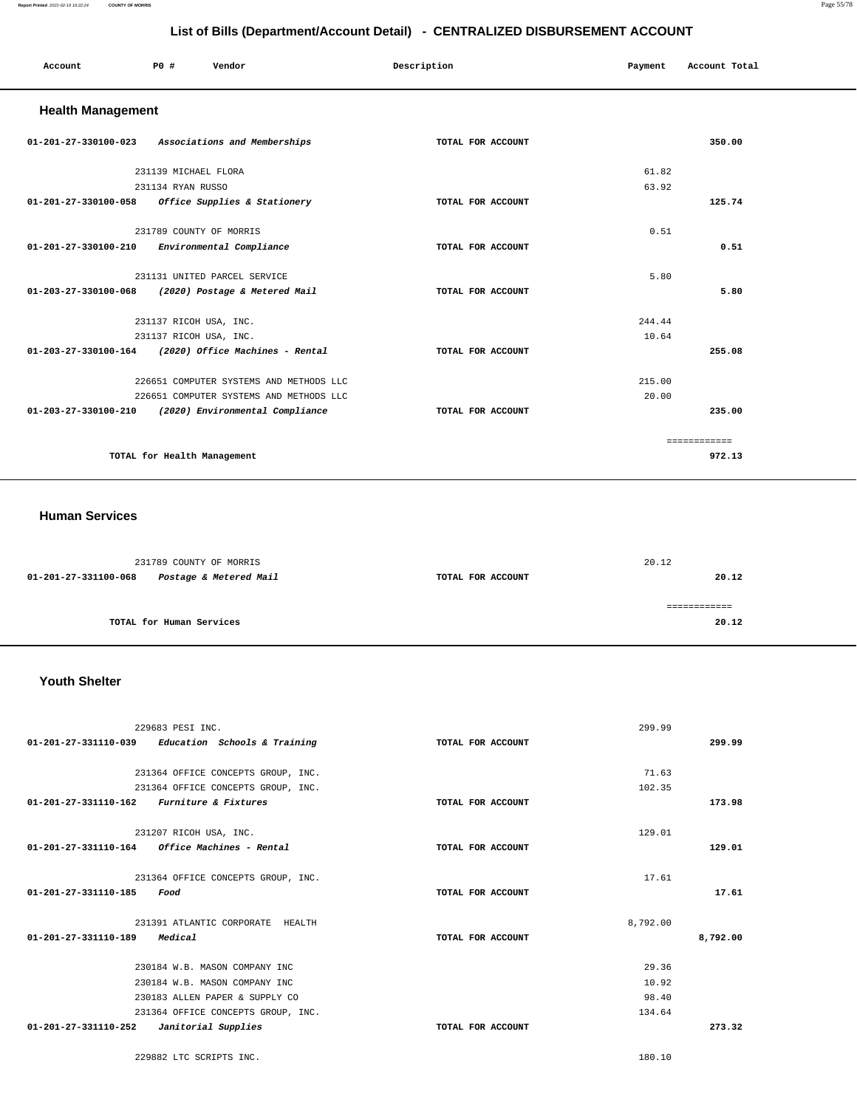#### **Report Printed** 2021-02-19 16:22:24 **COUNTY OF MORRIS** Page 55/78

## **List of Bills (Department/Account Detail) - CENTRALIZED DISBURSEMENT ACCOUNT**

| Account                                       | <b>PO #</b>                 | Vendor                                               | Description       | Payment | Account Total |
|-----------------------------------------------|-----------------------------|------------------------------------------------------|-------------------|---------|---------------|
| <b>Health Management</b>                      |                             |                                                      |                   |         |               |
|                                               |                             | 01-201-27-330100-023 Associations and Memberships    | TOTAL FOR ACCOUNT |         | 350.00        |
|                                               | 231139 MICHAEL FLORA        |                                                      |                   | 61.82   |               |
|                                               | 231134 RYAN RUSSO           |                                                      |                   | 63.92   |               |
|                                               |                             | 01-201-27-330100-058 Office Supplies & Stationery    | TOTAL FOR ACCOUNT |         | 125.74        |
|                                               | 231789 COUNTY OF MORRIS     |                                                      |                   | 0.51    |               |
| 01-201-27-330100-210 Environmental Compliance |                             |                                                      | TOTAL FOR ACCOUNT |         | 0.51          |
|                                               |                             | 231131 UNITED PARCEL SERVICE                         |                   | 5.80    |               |
|                                               |                             | 01-203-27-330100-068 (2020) Postage & Metered Mail   | TOTAL FOR ACCOUNT |         | 5.80          |
|                                               | 231137 RICOH USA, INC.      |                                                      |                   | 244.44  |               |
|                                               | 231137 RICOH USA, INC.      |                                                      |                   | 10.64   |               |
|                                               |                             | 01-203-27-330100-164 (2020) Office Machines - Rental | TOTAL FOR ACCOUNT |         | 255.08        |
|                                               |                             | 226651 COMPUTER SYSTEMS AND METHODS LLC              |                   | 215.00  |               |
|                                               |                             | 226651 COMPUTER SYSTEMS AND METHODS LLC              |                   | 20.00   |               |
|                                               |                             | 01-203-27-330100-210 (2020) Environmental Compliance | TOTAL FOR ACCOUNT |         | 235.00        |
|                                               |                             |                                                      |                   |         | ============  |
|                                               | TOTAL for Health Management |                                                      |                   |         | 972.13        |

#### **Human Services**

|                      | 231789 COUNTY OF MORRIS  |                   | 20.12 |
|----------------------|--------------------------|-------------------|-------|
| 01-201-27-331100-068 | Postage & Metered Mail   | TOTAL FOR ACCOUNT | 20.12 |
|                      |                          |                   |       |
|                      |                          |                   |       |
|                      | TOTAL for Human Services |                   | 20.12 |
|                      |                          |                   |       |

## **Youth Shelter**

| 229683 PESI INC.                                    |                   | 299.99   |          |
|-----------------------------------------------------|-------------------|----------|----------|
| $01-201-27-331110-039$ Education Schools & Training | TOTAL FOR ACCOUNT |          | 299.99   |
|                                                     |                   |          |          |
| 231364 OFFICE CONCEPTS GROUP, INC.                  |                   | 71.63    |          |
| 231364 OFFICE CONCEPTS GROUP, INC.                  |                   | 102.35   |          |
| 01-201-27-331110-162 Furniture & Fixtures           | TOTAL FOR ACCOUNT |          | 173.98   |
| 231207 RICOH USA, INC.                              |                   | 129.01   |          |
| Office Machines - Rental<br>01-201-27-331110-164    | TOTAL FOR ACCOUNT |          | 129.01   |
| 231364 OFFICE CONCEPTS GROUP, INC.                  |                   | 17.61    |          |
| 01-201-27-331110-185<br>Food                        | TOTAL FOR ACCOUNT |          | 17.61    |
| 231391 ATLANTIC CORPORATE HEALTH                    |                   | 8,792.00 |          |
| $01 - 201 - 27 - 331110 - 189$<br>Medical           | TOTAL FOR ACCOUNT |          | 8,792.00 |
| 230184 W.B. MASON COMPANY INC                       |                   | 29.36    |          |
| 230184 W.B. MASON COMPANY INC                       |                   | 10.92    |          |
| 230183 ALLEN PAPER & SUPPLY CO                      |                   | 98.40    |          |
| 231364 OFFICE CONCEPTS GROUP, INC.                  |                   | 134.64   |          |
| 01-201-27-331110-252<br>Janitorial Supplies         | TOTAL FOR ACCOUNT |          | 273.32   |
|                                                     |                   |          |          |

229882 LTC SCRIPTS INC. 180.10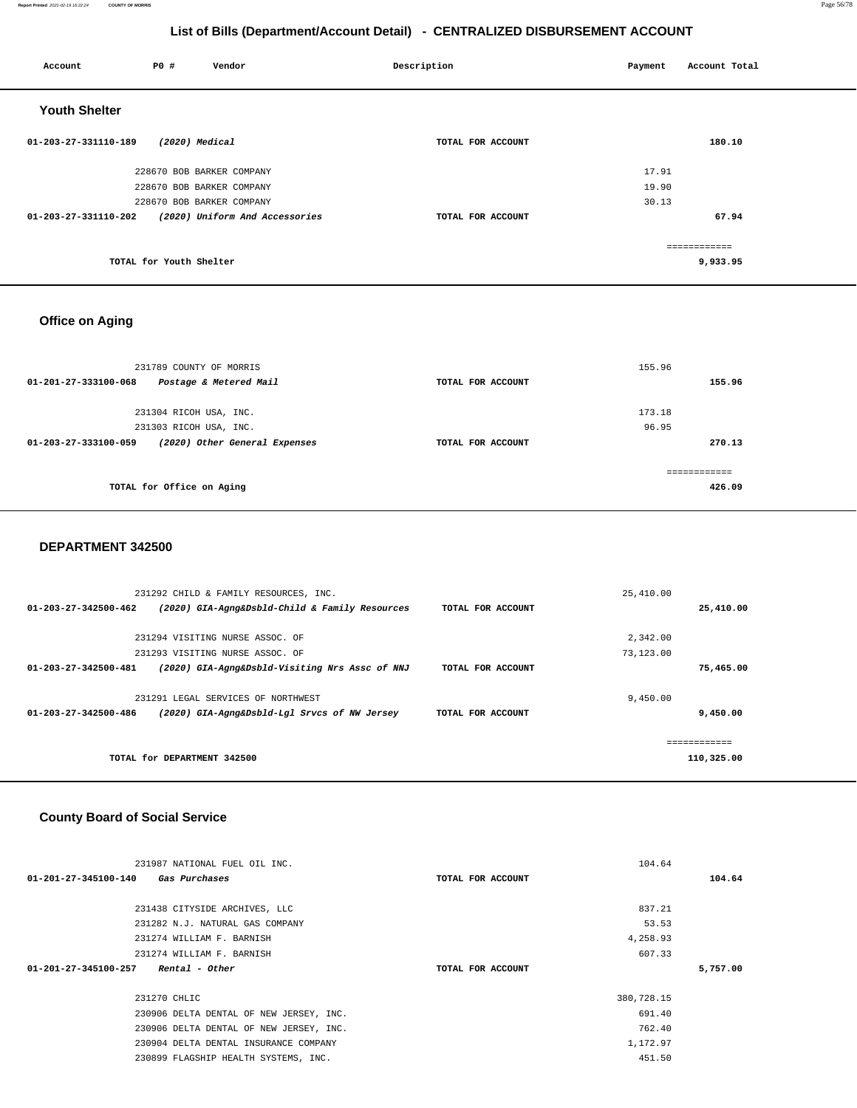#### **Report Printed** 2021-02-19 16:22:24 **COUNTY OF MORRIS** Page 56/78

## **List of Bills (Department/Account Detail) - CENTRALIZED DISBURSEMENT ACCOUNT**

| Account              | <b>PO #</b>             | Vendor                         | Description       | Payment | Account Total |
|----------------------|-------------------------|--------------------------------|-------------------|---------|---------------|
| <b>Youth Shelter</b> |                         |                                |                   |         |               |
| 01-203-27-331110-189 |                         | (2020) Medical                 | TOTAL FOR ACCOUNT |         | 180.10        |
|                      |                         | 228670 BOB BARKER COMPANY      |                   | 17.91   |               |
|                      |                         | 228670 BOB BARKER COMPANY      |                   | 19.90   |               |
|                      |                         | 228670 BOB BARKER COMPANY      |                   | 30.13   |               |
| 01-203-27-331110-202 |                         | (2020) Uniform And Accessories | TOTAL FOR ACCOUNT |         | 67.94         |
|                      |                         |                                |                   |         |               |
|                      |                         |                                |                   |         | ------------- |
|                      | TOTAL for Youth Shelter |                                |                   |         | 9,933.95      |
|                      |                         |                                |                   |         |               |

## **Office on Aging**

| 231789 COUNTY OF MORRIS<br>Postage & Metered Mail<br>01-201-27-333100-068 | TOTAL FOR ACCOUNT | 155.96<br>155.96        |
|---------------------------------------------------------------------------|-------------------|-------------------------|
|                                                                           |                   |                         |
| 231304 RICOH USA, INC.                                                    |                   | 173.18                  |
| 231303 RICOH USA, INC.                                                    |                   | 96.95                   |
| (2020) Other General Expenses<br>$01 - 203 - 27 - 333100 - 059$           | TOTAL FOR ACCOUNT | 270.13                  |
| TOTAL for Office on Aging                                                 |                   | -------------<br>426.09 |

#### **DEPARTMENT 342500**

|                                | 231292 CHILD & FAMILY RESOURCES, INC.          |                   | 25,410.00  |  |
|--------------------------------|------------------------------------------------|-------------------|------------|--|
| $01 - 203 - 27 - 342500 - 462$ | (2020) GIA-Agng&Dsbld-Child & Family Resources | TOTAL FOR ACCOUNT | 25,410.00  |  |
|                                |                                                |                   |            |  |
|                                | 231294 VISITING NURSE ASSOC. OF                |                   | 2,342.00   |  |
|                                | 231293 VISITING NURSE ASSOC. OF                |                   | 73,123.00  |  |
| $01 - 203 - 27 - 342500 - 481$ | (2020) GIA-Agng&Dsbld-Visiting Nrs Assc of NNJ | TOTAL FOR ACCOUNT | 75,465.00  |  |
|                                |                                                |                   |            |  |
|                                | 231291 LEGAL SERVICES OF NORTHWEST             |                   | 9.450.00   |  |
| $01 - 203 - 27 - 342500 - 486$ | (2020) GIA-Agng&Dsbld-Lgl Srvcs of NW Jersey   | TOTAL FOR ACCOUNT | 9,450.00   |  |
|                                |                                                |                   |            |  |
|                                |                                                |                   |            |  |
|                                | TOTAL for DEPARTMENT 342500                    |                   | 110,325.00 |  |
|                                |                                                |                   |            |  |

## **County Board of Social Service**

| 104.64     |
|------------|
| 104.64     |
|            |
| 837.21     |
| 53.53      |
| 4,258.93   |
| 607.33     |
| 5,757.00   |
|            |
| 380,728.15 |
| 691.40     |
| 762.40     |
| 1,172.97   |
| 451.50     |
|            |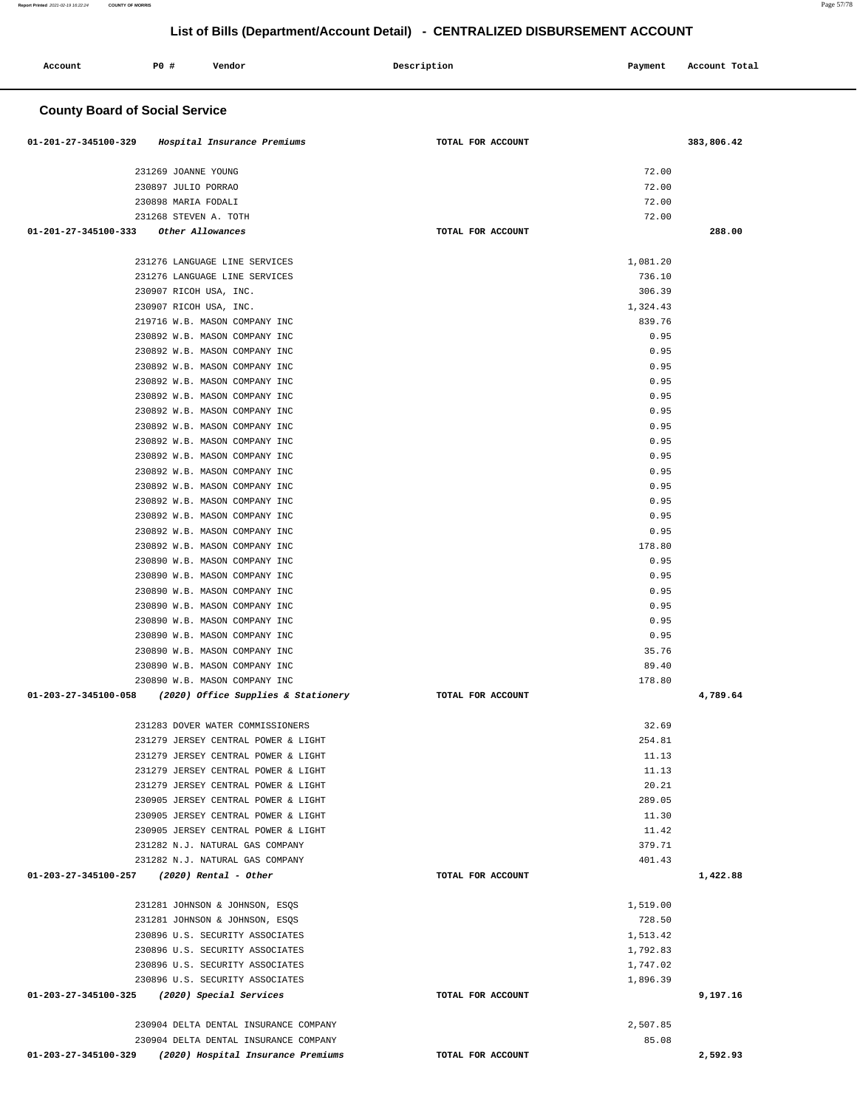| Account                               | <b>PO #</b><br>Vendor                                                      | Description       | Payment            | Account Total |
|---------------------------------------|----------------------------------------------------------------------------|-------------------|--------------------|---------------|
|                                       |                                                                            |                   |                    |               |
| <b>County Board of Social Service</b> |                                                                            |                   |                    |               |
| 01-201-27-345100-329                  | Hospital Insurance Premiums                                                | TOTAL FOR ACCOUNT |                    | 383,806.42    |
|                                       | 231269 JOANNE YOUNG                                                        |                   | 72.00              |               |
|                                       | 230897 JULIO PORRAO                                                        |                   | 72.00              |               |
|                                       | 230898 MARIA FODALI                                                        |                   | 72.00              |               |
| 01-201-27-345100-333                  | 231268 STEVEN A. TOTH<br>Other Allowances                                  | TOTAL FOR ACCOUNT | 72.00              | 288.00        |
|                                       |                                                                            |                   |                    |               |
|                                       | 231276 LANGUAGE LINE SERVICES                                              |                   | 1,081.20           |               |
|                                       | 231276 LANGUAGE LINE SERVICES                                              |                   | 736.10             |               |
|                                       | 230907 RICOH USA, INC.<br>230907 RICOH USA, INC.                           |                   | 306.39<br>1,324.43 |               |
|                                       | 219716 W.B. MASON COMPANY INC                                              |                   | 839.76             |               |
|                                       | 230892 W.B. MASON COMPANY INC                                              |                   | 0.95               |               |
|                                       | 230892 W.B. MASON COMPANY INC                                              |                   | 0.95               |               |
|                                       | 230892 W.B. MASON COMPANY INC                                              |                   | 0.95               |               |
|                                       | 230892 W.B. MASON COMPANY INC                                              |                   | 0.95               |               |
|                                       | 230892 W.B. MASON COMPANY INC                                              |                   | 0.95               |               |
|                                       | 230892 W.B. MASON COMPANY INC                                              |                   | 0.95               |               |
|                                       | 230892 W.B. MASON COMPANY INC                                              |                   | 0.95               |               |
|                                       | 230892 W.B. MASON COMPANY INC                                              |                   | 0.95               |               |
|                                       | 230892 W.B. MASON COMPANY INC                                              |                   | 0.95               |               |
|                                       | 230892 W.B. MASON COMPANY INC                                              |                   | 0.95               |               |
|                                       | 230892 W.B. MASON COMPANY INC<br>230892 W.B. MASON COMPANY INC             |                   | 0.95<br>0.95       |               |
|                                       | 230892 W.B. MASON COMPANY INC                                              |                   | 0.95               |               |
|                                       | 230892 W.B. MASON COMPANY INC                                              |                   | 0.95               |               |
|                                       | 230892 W.B. MASON COMPANY INC                                              |                   | 178.80             |               |
|                                       | 230890 W.B. MASON COMPANY INC                                              |                   | 0.95               |               |
|                                       | 230890 W.B. MASON COMPANY INC                                              |                   | 0.95               |               |
|                                       | 230890 W.B. MASON COMPANY INC                                              |                   | 0.95               |               |
|                                       | 230890 W.B. MASON COMPANY INC                                              |                   | 0.95               |               |
|                                       | 230890 W.B. MASON COMPANY INC                                              |                   | 0.95               |               |
|                                       | 230890 W.B. MASON COMPANY INC                                              |                   | 0.95               |               |
|                                       | 230890 W.B. MASON COMPANY INC<br>230890 W.B. MASON COMPANY INC             |                   | 35.76<br>89.40     |               |
|                                       | 230890 W.B. MASON COMPANY INC                                              |                   | 178.80             |               |
|                                       | 01-203-27-345100-058 (2020) Office Supplies & Stationery                   | TOTAL FOR ACCOUNT |                    | 4,789.64      |
|                                       |                                                                            |                   |                    |               |
|                                       | 231283 DOVER WATER COMMISSIONERS                                           |                   | 32.69              |               |
|                                       | 231279 JERSEY CENTRAL POWER & LIGHT                                        |                   | 254.81             |               |
|                                       | 231279 JERSEY CENTRAL POWER & LIGHT<br>231279 JERSEY CENTRAL POWER & LIGHT |                   | 11.13<br>11.13     |               |
|                                       | 231279 JERSEY CENTRAL POWER & LIGHT                                        |                   | 20.21              |               |
|                                       | 230905 JERSEY CENTRAL POWER & LIGHT                                        |                   | 289.05             |               |
|                                       | 230905 JERSEY CENTRAL POWER & LIGHT                                        |                   | 11.30              |               |
|                                       | 230905 JERSEY CENTRAL POWER & LIGHT                                        |                   | 11.42              |               |
|                                       | 231282 N.J. NATURAL GAS COMPANY                                            |                   | 379.71             |               |
|                                       | 231282 N.J. NATURAL GAS COMPANY                                            |                   | 401.43             |               |
|                                       | 01-203-27-345100-257 (2020) Rental - Other                                 | TOTAL FOR ACCOUNT |                    | 1,422.88      |
|                                       | 231281 JOHNSON & JOHNSON, ESQS                                             |                   | 1,519.00           |               |
|                                       | 231281 JOHNSON & JOHNSON, ESQS                                             |                   | 728.50             |               |
|                                       | 230896 U.S. SECURITY ASSOCIATES                                            |                   | 1,513.42           |               |
|                                       | 230896 U.S. SECURITY ASSOCIATES                                            |                   | 1,792.83           |               |
|                                       | 230896 U.S. SECURITY ASSOCIATES                                            |                   | 1,747.02           |               |
|                                       | 230896 U.S. SECURITY ASSOCIATES                                            |                   | 1,896.39           |               |
|                                       | 01-203-27-345100-325 (2020) Special Services                               | TOTAL FOR ACCOUNT |                    | 9,197.16      |
|                                       | 230904 DELTA DENTAL INSURANCE COMPANY                                      |                   | 2,507.85           |               |
|                                       | 230904 DELTA DENTAL INSURANCE COMPANY                                      |                   | 85.08              |               |
|                                       | 01-203-27-345100-329 (2020) Hospital Insurance Premiums                    | TOTAL FOR ACCOUNT |                    | 2,592.93      |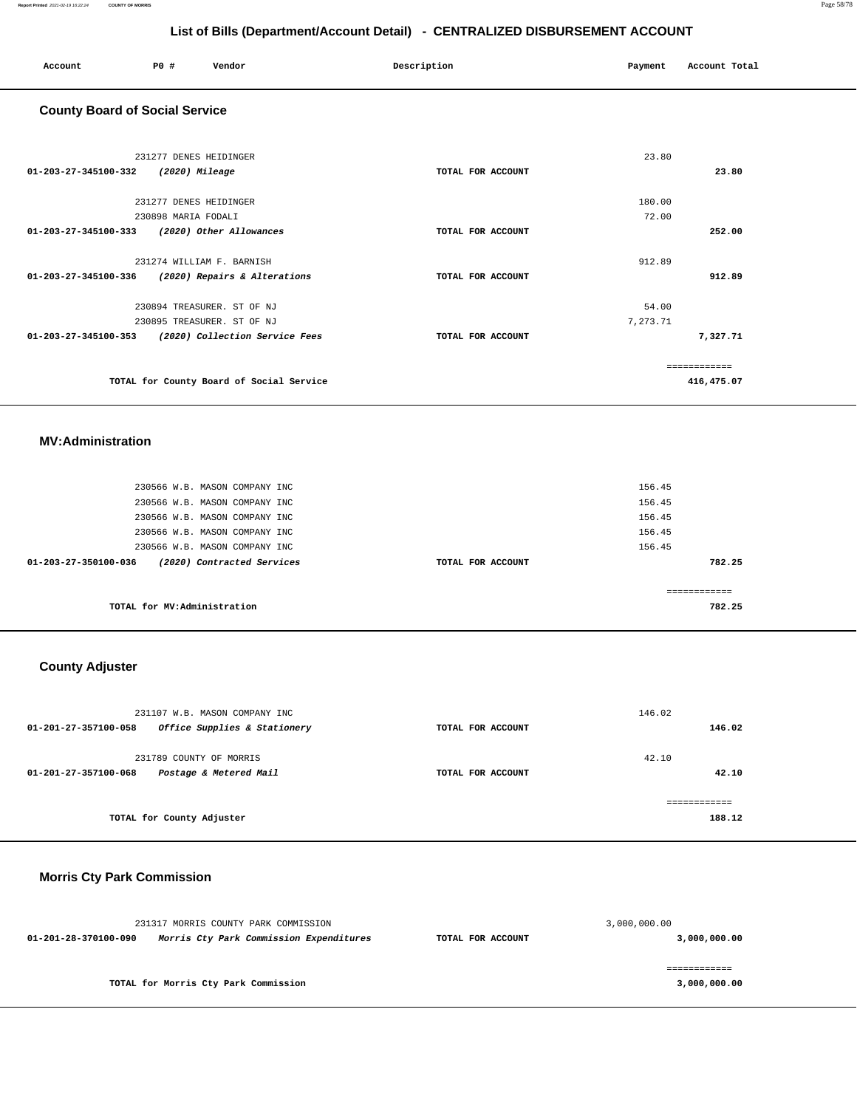| Account | P0 # | Vendor | Description | Payment | Account Total |  |
|---------|------|--------|-------------|---------|---------------|--|
|         |      |        |             |         |               |  |

## **County Board of Social Service**

| 231277 DENES HEIDINGER                                 |                   | 23.80        |
|--------------------------------------------------------|-------------------|--------------|
| 01-203-27-345100-332<br>(2020) Mileage                 | TOTAL FOR ACCOUNT | 23.80        |
| 231277 DENES HEIDINGER                                 |                   | 180.00       |
| 230898 MARIA FODALI                                    |                   | 72.00        |
| 01-203-27-345100-333<br>(2020) Other Allowances        | TOTAL FOR ACCOUNT | 252.00       |
|                                                        |                   |              |
| 231274 WILLIAM F. BARNISH                              |                   | 912.89       |
| 01-203-27-345100-336<br>(2020) Repairs & Alterations   | TOTAL FOR ACCOUNT | 912.89       |
| 230894 TREASURER. ST OF NJ                             |                   | 54.00        |
| 230895 TREASURER. ST OF NJ                             |                   | 7,273.71     |
| 01-203-27-345100-353<br>(2020) Collection Service Fees | TOTAL FOR ACCOUNT | 7,327.71     |
|                                                        |                   | ============ |
| TOTAL for County Board of Social Service               |                   | 416,475.07   |

#### **MV:Administration**

| 230566 W.B. MASON COMPANY INC<br>230566 W.B. MASON COMPANY INC                                  |                   | 156.45<br>156.45           |
|-------------------------------------------------------------------------------------------------|-------------------|----------------------------|
| 230566 W.B. MASON COMPANY INC<br>230566 W.B. MASON COMPANY INC<br>230566 W.B. MASON COMPANY INC |                   | 156.45<br>156.45<br>156.45 |
| 01-203-27-350100-036<br>(2020) Contracted Services                                              | TOTAL FOR ACCOUNT | 782.25                     |
| TOTAL for MV:Administration                                                                     |                   | ------------<br>782.25     |

## **County Adjuster**

| 231107 W.B. MASON COMPANY INC                        |                   | 146.02     |
|------------------------------------------------------|-------------------|------------|
| Office Supplies & Stationery<br>01-201-27-357100-058 | TOTAL FOR ACCOUNT | 146.02     |
| 231789 COUNTY OF MORRIS                              |                   | 42.10      |
| Postage & Metered Mail<br>01-201-27-357100-068       | TOTAL FOR ACCOUNT | 42.10      |
|                                                      |                   | ========== |
| TOTAL for County Adjuster                            |                   | 188.12     |

## **Morris Cty Park Commission**

|                                                                 | 231317 MORRIS COUNTY PARK COMMISSION | 3,000,000.00      |              |  |
|-----------------------------------------------------------------|--------------------------------------|-------------------|--------------|--|
| Morris Cty Park Commission Expenditures<br>01-201-28-370100-090 |                                      | TOTAL FOR ACCOUNT | 3,000,000.00 |  |
|                                                                 | TOTAL for Morris Cty Park Commission |                   | 3,000,000.00 |  |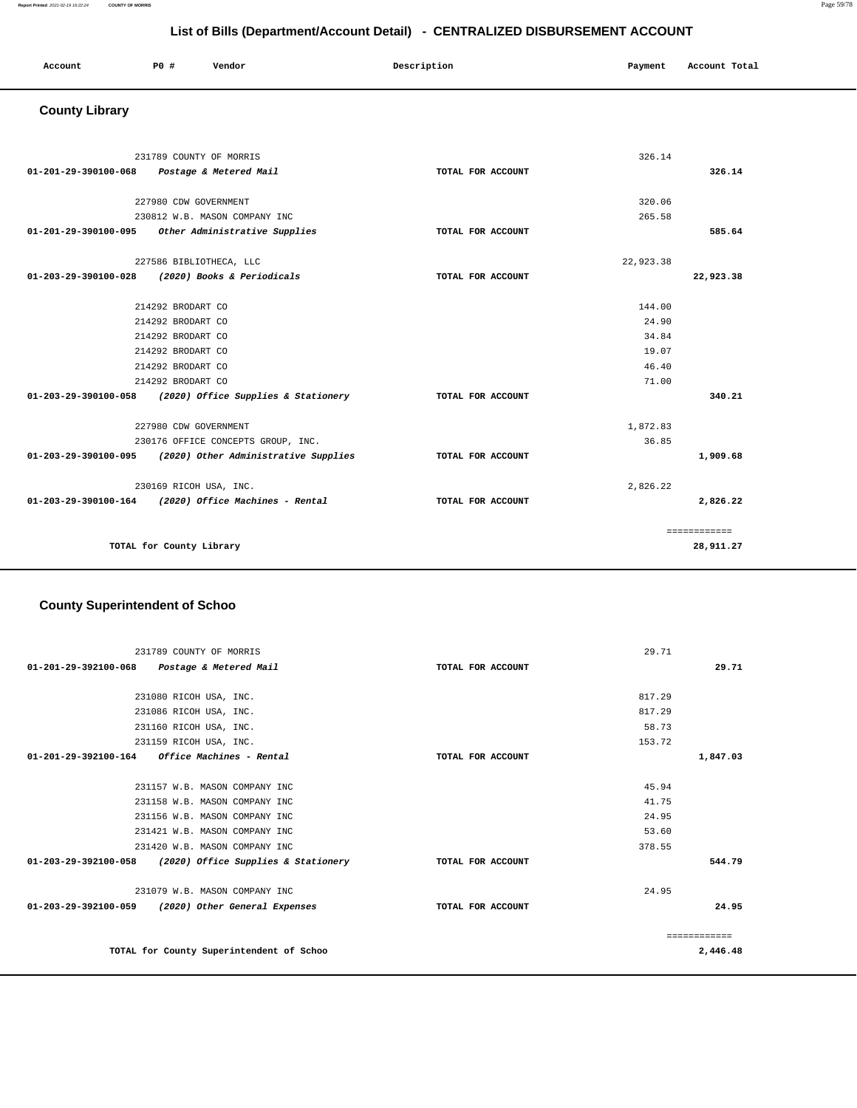#### **Report Printed** 2021-02-19 16:22:24 **COUNTY OF MORRIS** Page 59/78

## **List of Bills (Department/Account Detail) - CENTRALIZED DISBURSEMENT ACCOUNT**

| Account | <b>PO</b> # | Vendor | Description | Payment | Account Total |
|---------|-------------|--------|-------------|---------|---------------|
|         |             |        |             |         |               |

# **County Library**

|                      | 231789 COUNTY OF MORRIS                                   |                   | 326.14    |              |
|----------------------|-----------------------------------------------------------|-------------------|-----------|--------------|
| 01-201-29-390100-068 | Postage & Metered Mail                                    | TOTAL FOR ACCOUNT |           | 326.14       |
|                      |                                                           |                   |           |              |
|                      | 227980 CDW GOVERNMENT                                     |                   | 320.06    |              |
|                      | 230812 W.B. MASON COMPANY INC                             |                   | 265.58    |              |
|                      | 01-201-29-390100-095 Other Administrative Supplies        | TOTAL FOR ACCOUNT |           | 585.64       |
|                      | 227586 BIBLIOTHECA, LLC                                   |                   | 22,923.38 |              |
|                      | 01-203-29-390100-028 (2020) Books & Periodicals           | TOTAL FOR ACCOUNT |           | 22,923.38    |
|                      | 214292 BRODART CO                                         |                   | 144.00    |              |
|                      | 214292 BRODART CO                                         |                   | 24.90     |              |
|                      | 214292 BRODART CO                                         |                   | 34.84     |              |
|                      | 214292 BRODART CO                                         |                   | 19.07     |              |
|                      |                                                           |                   | 46.40     |              |
|                      | 214292 BRODART CO                                         |                   |           |              |
|                      | 214292 BRODART CO                                         |                   | 71.00     |              |
|                      | 01-203-29-390100-058 (2020) Office Supplies & Stationery  | TOTAL FOR ACCOUNT |           | 340.21       |
|                      | 227980 CDW GOVERNMENT                                     |                   | 1,872.83  |              |
|                      | 230176 OFFICE CONCEPTS GROUP, INC.                        |                   | 36.85     |              |
|                      | 01-203-29-390100-095 (2020) Other Administrative Supplies | TOTAL FOR ACCOUNT |           | 1,909.68     |
|                      | 230169 RICOH USA, INC.                                    |                   | 2,826.22  |              |
|                      | 01-203-29-390100-164 (2020) Office Machines - Rental      | TOTAL FOR ACCOUNT |           | 2,826.22     |
|                      |                                                           |                   |           | ============ |
|                      | TOTAL for County Library                                  |                   |           | 28,911.27    |

# **County Superintendent of Schoo**

| 231789 COUNTY OF MORRIS                                        |                   | 29.71    |
|----------------------------------------------------------------|-------------------|----------|
| 01-201-29-392100-068 Postage & Metered Mail                    | TOTAL FOR ACCOUNT | 29.71    |
|                                                                |                   |          |
| 231080 RICOH USA, INC.                                         |                   | 817.29   |
| 231086 RICOH USA, INC.                                         |                   | 817.29   |
| 231160 RICOH USA, INC.                                         |                   | 58.73    |
| 231159 RICOH USA, INC.                                         |                   | 153.72   |
| <i><b>Office Machines - Rental</b></i><br>01-201-29-392100-164 | TOTAL FOR ACCOUNT | 1,847.03 |
|                                                                |                   |          |
| 231157 W.B. MASON COMPANY INC                                  |                   | 45.94    |
| 231158 W.B. MASON COMPANY INC                                  |                   | 41.75    |
| 231156 W.B. MASON COMPANY INC                                  |                   | 24.95    |
| 231421 W.B. MASON COMPANY INC                                  |                   | 53.60    |
| 231420 W.B. MASON COMPANY INC                                  |                   | 378.55   |
| 01-203-29-392100-058 (2020) Office Supplies & Stationery       | TOTAL FOR ACCOUNT | 544.79   |
|                                                                |                   |          |
| 231079 W.B. MASON COMPANY INC                                  |                   | 24.95    |
| 01-203-29-392100-059 (2020) Other General Expenses             | TOTAL FOR ACCOUNT | 24.95    |
|                                                                |                   |          |
|                                                                |                   |          |
| TOTAL for County Superintendent of Schoo                       |                   | 2,446.48 |
|                                                                |                   |          |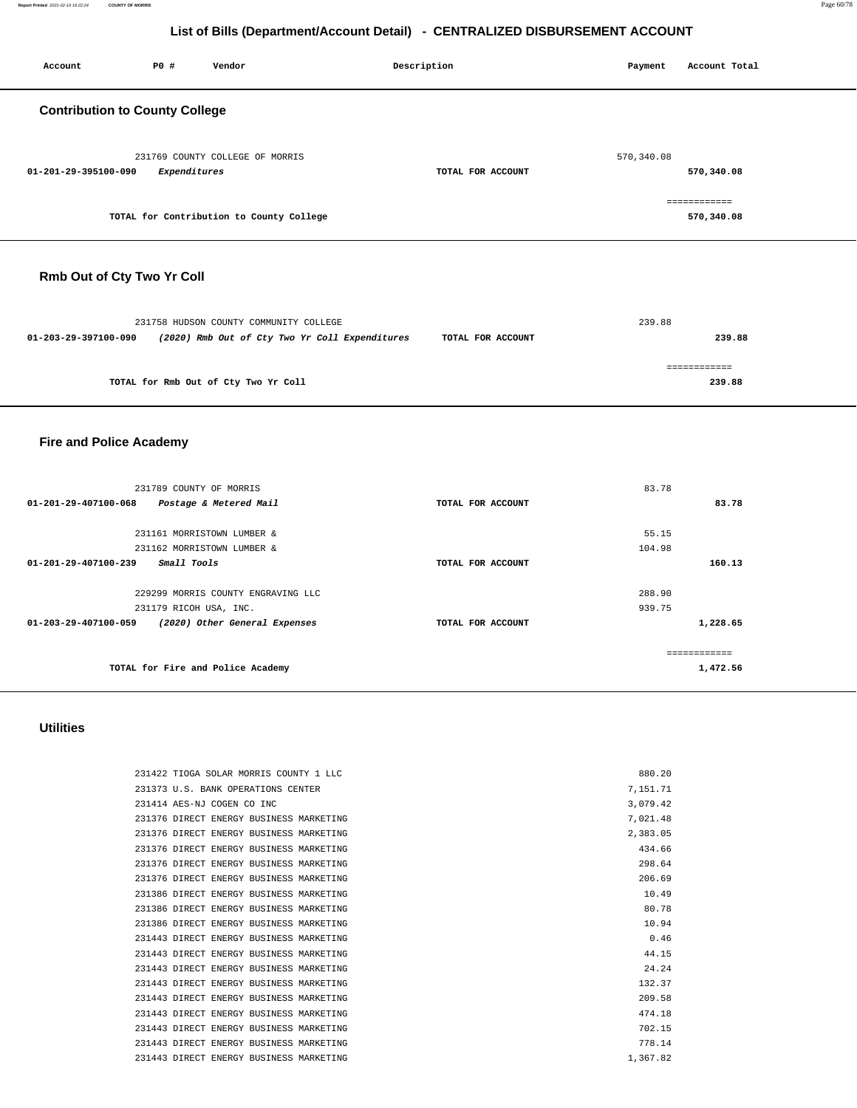| P0 #<br>Vendor<br>Account                                                                                        | Description       | Payment     | Account Total              |  |  |  |  |
|------------------------------------------------------------------------------------------------------------------|-------------------|-------------|----------------------------|--|--|--|--|
| <b>Contribution to County College</b>                                                                            |                   |             |                            |  |  |  |  |
| 231769 COUNTY COLLEGE OF MORRIS<br>01-201-29-395100-090<br>Expenditures                                          | TOTAL FOR ACCOUNT | 570, 340.08 | 570,340.08                 |  |  |  |  |
| TOTAL for Contribution to County College                                                                         |                   |             | ============<br>570,340.08 |  |  |  |  |
| Rmb Out of Cty Two Yr Coll                                                                                       |                   |             |                            |  |  |  |  |
| 231758 HUDSON COUNTY COMMUNITY COLLEGE<br>01-203-29-397100-090<br>(2020) Rmb Out of Cty Two Yr Coll Expenditures | TOTAL FOR ACCOUNT | 239.88      | 239.88                     |  |  |  |  |
| TOTAL for Rmb Out of Cty Two Yr Coll                                                                             |                   |             | ============<br>239.88     |  |  |  |  |
| <b>Fire and Police Academy</b>                                                                                   |                   |             |                            |  |  |  |  |
| 231789 COUNTY OF MORRIS<br>01-201-29-407100-068<br>Postage & Metered Mail                                        | TOTAL FOR ACCOUNT | 83.78       | 83.78                      |  |  |  |  |

55.15 104.98

288.90 939.75 **160.13**

**1,228.65**

============ **1,472.56**

#### **Utilities**

 231161 MORRISTOWN LUMBER & 231162 MORRISTOWN LUMBER &

231179 RICOH USA, INC.

**TOTAL for Fire and Police Academy** 

229299 MORRIS COUNTY ENGRAVING LLC

**01-201-29-407100-239 Small Tools TOTAL FOR ACCOUNT** 

**01-203-29-407100-059 (2020) Other General Expenses TOTAL FOR ACCOUNT** 

| 231422 TIOGA SOLAR MORRIS COUNTY 1 LLC  | 880.20   |
|-----------------------------------------|----------|
| 231373 U.S. BANK OPERATIONS CENTER      | 7.151.71 |
| 231414 AES-NJ COGEN CO INC              | 3.079.42 |
| 231376 DIRECT ENERGY BUSINESS MARKETING | 7.021.48 |
| 231376 DIRECT ENERGY BUSINESS MARKETING | 2.383.05 |
| 231376 DIRECT ENERGY BUSINESS MARKETING | 434.66   |
| 231376 DIRECT ENERGY BUSINESS MARKETING | 298.64   |
| 231376 DIRECT ENERGY BUSINESS MARKETING | 206.69   |
| 231386 DIRECT ENERGY BUSINESS MARKETING | 10.49    |
| 231386 DIRECT ENERGY BUSINESS MARKETING | 80.78    |
| 231386 DIRECT ENERGY BUSINESS MARKETING | 10.94    |
| 231443 DIRECT ENERGY BUSINESS MARKETING | 0.46     |
| 231443 DIRECT ENERGY BUSINESS MARKETING | 44.15    |
| 231443 DIRECT ENERGY BUSINESS MARKETING | 24.24    |
| 231443 DIRECT ENERGY BUSINESS MARKETING | 132.37   |
| 231443 DIRECT ENERGY BUSINESS MARKETING | 209.58   |
| 231443 DIRECT ENERGY BUSINESS MARKETING | 474.18   |
| 231443 DIRECT ENERGY BUSINESS MARKETING | 702.15   |
| 231443 DIRECT ENERGY BUSINESS MARKETING | 778.14   |
| 231443 DIRECT ENERGY BUSINESS MARKETING | 1,367.82 |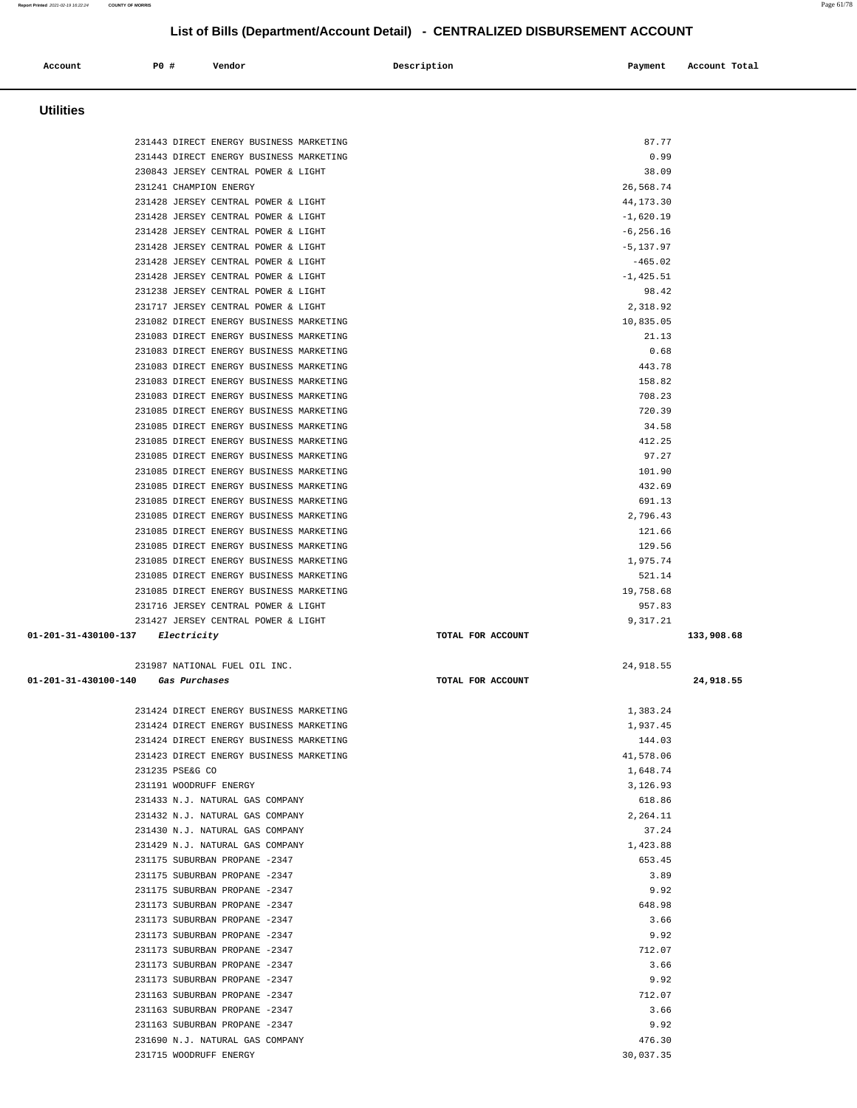<u>—</u>

| Account              | P0 #                        | Vendor                                                                             | Description       | Payment                     | Account Total |
|----------------------|-----------------------------|------------------------------------------------------------------------------------|-------------------|-----------------------------|---------------|
| <b>Utilities</b>     |                             |                                                                                    |                   |                             |               |
|                      |                             | 231443 DIRECT ENERGY BUSINESS MARKETING                                            |                   | 87.77                       |               |
|                      |                             | 231443 DIRECT ENERGY BUSINESS MARKETING                                            |                   | 0.99                        |               |
|                      |                             | 230843 JERSEY CENTRAL POWER & LIGHT                                                |                   | 38.09                       |               |
|                      | 231241 CHAMPION ENERGY      |                                                                                    |                   | 26,568.74                   |               |
|                      |                             | 231428 JERSEY CENTRAL POWER & LIGHT                                                |                   | 44, 173. 30                 |               |
|                      |                             | 231428 JERSEY CENTRAL POWER & LIGHT<br>231428 JERSEY CENTRAL POWER & LIGHT         |                   | $-1,620.19$<br>$-6, 256.16$ |               |
|                      |                             | 231428 JERSEY CENTRAL POWER & LIGHT                                                |                   | $-5, 137.97$                |               |
|                      |                             | 231428 JERSEY CENTRAL POWER & LIGHT                                                |                   | $-465.02$                   |               |
|                      |                             | 231428 JERSEY CENTRAL POWER & LIGHT                                                |                   | $-1, 425.51$                |               |
|                      |                             | 231238 JERSEY CENTRAL POWER & LIGHT                                                |                   | 98.42                       |               |
|                      |                             | 231717 JERSEY CENTRAL POWER & LIGHT                                                |                   | 2,318.92                    |               |
|                      |                             | 231082 DIRECT ENERGY BUSINESS MARKETING                                            |                   | 10,835.05                   |               |
|                      |                             | 231083 DIRECT ENERGY BUSINESS MARKETING                                            |                   | 21.13                       |               |
|                      |                             | 231083 DIRECT ENERGY BUSINESS MARKETING                                            |                   | 0.68                        |               |
|                      |                             | 231083 DIRECT ENERGY BUSINESS MARKETING                                            |                   | 443.78                      |               |
|                      |                             | 231083 DIRECT ENERGY BUSINESS MARKETING<br>231083 DIRECT ENERGY BUSINESS MARKETING |                   | 158.82<br>708.23            |               |
|                      |                             | 231085 DIRECT ENERGY BUSINESS MARKETING                                            |                   | 720.39                      |               |
|                      |                             | 231085 DIRECT ENERGY BUSINESS MARKETING                                            |                   | 34.58                       |               |
|                      |                             | 231085 DIRECT ENERGY BUSINESS MARKETING                                            |                   | 412.25                      |               |
|                      |                             | 231085 DIRECT ENERGY BUSINESS MARKETING                                            |                   | 97.27                       |               |
|                      |                             | 231085 DIRECT ENERGY BUSINESS MARKETING                                            |                   | 101.90                      |               |
|                      |                             | 231085 DIRECT ENERGY BUSINESS MARKETING                                            |                   | 432.69                      |               |
|                      |                             | 231085 DIRECT ENERGY BUSINESS MARKETING                                            |                   | 691.13                      |               |
|                      |                             | 231085 DIRECT ENERGY BUSINESS MARKETING                                            |                   | 2,796.43                    |               |
|                      |                             | 231085 DIRECT ENERGY BUSINESS MARKETING                                            |                   | 121.66                      |               |
|                      |                             | 231085 DIRECT ENERGY BUSINESS MARKETING                                            |                   | 129.56                      |               |
|                      |                             | 231085 DIRECT ENERGY BUSINESS MARKETING<br>231085 DIRECT ENERGY BUSINESS MARKETING |                   | 1,975.74<br>521.14          |               |
|                      |                             | 231085 DIRECT ENERGY BUSINESS MARKETING                                            |                   | 19,758.68                   |               |
|                      |                             | 231716 JERSEY CENTRAL POWER & LIGHT                                                |                   | 957.83                      |               |
|                      |                             | 231427 JERSEY CENTRAL POWER & LIGHT                                                |                   | 9,317.21                    |               |
| 01-201-31-430100-137 | Electricity                 |                                                                                    | TOTAL FOR ACCOUNT |                             | 133,908.68    |
|                      |                             | 231987 NATIONAL FUEL OIL INC.                                                      |                   | 24,918.55                   |               |
| 01-201-31-430100-140 | <i><b>Gas Purchases</b></i> |                                                                                    | TOTAL FOR ACCOUNT |                             | 24,918.55     |
|                      |                             | 231424 DIRECT ENERGY BUSINESS MARKETING                                            |                   | 1,383.24                    |               |
|                      |                             | 231424 DIRECT ENERGY BUSINESS MARKETING                                            |                   | 1,937.45                    |               |
|                      |                             | 231424 DIRECT ENERGY BUSINESS MARKETING                                            |                   | 144.03                      |               |
|                      |                             | 231423 DIRECT ENERGY BUSINESS MARKETING                                            |                   | 41,578.06                   |               |
|                      | 231235 PSE&G CO             |                                                                                    |                   | 1,648.74                    |               |
|                      | 231191 WOODRUFF ENERGY      |                                                                                    |                   | 3,126.93                    |               |
|                      |                             | 231433 N.J. NATURAL GAS COMPANY<br>231432 N.J. NATURAL GAS COMPANY                 |                   | 618.86<br>2,264.11          |               |
|                      |                             | 231430 N.J. NATURAL GAS COMPANY                                                    |                   | 37.24                       |               |
|                      |                             | 231429 N.J. NATURAL GAS COMPANY                                                    |                   | 1,423.88                    |               |
|                      |                             | 231175 SUBURBAN PROPANE -2347                                                      |                   | 653.45                      |               |
|                      |                             | 231175 SUBURBAN PROPANE -2347                                                      |                   | 3.89                        |               |
|                      |                             | 231175 SUBURBAN PROPANE -2347                                                      |                   | 9.92                        |               |
|                      |                             | 231173 SUBURBAN PROPANE -2347                                                      |                   | 648.98                      |               |
|                      |                             | 231173 SUBURBAN PROPANE -2347                                                      |                   | 3.66                        |               |
|                      |                             | 231173 SUBURBAN PROPANE -2347                                                      |                   | 9.92                        |               |
|                      |                             | 231173 SUBURBAN PROPANE -2347<br>231173 SUBURBAN PROPANE -2347                     |                   | 712.07<br>3.66              |               |
|                      |                             | 231173 SUBURBAN PROPANE -2347                                                      |                   | 9.92                        |               |
|                      |                             | 231163 SUBURBAN PROPANE -2347                                                      |                   | 712.07                      |               |
|                      |                             | 231163 SUBURBAN PROPANE -2347                                                      |                   | 3.66                        |               |
|                      |                             | 231163 SUBURBAN PROPANE -2347                                                      |                   | 9.92                        |               |
|                      |                             | 231690 N.J. NATURAL GAS COMPANY                                                    |                   | 476.30                      |               |
|                      | 231715 WOODRUFF ENERGY      |                                                                                    |                   | 30,037.35                   |               |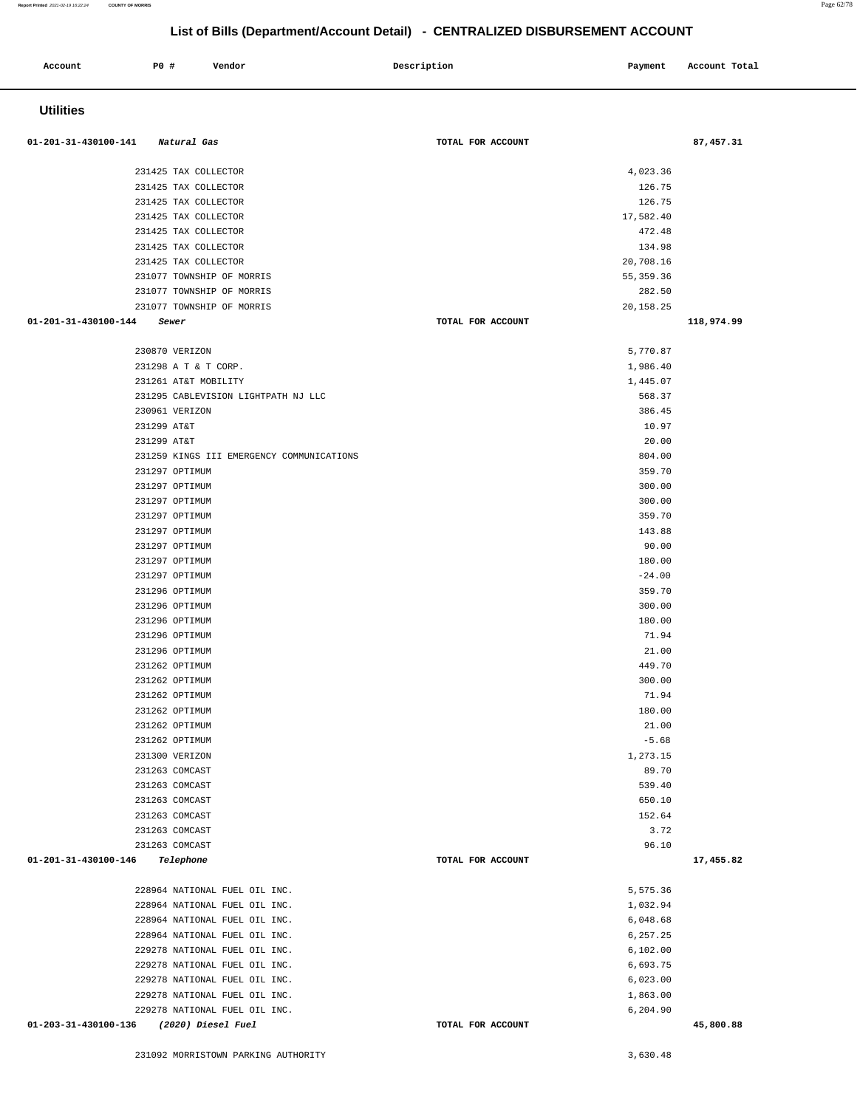| 01-201-31-430100-141 Natural Gas |                                           | TOTAL FOR ACCOUNT | 87,457.31  |
|----------------------------------|-------------------------------------------|-------------------|------------|
|                                  |                                           |                   |            |
|                                  | 231425 TAX COLLECTOR                      | 4,023.36          |            |
|                                  | 231425 TAX COLLECTOR                      | 126.75            |            |
|                                  | 231425 TAX COLLECTOR                      | 126.75            |            |
|                                  | 231425 TAX COLLECTOR                      | 17,582.40         |            |
|                                  | 231425 TAX COLLECTOR                      | 472.48            |            |
|                                  | 231425 TAX COLLECTOR                      | 134.98            |            |
|                                  | 231425 TAX COLLECTOR                      | 20,708.16         |            |
|                                  | 231077 TOWNSHIP OF MORRIS                 | 55, 359.36        |            |
|                                  | 231077 TOWNSHIP OF MORRIS                 | 282.50            |            |
|                                  | 231077 TOWNSHIP OF MORRIS                 | 20,158.25         |            |
| 01-201-31-430100-144<br>Sewer    |                                           | TOTAL FOR ACCOUNT | 118,974.99 |
| 230870 VERIZON                   |                                           | 5,770.87          |            |
|                                  | 231298 A T & T CORP.                      | 1,986.40          |            |
|                                  | 231261 AT&T MOBILITY                      | 1,445.07          |            |
|                                  | 231295 CABLEVISION LIGHTPATH NJ LLC       | 568.37            |            |
| 230961 VERIZON                   |                                           | 386.45            |            |
| 231299 AT&T                      |                                           | 10.97             |            |
| 231299 AT&T                      |                                           | 20.00             |            |
|                                  | 231259 KINGS III EMERGENCY COMMUNICATIONS | 804.00            |            |
| 231297 OPTIMUM                   |                                           | 359.70            |            |
| 231297 OPTIMUM                   |                                           | 300.00            |            |
| 231297 OPTIMUM                   |                                           | 300.00            |            |
| 231297 OPTIMUM                   |                                           | 359.70            |            |
| 231297 OPTIMUM                   |                                           | 143.88            |            |
| 231297 OPTIMUM                   |                                           | 90.00             |            |
| 231297 OPTIMUM                   |                                           | 180.00            |            |
| 231297 OPTIMUM                   |                                           | $-24.00$          |            |
| 231296 OPTIMUM                   |                                           | 359.70            |            |
| 231296 OPTIMUM                   |                                           | 300.00            |            |
| 231296 OPTIMUM                   |                                           | 180.00            |            |
| 231296 OPTIMUM                   |                                           | 71.94             |            |
| 231296 OPTIMUM                   |                                           | 21.00             |            |
| 231262 OPTIMUM                   |                                           | 449.70            |            |
| 231262 OPTIMUM                   |                                           | 300.00            |            |
| 231262 OPTIMUM                   |                                           | 71.94             |            |
| 231262 OPTIMUM                   |                                           | 180.00            |            |
| 231262 OPTIMUM                   |                                           | 21.00             |            |
| 231262 OPTIMUM                   |                                           | $-5.68$           |            |
| 231300 VERIZON                   |                                           | 1,273.15          |            |
| 231263 COMCAST                   |                                           | 89.70             |            |
| 231263 COMCAST                   |                                           | 539.40            |            |
| 231263 COMCAST                   |                                           | 650.10            |            |
| 231263 COMCAST                   |                                           | 152.64            |            |
| 231263 COMCAST                   |                                           | 3.72              |            |
| 231263 COMCAST                   |                                           | 96.10             |            |
| 01-201-31-430100-146             | Telephone                                 | TOTAL FOR ACCOUNT | 17,455.82  |
|                                  | 228964 NATIONAL FUEL OIL INC.             | 5,575.36          |            |
|                                  | 228964 NATIONAL FUEL OIL INC.             | 1,032.94          |            |
|                                  | 228964 NATIONAL FUEL OIL INC.             | 6,048.68          |            |
|                                  | 228964 NATIONAL FUEL OIL INC.             | 6,257.25          |            |
|                                  | 229278 NATIONAL FUEL OIL INC.             | 6,102.00          |            |
|                                  | 229278 NATIONAL FUEL OIL INC.             | 6,693.75          |            |
|                                  | 229278 NATIONAL FUEL OIL INC.             | 6,023.00          |            |
|                                  | 229278 NATIONAL FUEL OIL INC.             | 1,863.00          |            |
|                                  | 229278 NATIONAL FUEL OIL INC.             | 6,204.90          |            |
| 01-203-31-430100-136             | (2020) Diesel Fuel                        | TOTAL FOR ACCOUNT | 45,800.88  |
|                                  |                                           |                   |            |

**Account** P0 # Vendor Payment Account Total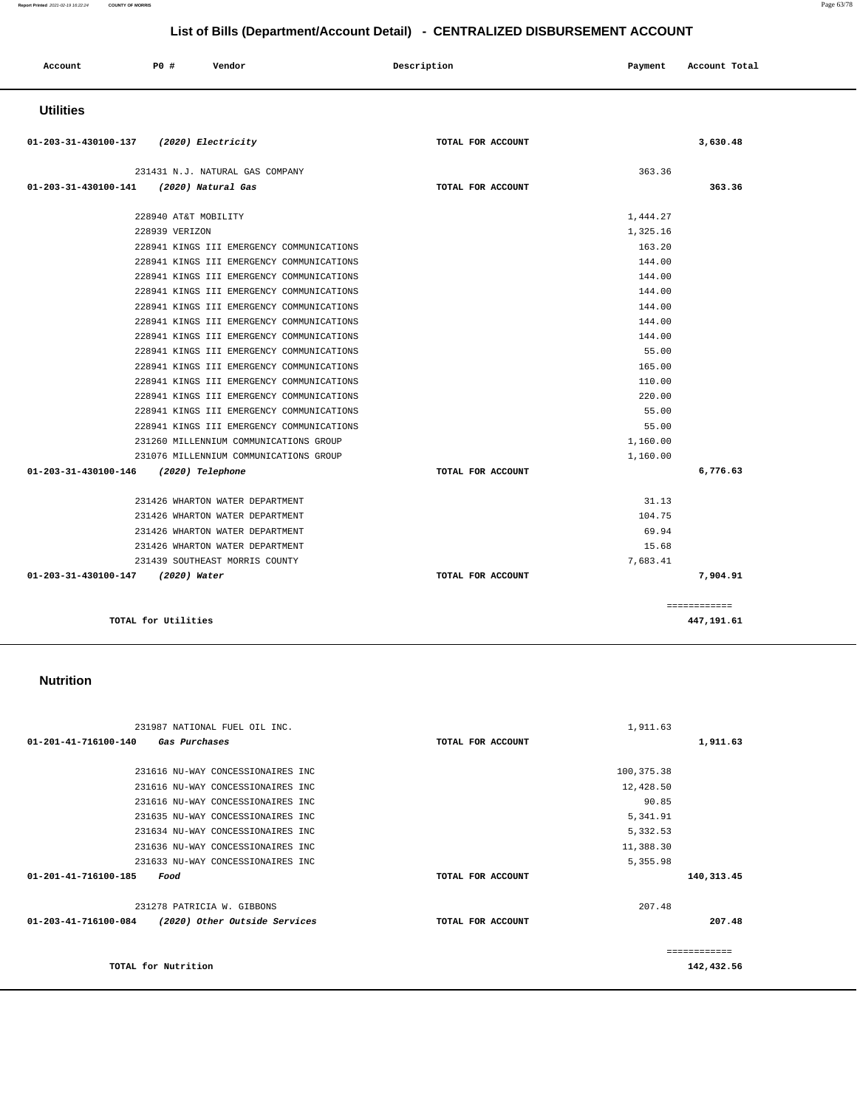#### 231987 NATIONAL FUEL OIL INC. **01-201-41-716100-140 Gas Purchases TOTAL FOR ACCOUNT**  1,911.63 **1,911.63** 231616 NU-WAY CONCESSIONAIRES INC 231616 NU-WAY CONCESSIONAIRES INC 231616 NU-WAY CONCESSIONAIRES INC 231635 NU-WAY CONCESSIONAIRES INC 231634 NU-WAY CONCESSIONAIRES INC 231636 NU-WAY CONCESSIONAIRES INC 231633 NU-WAY CONCESSIONAIRES INC **01-201-41-716100-185 Food TOTAL FOR ACCOUNT**  100,375.38 12,428.50 90.85 5,341.91 5,332.53 11,388.30 5,355.98 **140,313.45** 231278 PATRICIA W. GIBBONS **01-203-41-716100-084 (2020) Other Outside Services TOTAL FOR ACCOUNT**  207.48 **207.48 TOTAL for Nutrition**  ============ **142,432.56**

#### **Nutrition**

| <b>Utilities</b>                        |                                           |                   |          |              |
|-----------------------------------------|-------------------------------------------|-------------------|----------|--------------|
| 01-203-31-430100-137 (2020) Electricity |                                           | TOTAL FOR ACCOUNT |          | 3,630.48     |
|                                         | 231431 N.J. NATURAL GAS COMPANY           |                   | 363.36   |              |
| 01-203-31-430100-141                    | (2020) Natural Gas                        | TOTAL FOR ACCOUNT |          | 363.36       |
|                                         | 228940 AT&T MOBILITY                      |                   | 1,444.27 |              |
|                                         | 228939 VERIZON                            |                   | 1,325.16 |              |
|                                         | 228941 KINGS III EMERGENCY COMMUNICATIONS |                   | 163.20   |              |
|                                         | 228941 KINGS III EMERGENCY COMMUNICATIONS |                   | 144.00   |              |
|                                         | 228941 KINGS III EMERGENCY COMMUNICATIONS |                   | 144.00   |              |
|                                         | 228941 KINGS III EMERGENCY COMMUNICATIONS |                   | 144.00   |              |
|                                         | 228941 KINGS III EMERGENCY COMMUNICATIONS |                   | 144.00   |              |
|                                         | 228941 KINGS III EMERGENCY COMMUNICATIONS |                   | 144.00   |              |
|                                         | 228941 KINGS III EMERGENCY COMMUNICATIONS |                   | 144.00   |              |
|                                         | 228941 KINGS III EMERGENCY COMMUNICATIONS |                   | 55.00    |              |
|                                         | 228941 KINGS III EMERGENCY COMMUNICATIONS |                   | 165.00   |              |
|                                         | 228941 KINGS III EMERGENCY COMMUNICATIONS |                   | 110.00   |              |
|                                         | 228941 KINGS III EMERGENCY COMMUNICATIONS |                   | 220.00   |              |
|                                         | 228941 KINGS III EMERGENCY COMMUNICATIONS |                   | 55.00    |              |
|                                         | 228941 KINGS III EMERGENCY COMMUNICATIONS |                   | 55.00    |              |
|                                         | 231260 MILLENNIUM COMMUNICATIONS GROUP    |                   | 1,160.00 |              |
|                                         | 231076 MILLENNIUM COMMUNICATIONS GROUP    |                   | 1,160.00 |              |
| 01-203-31-430100-146                    | (2020) Telephone                          | TOTAL FOR ACCOUNT |          | 6,776.63     |
|                                         | 231426 WHARTON WATER DEPARTMENT           |                   | 31.13    |              |
|                                         | 231426 WHARTON WATER DEPARTMENT           |                   | 104.75   |              |
|                                         | 231426 WHARTON WATER DEPARTMENT           |                   | 69.94    |              |
|                                         | 231426 WHARTON WATER DEPARTMENT           |                   | 15.68    |              |
|                                         | 231439 SOUTHEAST MORRIS COUNTY            |                   | 7,683.41 |              |
| 01-203-31-430100-147 (2020) Water       |                                           | TOTAL FOR ACCOUNT |          | 7,904.91     |
|                                         |                                           |                   |          | ============ |
|                                         | TOTAL for Utilities                       |                   |          | 447,191.61   |

#### **List of Bills (Department/Account Detail) - CENTRALIZED DISBURSEMENT ACCOUNT**

 **Account P0 # Vendor Description Payment Account Total**

**Report Printed** 2021-02-19 16:22:24 **COUNTY OF MORRIS** Page 63/78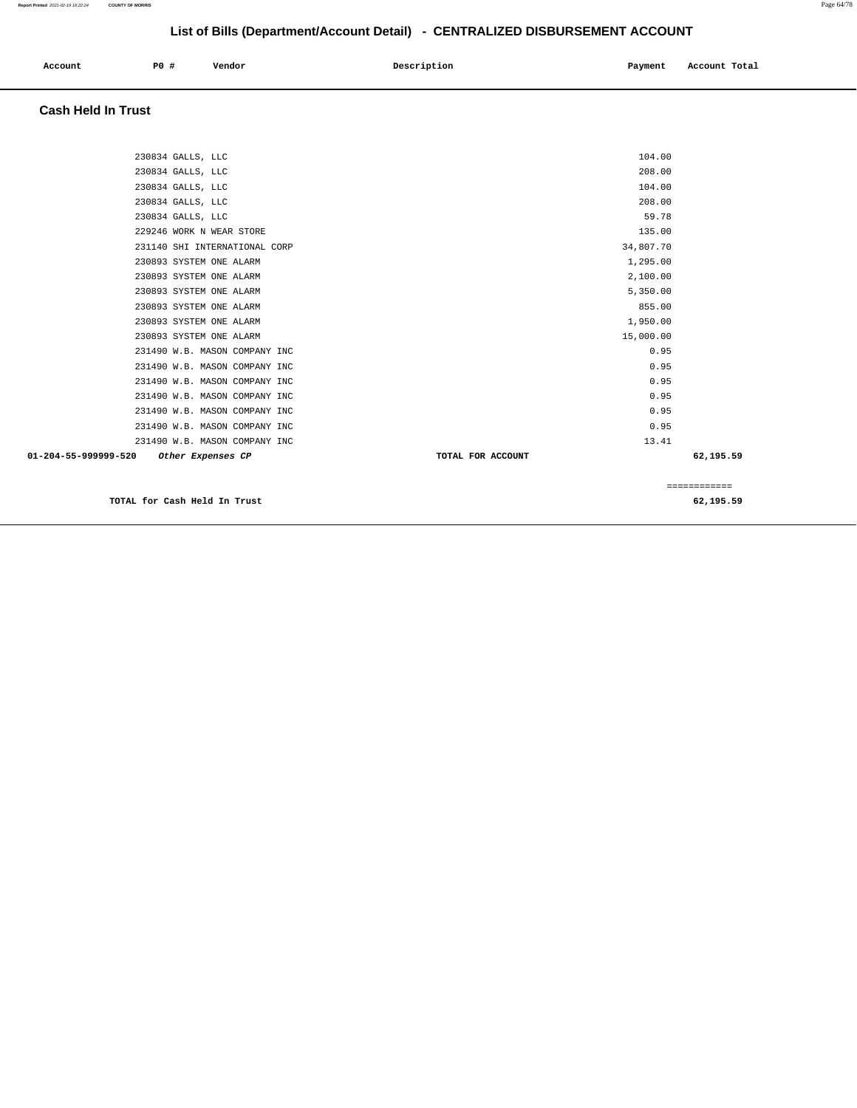| Account<br>. | <b>PO #</b> | Vendor | Description | Payment | Account Total |
|--------------|-------------|--------|-------------|---------|---------------|
|              |             |        |             |         |               |

# **Cash Held In Trust**

| 230834 GALLS, LLC                         | 104.00            |              |
|-------------------------------------------|-------------------|--------------|
| 230834 GALLS, LLC                         | 208.00            |              |
| 230834 GALLS, LLC                         | 104.00            |              |
| 230834 GALLS, LLC                         | 208.00            |              |
| 230834 GALLS, LLC                         | 59.78             |              |
| 229246 WORK N WEAR STORE                  | 135.00            |              |
| 231140 SHI INTERNATIONAL CORP             | 34,807.70         |              |
| 230893 SYSTEM ONE ALARM                   | 1,295.00          |              |
| 230893 SYSTEM ONE ALARM                   | 2,100.00          |              |
| 230893 SYSTEM ONE ALARM                   | 5,350.00          |              |
| 230893 SYSTEM ONE ALARM                   | 855.00            |              |
| 230893 SYSTEM ONE ALARM                   | 1,950.00          |              |
| 230893 SYSTEM ONE ALARM                   | 15,000.00         |              |
| 231490 W.B. MASON COMPANY INC             | 0.95              |              |
| 231490 W.B. MASON COMPANY INC             | 0.95              |              |
| 231490 W.B. MASON COMPANY INC             | 0.95              |              |
| 231490 W.B. MASON COMPANY INC             | 0.95              |              |
| 231490 W.B. MASON COMPANY INC             | 0.95              |              |
| 231490 W.B. MASON COMPANY INC             | 0.95              |              |
| 231490 W.B. MASON COMPANY INC             | 13.41             |              |
| 01-204-55-999999-520<br>Other Expenses CP | TOTAL FOR ACCOUNT | 62,195.59    |
|                                           |                   | ============ |
| TOTAL for Cash Held In Trust              |                   | 62,195.59    |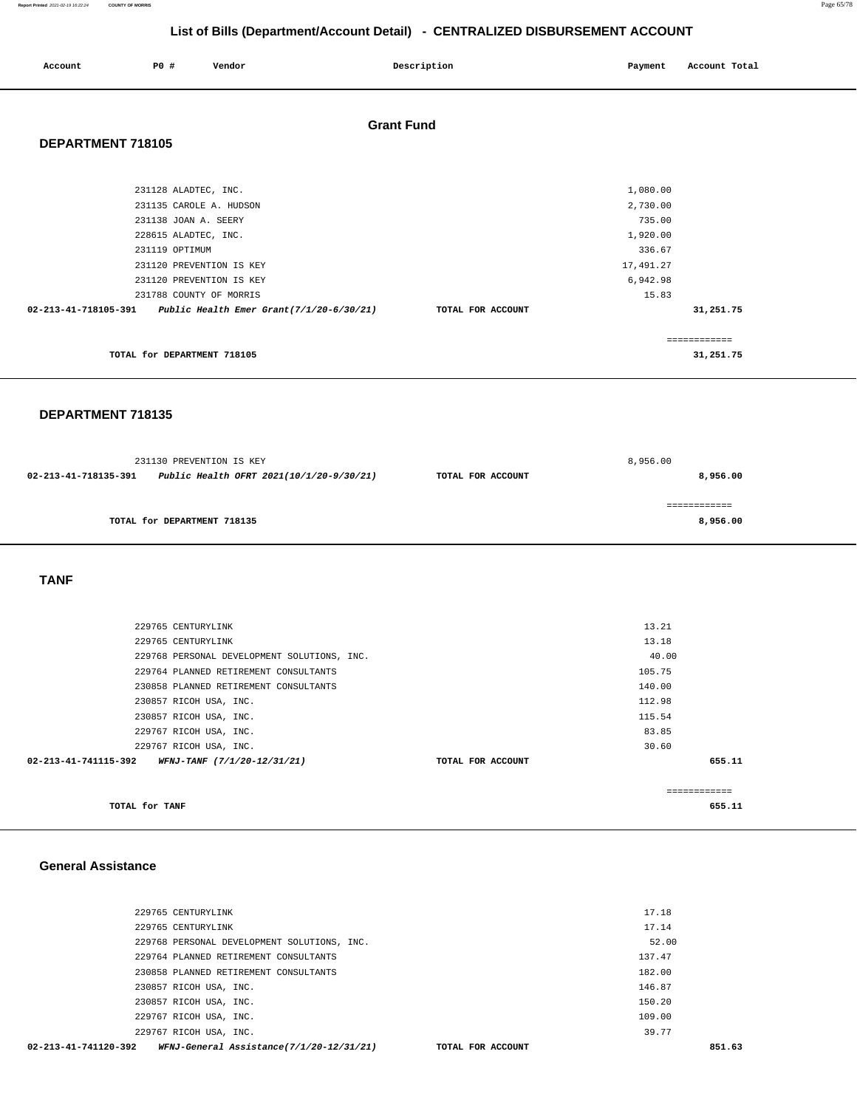**Report Printed** 2021-02-19 16:22:24 **COUNTY OF MORRIS** Page 65/78

## **List of Bills (Department/Account Detail) - CENTRALIZED DISBURSEMENT ACCOUNT**

| Account              | <b>PO #</b>                                                                                                                                                                                          | Vendor |                                          | Description       | Payment                                                                                | Account Total             |  |
|----------------------|------------------------------------------------------------------------------------------------------------------------------------------------------------------------------------------------------|--------|------------------------------------------|-------------------|----------------------------------------------------------------------------------------|---------------------------|--|
| DEPARTMENT 718105    |                                                                                                                                                                                                      |        | <b>Grant Fund</b>                        |                   |                                                                                        |                           |  |
| 02-213-41-718105-391 | 231128 ALADTEC, INC.<br>231135 CAROLE A. HUDSON<br>231138 JOAN A. SEERY<br>228615 ALADTEC, INC.<br>231119 OPTIMUM<br>231120 PREVENTION IS KEY<br>231120 PREVENTION IS KEY<br>231788 COUNTY OF MORRIS |        | Public Health Emer Grant(7/1/20-6/30/21) | TOTAL FOR ACCOUNT | 1,080.00<br>2,730.00<br>735.00<br>1,920.00<br>336.67<br>17,491.27<br>6,942.98<br>15.83 | 31,251.75                 |  |
|                      | TOTAL for DEPARTMENT 718105                                                                                                                                                                          |        |                                          |                   |                                                                                        | ============<br>31,251.75 |  |
| DEPARTMENT 718135    |                                                                                                                                                                                                      |        |                                          |                   |                                                                                        |                           |  |

|                      | 231130 PREVENTION IS KEY                 |                   | 8,956.00 |  |
|----------------------|------------------------------------------|-------------------|----------|--|
| 02-213-41-718135-391 | Public Health OFRT 2021(10/1/20-9/30/21) | TOTAL FOR ACCOUNT | 8,956.00 |  |
|                      |                                          |                   |          |  |
|                      |                                          |                   |          |  |
|                      | TOTAL for DEPARTMENT 718135              |                   | 8,956.00 |  |
|                      |                                          |                   |          |  |

 **TANF** 

| 02-213-41-741115-392 | WFNJ-TANF (7/1/20-12/31/21)                 | TOTAL FOR ACCOUNT |        | 655.11 |
|----------------------|---------------------------------------------|-------------------|--------|--------|
|                      | 229767 RICOH USA, INC.                      |                   | 30.60  |        |
|                      | 229767 RICOH USA, INC.                      |                   | 83.85  |        |
|                      | 230857 RICOH USA, INC.                      |                   | 115.54 |        |
|                      | 230857 RICOH USA, INC.                      |                   | 112.98 |        |
|                      | 230858 PLANNED RETIREMENT CONSULTANTS       |                   | 140.00 |        |
|                      | 229764 PLANNED RETIREMENT CONSULTANTS       |                   | 105.75 |        |
|                      | 229768 PERSONAL DEVELOPMENT SOLUTIONS, INC. |                   | 40.00  |        |
|                      | 229765 CENTURYLINK                          |                   | 13.18  |        |
|                      | 229765 CENTURYLINK                          |                   | 13.21  |        |
|                      |                                             |                   |        |        |

### **General Assistance**

| 02-213-41-741120-392<br>WFNJ-General Assistance(7/1/20-12/31/21) | TOTAL FOR ACCOUNT | 851.63 |
|------------------------------------------------------------------|-------------------|--------|
| 229767 RICOH USA, INC.                                           |                   | 39.77  |
| 229767 RICOH USA, INC.                                           |                   | 109.00 |
| 230857 RICOH USA, INC.                                           |                   | 150.20 |
| 230857 RICOH USA, INC.                                           |                   | 146.87 |
| 230858 PLANNED RETIREMENT CONSULTANTS                            |                   | 182.00 |
| 229764 PLANNED RETIREMENT CONSULTANTS                            |                   | 137.47 |
| 229768 PERSONAL DEVELOPMENT SOLUTIONS, INC.                      |                   | 52.00  |
| 229765 CENTURYLINK                                               |                   | 17.14  |
| 229765 CENTURYLINK                                               |                   | 17.18  |
|                                                                  |                   |        |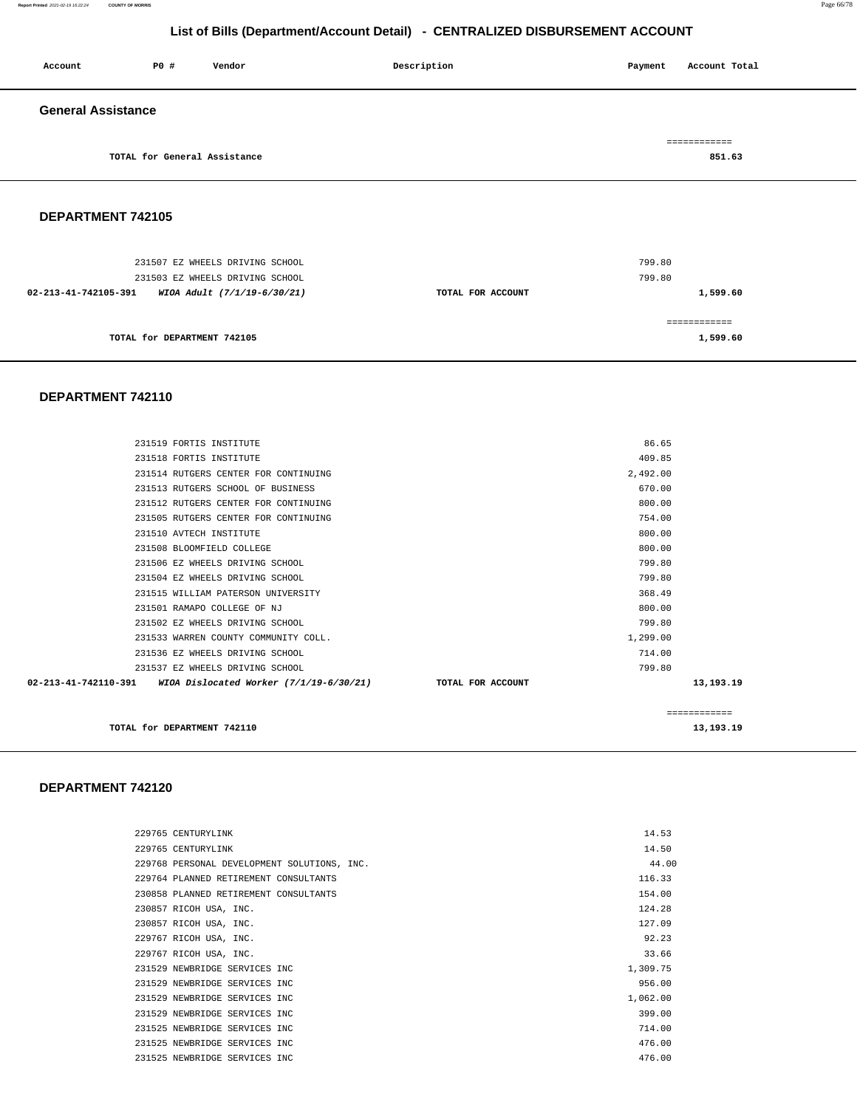#### **Report Printed** 2021-02-19 16:22:24 **COUNTY OF MORRIS** Page 66/78

## **List of Bills (Department/Account Detail) - CENTRALIZED DISBURSEMENT ACCOUNT**

| Account                   | P0 #                         | Vendor | Description | Payment | Account Total |
|---------------------------|------------------------------|--------|-------------|---------|---------------|
| <b>General Assistance</b> |                              |        |             |         |               |
|                           |                              |        |             |         | ============  |
|                           | TOTAL for General Assistance |        |             |         | 851.63        |

#### **DEPARTMENT 742105**

| 231507 EZ WHEELS DRIVING SCHOOL<br>231503 EZ WHEELS DRIVING SCHOOL |                   | 799.80<br>799.80 |
|--------------------------------------------------------------------|-------------------|------------------|
| WIOA Adult (7/1/19-6/30/21)<br>02-213-41-742105-391                | TOTAL FOR ACCOUNT | 1,599.60         |
|                                                                    |                   |                  |
| TOTAL for DEPARTMENT 742105                                        |                   | 1,599.60         |

#### **DEPARTMENT 742110**

| TOTAL for DEPARTMENT 742110                                                        |              | 13,193.19 |
|------------------------------------------------------------------------------------|--------------|-----------|
|                                                                                    | ============ |           |
| $02-213-41-742110-391$ WIOA Dislocated Worker $(7/1/19-6/30/21)$ TOTAL FOR ACCOUNT |              | 13,193.19 |
| 231537 EZ WHEELS DRIVING SCHOOL                                                    | 799.80       |           |
| 231536 EZ WHEELS DRIVING SCHOOL                                                    | 714.00       |           |
| 231533 WARREN COUNTY COMMUNITY COLL.                                               | 1,299.00     |           |
| 231502 EZ WHEELS DRIVING SCHOOL                                                    | 799.80       |           |
| 231501 RAMAPO COLLEGE OF NJ                                                        | 800.00       |           |
| 231515 WILLIAM PATERSON UNIVERSITY                                                 | 368.49       |           |
| 231504 EZ WHEELS DRIVING SCHOOL                                                    | 799.80       |           |
| 231506 EZ WHEELS DRIVING SCHOOL                                                    | 799.80       |           |
| 231508 BLOOMFIELD COLLEGE                                                          | 800.00       |           |
| 231510 AVTECH INSTITUTE                                                            | 800.00       |           |
| 231505 RUTGERS CENTER FOR CONTINUING                                               | 754.00       |           |
| 231512 RUTGERS CENTER FOR CONTINUING                                               | 800.00       |           |
| 231513 RUTGERS SCHOOL OF BUSINESS                                                  | 670.00       |           |
| 231514 RUTGERS CENTER FOR CONTINUING                                               | 2,492.00     |           |
| 231518 FORTIS INSTITUTE                                                            | 409.85       |           |
| 231519 FORTIS INSTITUTE                                                            | 86.65        |           |

#### **DEPARTMENT 742120**

|  | 229765 CENTURYLINK                          |  | 14.53    |
|--|---------------------------------------------|--|----------|
|  | 229765 CENTURYLINK                          |  | 14.50    |
|  | 229768 PERSONAL DEVELOPMENT SOLUTIONS, INC. |  | 44.00    |
|  | 229764 PLANNED RETIREMENT CONSULTANTS       |  | 116.33   |
|  | 230858 PLANNED RETIREMENT CONSULTANTS       |  | 154.00   |
|  | 230857 RICOH USA, INC.                      |  | 124.28   |
|  | 230857 RICOH USA, INC.                      |  | 127.09   |
|  | 229767 RICOH USA, INC.                      |  | 92.23    |
|  | 229767 RICOH USA, INC.                      |  | 33.66    |
|  | 231529 NEWBRIDGE SERVICES INC               |  | 1,309.75 |
|  | 231529 NEWBRIDGE SERVICES INC               |  | 956.00   |
|  | 231529 NEWBRIDGE SERVICES INC               |  | 1,062.00 |
|  | 231529 NEWBRIDGE SERVICES INC               |  | 399.00   |
|  | 231525 NEWBRIDGE SERVICES INC               |  | 714.00   |
|  | 231525 NEWBRIDGE SERVICES INC               |  | 476.00   |
|  | 231525 NEWBRIDGE SERVICES INC               |  | 476.00   |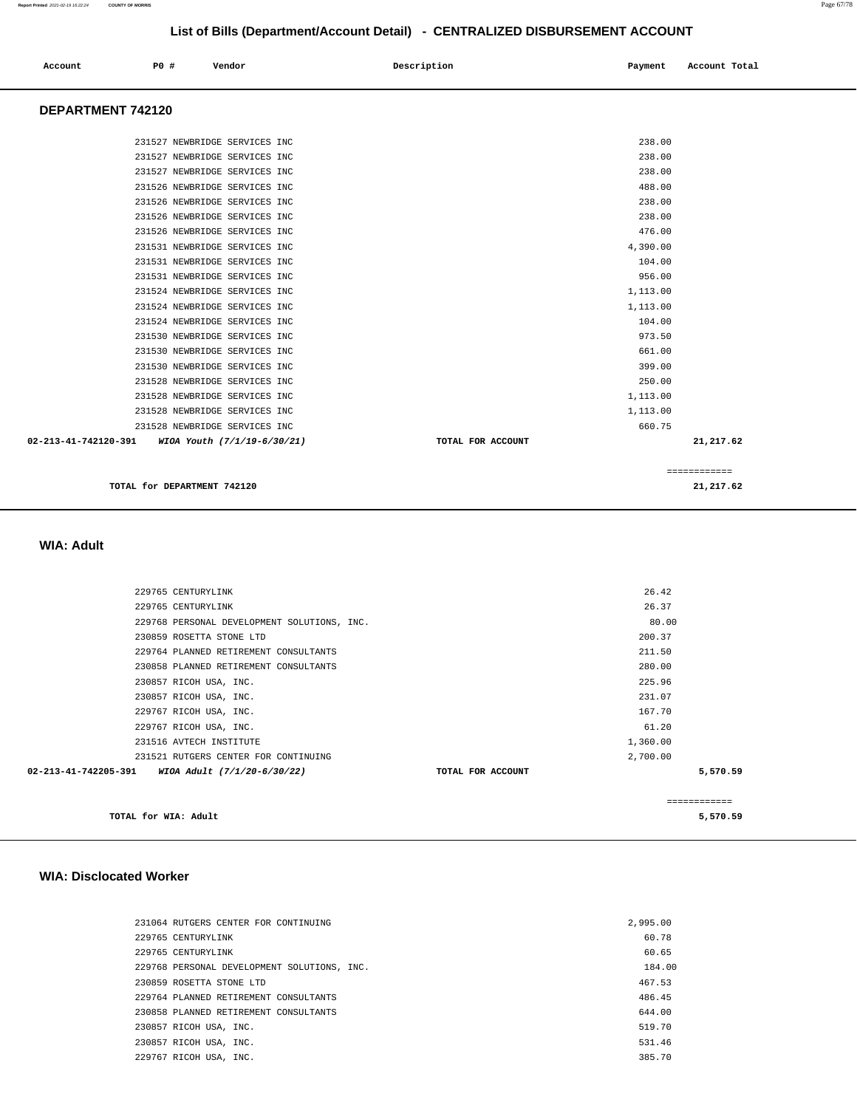| Account | P0 # | Vendor | Description | Payment | Account Total |
|---------|------|--------|-------------|---------|---------------|
| .       |      |        |             |         |               |

#### **DEPARTMENT 742120**

| 231527 NEWBRIDGE SERVICES INC                       | 238.00                         |
|-----------------------------------------------------|--------------------------------|
|                                                     |                                |
| 231527 NEWBRIDGE SERVICES INC                       | 238.00                         |
| 231527 NEWBRIDGE SERVICES INC                       | 238.00                         |
| 231526 NEWBRIDGE SERVICES INC                       | 488.00                         |
| 231526 NEWBRIDGE SERVICES INC                       | 238.00                         |
| 231526 NEWBRIDGE SERVICES INC                       | 238.00                         |
| 231526 NEWBRIDGE SERVICES INC                       | 476.00                         |
| 231531 NEWBRIDGE SERVICES INC                       | 4,390.00                       |
| 231531 NEWBRIDGE SERVICES INC                       | 104.00                         |
| 231531 NEWBRIDGE SERVICES INC                       | 956.00                         |
| 231524 NEWBRIDGE SERVICES INC                       | 1,113.00                       |
| 231524 NEWBRIDGE SERVICES INC                       | 1,113.00                       |
| 231524 NEWBRIDGE SERVICES INC                       | 104.00                         |
| 231530 NEWBRIDGE SERVICES INC                       | 973.50                         |
| 231530 NEWBRIDGE SERVICES INC                       | 661.00                         |
| 231530 NEWBRIDGE SERVICES INC                       | 399.00                         |
| 231528 NEWBRIDGE SERVICES INC                       | 250.00                         |
| 231528 NEWBRIDGE SERVICES INC                       | 1,113.00                       |
| 231528 NEWBRIDGE SERVICES INC                       | 1,113.00                       |
| 231528 NEWBRIDGE SERVICES INC                       | 660.75                         |
| 02-213-41-742120-391<br>WIOA Youth (7/1/19-6/30/21) | 21,217.62<br>TOTAL FOR ACCOUNT |
|                                                     | ============                   |
| TOTAL for DEPARTMENT 742120                         | 21,217.62                      |

#### **WIA: Adult**

| TOTAL for WIA: Adult                                |                   |               | 5,570.59 |
|-----------------------------------------------------|-------------------|---------------|----------|
|                                                     |                   | ------------- |          |
| 02-213-41-742205-391<br>WIOA Adult (7/1/20-6/30/22) | TOTAL FOR ACCOUNT |               | 5,570.59 |
| 231521 RUTGERS CENTER FOR CONTINUING                |                   | 2,700.00      |          |
| 231516 AVTECH INSTITUTE                             |                   | 1,360.00      |          |
| 229767 RICOH USA, INC.                              |                   | 61.20         |          |
| 229767 RICOH USA, INC.                              |                   | 167.70        |          |
| 230857 RICOH USA, INC.                              |                   | 231.07        |          |
| 230857 RICOH USA, INC.                              |                   | 225.96        |          |
| 230858 PLANNED RETIREMENT CONSULTANTS               |                   | 280.00        |          |
| 229764 PLANNED RETIREMENT CONSULTANTS               |                   | 211.50        |          |
| 230859 ROSETTA STONE LTD                            |                   | 200.37        |          |
| 229768 PERSONAL DEVELOPMENT SOLUTIONS, INC.         |                   | 80.00         |          |
| 229765 CENTURYLINK                                  |                   | 26.37         |          |
| 229765 CENTURYLINK                                  |                   | 26.42         |          |
|                                                     |                   |               |          |

#### **WIA: Disclocated Worker**

| 231064 RUTGERS CENTER FOR CONTINUING        | 2,995,00 |
|---------------------------------------------|----------|
| 229765 CENTURYLINK                          | 60.78    |
| 229765 CENTURYLINK                          | 60.65    |
| 229768 PERSONAL DEVELOPMENT SOLUTIONS, INC. | 184.00   |
| 230859 ROSETTA STONE LTD                    | 467.53   |
| 229764 PLANNED RETIREMENT CONSULTANTS       | 486.45   |
| 230858 PLANNED RETIREMENT CONSULTANTS       | 644.00   |
| 230857 RICOH USA, INC.                      | 519.70   |
| 230857 RICOH USA, INC.                      | 531.46   |
| 229767 RICOH USA, INC.                      | 385.70   |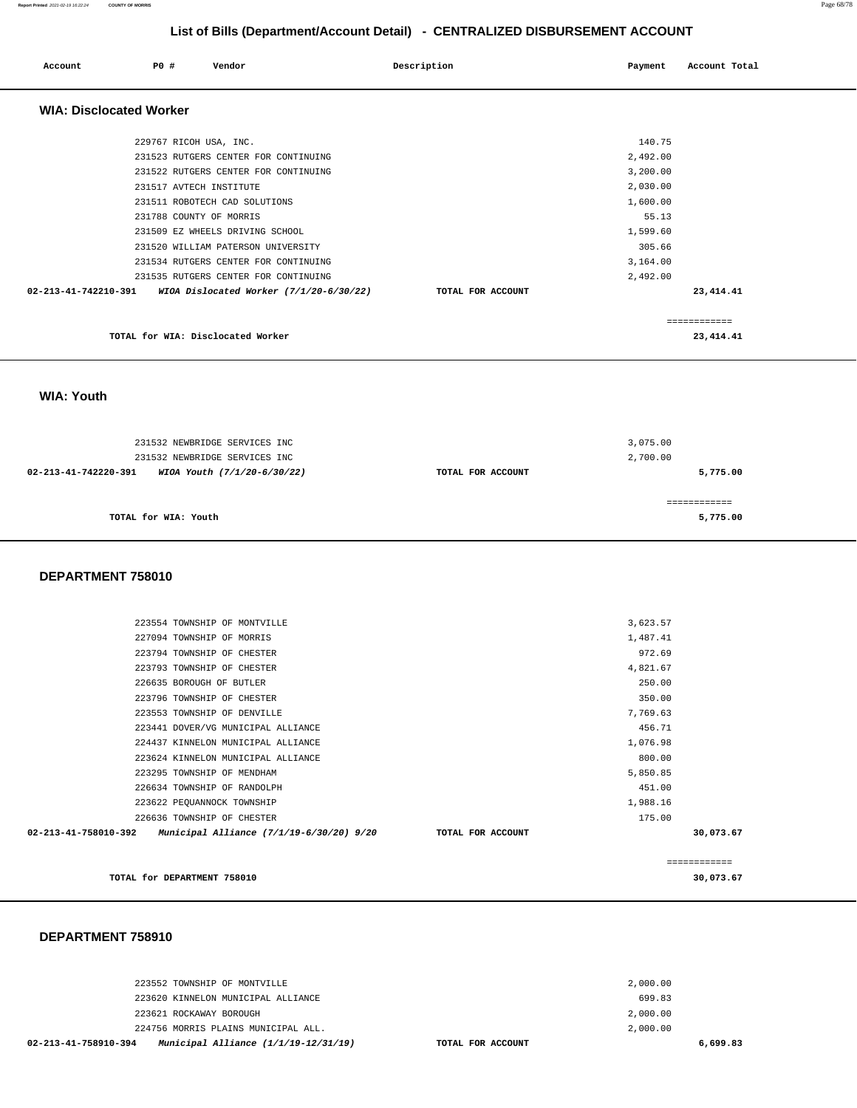| Account                        | PO# | Vendor                               |                                         | Description       | Payment  | Account Total |
|--------------------------------|-----|--------------------------------------|-----------------------------------------|-------------------|----------|---------------|
| <b>WIA: Disclocated Worker</b> |     |                                      |                                         |                   |          |               |
|                                |     | 229767 RICOH USA, INC.               |                                         |                   | 140.75   |               |
|                                |     | 231523 RUTGERS CENTER FOR CONTINUING |                                         |                   | 2,492.00 |               |
|                                |     | 231522 RUTGERS CENTER FOR CONTINUING |                                         |                   | 3,200.00 |               |
|                                |     | 231517 AVTECH INSTITUTE              |                                         |                   | 2,030.00 |               |
|                                |     | 231511 ROBOTECH CAD SOLUTIONS        |                                         |                   | 1,600.00 |               |
|                                |     | 231788 COUNTY OF MORRIS              |                                         |                   | 55.13    |               |
|                                |     | 231509 EZ WHEELS DRIVING SCHOOL      |                                         |                   | 1,599.60 |               |
|                                |     | 231520 WILLIAM PATERSON UNIVERSITY   |                                         |                   | 305.66   |               |
|                                |     | 231534 RUTGERS CENTER FOR CONTINUING |                                         |                   | 3,164.00 |               |
|                                |     | 231535 RUTGERS CENTER FOR CONTINUING |                                         |                   | 2,492.00 |               |
| 02-213-41-742210-391           |     |                                      | WIOA Dislocated Worker (7/1/20-6/30/22) | TOTAL FOR ACCOUNT |          | 23, 414. 41   |
|                                |     |                                      |                                         |                   |          | ---------     |
|                                |     | TOTAL for WIA: Disclocated Worker    |                                         |                   |          | 23, 414. 41   |

 **WIA: Youth** 

|                      | 231532 NEWBRIDGE SERVICES INC<br>231532 NEWBRIDGE SERVICES INC |                   | 3,075.00<br>2,700.00 |
|----------------------|----------------------------------------------------------------|-------------------|----------------------|
| 02-213-41-742220-391 | WIOA Youth (7/1/20-6/30/22)                                    | TOTAL FOR ACCOUNT | 5,775.00             |
|                      | TOTAL for WIA: Youth                                           |                   | 5,775.00             |

#### **DEPARTMENT 758010**

| TOTAL for DEPARTMENT 758010                                      |                   |          | 30,073.67     |
|------------------------------------------------------------------|-------------------|----------|---------------|
|                                                                  |                   |          | ------------- |
| 02-213-41-758010-392<br>Municipal Alliance (7/1/19-6/30/20) 9/20 | TOTAL FOR ACCOUNT |          | 30,073.67     |
| 226636 TOWNSHIP OF CHESTER                                       |                   | 175.00   |               |
| 223622 PEQUANNOCK TOWNSHIP                                       |                   | 1,988.16 |               |
| 226634 TOWNSHIP OF RANDOLPH                                      |                   | 451.00   |               |
| 223295 TOWNSHIP OF MENDHAM                                       |                   | 5,850.85 |               |
| 223624 KINNELON MUNICIPAL ALLIANCE                               |                   | 800.00   |               |
| 224437 KINNELON MUNICIPAL ALLIANCE                               |                   | 1,076.98 |               |
| 223441 DOVER/VG MUNICIPAL ALLIANCE                               |                   | 456.71   |               |
| 223553 TOWNSHIP OF DENVILLE                                      |                   | 7,769.63 |               |
| 223796 TOWNSHIP OF CHESTER                                       |                   | 350.00   |               |
| 226635 BOROUGH OF BUTLER                                         |                   | 250.00   |               |
| 223793 TOWNSHIP OF CHESTER                                       |                   | 4,821.67 |               |
| 223794 TOWNSHIP OF CHESTER                                       |                   | 972.69   |               |
| 227094 TOWNSHIP OF MORRIS                                        |                   | 1,487.41 |               |
| 223554 TOWNSHIP OF MONTVILLE                                     |                   | 3,623.57 |               |
|                                                                  |                   |          |               |

#### **DEPARTMENT 758910**

| Municipal Alliance $(1/1/19-12/31/19)$<br>02-213-41-758910-394 | TOTAL FOR ACCOUNT |          | 6,699.83 |
|----------------------------------------------------------------|-------------------|----------|----------|
| 224756 MORRIS PLAINS MUNICIPAL ALL.                            |                   | 2,000,00 |          |
| 223621 ROCKAWAY BOROUGH                                        |                   | 2,000.00 |          |
| 223620 KINNELON MUNICIPAL ALLIANCE                             |                   | 699.83   |          |
| 223552 TOWNSHIP OF MONTVILLE                                   |                   | 2,000.00 |          |
|                                                                |                   |          |          |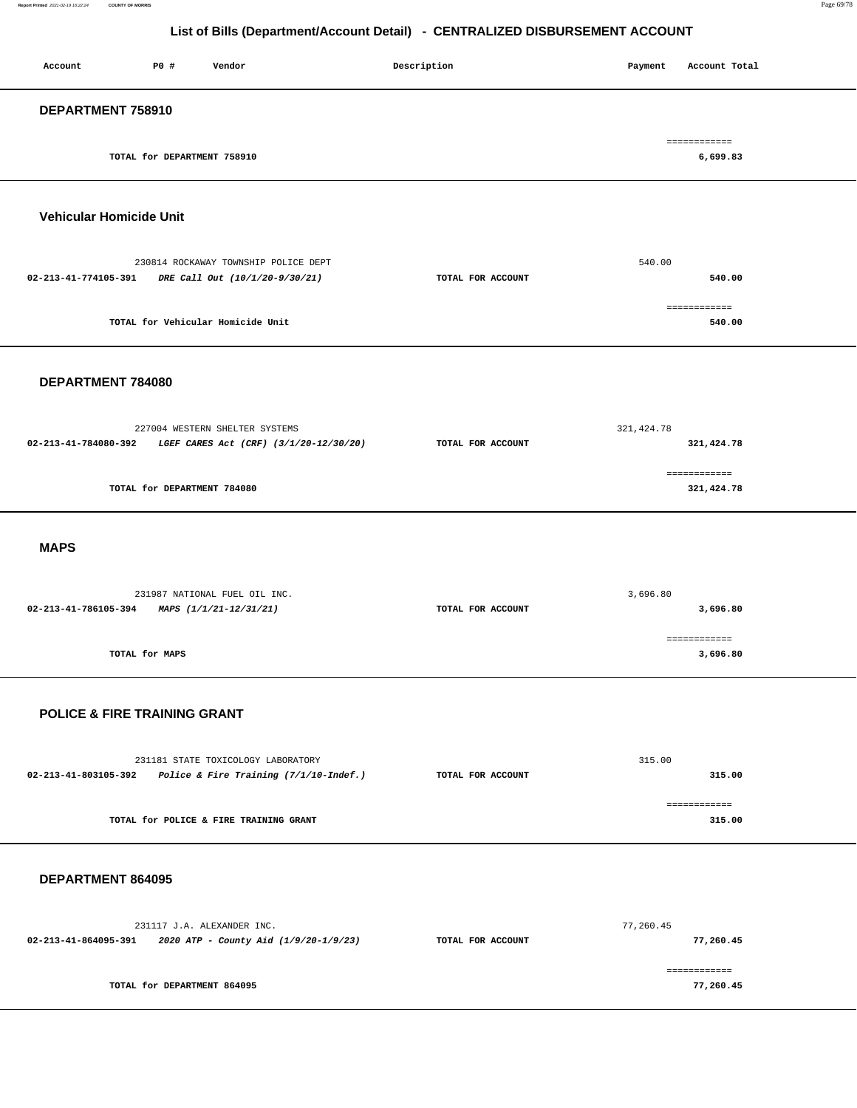| P0 #<br>Account<br>Vendor                                                                        | Description       | Payment<br>Account Total    |
|--------------------------------------------------------------------------------------------------|-------------------|-----------------------------|
| DEPARTMENT 758910                                                                                |                   |                             |
| TOTAL for DEPARTMENT 758910                                                                      |                   | ============<br>6,699.83    |
| <b>Vehicular Homicide Unit</b>                                                                   |                   |                             |
| 230814 ROCKAWAY TOWNSHIP POLICE DEPT<br>02-213-41-774105-391<br>DRE Call Out (10/1/20-9/30/21)   | TOTAL FOR ACCOUNT | 540.00<br>540.00            |
| TOTAL for Vehicular Homicide Unit                                                                |                   | ------------<br>540.00      |
| DEPARTMENT 784080                                                                                |                   |                             |
| 227004 WESTERN SHELTER SYSTEMS<br>02-213-41-784080-392<br>LGEF CARES Act (CRF) (3/1/20-12/30/20) | TOTAL FOR ACCOUNT | 321, 424.78<br>321, 424.78  |
| TOTAL for DEPARTMENT 784080                                                                      |                   | ------------<br>321, 424.78 |
| <b>MAPS</b>                                                                                      |                   |                             |
| 231987 NATIONAL FUEL OIL INC.<br>02-213-41-786105-394<br>MAPS (1/1/21-12/31/21)                  | TOTAL FOR ACCOUNT | 3,696.80<br>3,696.80        |
| TOTAL for MAPS                                                                                   |                   | ============<br>3,696.80    |

## **POLICE & FIRE TRAINING GRANT**

|                      | 231181 STATE TOXICOLOGY LABORATORY     |                   | 315.00 |
|----------------------|----------------------------------------|-------------------|--------|
| 02-213-41-803105-392 | Police & Fire Training (7/1/10-Indef.) | TOTAL FOR ACCOUNT | 315.00 |
|                      |                                        |                   |        |
|                      | TOTAL for POLICE & FIRE TRAINING GRANT |                   | 315.00 |
|                      |                                        |                   |        |

#### **DEPARTMENT 864095**

| 231117 J.A. ALEXANDER INC.                                    |                   | 77,260.45 |
|---------------------------------------------------------------|-------------------|-----------|
| 2020 ATP - County Aid (1/9/20-1/9/23)<br>02-213-41-864095-391 | TOTAL FOR ACCOUNT | 77,260.45 |
|                                                               |                   |           |
|                                                               |                   |           |
| TOTAL for DEPARTMENT 864095                                   |                   | 77,260.45 |
|                                                               |                   |           |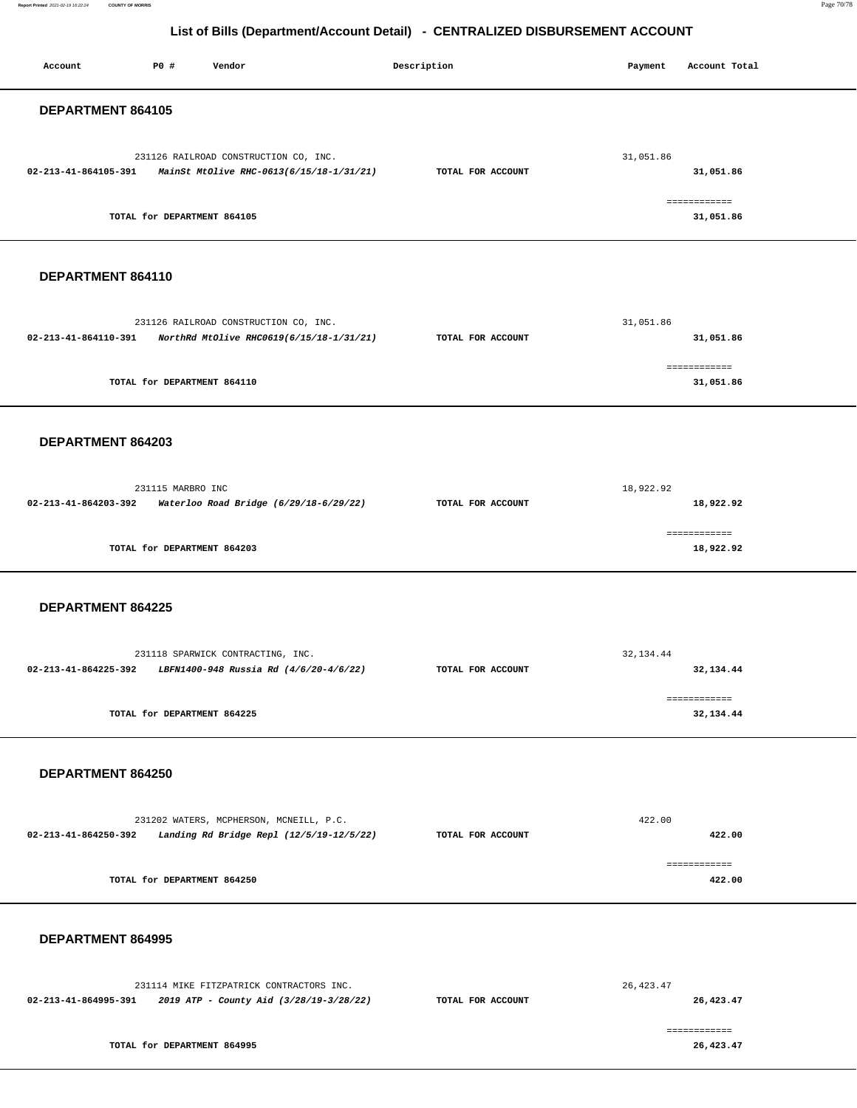**Report Printed** 2021-02-19 16:22:24 **COUNTY OF MORRIS** Page 70/78

| Account              | P0 #                        | Vendor                                                                                                 | Description       | Payment    | Account Total             |
|----------------------|-----------------------------|--------------------------------------------------------------------------------------------------------|-------------------|------------|---------------------------|
| DEPARTMENT 864105    |                             |                                                                                                        |                   |            |                           |
|                      |                             | 231126 RAILROAD CONSTRUCTION CO, INC.<br>02-213-41-864105-391 MainSt MtOlive RHC-0613(6/15/18-1/31/21) | TOTAL FOR ACCOUNT | 31,051.86  | 31,051.86                 |
|                      | TOTAL for DEPARTMENT 864105 |                                                                                                        |                   |            | ============<br>31,051.86 |
| DEPARTMENT 864110    |                             |                                                                                                        |                   |            |                           |
| 02-213-41-864110-391 |                             | 231126 RAILROAD CONSTRUCTION CO, INC.<br>NorthRd MtOlive RHC0619(6/15/18-1/31/21)                      | TOTAL FOR ACCOUNT | 31,051.86  | 31,051.86                 |
|                      | TOTAL for DEPARTMENT 864110 |                                                                                                        |                   |            | ============<br>31,051.86 |
| DEPARTMENT 864203    |                             |                                                                                                        |                   |            |                           |
| 02-213-41-864203-392 | 231115 MARBRO INC           | Waterloo Road Bridge (6/29/18-6/29/22)                                                                 | TOTAL FOR ACCOUNT | 18,922.92  | 18,922.92                 |
|                      | TOTAL for DEPARTMENT 864203 |                                                                                                        |                   |            | ============<br>18,922.92 |
| DEPARTMENT 864225    |                             |                                                                                                        |                   |            |                           |
| 02-213-41-864225-392 |                             | 231118 SPARWICK CONTRACTING, INC.<br>LBFN1400-948 Russia Rd (4/6/20-4/6/22)                            | TOTAL FOR ACCOUNT | 32, 134.44 | 32,134.44                 |
|                      | TOTAL for DEPARTMENT 864225 |                                                                                                        |                   |            | ============<br>32,134.44 |
| DEPARTMENT 864250    |                             |                                                                                                        |                   |            |                           |
| 02-213-41-864250-392 |                             | 231202 WATERS, MCPHERSON, MCNEILL, P.C.<br>Landing Rd Bridge Repl (12/5/19-12/5/22)                    | TOTAL FOR ACCOUNT | 422.00     | 422.00                    |
|                      | TOTAL for DEPARTMENT 864250 |                                                                                                        |                   |            | ============<br>422.00    |
| DEPARTMENT 864995    |                             |                                                                                                        |                   |            |                           |
| 02-213-41-864995-391 |                             | 231114 MIKE FITZPATRICK CONTRACTORS INC.<br>2019 ATP - County Aid (3/28/19-3/28/22)                    | TOTAL FOR ACCOUNT | 26, 423.47 | 26,423.47                 |
|                      | TOTAL for DEPARTMENT 864995 |                                                                                                        |                   |            | ============<br>26,423.47 |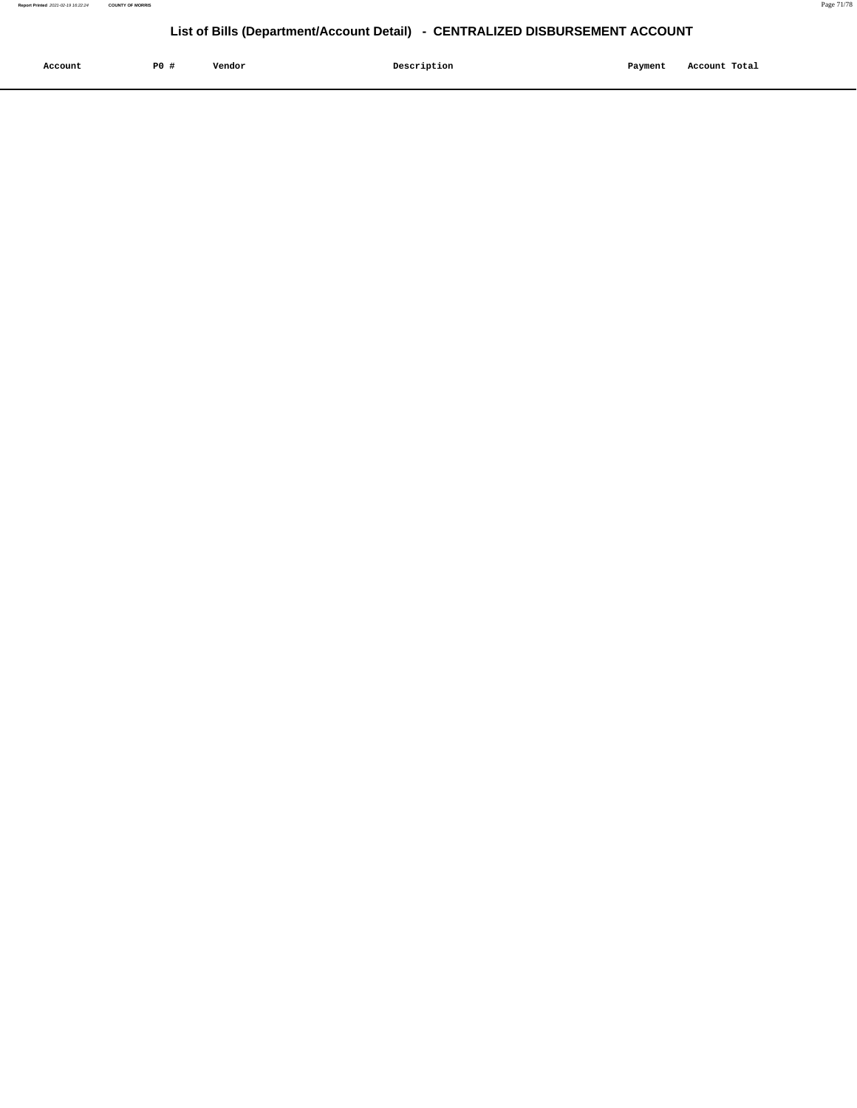| Account | P <sub>0</sub> | Vendor | Description | Payment | Account Total |
|---------|----------------|--------|-------------|---------|---------------|
|         |                |        |             |         |               |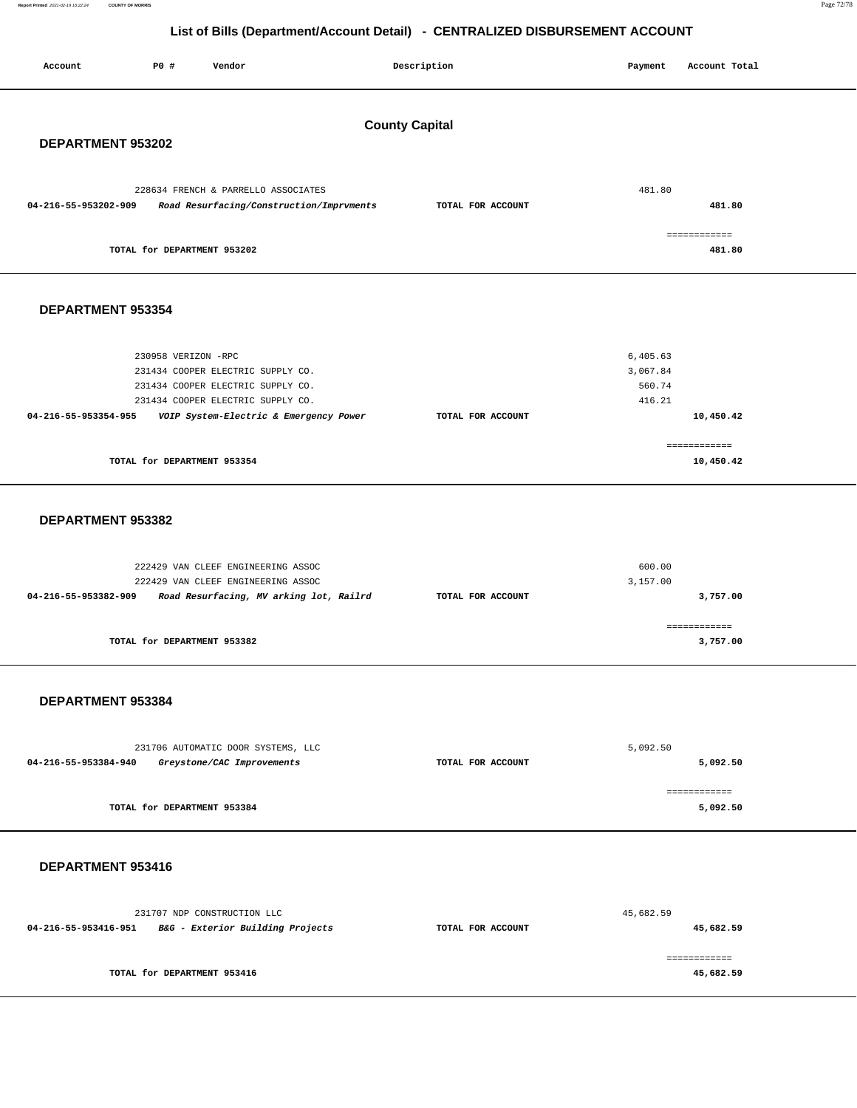**Report Printed** 2021-02-19 16:22:24 **COUNTY OF MORRIS** Page 72/78

| Account<br>P0 #<br>Vendor                                                                                                                                  |                                          | Description       | Payment                                  | Account Total             |  |  |  |  |
|------------------------------------------------------------------------------------------------------------------------------------------------------------|------------------------------------------|-------------------|------------------------------------------|---------------------------|--|--|--|--|
| <b>County Capital</b><br>DEPARTMENT 953202                                                                                                                 |                                          |                   |                                          |                           |  |  |  |  |
| 228634 FRENCH & PARRELLO ASSOCIATES<br>04-216-55-953202-909                                                                                                | Road Resurfacing/Construction/Imprvments | TOTAL FOR ACCOUNT | 481.80                                   | 481.80                    |  |  |  |  |
| TOTAL for DEPARTMENT 953202                                                                                                                                |                                          |                   |                                          | ------------<br>481.80    |  |  |  |  |
| DEPARTMENT 953354                                                                                                                                          |                                          |                   |                                          |                           |  |  |  |  |
| 230958 VERIZON -RPC<br>231434 COOPER ELECTRIC SUPPLY CO.<br>231434 COOPER ELECTRIC SUPPLY CO.<br>231434 COOPER ELECTRIC SUPPLY CO.<br>04-216-55-953354-955 | VOIP System-Electric & Emergency Power   | TOTAL FOR ACCOUNT | 6,405.63<br>3,067.84<br>560.74<br>416.21 | 10,450.42                 |  |  |  |  |
| TOTAL for DEPARTMENT 953354                                                                                                                                |                                          |                   |                                          | ------------<br>10,450.42 |  |  |  |  |
| DEPARTMENT 953382                                                                                                                                          |                                          |                   |                                          |                           |  |  |  |  |
| 222429 VAN CLEEF ENGINEERING ASSOC<br>222429 VAN CLEEF ENGINEERING ASSOC<br>04-216-55-953382-909                                                           | Road Resurfacing, MV arking lot, Railrd  | TOTAL FOR ACCOUNT | 600.00<br>3,157.00                       | 3,757.00                  |  |  |  |  |
| TOTAL for DEPARTMENT 953382                                                                                                                                |                                          |                   |                                          | ============<br>3,757.00  |  |  |  |  |
| DEPARTMENT 953384                                                                                                                                          |                                          |                   |                                          |                           |  |  |  |  |
| 231706 AUTOMATIC DOOR SYSTEMS, LLC<br>04-216-55-953384-940<br>Greystone/CAC Improvements                                                                   |                                          | TOTAL FOR ACCOUNT | 5,092.50                                 | 5,092.50                  |  |  |  |  |
| TOTAL for DEPARTMENT 953384                                                                                                                                |                                          |                   |                                          | ------------<br>5,092.50  |  |  |  |  |
| DEPARTMENT 953416                                                                                                                                          |                                          |                   |                                          |                           |  |  |  |  |
| 231707 NDP CONSTRUCTION LLC<br>04-216-55-953416-951 B&G - Exterior Building Projects                                                                       |                                          | TOTAL FOR ACCOUNT | 45,682.59                                | 45,682.59                 |  |  |  |  |
| TOTAL for DEPARTMENT 953416                                                                                                                                |                                          |                   |                                          | ------------<br>45,682.59 |  |  |  |  |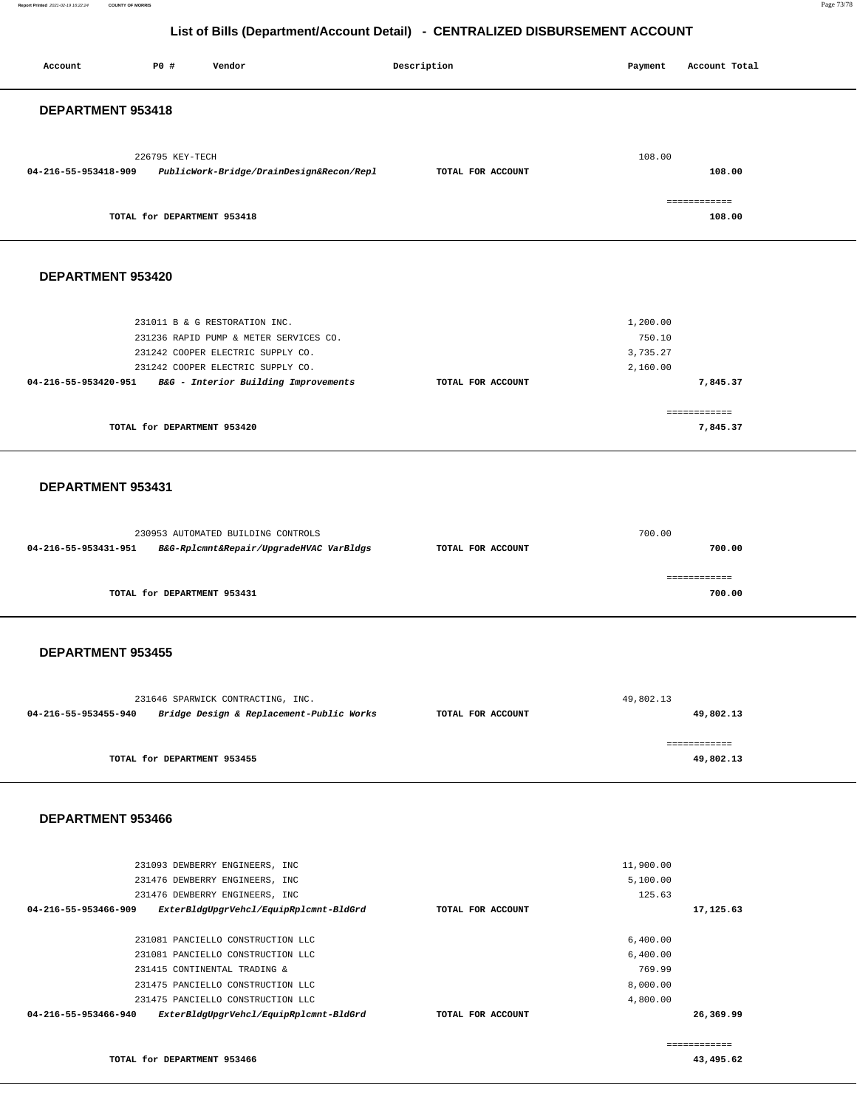## **List of Bills (Department/Account Detail) - CENTRALIZED DISBURSEMENT ACCOUNT**

| Account                  | P0 #                        | Vendor                                                                        | Description       | Payment              | Account Total          |
|--------------------------|-----------------------------|-------------------------------------------------------------------------------|-------------------|----------------------|------------------------|
| DEPARTMENT 953418        |                             |                                                                               |                   |                      |                        |
|                          |                             |                                                                               |                   |                      |                        |
|                          | 226795 KEY-TECH             |                                                                               |                   | 108.00               |                        |
| 04-216-55-953418-909     |                             | PublicWork-Bridge/DrainDesign&Recon/Repl                                      | TOTAL FOR ACCOUNT |                      | 108.00                 |
|                          |                             |                                                                               |                   |                      |                        |
|                          | TOTAL for DEPARTMENT 953418 |                                                                               |                   |                      | ============<br>108.00 |
|                          |                             |                                                                               |                   |                      |                        |
|                          |                             |                                                                               |                   |                      |                        |
| DEPARTMENT 953420        |                             |                                                                               |                   |                      |                        |
|                          |                             |                                                                               |                   |                      |                        |
|                          |                             | 231011 B & G RESTORATION INC.                                                 |                   | 1,200.00             |                        |
|                          |                             | 231236 RAPID PUMP & METER SERVICES CO.                                        |                   | 750.10               |                        |
|                          |                             | 231242 COOPER ELECTRIC SUPPLY CO.                                             |                   | 3,735.27             |                        |
| 04-216-55-953420-951     |                             | 231242 COOPER ELECTRIC SUPPLY CO.                                             | TOTAL FOR ACCOUNT | 2,160.00             |                        |
|                          |                             | B&G - Interior Building Improvements                                          |                   |                      | 7,845.37               |
|                          |                             |                                                                               |                   |                      | ============           |
|                          | TOTAL for DEPARTMENT 953420 |                                                                               |                   |                      | 7,845.37               |
|                          |                             |                                                                               |                   |                      |                        |
|                          |                             |                                                                               |                   |                      |                        |
| DEPARTMENT 953431        |                             |                                                                               |                   |                      |                        |
|                          |                             |                                                                               |                   |                      |                        |
|                          |                             |                                                                               |                   |                      |                        |
| 04-216-55-953431-951     |                             | 230953 AUTOMATED BUILDING CONTROLS<br>B&G-Rplcmnt&Repair/UpgradeHVAC VarBldgs | TOTAL FOR ACCOUNT | 700.00               | 700.00                 |
|                          |                             |                                                                               |                   |                      |                        |
|                          |                             |                                                                               |                   |                      | ============           |
|                          | TOTAL for DEPARTMENT 953431 |                                                                               |                   |                      | 700.00                 |
|                          |                             |                                                                               |                   |                      |                        |
|                          |                             |                                                                               |                   |                      |                        |
| <b>DEPARTMENT 953455</b> |                             |                                                                               |                   |                      |                        |
|                          |                             |                                                                               |                   |                      |                        |
|                          |                             | 231646 SPARWICK CONTRACTING, INC.                                             |                   | 49,802.13            |                        |
| 04-216-55-953455-940     |                             | Bridge Design & Replacement-Public Works                                      | TOTAL FOR ACCOUNT |                      | 49,802.13              |
|                          |                             |                                                                               |                   |                      |                        |
|                          | TOTAL for DEPARTMENT 953455 |                                                                               |                   |                      | ============           |
|                          |                             |                                                                               |                   |                      | 49,802.13              |
|                          |                             |                                                                               |                   |                      |                        |
| DEPARTMENT 953466        |                             |                                                                               |                   |                      |                        |
|                          |                             |                                                                               |                   |                      |                        |
|                          |                             |                                                                               |                   |                      |                        |
|                          |                             | 231093 DEWBERRY ENGINEERS, INC                                                |                   | 11,900.00            |                        |
|                          |                             | 231476 DEWBERRY ENGINEERS, INC                                                |                   | 5,100.00             |                        |
| 04-216-55-953466-909     |                             | 231476 DEWBERRY ENGINEERS, INC<br>ExterBldgUpgrVehcl/EquipRplcmnt-BldGrd      | TOTAL FOR ACCOUNT | 125.63               | 17,125.63              |
|                          |                             |                                                                               |                   |                      |                        |
|                          |                             | 231081 PANCIELLO CONSTRUCTION LLC                                             |                   | 6,400.00             |                        |
|                          |                             | 231081 PANCIELLO CONSTRUCTION LLC                                             |                   | 6,400.00             |                        |
|                          |                             | 231415 CONTINENTAL TRADING &                                                  |                   | 769.99               |                        |
|                          |                             | 231475 PANCIELLO CONSTRUCTION LLC<br>231475 PANCIELLO CONSTRUCTION LLC        |                   | 8,000.00<br>4,800.00 |                        |
| 04-216-55-953466-940     |                             | ExterBldgUpgrVehcl/EquipRplcmnt-BldGrd                                        | TOTAL FOR ACCOUNT |                      | 26,369.99              |
|                          |                             |                                                                               |                   |                      |                        |

**TOTAL for DEPARTMENT 953466** 

**43,495.62** 

============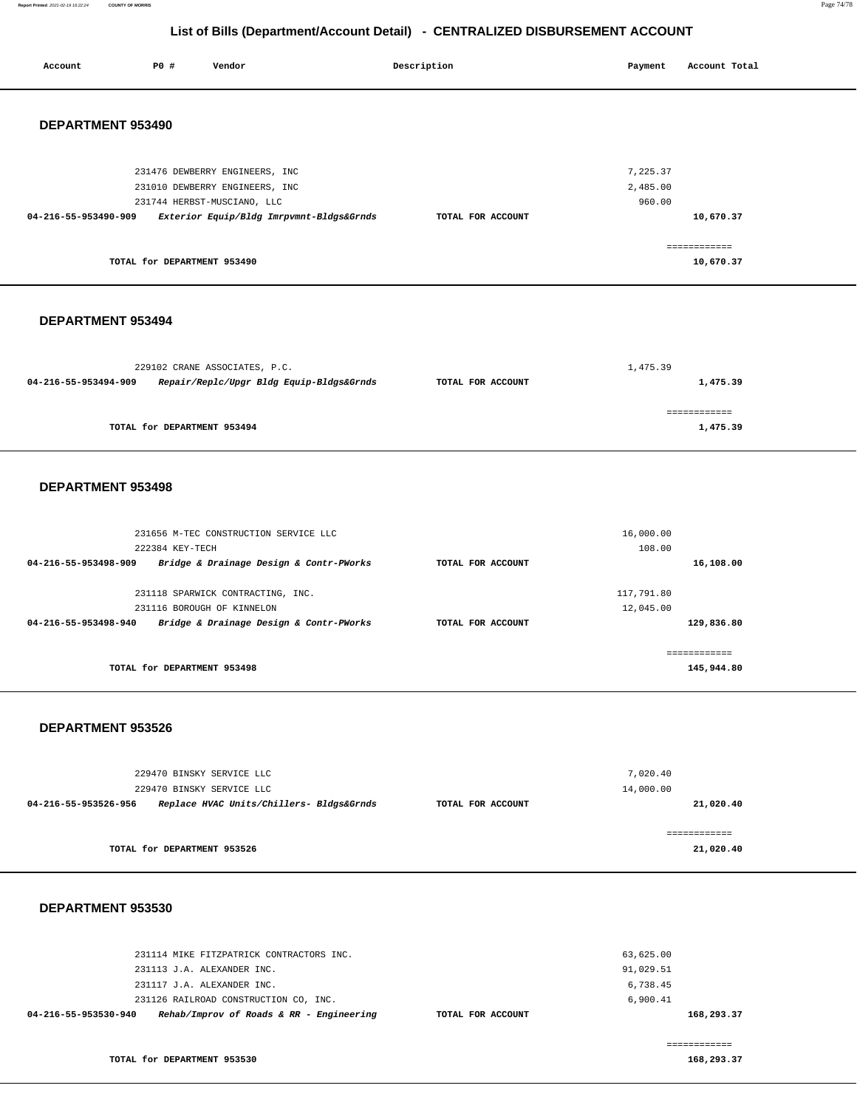**Report Printed** 2021-02-19 16:22:24 **COUNTY OF MORRIS** Page 74/78

## **List of Bills (Department/Account Detail) - CENTRALIZED DISBURSEMENT ACCOUNT**

| Account                  | P0 #                        | Vendor                                                                | Description       | Payment             | Account Total             |  |
|--------------------------|-----------------------------|-----------------------------------------------------------------------|-------------------|---------------------|---------------------------|--|
|                          |                             |                                                                       |                   |                     |                           |  |
| DEPARTMENT 953490        |                             |                                                                       |                   |                     |                           |  |
|                          |                             |                                                                       |                   |                     |                           |  |
|                          |                             | 231476 DEWBERRY ENGINEERS, INC                                        |                   | 7,225.37            |                           |  |
|                          |                             | 231010 DEWBERRY ENGINEERS, INC<br>231744 HERBST-MUSCIANO, LLC         |                   | 2,485.00<br>960.00  |                           |  |
| 04-216-55-953490-909     |                             | Exterior Equip/Bldg Imrpvmnt-Bldgs&Grnds                              | TOTAL FOR ACCOUNT |                     | 10,670.37                 |  |
|                          |                             |                                                                       |                   |                     | ============              |  |
|                          | TOTAL for DEPARTMENT 953490 |                                                                       |                   |                     | 10,670.37                 |  |
|                          |                             |                                                                       |                   |                     |                           |  |
| <b>DEPARTMENT 953494</b> |                             |                                                                       |                   |                     |                           |  |
|                          |                             |                                                                       |                   |                     |                           |  |
| 04-216-55-953494-909     |                             | 229102 CRANE ASSOCIATES, P.C.                                         |                   | 1,475.39            |                           |  |
|                          |                             | Repair/Replc/Upgr Bldg Equip-Bldgs&Grnds                              | TOTAL FOR ACCOUNT |                     | 1,475.39                  |  |
|                          | TOTAL for DEPARTMENT 953494 |                                                                       |                   |                     | ------------<br>1,475.39  |  |
|                          |                             |                                                                       |                   |                     |                           |  |
|                          |                             |                                                                       |                   |                     |                           |  |
| DEPARTMENT 953498        |                             |                                                                       |                   |                     |                           |  |
|                          |                             |                                                                       |                   |                     |                           |  |
|                          | 222384 KEY-TECH             | 231656 M-TEC CONSTRUCTION SERVICE LLC                                 |                   | 16,000.00<br>108.00 |                           |  |
| 04-216-55-953498-909     |                             | Bridge & Drainage Design & Contr-PWorks                               | TOTAL FOR ACCOUNT |                     | 16,108.00                 |  |
|                          |                             | 231118 SPARWICK CONTRACTING, INC.                                     |                   | 117,791.80          |                           |  |
| 04-216-55-953498-940     |                             | 231116 BOROUGH OF KINNELON<br>Bridge & Drainage Design & Contr-PWorks | TOTAL FOR ACCOUNT | 12,045.00           | 129,836.80                |  |
|                          |                             |                                                                       |                   |                     | ============              |  |
|                          | TOTAL for DEPARTMENT 953498 |                                                                       |                   |                     | 145,944.80                |  |
|                          |                             |                                                                       |                   |                     |                           |  |
| DEPARTMENT 953526        |                             |                                                                       |                   |                     |                           |  |
|                          |                             |                                                                       |                   |                     |                           |  |
|                          | 229470 BINSKY SERVICE LLC   |                                                                       |                   | 7,020.40            |                           |  |
| 04-216-55-953526-956     |                             | 229470 BINSKY SERVICE LLC<br>Replace HVAC Units/Chillers- Bldgs&Grnds | TOTAL FOR ACCOUNT | 14,000.00           | 21,020.40                 |  |
|                          |                             |                                                                       |                   |                     |                           |  |
|                          | TOTAL for DEPARTMENT 953526 |                                                                       |                   |                     | ============<br>21,020.40 |  |
|                          |                             |                                                                       |                   |                     |                           |  |
|                          |                             |                                                                       |                   |                     |                           |  |
| DEPARTMENT 953530        |                             |                                                                       |                   |                     |                           |  |

| Rehab/Improv of Roads & RR - Engineering<br>04-216-55-953530-940<br>TOTAL FOR ACCOUNT | 168,293.37 |
|---------------------------------------------------------------------------------------|------------|
| 6,900.41<br>231126 RAILROAD CONSTRUCTION CO, INC.                                     |            |
| 6.738.45<br>231117 J.A. ALEXANDER INC.                                                |            |
| 91,029.51<br>231113 J.A. ALEXANDER INC.                                               |            |
| 231114 MIKE FITZPATRICK CONTRACTORS INC.<br>63,625.00                                 |            |

**TOTAL for DEPARTMENT 953530** 

============

**168,293.37**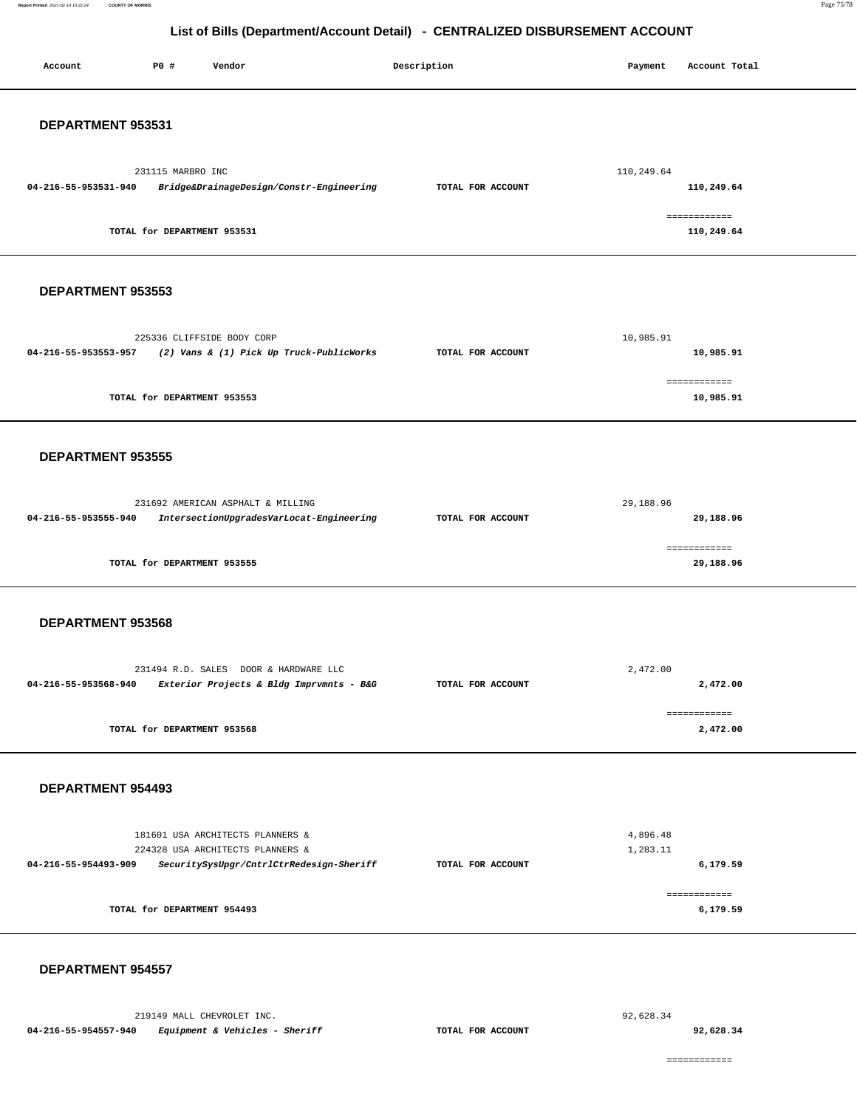**Report Printed** 2021-02-19 16:22:24 **COUNTY OF MORRIS** Page 75/78

## **List of Bills (Department/Account Detail) - CENTRALIZED DISBURSEMENT ACCOUNT**

| Account              | P0 #                        | Vendor                                                                                                           | Description       | Payment              | Account Total              |
|----------------------|-----------------------------|------------------------------------------------------------------------------------------------------------------|-------------------|----------------------|----------------------------|
| DEPARTMENT 953531    |                             |                                                                                                                  |                   |                      |                            |
| 04-216-55-953531-940 | 231115 MARBRO INC           | Bridge&DrainageDesign/Constr-Engineering                                                                         | TOTAL FOR ACCOUNT | 110,249.64           | 110,249.64                 |
|                      | TOTAL for DEPARTMENT 953531 |                                                                                                                  |                   |                      | ------------<br>110,249.64 |
| DEPARTMENT 953553    |                             |                                                                                                                  |                   |                      |                            |
| 04-216-55-953553-957 |                             | 225336 CLIFFSIDE BODY CORP<br>(2) Vans & (1) Pick Up Truck-PublicWorks                                           | TOTAL FOR ACCOUNT | 10,985.91            | 10,985.91                  |
|                      | TOTAL for DEPARTMENT 953553 |                                                                                                                  |                   |                      | ------------<br>10,985.91  |
| DEPARTMENT 953555    |                             |                                                                                                                  |                   |                      |                            |
| 04-216-55-953555-940 |                             | 231692 AMERICAN ASPHALT & MILLING<br>IntersectionUpgradesVarLocat-Engineering                                    | TOTAL FOR ACCOUNT | 29,188.96            | 29,188.96                  |
|                      | TOTAL for DEPARTMENT 953555 |                                                                                                                  |                   |                      | ------------<br>29,188.96  |
| DEPARTMENT 953568    |                             |                                                                                                                  |                   |                      |                            |
| 04-216-55-953568-940 |                             | 231494 R.D. SALES DOOR & HARDWARE LLC<br>Exterior Projects & Bldg Imprvmnts - B&G                                | TOTAL FOR ACCOUNT | 2,472.00             | 2,472.00                   |
|                      | TOTAL for DEPARTMENT 953568 |                                                                                                                  |                   |                      | ============<br>2,472.00   |
| DEPARTMENT 954493    |                             |                                                                                                                  |                   |                      |                            |
| 04-216-55-954493-909 |                             | 181601 USA ARCHITECTS PLANNERS &<br>224328 USA ARCHITECTS PLANNERS &<br>SecuritySysUpgr/CntrlCtrRedesign-Sheriff | TOTAL FOR ACCOUNT | 4,896.48<br>1,283.11 | 6,179.59                   |
|                      | TOTAL for DEPARTMENT 954493 |                                                                                                                  |                   |                      | ------------<br>6,179.59   |
| DEPARTMENT 954557    |                             |                                                                                                                  |                   |                      |                            |

92,628.34

============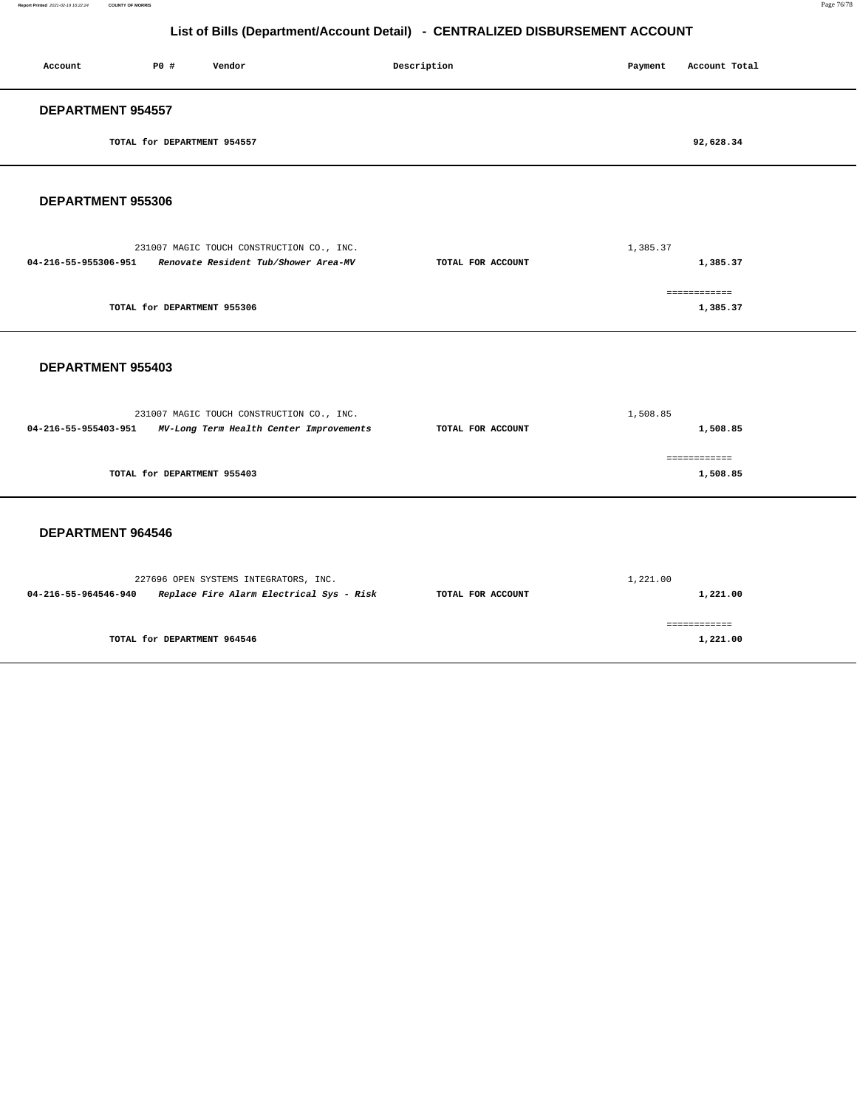### **Report Printed** 2021-02-19 16:22:24 **COUNTY OF MORRIS** Page 76/78

## **List of Bills (Department/Account Detail) - CENTRALIZED DISBURSEMENT ACCOUNT**

| Account              | P0 #                        | Vendor                                    | Description       | Payment  | Account Total |
|----------------------|-----------------------------|-------------------------------------------|-------------------|----------|---------------|
| DEPARTMENT 954557    |                             |                                           |                   |          |               |
|                      | TOTAL for DEPARTMENT 954557 |                                           |                   |          | 92,628.34     |
| DEPARTMENT 955306    |                             |                                           |                   |          |               |
|                      |                             | 231007 MAGIC TOUCH CONSTRUCTION CO., INC. |                   | 1,385.37 |               |
| 04-216-55-955306-951 |                             | Renovate Resident Tub/Shower Area-MV      | TOTAL FOR ACCOUNT |          | 1,385.37      |

|                             | ----------- |
|-----------------------------|-------------|
| TOTAL for DEPARTMENT 955306 | 1,385.37    |

### **DEPARTMENT 955403**

| 1,508.85          |              |  |
|-------------------|--------------|--|
| TOTAL FOR ACCOUNT | 1,508.85     |  |
|                   |              |  |
|                   | ============ |  |
|                   | 1,508.85     |  |
|                   |              |  |

### **DEPARTMENT 964546**

|                      | 227696 OPEN SYSTEMS INTEGRATORS, INC.    | 1,221.00          |          |  |
|----------------------|------------------------------------------|-------------------|----------|--|
| 04-216-55-964546-940 | Replace Fire Alarm Electrical Sys - Risk | TOTAL FOR ACCOUNT | 1,221.00 |  |
|                      |                                          |                   |          |  |
|                      |                                          |                   |          |  |
|                      | TOTAL for DEPARTMENT 964546              |                   | 1,221.00 |  |
|                      |                                          |                   |          |  |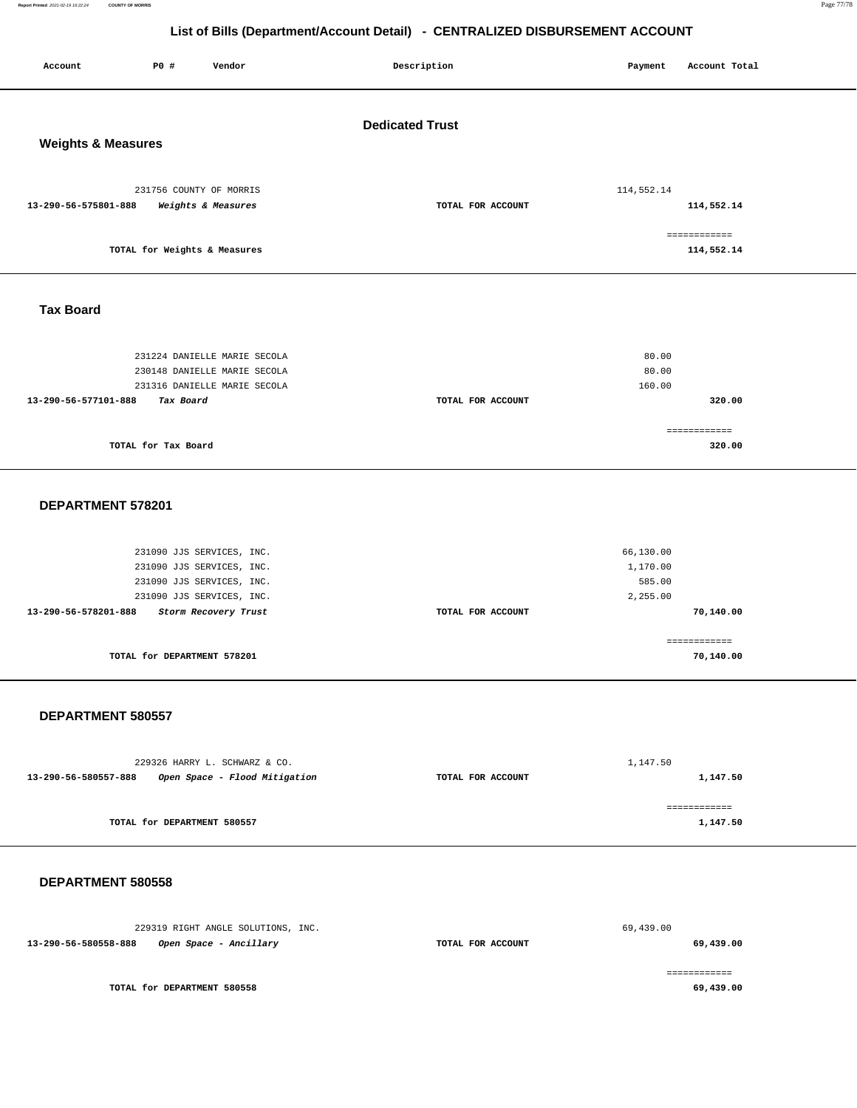**Report Printed** 2021-02-19 16:22:24 **COUNTY OF MORRIS** Page 77/78

## **List of Bills (Department/Account Detail) - CENTRALIZED DISBURSEMENT ACCOUNT**

| <b>Dedicated Trust</b><br><b>Weights &amp; Measures</b><br>231756 COUNTY OF MORRIS<br>114,552.14<br>TOTAL FOR ACCOUNT<br>114,552.14<br>13-290-56-575801-888<br>Weights & Measures<br>============<br>TOTAL for Weights & Measures<br>114,552.14<br><b>Tax Board</b><br>231224 DANIELLE MARIE SECOLA<br>80.00<br>80.00<br>230148 DANIELLE MARIE SECOLA<br>231316 DANIELLE MARIE SECOLA<br>160.00<br>13-290-56-577101-888<br>TOTAL FOR ACCOUNT<br>320.00<br>Tax Board<br>============<br>TOTAL for Tax Board<br>320.00<br>DEPARTMENT 578201<br>231090 JJS SERVICES, INC.<br>66,130.00<br>231090 JJS SERVICES, INC.<br>1,170.00<br>231090 JJS SERVICES, INC.<br>585.00<br>2,255.00<br>231090 JJS SERVICES, INC.<br>13-290-56-578201-888<br>Storm Recovery Trust<br>TOTAL FOR ACCOUNT<br>70,140.00<br>------------<br>TOTAL for DEPARTMENT 578201<br>70,140.00<br>DEPARTMENT 580557<br>229326 HARRY L. SCHWARZ & CO.<br>1,147.50<br>13-290-56-580557-888<br>Open Space - Flood Mitigation<br>TOTAL FOR ACCOUNT<br>1,147.50<br>============<br>TOTAL for DEPARTMENT 580557<br>1,147.50 | Account | P0 # | Vendor | Description | Payment | Account Total |  |  |  |  |
|-----------------------------------------------------------------------------------------------------------------------------------------------------------------------------------------------------------------------------------------------------------------------------------------------------------------------------------------------------------------------------------------------------------------------------------------------------------------------------------------------------------------------------------------------------------------------------------------------------------------------------------------------------------------------------------------------------------------------------------------------------------------------------------------------------------------------------------------------------------------------------------------------------------------------------------------------------------------------------------------------------------------------------------------------------------------------------------|---------|------|--------|-------------|---------|---------------|--|--|--|--|
|                                                                                                                                                                                                                                                                                                                                                                                                                                                                                                                                                                                                                                                                                                                                                                                                                                                                                                                                                                                                                                                                                   |         |      |        |             |         |               |  |  |  |  |
|                                                                                                                                                                                                                                                                                                                                                                                                                                                                                                                                                                                                                                                                                                                                                                                                                                                                                                                                                                                                                                                                                   |         |      |        |             |         |               |  |  |  |  |
|                                                                                                                                                                                                                                                                                                                                                                                                                                                                                                                                                                                                                                                                                                                                                                                                                                                                                                                                                                                                                                                                                   |         |      |        |             |         |               |  |  |  |  |
|                                                                                                                                                                                                                                                                                                                                                                                                                                                                                                                                                                                                                                                                                                                                                                                                                                                                                                                                                                                                                                                                                   |         |      |        |             |         |               |  |  |  |  |
|                                                                                                                                                                                                                                                                                                                                                                                                                                                                                                                                                                                                                                                                                                                                                                                                                                                                                                                                                                                                                                                                                   |         |      |        |             |         |               |  |  |  |  |
|                                                                                                                                                                                                                                                                                                                                                                                                                                                                                                                                                                                                                                                                                                                                                                                                                                                                                                                                                                                                                                                                                   |         |      |        |             |         |               |  |  |  |  |
|                                                                                                                                                                                                                                                                                                                                                                                                                                                                                                                                                                                                                                                                                                                                                                                                                                                                                                                                                                                                                                                                                   |         |      |        |             |         |               |  |  |  |  |
|                                                                                                                                                                                                                                                                                                                                                                                                                                                                                                                                                                                                                                                                                                                                                                                                                                                                                                                                                                                                                                                                                   |         |      |        |             |         |               |  |  |  |  |
|                                                                                                                                                                                                                                                                                                                                                                                                                                                                                                                                                                                                                                                                                                                                                                                                                                                                                                                                                                                                                                                                                   |         |      |        |             |         |               |  |  |  |  |
|                                                                                                                                                                                                                                                                                                                                                                                                                                                                                                                                                                                                                                                                                                                                                                                                                                                                                                                                                                                                                                                                                   |         |      |        |             |         |               |  |  |  |  |
|                                                                                                                                                                                                                                                                                                                                                                                                                                                                                                                                                                                                                                                                                                                                                                                                                                                                                                                                                                                                                                                                                   |         |      |        |             |         |               |  |  |  |  |
|                                                                                                                                                                                                                                                                                                                                                                                                                                                                                                                                                                                                                                                                                                                                                                                                                                                                                                                                                                                                                                                                                   |         |      |        |             |         |               |  |  |  |  |

### **DEPARTMENT 580558**

229319 RIGHT ANGLE SOLUTIONS, INC. **13-290-56-580558-888 Open Space - Ancillary TOTAL FOR ACCOUNT**  69,439.00 **69,439.00** ============

**TOTAL for DEPARTMENT 580558** 

**69,439.00**